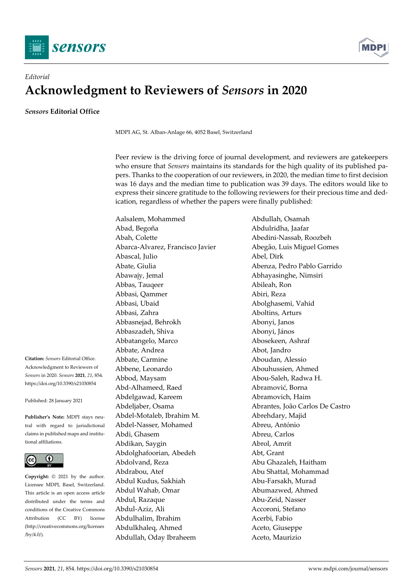



## *Editorial*  **Acknowledgment to Reviewers of** *Sensors* **in 2020**

*Sensors* **Editorial Office** 

MDPI AG, St. Alban-Anlage 66, 4052 Basel, Switzerland

Peer review is the driving force of journal development, and reviewers are gatekeepers who ensure that *Sensors* maintains its standards for the high quality of its published papers. Thanks to the cooperation of our reviewers, in 2020, the median time to first decision was 16 days and the median time to publication was 39 days. The editors would like to express their sincere gratitude to the following reviewers for their precious time and dedication, regardless of whether the papers were finally published:

Aalsalem, Mohammed Abdullah, Osamah Abad, Begoña Abdulridha, Jaafar Abah, Colette Abedini-Nassab, Roozbeh Abarca-Alvarez, Francisco Javier Abegão, Luis Miguel Gomes Abascal, Julio Abel, Dirk Abate, Giulia Abenza, Pedro Pablo Garrido Abawajy, Jemal Abhayasinghe, Nimsiri Abbas, Tauqeer Abileah, Ron Abbasi, Qammer Abiri, Reza Abbasi, Ubaid Abolghasemi, Vahid Abbasi, Zahra **Aboltins**, Arturs Abbasnejad, Behrokh Abonyi, Janos Abbaszadeh, Shiva Abonyi, János Abbatangelo, Marco Abosekeen, Ashraf Abbate, Andrea **Abot**, Jandro Abbate, Carmine **Aboudan**, Alessio Abbene, Leonardo Abouhussien, Ahmed Abbod, Maysam Abou-Saleh, Radwa H. Abd-Alhameed, Raed Abramović, Borna Abdelgawad, Kareem Abramovich, Haim Abdel-Motaleb, Ibrahim M. Abrehdary, Majid Abdel-Nasser, Mohamed Abreu, António Abdi, Ghasem Abreu, Carlos Abdikan, Saygin Abrol, Amrit Abdolghafoorian, Abedeh Abt, Grant Abdolvand, Reza Abu Ghazaleh, Haitham Abdrabou, Atef Abu Shattal, Mohammad Abdul Kudus, Sakhiah Abu-Farsakh, Murad Abdul Wahab, Omar Abumazwed, Ahmed Abdul, Razaque **Abu-Zeid, Nasser** Abdul-Aziz, Ali Accoroni, Stefano Abdulhalim, Ibrahim Acerbi, Fabio Abdulkhaleq, Ahmed Aceto, Giuseppe Abdullah, Oday Ibraheem Aceto, Maurizio

Abdeljaber, Osama (and Abrantes, João Carlos De Castro

**Citation:** *Sensors* Editorial Office. Acknowledgment to Reviewers of *Sensors* in 2020. *Sensors* **2021**, *21*, 854. https://doi.org/10.3390/s21030854

Published: 28 January 2021

**Publisher's Note:** MDPI stays neutral with regard to jurisdictional claims in published maps and institutional affiliations.



**Copyright:** © 2021 by the author. Licensee MDPI, Basel, Switzerland. This article is an open access article distributed under the terms and conditions of the Creative Commons Attribution (CC BY) license (http://creativecommons.org/licenses /by/4.0/).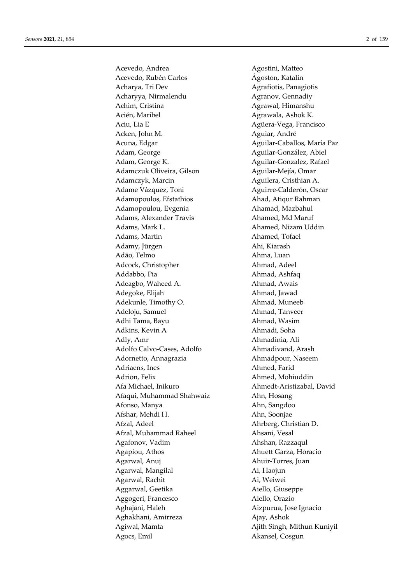Acevedo, Andrea Agostini, Matteo Acevedo, Rubén Carlos **Agoston**, Katalin Acharya, Tri Dev Agrafiotis, Panagiotis Acharyya, Nirmalendu Agranov, Gennadiy Achim, Cristina **Agrawal**, Himanshu Acién, Maribel **Agrawala**, Ashok K. Aciu, Lia E Agüera-Vega, Francisco Acken, John M. **Aguiar**, André Acuna, Edgar **Aguilar-Caballos, María Paz** Adam, George **Aguilar-González**, Abiel Adam, George K. **Aguilar-Gonzalez, Rafael** Adamczuk Oliveira, Gilson **Aguilar-Mejía**, Omar Adamczyk, Marcin **Aguilera**, Cristhian A. Adame Vázquez, Toni Aguirre-Calderón, Oscar Adamopoulos, Efstathios **Ahad, Atiqur Rahman** Adamopoulou, Evgenia and Ahamad, Mazbahul Adams, Alexander Travis **Alexander Alexander Alexander Alexander Alexander Alexander Alexander Alexander Alexander A** Adams, Mark L. Ahamed, Nizam Uddin Adams, Martin Ahamed, Tofael Adamy, Jürgen **Ahi**, Kiarash Adão, Telmo **Ahma**, Luan Adcock, Christopher Ahmad, Adeel Addabbo, Pia **Ahmad, Ashfaq** Adeagbo, Waheed A. Ahmad, Awais Adegoke, Elijah **Ahmad, Jawad** Adekunle, Timothy O. **Ahmad, Muneeb** Adeloju, Samuel **Ahmad, Tanveer** Adhi Tama, Bayu **Ahmad, Wasim** Adkins, Kevin A Ahmadi, Soha Adly, Amr Ahmadinia, Ali Adolfo Calvo-Cases, Adolfo Ahmadivand, Arash Adornetto, Annagrazia anno 2012 - Ahmadpour, Naseem Adriaens, Ines **Ahmed**, Farid Adrion, Felix Ahmed, Mohiuddin Afa Michael, Inikuro Ahmedt-Aristizabal, David Afaqui, Muhammad Shahwaiz **Ahn**, Hosang Afonso, Manya **Ahn**, Sangdoo Afshar, Mehdi H. Ahn, Soonjae Afzal, Adeel **Ahrberg**, Christian D. Afzal, Muhammad Raheel Ahsani, Vesal Agafonov, Vadim Ahshan, Razzaqul Agapiou, Athos **Ahuett Garza, Horacio** Agarwal, Anuj **Alusanger Ahuir-Torres**, Juan Agarwal, Mangilal **Ai**, Haojun Agarwal, Rachit Ai, Weiwei Aggarwal, Geetika Aiello, Giuseppe Aggogeri, Francesco Aiello, Orazio Aghajani, Haleh Aizpurua, Jose Ignacio Aghakhani, Amirreza Ajay, Ashok Agiwal, Mamta Ajith Singh, Mithun Kuniyil Agocs, Emil Akansel, Cosgun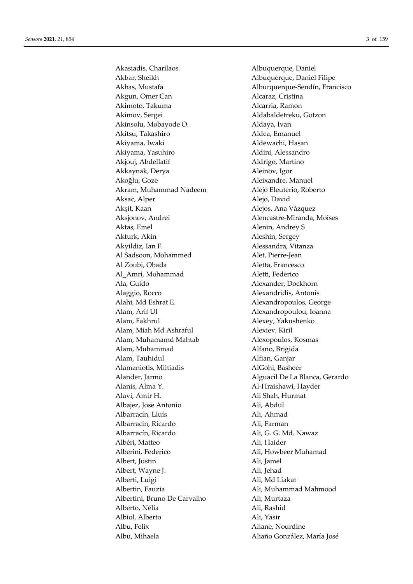Akasiadis, Charilaos Albuquerque, Daniel Akbar, Sheikh **Albuquerque, Daniel Filipe** Akgun, Omer Can Alcaraz, Cristina Akimoto, Takuma ang ang Palendarya ng Alcarria, Ramon Akimov, Sergei Aldabaldetreku, Gotzon Akinsolu, Mobayode O. Aldaya, Ivan Akitsu, Takashiro **Aldea**, Emanuel Akiyama, Iwaki **Aldewachi**, Hasan Akiyama, Yasuhiro Aldini, Alessandro Akjouj, Abdellatif **Aldrigo**, Martino Akkaynak, Derya **Aleinov**, Igor Akoğlu, Goze Aleixandre, Manuel Akram, Muhammad Nadeem Alejo Eleuterio, Roberto Aksac, Alper Alejo, David Akşit, Kaan Alejos, Ana Vázquez Aksjonov, Andrei Alencastre-Miranda, Moises Aktas, Emel Alenin, Andrey S Akturk, Akin Aleshin, Sergey Akyildiz, Ian F. **Alessandra**, Vitanza Al Sadsoon, Mohammed Alet, Pierre-Jean Al Zoubi, Obada **Aletta, Francesco** Aletta, Francesco Al\_Amri, Mohammad Aletti, Federico Ala, Guido Alexander, Dockhorn Alaggio, Rocco Alexandridis, Antonis Alahi, Md Eshrat E. Alexandropoulos, George Alam, Arif Ul Alexandropoulou, Ioanna Alam, Fakhrul Alexey, Yakushenko Alam, Miah Md Ashraful **Alexiev**, Kiril Alam, Muhamamd Mahtab Alexopoulos, Kosmas Alam, Muhammad Alfano, Brigida Alam, Tauhidul Alfian, Ganjar Alamaniotis, Miltiadis AlGohi, Basheer Alanis, Alma Y. Al-Hraishawi, Hayder Alavi, Amir H. Ali Shah, Hurmat Albajez, Jose Antonio Ali, Abdul Albarracín, Lluís Ali, Ahmad Albarracin, Ricardo Ali, Farman Albarracín, Ricardo Ali, G. G. Md. Nawaz Albéri, Matteo Ali, Haider Alberini, Federico Ali, Howbeer Muhamad Albert, Justin Ali, Jamel Albert, Wayne J. Ali, Jehad Alberti, Luigi Ali, Md Liakat Albertin, Fauzia **Ali, Muhammad Mahmood** Albertini, Bruno De Carvalho Ali, Murtaza Alberto, Nélia Ali, Rashid Albiol, Alberto Ali, Yasir Albu, Felix Aliane, Nourdine Albu, Mihaela Aliaño González, María José

Akbas, Mustafa **Alburquerque-Sendín**, Francisco Alander, Jarmo Alguacil De La Blanca, Gerardo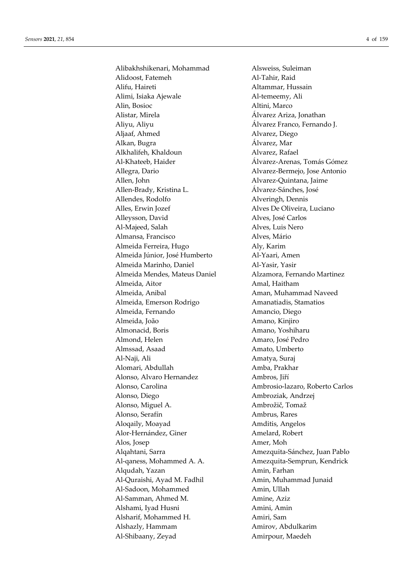Alibakhshikenari, Mohammad Alsweiss, Suleiman Alidoost, Fatemeh Al-Tahir, Raid Alifu, Haireti Altammar, Hussain Alimi, Isiaka Ajewale Al-temeemy, Ali Alin, Bosioc Altini, Marco Alistar, Mirela Álvarez Ariza, Jonathan Aliyu, Aliyu Álvarez Franco, Fernando J. Aljaaf, Ahmed Alvarez, Diego Alkan, Bugra Álvarez, Mar Alkhalifeh, Khaldoun Alvarez, Rafael Al-Khateeb, Haider **Allaceum Alvarez-Arenas, Tomás Gómez** Allegra, Dario Alvarez-Bermejo, Jose Antonio Allen, John Alvarez-Quintana, Jaime Allen-Brady, Kristina L. Álvarez-Sánches, José Allendes, Rodolfo **Alveringh**, Dennis Alles, Erwin Jozef Alves De Oliveira, Luciano Alleysson, David Alves, José Carlos Al-Majeed, Salah Alves, Luis Nero Almansa, Francisco Alves, Mário Almeida Ferreira, Hugo Aly, Karim Almeida Júnior, José Humberto Al-Yaari, Amen Almeida Marinho, Daniel Al-Yasir, Yasir Almeida Mendes, Mateus Daniel Alzamora, Fernando Martinez Almeida, Aitor **Amal, Haitham** Almeida, Anibal Aman, Muhammad Naveed Almeida, Emerson Rodrigo **Amanatiadis**, Stamatios Almeida, Fernando **Amancio**, Diego Almeida, João Amano, Kinjiro Almonacid, Boris Amano, Yoshiharu Almond, Helen Amaro, José Pedro Almssad, Asaad Amato, Umberto Al-Naji, Ali **Amatya**, Suraj Alomari, Abdullah Amba, Prakhar Alonso, Alvaro Hernandez Ambros, Jiří Alonso, Carolina Ambrosio-lazaro, Roberto Carlos Alonso, Diego Ambroziak, Andrzej Alonso, Miguel A. Ambrožič, Tomaž Alonso, Serafín Ambrus, Rares Aloqaily, Moayad **Amditis**, Angelos Alor-Hernández, Giner **Amelard, Robert** Alos, Josep Amer, Moh Algahtani, Sarra **Amezquita-Sánchez, Juan Pablo** Al-ganess, Mohammed A. A. Amezquita-Semprun, Kendrick Alqudah, Yazan Amin, Farhan Al-Quraishi, Ayad M. Fadhil Amin, Muhammad Junaid Al-Sadoon, Mohammed Amin, Ullah Al-Samman, Ahmed M. Amine, Aziz Alshami, Iyad Husni **Amini, Amini**, Amini, Amin Alsharif, Mohammed H. Amiri, Sam Alshazly, Hammam Amirov, Abdulkarim Al-Shibaany, Zeyad Amirpour, Maedeh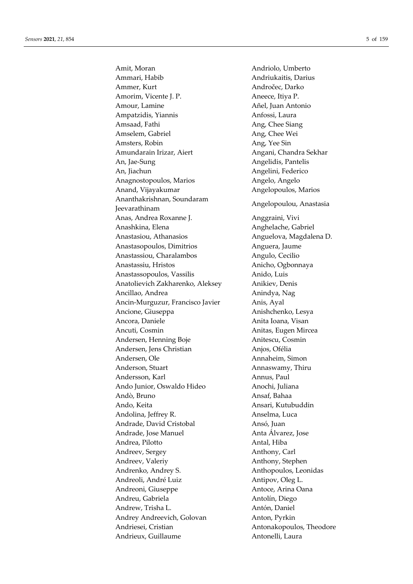Amit, Moran Andriolo, Umberto Ammari, Habib **Andriukaitis**, Darius Ammer, Kurt Andročec, Darko Amorim, Vicente J. P. Aneece, Itiya P. Amour, Lamine Añel, Juan Antonio Ampatzidis, Yiannis Anfossi, Laura Amsaad, Fathi Ang, Chee Siang Amselem, Gabriel **Ang**, Chee Wei Amsters, Robin Ang, Yee Sin Amundarain Irizar, Aiert **Angani**, Chandra Sekhar An, Jae-Sung **Angelidis**, Pantelis An, Jiachun Angelini, Federico Anagnostopoulos, Marios **Angelo, Angelo** Anand, Vijayakumar **Angelopoulos**, Marios Ananthakrishnan, Soundaram Jeevarathinam Angelopoulou, Anastasia Anas, Andrea Roxanne J. (Anggraini, Vivi Anashkina, Elena **Anghelache, Gabriel** Anastasiou, Athanasios **Anguelova**, Magdalena D. Anastasopoulos, Dimitrios **Anguera**, Jaume Anastassiou, Charalambos Angulo, Cecilio Anastassiu, Hristos **Anicho**, Ogbonnaya Anastassopoulos, Vassilis Anido, Luis Anatolievich Zakharenko, Aleksey Anikiev, Denis Ancillao, Andrea **Anindya**, Nag Ancin-Murguzur, Francisco Javier Anis, Ayal Ancione, Giuseppa **Anishchenko**, Lesya Ancora, Daniele **Anita Ioana**, Visan Ancuti, Cosmin **Anitas**, Eugen Mircea Andersen, Henning Boje **Anitescu, Cosmin** Andersen, Jens Christian Anjos, Ofélia Andersen, Ole Annaheim, Simon Anderson, Stuart Annaswamy, Thiru Andersson, Karl Annus, Paul Ando Junior, Oswaldo Hideo Anochi, Juliana Andò, Bruno Ansaf, Bahaa Ando, Keita **Ansari, Kutubuddin** Andolina, Jeffrey R. Anselma, Luca Andrade, David Cristobal Ansó, Juan Andrade, Jose Manuel **Anta Álvarez**, Jose Andrea, Pilotto **Antal**, Hiba Andreev, Sergey **Anthony**, Carl Andreev, Valeriy **Anthony**, Stephen Andrenko, Andrey S. Anthopoulos, Leonidas Andreoli, André Luiz **Antipov**, Oleg L. Andreoni, Giuseppe Antoce, Arina Oana Andreu, Gabriela **Antolín**, Diego Andrew, Trisha L. Antón, Daniel Andrey Andreevich, Golovan Anton, Pyrkin Andriesei, Cristian Antonakopoulos, Theodore Andrieux, Guillaume **Antonelli**, Laura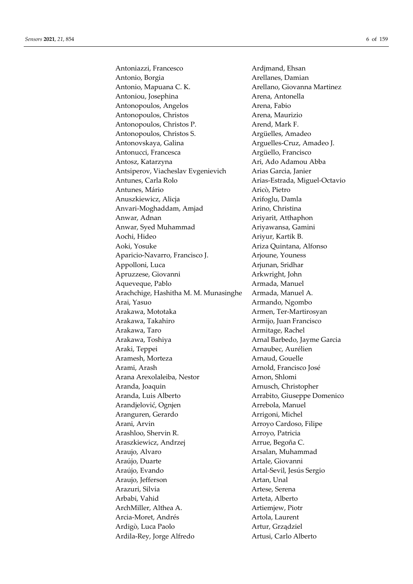Antoniazzi, Francesco Ardjmand, Ehsan Antonio, Borgia **Arellanes**, Damian Antonio, Mapuana C. K. Arellano, Giovanna Martinez Antoniou, Josephina **Arena, Antonella** Antonopoulos, Angelos Arena, Fabio Antonopoulos, Christos **Arena**, Maurizio Antonopoulos, Christos P. Arend, Mark F. Antonopoulos, Christos S. Argüelles, Amadeo Antonovskaya, Galina Arguelles-Cruz, Amadeo J. Antonucci, Francesca **Argüello, Francisco** Argüello, Francisco Antosz, Katarzyna **Ari, Ado Adamou Abba** Antsiperov, Viacheslav Evgenievich Arias Garcia, Janier Antunes, Carla Rolo **Arias-Estrada**, Miguel-Octavio Antunes, Mário **Aric**ò, Pietro Anuszkiewicz, Alicja **Arifoglu**, Damla Anvari-Moghaddam, Amjad Arino, Christina Anwar, Adnan **Ariyarit, Atthaphon** Anwar, Syed Muhammad Ariyawansa, Gamini Aochi, Hideo Ariyur, Kartik B. Aoki, Yosuke Ariza Quintana, Alfonso Aparicio-Navarro, Francisco J. Arjoune, Youness Appolloni, Luca Arjunan, Sridhar Apruzzese, Giovanni Arkwright, John Aqueveque, Pablo **Armada**, Manuel Arachchige, Hashitha M. M. Munasinghe Armada, Manuel A. Arai, Yasuo Armando, Ngombo Arakawa, Mototaka **Armen, Ter-Martirosyan** Arakawa, Takahiro **Armijo**, Juan Francisco Arakawa, Taro **Armitage, Rachel** Arakawa, Toshiya **Arakawa, Toshiya Arnal Barbedo, Jayme Garcia** Araki, Teppei **Arnaubec**, Aurélien Aramesh, Morteza **Arnaud, Gouelle** Arami, Arash Arnold, Francisco José Arana Arexolaleiba, Nestor Arnon, Shlomi Aranda, Joaquin Arnusch, Christopher Aranda, Luis Alberto **Arrabito**, Giuseppe Domenico Arandjelović, Ognjen **Arrebola**, Manuel Aranguren, Gerardo Arrigoni, Michel Arani, Arvin Arroyo Cardoso, Filipe Arashloo, Shervin R. Arroyo, Patricia Araszkiewicz, Andrzej **Arrue**, Begoña C. Araujo, Alvaro **Arsalan**, Muhammad Araújo, Duarte **Artale**, Giovanni Araújo, Evando **Artal-Sevil, Jesús Sergio** Araujo, Jefferson Artan, Unal Arazuri, Silvia **Artese**, Serena Arbabi, Vahid Arteta, Alberto ArchMiller, Althea A. Artiemiew, Piotr Arcia-Moret, Andrés Artola, Laurent Ardigò, Luca Paolo **Artur**, Grządziel Ardila-Rey, Jorge Alfredo Artusi, Carlo Alberto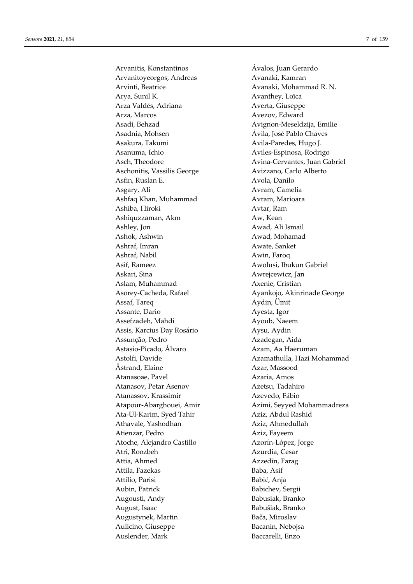Arvanitoyeorgos, Andreas Avanaki, Kamran Arvinti, Beatrice **Avanaki**, Mohammad R. N. Arya, Sunil K. Avanthey, Loïca Arza Valdés, Adriana (and Averta, Giuseppe Arza, Marcos Avezov, Edward Asadi, Behzad Avignon-Meseldzija, Emilie Asadnia, Mohsen Ávila, José Pablo Chaves Asakura, Takumi **Avila-Paredes**, Hugo J. Asanuma, Ichio **Aviles-Espinosa, Rodrigo** Aschonitis, Vassilis George Avizzano, Carlo Alberto Asfin, Ruslan E. Avola, Danilo Asgary, Ali Avram, Camelia Ashfaq Khan, Muhammad Avram, Marioara Ashiba, Hiroki **Avtar, Ram** Ashiquzzaman, Akm Aw, Kean Ashley, Jon Awad, Ali Ismail Ashok, Ashwin Awad, Mohamad Ashraf, Imran Awate, Sanket Ashraf, Nabil Awin, Faroq Asif, Rameez Awolusi, Ibukun Gabriel Askari, Sina Awrejcewicz, Jan Aslam, Muhammad Axenie, Cristian Assaf, Tareq Aydin, Ümit Assante, Dario Ayesta, Igor Assefzadeh, Mahdi Ayoub, Naeem Assis, Karcius Day Rosário Aysu, Aydin Assunção, Pedro Azadegan, Aida Astasio-Picado, Álvaro Azam, Aa Haeruman Åstrand, Elaine **Azar**, Massood Atanasoae, Pavel **Azaria**, Amos Atanasov, Petar Asenov Azetsu, Tadahiro Atanassov, Krassimir **Azevedo**, Fábio Ata-Ul-Karim, Syed Tahir Aziz, Abdul Rashid Athavale, Yashodhan Aziz, Ahmedullah Atienzar, Pedro **Aziz**, Fayeem Atoche, Alejandro Castillo Azorín-López, Jorge Atri, Roozbeh Azurdia, Cesar Attia, Ahmed Azzedin, Farag Attila, Fazekas Baba, Asif Attilio, Parisi Babić, Anja Aubin, Patrick Babichev, Sergii Augousti, Andy Babusiak, Branko August, Isaac Babušiak, Branko Augustynek, Martin Bača, Miroslav Aulicino, Giuseppe Bacanin, Nebojsa Auslender, Mark Baccarelli, Enzo

Arvanitis, Konstantinos Ávalos, Juan Gerardo Asch, Theodore **Avina-Cervantes**, Juan Gabriel Asorey-Cacheda, Rafael Ayankojo, Akinrinade George Astolfi, Davide Azamathulla, Hazi Mohammad Atapour-Abarghouei, Amir **Azimi, Seyyed Mohammadreza**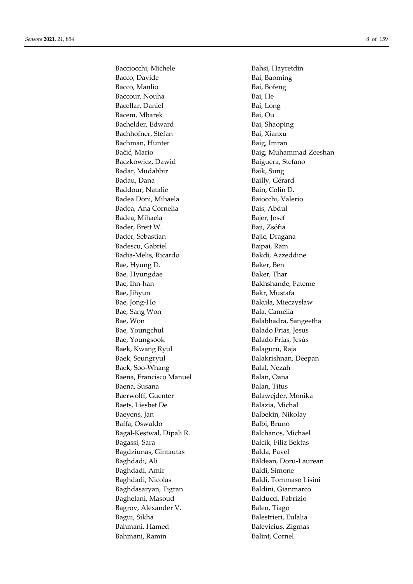Bacciocchi, Michele Bahsi, Hayretdin Bacco, Davide **Bai**, Baoming Bacco, Manlio Bai, Bofeng Baccour, Nouha Bai, He Bacellar, Daniel Bai, Long Bacem, Mbarek Bai, Ou Bachelder, Edward Bai, Shaoping Bachhofner, Stefan Bai, Xianxu Bachman, Hunter Baig, Imran Bączkowicz, Dawid Baiguera, Stefano Badar, Mudabbir Baik, Sung Badau, Dana Bailly, Gérard Baddour, Natalie Bain, Colin D. Badea Doni, Mihaela Baiocchi, Valerio Badea, Ana Cornelia **Bais**, Abdul Badea, Mihaela Bajer, Josef Bader, Brett W. Baji, Zsófia Bader, Sebastian Bajic, Dragana Badescu, Gabriel Bajpai, Ram Badia-Melis, Ricardo Bakdi, Azzeddine Bae, Hyung D. Baker, Ben Bae, Hyungdae Baker, Thar Bae, Ihn-han Bakhshande, Fateme Bae, Jihyun Bakr, Mustafa Bae, Jong-Ho Bakuła, Mieczysław Bae, Sang Won Bala, Camelia Bae, Won Balabhadra, Sangeetha Bae, Youngchul Balado Frias, Jesus Bae, Youngsook Balado Frías, Jesús Baek, Kwang Ryul Balaguru, Raja Baek, Seungryul **Balakrishnan**, Deepan Baek, Soo-Whang Balal, Nezah Baena, Francisco Manuel Balan, Oana Baena, Susana Balan, Titus Baerwolff, Guenter Balawejder, Monika Baets, Liesbet De Balazia, Michal Baeyens, Jan Balbekin, Nikolay Baffa, Oswaldo Balbi, Bruno Bagal-Kestwal, Dipali R. Balchanos, Michael Bagassi, Sara **Balcik**, Filiz Bektas Bagdziunas, Gintautas Balda, Pavel Baghdadi, Ali **Băldean, Doru-Laurean** Baghdadi, Amir Baldi, Simone Baghdadi, Nicolas Baldi, Tommaso Lisini Baghdasaryan, Tigran Baldini, Gianmarco Baghelani, Masoud Balducci, Fabrizio Bagrov, Alexander V. Balen, Tiago Bagui, Sikha Balestrieri, Eulalia Bahmani, Hamed Balevicius, Zigmas Bahmani, Ramin Balint, Cornel

Bačić, Mario **Baig**, Muhammad Zeeshan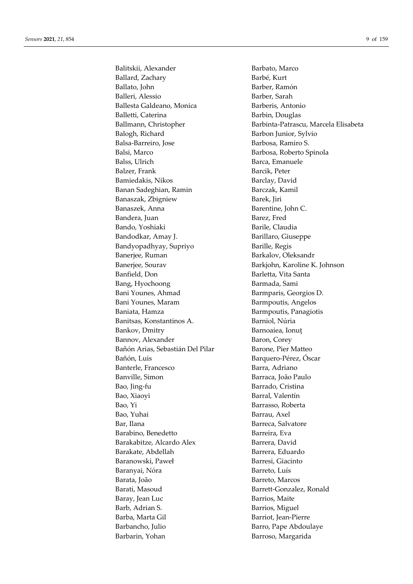Balitskii, Alexander Barbato, Marco Ballard, Zachary Barbé, Kurt Ballato, John Barber, Ramón Balleri, Alessio Barber, Sarah Ballesta Galdeano, Monica Barberis, Antonio Balletti, Caterina Barbin, Douglas Balogh, Richard Barbon Junior, Sylvio Balsa-Barreiro, Jose Barbosa, Ramiro S. Balsi, Marco Barbosa, Roberto Spinola Balss, Ulrich Barca, Emanuele Balzer, Frank Barcik, Peter Bamiedakis, Nikos Barclay, David Banan Sadeghian, Ramin Barczak, Kamil Banaszak, Zbigniew Barek, Jiri Banaszek, Anna Barentine, John C. Bandera, Juan Barez, Fred Bando, Yoshiaki Barile, Claudia Bandodkar, Amay J. Barillaro, Giuseppe Bandyopadhyay, Supriyo Barille, Regis Banerjee, Ruman Barkalov, Oleksandr Banerjee, Sourav Barkjohn, Karoline K. Johnson Banfield, Don Barletta, Vita Santa Bang, Hyochoong Barmada, Sami Bani Younes, Ahmad Barmparis, Georgios D. Bani Younes, Maram Barmpoutis, Angelos Baniata, Hamza Barmpoutis, Panagiotis Banitsas, Konstantinos A. Barniol, Núria Bankov, Dmitry Barnoaiea, Ionut Bannov, Alexander Baron, Corey Bañón Arias, Sebastián Del Pilar Barone, Pier Matteo Bañón, Luis Barquero-Pérez, Óscar Banterle, Francesco Barra, Adriano Banville, Simon Barraca, João Paulo Bao, Jing-fu Barrado, Cristina Bao, Xiaoyi Barral, Valentín Bao, Yi Barrasso, Roberta Bao, Yuhai Barrau, Axel Bar, Ilana Barreca, Salvatore Barabino, Benedetto Barreira, Eva Barakabitze, Alcardo Alex Barrera, David Barakate, Abdellah **Barrera**, Eduardo Baranowski, Paweł Barresi, Giacinto Baranyai, Nóra **Barreto, Luís** Barata, João **Barreto, Marcos** Barati, Masoud Barrett-Gonzalez, Ronald Baray, Jean Luc Barrios, Maite Barb, Adrian S. Barrios, Miguel Barba, Marta Gil Barriot, Jean-Pierre Barbancho, Julio Barro, Pape Abdoulaye Barbarin, Yohan Barroso, Margarida

Ballmann, Christopher Barbinta-Patrascu, Marcela Elisabeta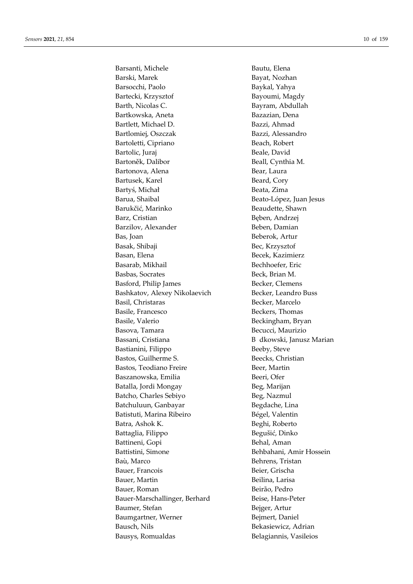Barsanti, Michele Bautu, Elena Barski, Marek Bayat, Nozhan Barsocchi, Paolo Baykal, Yahya Bartecki, Krzysztof Bayoumi, Magdy Barth, Nicolas C. Bayram, Abdullah Bartkowska, Aneta **Bazazian**, Dena Bartlett, Michael D. Bazzi, Ahmad Bartlomiej, Oszczak Bazzi, Alessandro Bartoletti, Cipriano Beach, Robert Bartolic, Juraj Beale, David Bartoněk, Dalibor Beall, Cynthia M. Bartonova, Alena **Bear**, Laura Bartusek, Karel Beard, Cory Bartyś, Michał Beata, Zima Barua, Shaibal Beato-López, Juan Jesus Barukčić, Marinko Beaudette, Shawn Barz, Cristian Beben, Andrzej Barzilov, Alexander Beben, Damian Bas, Joan Beberok, Artur Basak, Shibaji Bec, Krzysztof Basan, Elena Becek, Kazimierz Basarab, Mikhail **Bechhoefer**, Eric Basbas, Socrates Beck, Brian M. Basford, Philip James Becker, Clemens Bashkatov, Alexey Nikolaevich Becker, Leandro Buss Basil, Christaras Becker, Marcelo Basile, Francesco Beckers, Thomas Basile, Valerio **Beckingham**, Bryan Basova, Tamara Becucci, Maurizio Bassani, Cristiana B dkowski, Janusz Marian Bastianini, Filippo Beeby, Steve Bastos, Guilherme S. Beecks, Christian Bastos, Teodiano Freire **Beer**, Martin Baszanowska, Emilia Beeri, Ofer Batalla, Jordi Mongay Beg, Marijan Batcho, Charles Sebiyo Beg, Nazmul Batchuluun, Ganbayar Begdache, Lina Batistuti, Marina Ribeiro **Bégel, Valentin** Batra, Ashok K. Beghi, Roberto Battaglia, Filippo Begušić, Dinko Battineni, Gopi Behal, Aman Battistini, Simone Behbahani, Amir Hossein Baù, Marco Behrens, Tristan Bauer, Francois Beier, Grischa Bauer, Martin Beilina, Larisa Bauer, Roman Beirão, Pedro Bauer-Marschallinger, Berhard Beise, Hans-Peter Baumer, Stefan Bejger, Artur Baumgartner, Werner Bejmert, Daniel Bausch, Nils Bekasiewicz, Adrian Bausys, Romualdas Belagiannis, Vasileios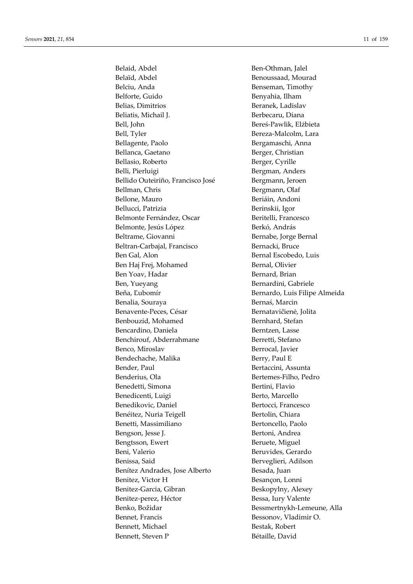Belaid, Abdel Ben-Othman, Jalel Belaïd, Abdel Benoussaad, Mourad Belciu, Anda Benseman, Timothy Belforte, Guido Benyahia, Ilham Belias, Dimitrios Beranek, Ladislav Beliatis, Michail J. Berbecaru, Diana Bell, John Bereś-Pawlik, Elżbieta Bell, Tyler Bereza-Malcolm, Lara Bellagente, Paolo Bergamaschi, Anna Bellanca, Gaetano Berger, Christian Bellasio, Roberto Berger, Cyrille Belli, Pierluigi and Bergman, Anders Bellido Outeiriño, Francisco José Bergmann, Jeroen Bellman, Chris Bergmann, Olaf Bellone, Mauro **Beriáin**, Andoni Bellucci, Patrizia Berinskii, Igor Belmonte Fernández, Oscar Beritelli, Francesco Belmonte, Jesús López **Berkó, András** Beltrame, Giovanni Bernabe, Jorge Bernal Beltran-Carbajal, Francisco Bernacki, Bruce Ben Gal, Alon Bernal Escobedo, Luis Ben Haj Frej, Mohamed Bernal, Olivier Ben Yoav, Hadar Bernard, Brian Ben, Yueyang Bernardini, Gabriele Beňa, Ľubomír Bernardo, Luis Filipe Almeida Benalia, Souraya Bernaś, Marcin Benavente-Peces, César Bernatavičienė, Jolita Benbouzid, Mohamed Bernhard, Stefan Bencardino, Daniela Berntzen, Lasse Benchirouf, Abderrahmane Berretti, Stefano Benco, Miroslav Berrocal, Javier Bendechache, Malika Berry, Paul E Bender, Paul **Bender**, Paul Bertaccini, Assunta Benderius, Ola Bertemes-Filho, Pedro Benedetti, Simona Bertini, Flavio Benedicenti, Luigi Berto, Marcello Benedikovic, Daniel Bertocci, Francesco Benéitez, Nuria Teigell Bertolin, Chiara Benetti, Massimiliano Bertoncello, Paolo Bengson, Jesse J. Bertoni, Andrea Bengtsson, Ewert Beruete, Miguel Beni, Valerio **Beni, Valerio Beni, Valerio Beni, Valerio Beni, Il**entità Beni, Gerardo Benissa, Said Berveglieri, Adilson Benítez Andrades, Jose Alberto Besada, Juan Benitez, Victor H Besançon, Lonni Benitez-Garcia, Gibran Beskopylny, Alexey Benitez-perez, Héctor Bessa, Iury Valente Benko, Božidar Bessmertnykh-Lemeune, Alla Bennet, Francis Bessonov, Vladimir O. Bennett, Michael Bestak, Robert Bennett, Steven P Bétaille, David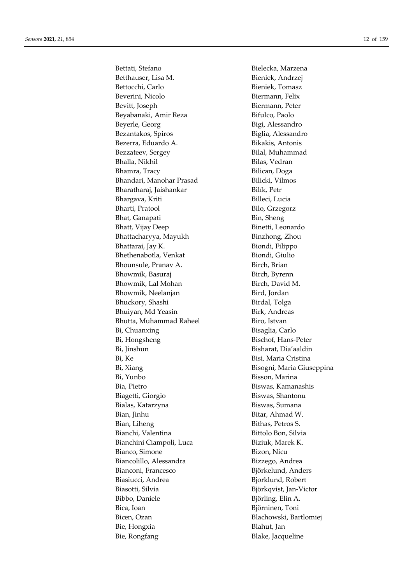Bettati, Stefano Bielecka, Marzena Betthauser, Lisa M. Bieniek, Andrzej Bettocchi, Carlo Bieniek, Tomasz Beverini, Nicolo Biermann, Felix Bevitt, Joseph Biermann, Peter Beyabanaki, Amir Reza Bifulco, Paolo Beyerle, Georg Bigi, Alessandro Bezantakos, Spiros Biglia, Alessandro Bezerra, Eduardo A. Bikakis, Antonis Bezzateev, Sergey Bilal, Muhammad Bhalla, Nikhil Bilas, Vedran Bhamra, Tracy Bilican, Doga Bhandari, Manohar Prasad Bilicki, Vilmos Bharatharaj, Jaishankar Bilík, Petr Bhargava, Kriti Billeci, Lucia Bharti, Pratool Bilo, Grzegorz Bhat, Ganapati Bin, Sheng Bhatt, Vijay Deep Binetti, Leonardo Bhattacharyya, Mayukh Binzhong, Zhou Bhattarai, Jay K. Biondi, Filippo Bhethenabotla, Venkat Biondi, Giulio Bhounsule, Pranav A. Birch, Brian Bhowmik, Basuraj Birch, Byrenn Bhowmik, Lal Mohan Birch, David M. Bhowmik, Neelanjan Bird, Jordan Bhuckory, Shashi Birdal, Tolga Bhuiyan, Md Yeasin Birk, Andreas Bhutta, Muhammad Raheel Biro, Istvan Bi, Chuanxing Bisaglia, Carlo Bi, Hongsheng Bischof, Hans-Peter Bi, Jinshun Bisharat, Dia'aaldin Bi, Ke Bisi, Maria Cristina Bi, Xiang Bisogni, Maria Giuseppina Bi, Yunbo Bisson, Marina Bia, Pietro Biswas, Kamanashis Biagetti, Giorgio Biswas, Shantonu Bialas, Katarzyna **Biswas**, Sumana Bian, Jinhu Bitar, Ahmad W. Bian, Liheng Bithas, Petros S. Bianchi, Valentina Bittolo Bon, Silvia Bianchini Ciampoli, Luca Biziuk, Marek K. Bianco, Simone Bizon, Nicu Biancolillo, Alessandra Bizzego, Andrea Bianconi, Francesco Björkelund, Anders Biasiucci, Andrea Bjorklund, Robert Biasotti, Silvia Björkqvist, Jan-Victor Bibbo, Daniele Björling, Elin A. Bica, Ioan Biörninen, Toni Bicen, Ozan Blachowski, Bartlomiej Bie, Hongxia Blahut, Jan Bie, Rongfang Blake, Jacqueline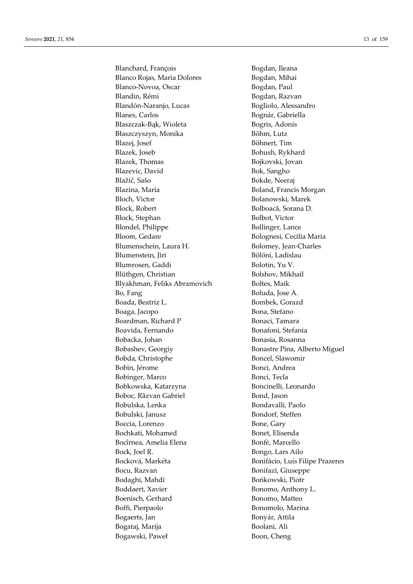Blanchard, François Bogdan, Ileana Blanco Rojas, Maria Dolores Bogdan, Mihai Blanco-Novoa, Oscar Bogdan, Paul Blandin, Rémi Bogdan, Razvan Blandón-Naranjo, Lucas Bogliolo, Alessandro Blanes, Carlos **Bognár**, Gabriella Błaszczak-Bąk, Wioleta Bogris, Adonis Błaszczyszyn, Monika Böhm, Lutz Blazej, Josef Böhnert, Tim Blazek, Joseb Bohush, Rykhard Blazek, Thomas Bojkovski, Jovan Blazevic, David Bok, Sangho Blažič, Sašo Bokde, Neeraj Blazina, Maria **Boland**, Francis Morgan Bloch, Victor Bolanowski, Marek Block, Robert Bolboacă, Sorana D. Block, Stephan Bolbot, Victor Blondel, Philippe Bollinger, Lance Bloom, Gedare Bolognesi, Cecilia Maria Blumenschein, Laura H. Bolomey, Jean-Charles Blumenstein, Iiri Bölöni, Ladislau Blumrosen, Gaddi Bolotin, Yu V. Blüthgen, Christian Bolshov, Mikhail Blyakhman, Feliks Abramovich Boltes, Maik Bo, Fang Boluda, Jose A. Boada, Beatriz L. Bombek, Gorazd Boaga, Jacopo Bona, Stefano Boardman, Richard P Bonaci, Tamara Boavida, Fernando Bonafoni, Stefania Bobacka, Johan Bonasia, Rosanna Bobashev, Georgiy Bonastre Pina, Alberto Miguel Bobda, Christophe Boncel, Slawomir Bobin, Jérome Bonci, Andrea Bobinger, Marco Bonci, Tecla Bobkowska, Katarzyna Boncinelli, Leonardo Boboc, Răzvan Gabriel Bond, Jason Bobulska, Lenka Bondavalli, Paolo Bobulski, Janusz Bondorf, Steffen Boccia, Lorenzo Bone, Gary Bochkati, Mohamed Bonet, Elisenda Bocîrnea, Amelia Elena Bonfè, Marcello Bock, Joel R. Bongo, Lars Ailo Bocková, Markéta Bonifácio, Luís Filipe Prazeres Bocu, Razvan Bonifazi, Giuseppe Bodaghi, Mahdi Bońkowski, Piotr Boddaert, Xavier Bonomo, Anthony L. Boenisch, Gerhard Bonomo, Matteo Boffi, Pierpaolo Bonomolo, Marina Bogaerts, Jan Bonyár, Attila Bogataj, Marija **Boolani**, Ali Bogawski, Paweł Boon, Cheng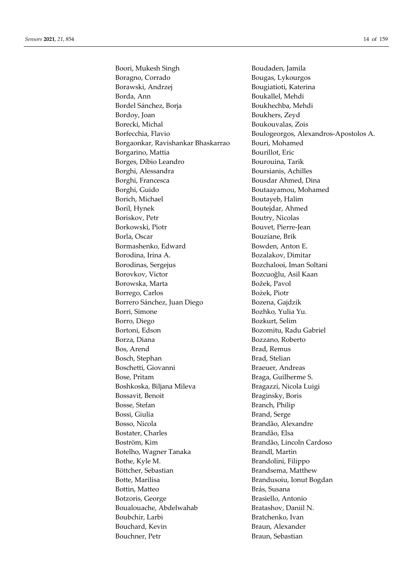Boori, Mukesh Singh Boudaden, Jamila Boragno, Corrado **Bougas**, Lykourgos Borawski, Andrzej Bougiatioti, Katerina Borda, Ann Boukallel, Mehdi Bordel Sánchez, Borja Boukhechba, Mehdi Bordoy, Joan Boukhers, Zeyd Borecki, Michal Boukouvalas, Zois Borgaonkar, Ravishankar Bhaskarrao Bouri, Mohamed Borgarino, Mattia Bourillot, Eric Borges, Díbio Leandro Bourouina, Tarik Borghi, Alessandra Boursianis, Achilles Borghi, Francesca Bousdar Ahmed, Dina Borghi, Guido Boutaayamou, Mohamed Borich, Michael Boutayeb, Halim Boril, Hynek Boutejdar, Ahmed Boriskov, Petr Boutry, Nicolas Borkowski, Piotr Bouvet, Pierre-Jean Borla, Oscar Bouziane, Brik Bormashenko, Edward Bowden, Anton E. Borodina, Irina A. Bozalakov, Dimitar Borodinas, Sergejus Bozchalooi, Iman Soltani Borovkov, Victor Bozcuoğlu, Asil Kaan Borowska, Marta Božek, Pavol Borrego, Carlos Bożek, Piotr Borrero Sánchez, Juan Diego Bozena, Gajdzik Borri, Simone Bozhko, Yulia Yu. Borro, Diego Bozkurt, Selim Bortoni, Edson Bozomitu, Radu Gabriel Borza, Diana Bozzano, Roberto Bos, Arend Brad, Remus Bosch, Stephan Brad, Stelian Boschetti, Giovanni Braeuer, Andreas Bose, Pritam Braga, Guilherme S. Boshkoska, Biljana Mileva Bragazzi, Nicola Luigi Bossavit, Benoit Braginsky, Boris Bosse, Stefan Branch, Philip Bossi, Giulia Brand, Serge Bosso, Nicola Brandão, Alexandre Bostater, Charles Brandão, Elsa Boström, Kim Brandão, Lincoln Cardoso Botelho, Wagner Tanaka Brandl, Martin Bothe, Kyle M. Brandolini, Filippo Böttcher, Sebastian Brandsema, Matthew Botte, Marilisa Brandusoiu, Ionut Bogdan Bottin, Matteo Brás, Susana Botzoris, George Brasiello, Antonio Boualouache, Abdelwahab Bratashov, Daniil N. Boubchir, Larbi Bratchenko, Ivan Bouchard, Kevin Braun, Alexander Bouchner, Petr Braun, Sebastian

Borfecchia, Flavio Boulogeorgos, Alexandros-Apostolos A.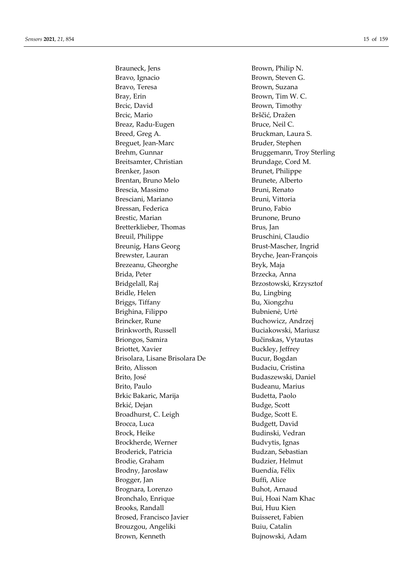Brauneck, Jens Brown, Philip N. Bravo, Ignacio Brown, Steven G. Bravo, Teresa Brown, Suzana Bray, Erin Brown, Tim W. C. Brcic, David Brown, Timothy Brcic, Mario Brščić, Dražen Breaz, Radu-Eugen Bruce, Neil C. Breed, Greg A. Bruckman, Laura S. Breguet, Jean-Marc Bruder, Stephen Brehm, Gunnar **Bruggemann**, Troy Sterling Breitsamter, Christian Brundage, Cord M. Brenker, Jason Brunet, Philippe Brentan, Bruno Melo Brunete, Alberto Brescia, Massimo Bruni, Renato Bresciani, Mariano Bruni, Vittoria Bressan, Federica Bruno, Fabio Brestic, Marian Brunone, Brunone, Brunone, Brunone, Brunone, Brunone, Brunone, Brunone, Brunone, Brunone, Bruno Bretterklieber, Thomas Brus, Jan Breuil, Philippe Bruschini, Claudio Breunig, Hans Georg Brust-Mascher, Ingrid Brewster, Lauran Bryche, Jean-François Brezeanu, Gheorghe Bryk, Maja Brida, Peter Brzecka, Anna Bridgelall, Raj Brzostowski, Krzysztof Bridle, Helen Bu, Lingbing Briggs, Tiffany Bu, Xiongzhu Brighina, Filippo Bubnienė, Urtė Brincker, Rune Buchowicz, Andrzej Brinkworth, Russell Buciakowski, Mariusz Briongos, Samira Bučinskas, Vytautas Briottet, Xavier Buckley, Jeffrey Brisolara, Lisane Brisolara De Bucur, Bogdan Brito, Alisson Budaciu, Cristina Brito, José Budaszewski, Daniel Brito, Paulo Budeanu, Marius Brkic Bakaric, Marija Budetta, Paolo Brkić, Dejan Budge, Scott Broadhurst, C. Leigh Budge, Scott E. Brocca, Luca **Brocca, Luca** Budgett, David Brock, Heike Budinski, Vedran Brockherde, Werner Budvytis, Ignas Broderick, Patricia and a Budzan, Sebastian Brodie, Graham Budzier, Helmut Brodny, Jarosław Buendía, Félix Brogger, Jan Buffi, Alice Brognara, Lorenzo Buhot, Arnaud Bronchalo, Enrique Bui, Hoai Nam Khac Brooks, Randall Bui, Huu Kien Brosed, Francisco Javier Buisseret, Fabien Brouzgou, Angeliki Brouzgou, Angeliki Brown, Kenneth Bujnowski, Adam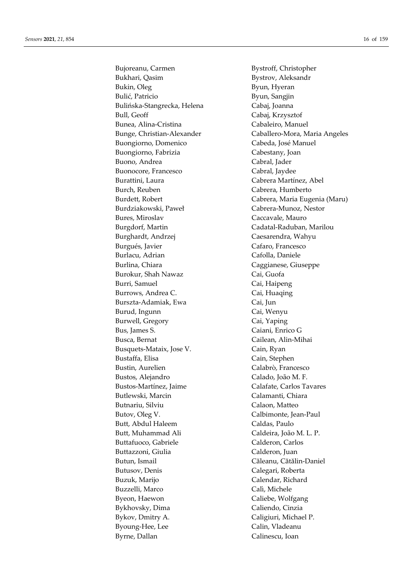Bujoreanu, Carmen Bystroff, Christopher Bukhari, Qasim Bystrov, Aleksandr Bukin, Oleg Byun, Hyeran Bulić, Patricio Byun, Sangjin Bulińska-Stangrecka, Helena Cabaj, Joanna Bull, Geoff Cabaj, Krzysztof Bunea, Alina-Cristina Cabaleiro, Manuel Buongiorno, Domenico Cabeda, José Manuel Buongiorno, Fabrizia Cabestany, Joan Buono, Andrea **Cabral**, Jader Buonocore, Francesco Cabral, Jaydee Burattini, Laura **Cabrera Martínez, Abel** Burch, Reuben Cabrera, Humberto Burdziakowski, Paweł Cabrera-Munoz, Nestor Bures, Miroslav Caccavale, Mauro Burgdorf, Martin Cadatal-Raduban, Marilou Burghardt, Andrzej Caesarendra, Wahyu Burgués, Javier Cafaro, Francesco Burlacu, Adrian Cafolla, Daniele Burlina, Chiara Caggianese, Giuseppe Burokur, Shah Nawaz Cai, Guofa Burri, Samuel Cai, Haipeng Burrows, Andrea C. Cai, Huaqing Burszta-Adamiak, Ewa Cai, Jun Burud, Ingunn Cai, Wenyu Burwell, Gregory Cai, Yaping Bus, James S. Caiani, Enrico G Busca, Bernat Cailean, Alin-Mihai Busquets-Mataix, Jose V. Cain, Ryan Bustaffa, Elisa Cain, Stephen Bustin, Aurelien Calabrò, Francesco Bustos, Alejandro Calado, João M. F. Bustos-Martínez, Jaime Calafate, Carlos Tavares Butlewski, Marcin Calamanti, Chiara Butnariu, Silviu Calaon, Matteo Butov, Oleg V. Calbimonte, Jean-Paul Butt, Abdul Haleem Caldas, Paulo Butt, Muhammad Ali Caldeira, João M. L. P. Buttafuoco, Gabriele Calderon, Carlos Buttazzoni, Giulia **Calderon, Iuan** Butun, Ismail **Căleanu, Cătălin-Daniel** Butusov, Denis Calegari, Roberta Buzuk, Marijo Calendar, Richard Buzzelli, Marco Calì, Michele Byeon, Haewon Caliebe, Wolfgang Bykhovsky, Dima Caliendo, Cinzia Bykov, Dmitry A. Caligiuri, Michael P. Byoung-Hee, Lee Calin, Vladeanu Byrne, Dallan Calinescu, Ioan

Bunge, Christian-Alexander Caballero-Mora, Maria Angeles Burdett, Robert Cabrera, Maria Eugenia (Maru)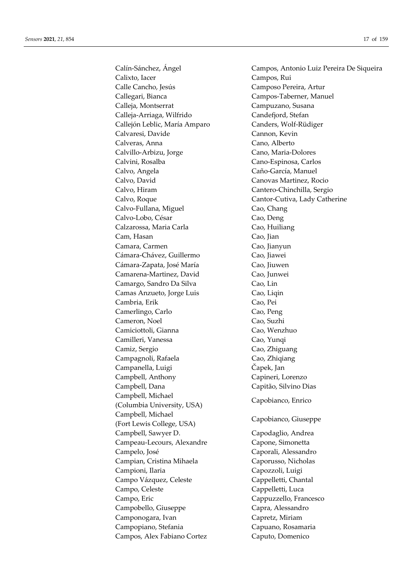Calixto, Iacer Campos, Rui Calle Cancho, Jesús Camposo Pereira, Artur Callegari, Bianca Campos-Taberner, Manuel Calleja, Montserrat Campuzano, Susana Calleja-Arriaga, Wilfrido Candefjord, Stefan Callejón Leblic, María Amparo Canders, Wolf-Rüdiger Calvaresi, Davide Cannon, Kevin Calveras, Anna Cano, Alberto Calvillo-Arbizu, Jorge Cano, Maria-Dolores Calvini, Rosalba Cano-Espinosa, Carlos Calvo, Angela Caño-García, Manuel Calvo, David Canovas Martinez, Rocio Calvo, Hiram Cantero-Chinchilla, Sergio Calvo, Roque Cantor-Cutiva, Lady Catherine Calvo-Fullana, Miguel Cao, Chang Calvo-Lobo, César Cao, Deng Calzarossa, Maria Carla Cao, Huiliang Cam, Hasan Cao, Jian Camara, Carmen Cao, Jianyun Cámara-Chávez, Guillermo Cao, Jiawei Cámara-Zapata, José María Cao, Jiuwen Camarena-Martinez, David Cao, Junwei Camargo, Sandro Da Silva Cao, Lin Camas Anzueto, Jorge Luis Cao, Liqin Cambria, Erik Cao, Pei Camerlingo, Carlo Cao, Peng Cameron, Noel Cao, Suzhi Camiciottoli, Gianna Cao, Wenzhuo Camilleri, Vanessa Cao, Yunqi Camiz, Sergio Cao, Zhiguang Campagnoli, Rafaela Cao, Zhiqiang Campanella, Luigi Čapek, Jan Campbell, Anthony Capineri, Lorenzo Campbell, Dana Capitão, Silvino Dias Campbell, Michael (Columbia University, USA) Capobianco, Enrico Campbell, Michael (Fort Lewis College, USA) Capobianco, Giuseppe Campbell, Sawyer D. Capodaglio, Andrea Campeau-Lecours, Alexandre Capone, Simonetta Campelo, José Caporali, Alessandro Campian, Cristina Mihaela Caporusso, Nicholas Campioni, Ilaria Capozzoli, Luigi Campo Vázquez, Celeste Cappelletti, Chantal Campo, Celeste Cappelletti, Luca Campo, Eric Cappuzzello, Francesco Campobello, Giuseppe Capra, Alessandro Camponogara, Ivan Capretz, Miriam Campopiano, Stefania Capuano, Rosamaria Campos, Alex Fabiano Cortez Caputo, Domenico

Calín-Sánchez, Ángel Campos, Antonio Luiz Pereira De Siqueira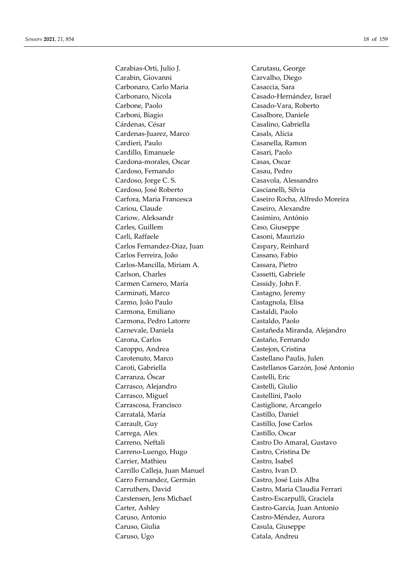Carabias-Orti, Julio J. Carutasu, George Carabin, Giovanni Carvalho, Diego Carbonaro, Carlo Maria **Casaccia**, Sara Carbonaro, Nicola Casado-Hernández, Israel Carbone, Paolo Casado-Vara, Roberto Carboni, Biagio Casalbore, Daniele Cárdenas, César Casalino, Gabriella Cardenas-Juarez, Marco Casals, Alícia Cardieri, Paulo Casanella, Ramon Cardillo, Emanuele Casari, Paolo Cardona-morales, Oscar Casas, Oscar Cardoso, Fernando Casau, Pedro Cardoso, Jorge C. S. Casavola, Alessandro Cardoso, José Roberto Cascianelli, Silvia Cariou, Claude Caseiro, Alexandre Cariow, Aleksandr Casimiro, António Carles, Guillem Caso, Giuseppe Carli, Raffaele Casoni, Maurizio Carlos Fernandez-Diaz, Juan Caspary, Reinhard Carlos Ferreira, João Cassano, Fabio Carlos-Mancilla, Miriam A. Cassara, Pietro Carlson, Charles Cassetti, Gabriele Carmen Carnero, María Cassidy, John F. Carminati, Marco Castagno, Jeremy Carmo, João Paulo Castagnola, Elisa Carmona, Emiliano Castaldi, Paolo Carmona, Pedro Latorre Castaldo, Paolo Carona, Carlos Castaño, Fernando Caroppo, Andrea Castejon, Cristina Carotenuto, Marco Castellano Paulis, Julen Carranza, Óscar Castelli, Eric Carrasco, Alejandro Castelli, Giulio Carrasco, Miguel Castellini, Paolo Carrascosa, Francisco Castiglione, Arcangelo Carratalá, María Castillo, Daniel Carrault, Guy Castillo, Jose Carlos Carrega, Alex Castillo, Oscar Carreno, Neftali Castro Do Amaral, Gustavo Carreno-Luengo, Hugo Castro, Cristina De Carrier, Mathieu Castro, Isabel Carrillo Calleja, Juan Manuel Castro, Ivan D. Carro Fernandez, Germán Castro, José Luis Alba Carruthers, David Castro, Maria Claudia Ferrari Carstensen, Jens Michael Castro-Escarpulli, Graciela Carter, Ashley Castro-Garcia, Juan Antonio Caruso, Antonio Castro-Méndez, Aurora Caruso, Giulia Casula, Giuseppe Caruso, Ugo Catala, Andreu

Carfora, Maria Francesca Caseiro Rocha, Alfredo Moreira Carnevale, Daniela Castañeda Miranda, Alejandro Caroti, Gabriella Castellanos Garzón, José Antonio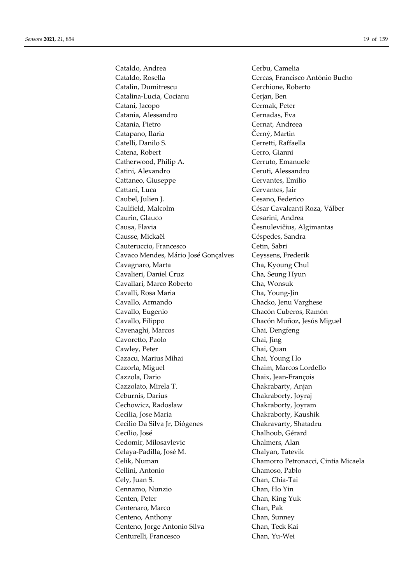Cataldo, Andrea Cerbu, Camelia Cataldo, Rosella Cercas, Francisco António Bucho Catalin, Dumitrescu Cerchione, Roberto Catalina-Lucia, Cocianu Cerjan, Ben Catani, Jacopo Cermak, Peter Catania, Alessandro Cernadas, Eva Catania, Pietro Cernat, Andreea Catapano, Ilaria Černý, Martin Catelli, Danilo S. Cerretti, Raffaella Catena, Robert Cerro, Gianni Catherwood, Philip A. Cerruto, Emanuele Catini, Alexandro Ceruti, Alessandro Cattaneo, Giuseppe Cervantes, Emilio Cattani, Luca Cervantes, Jair Caubel, Julien J. Cesano, Federico Caulfield, Malcolm César Cavalcanti Roza, Válber Caurin, Glauco Cesarini, Andrea Causa, Flavia Česnulevičius, Algimantas Causse, Mickaël Céspedes, Sandra Cauteruccio, Francesco Cetin, Sabri Cavaco Mendes, Mário José Gonçalves Ceyssens, Frederik Cavagnaro, Marta Cha, Kyoung Chul Cavalieri, Daniel Cruz Cha, Seung Hyun Cavallari, Marco Roberto Cha, Wonsuk Cavalli, Rosa Maria Cha, Young-Jin Cavallo, Armando Chacko, Jenu Varghese Cavallo, Eugenio Chacón Cuberos, Ramón Cavallo, Filippo Chacón Muñoz, Jesús Miguel Cavenaghi, Marcos Chai, Dengfeng Cavoretto, Paolo Chai, Jing Cawley, Peter Chai, Quan Cazacu, Marius Mihai Chai, Young Ho Cazorla, Miguel Chaim, Marcos Lordello Cazzola, Dario Chaix, Jean-François Cazzolato, Mirela T. Chakrabarty, Anjan Ceburnis, Darius Chakraborty, Joyraj Cechowicz, Radosław Chakraborty, Joyram Cecilia, Jose Maria Chakraborty, Kaushik Cecilio Da Silva Jr, Diógenes Chakravarty, Shatadru Cecílio, José Chalhoub, Gérard Cedomir, Milosavlevic Chalmers, Alan Celaya-Padilla, José M. Chalyan, Tatevik Celik, Numan Chamorro Petronacci, Cintia Micaela Cellini, Antonio Chamoso, Pablo Cely, Juan S. Chan, Chia-Tai Cennamo, Nunzio Chan, Ho Yin Centen, Peter Chan, King Yuk Centenaro, Marco Chan, Pak Centeno, Anthony Chan, Sunney<br>
Centeno, Jorge Antonio Silva Chan. Teck Kai Centeno, Jorge Antonio Silva Centurelli, Francesco Chan, Yu-Wei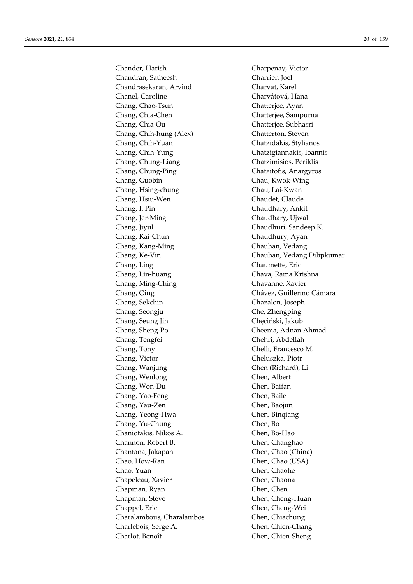Chander, Harish Charpenay, Victor Chandran, Satheesh Charrier, Joel Chandrasekaran, Arvind Charvat, Karel Chanel, Caroline Charvátová, Hana Chang, Chao-Tsun Chatterjee, Ayan Chang, Chia-Chen Chatterjee, Sampurna Chang, Chia-Ou Chatterjee, Subhasri Chang, Chih-hung (Alex) Chatterton, Steven Chang, Chih-Yuan Chatzidakis, Stylianos Chang, Chih-Yung Chatzigiannakis, Ioannis Chang, Chung-Liang Chatzimisios, Periklis Chang, Chung-Ping Chatzitofis, Anargyros Chang, Guobin Chau, Kwok-Wing Chang, Hsing-chung Chau, Lai-Kwan Chang, Hsiu-Wen Chaudet, Claude Chang, I. Pin Chaudhary, Ankit Chang, Jer-Ming Chaudhary, Ujwal Chang, Jiyul Chaudhuri, Sandeep K. Chang, Kai-Chun Chaudhury, Ayan Chang, Kang-Ming Chauhan, Vedang Chang, Ling Chaumette, Eric Chang, Lin-huang Chava, Rama Krishna Chang, Ming-Ching Chavanne, Xavier Chang, Qing Chavez, Guillermo Cámara Chang, Sekchin Chazalon, Joseph Chang, Seongju Che, Zhengping Chang, Seung Jin Chęciński, Jakub Chang, Sheng-Po Cheema, Adnan Ahmad Chang, Tengfei Chehri, Abdellah Chang, Tony Chelli, Francesco M. Chang, Victor Cheluszka, Piotr Chang, Wanjung Chen (Richard), Li Chang, Wenlong Chen, Albert Chang, Won-Du Chen, Baifan Chang, Yao-Feng Chen, Baile Chang, Yau-Zen Chen, Baojun Chang, Yeong-Hwa Chen, Binqiang Chang, Yu-Chung Chen, Bo Chaniotakis, Nikos A. Chen, Bo-Hao Channon, Robert B. Chen, Changhao Chantana, Jakapan Chen, Chao (China) Chao, How-Ran Chen, Chao (USA) Chao, Yuan Chen, Chaohe Chapeleau, Xavier Chen, Chaona Chapman, Ryan Chen, Chen Chapman, Steve Chen, Cheng-Huan Chappel, Eric Chen, Cheng-Wei Charalambous, Charalambos Chen, Chiachung Charlebois, Serge A. Chen, Chien-Chang Charlot, Benoît Chen, Chien-Sheng

Chang, Ke-Vin Chauhan, Vedang Dilipkumar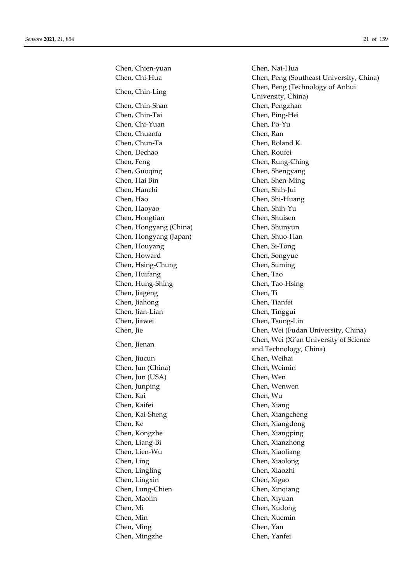Chen, Chien-yuan Chen, Nai-Hua Chen, Chin-Shan Chen, Pengzhan Chen, Chin-Tai Chen, Ping-Hei Chen, Chi-Yuan Chen, Po-Yu Chen, Chuanfa Chen, Ran Chen, Chun-Ta Chen, Roland K. Chen, Dechao Chen, Roufei Chen, Feng Chen, Rung-Ching Chen, Guoqing Chen, Shengyang Chen, Hai Bin Chen, Shen-Ming Chen, Hanchi Chen, Shih-Jui Chen, Hao Chen, Shi-Huang Chen, Haoyao Chen, Shih-Yu Chen, Hongtian Chen, Shuisen Chen, Hongyang (China) Chen, Shunyun Chen, Hongyang (Japan) Chen, Shuo-Han Chen, Houyang Chen, Si-Tong Chen, Howard Chen, Songyue Chen, Hsing-Chung Chen, Suming Chen, Huifang Chen, Tao Chen, Hung-Shing Chen, Tao-Hsing Chen, Jiageng Chen, Ti Chen, Jiahong Chen, Tianfei Chen, Jian-Lian Chen, Tinggui Chen, Jiawei Chen, Tsung-Lin Chen, Jiucun Chen, Weihai Chen, Jun (China) Chen, Weimin Chen, Jun (USA) Chen, Wen Chen, Junping Chen, Wenwen Chen, Kai Chen, Wu Chen, Kaifei Chen, Xiang Chen, Kai-Sheng Chen, Xiangcheng Chen, Ke Chen, Xiangdong Chen, Kongzhe Chen, Xiangping Chen, Liang-Bi Chen, Xianzhong Chen, Lien-Wu Chen, Xiaoliang Chen, Ling Chen, Xiaolong Chen, Lingling Chen, Xiaozhi Chen, Lingxin Chen, Xigao Chen, Lung-Chien Chen, Xinqiang Chen, Maolin Chen, Xiyuan Chen, Mi Chen, Xudong Chen, Min Chen, Xuemin Chen, Ming Chen, Yan Chen, Mingzhe Chen, Yanfei

Chen, Chi-Hua Chen, Peng (Southeast University, China) Chen, Chin-Ling Chen, Peng (Technology of Anhui University, China) Chen, Jie Chen, Wei (Fudan University, China) Chen, Jienan Chen, Wei (Xi'an University of Science and Technology, China)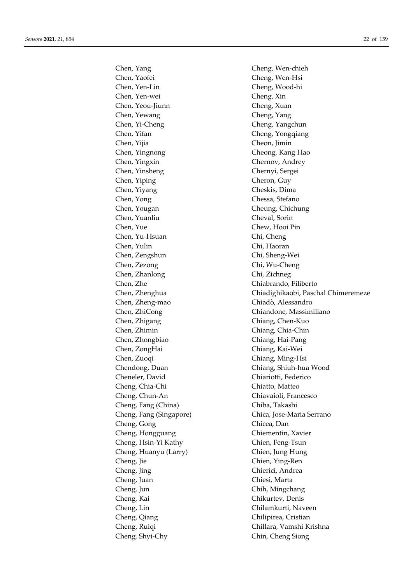Chen, Yaofei Cheng, Wen-Hsi Chen, Yen-Lin Cheng, Wood-hi Chen, Yen-wei Cheng, Xin Chen, Yeou-Jiunn Cheng, Xuan Chen, Yewang Cheng, Yang Chen, Yi-Cheng Cheng, Yangchun Chen, Yifan Cheng, Yongqiang Chen, Yijia Cheon, Jimin Chen, Yingnong Cheong, Kang Hao Chen, Yingxin Chernov, Andrey Chen, Yinsheng Chernyi, Sergei Chen, Yiping Cheron, Guy Chen, Yiyang Cheskis, Dima Chen, Yong Chessa, Stefano Chen, Yougan Cheung, Chichung Chen, Yuanliu Cheval, Sorin Chen, Yue Chew, Hooi Pin Chen, Yu-Hsuan Chi, Cheng Chen, Yulin Chi, Haoran Chen, Zengshun Chi, Sheng-Wei Chen, Zezong Chi, Wu-Cheng Chen, Zhanlong Chi, Zichneg Chen, Zhe Chiabrando, Filiberto Chen, Zheng-mao Chiadò, Alessandro Chen, Zhigang Chen-Kuo Chen, Zhimin Chiang, Chia-Chin Chen, Zhongbiao Chiang, Hai-Pang Chen, ZongHai Chiang, Kai-Wei Chen, Zuoqi Chiang, Ming-Hsi Cheneler, David Chiariotti, Federico Cheng, Chia-Chi Chiatto, Matteo Cheng, Chun-An Chiavaioli, Francesco Cheng, Fang (China) Chiba, Takashi Cheng, Gong Chicea, Dan Cheng, Hongguang Chiementin, Xavier Cheng, Hsin-Yi Kathy Chien, Feng-Tsun Cheng, Huanyu (Larry) Chien, Jung Hung Cheng, Jie Chien, Ying-Ren Cheng, Jing Chierici, Andrea Cheng, Juan Chiesi, Marta Cheng, Jun Chih, Mingchang Cheng, Kai Chikurtev, Denis Cheng, Lin Chilamkurti, Naveen Cheng, Qiang Chilipirea, Cristian Cheng, Shyi-Chy Chin, Cheng Siong

Chen, Yang Cheng, Wen-chieh Chen, Zhenghua Chiadighikaobi, Paschal Chimeremeze Chen, ZhiCong Chiandone, Massimiliano Chendong, Duan Chiang, Shiuh-hua Wood Cheng, Fang (Singapore) Chica, Jose-Maria Serrano Cheng, Ruiqi Chillara, Vamshi Krishna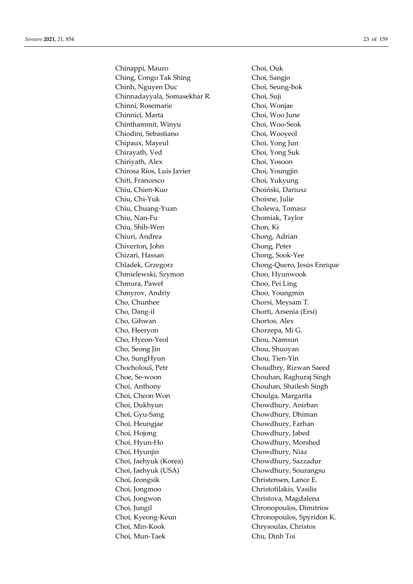Chinappi, Mauro Choi, Ouk Ching, Congo Tak Shing Choi, Sangjo Chinh, Nguyen Duc Choi, Seung-bok Chinnadayyala, Somasekhar R. Choi, Suji Chinni, Rosemarie Choi, Wonjae Chinnici, Marta Choi, Woo June Chinthammit, Winyu Choi, Woo-Seok Chiodini, Sebastiano Choi, Wooyeol Chipaux, Mayeul Choi, Yong Jun Chirayath, Ved Choi, Yong Suk Chiriyath, Alex Choi, Yosoon Chirosa Ríos, Luis Javier Choi, Youngjin Chiti, Francesco Choi, Yukyung Chiu, Chien-Kuo Choiński, Dariusz Chiu, Chi-Yuk Choisne, Julie Chiu, Chuang-Yuan Cholewa, Tomasz Chiu, Nan-Fu Chomiak, Taylor Chiu, Shih-Wen Chon, Ki Chiuri, Andrea Chong, Adrian Chiverton, John Chong, Peter Chizari, Hassan Chong, Sook-Yee Chladek, Grzegorz Chong-Quero, Jesús Enrique Chmielewski, Szymon Choo, Hyunwook Chmura, Paweł Choo, Pei Ling Chmyrov, Andriy Choo, Youngmin Cho, Chunhee Chorsi, Meysam T. Cho, Dang-il Chorti, Arsenia (Ersi) Cho, Gihwan Chortos, Alex Cho, Heeryon Chorzepa, Mi G. Cho, Hyeon-Yeol Chou, Namsun Cho, Seong Jin Chou, Shuoyan Cho, SungHyun Chou, Tien-Yin Chocholouš, Petr Choudhry, Rizwan Saeed Choe, Se-woon Chouhan, Raghuraj Singh Choi, Anthony Chouhan, Shailesh Singh Choi, Cheon Won Choulga, Margarita Choi, Dukhyun Chowdhury, Anirban Choi, Gyu-Sang Chowdhury, Dhiman Choi, Heungjae Chowdhury, Farhan Choi, Hojong Chowdhury, Jabed Choi, Hyun-Ho Chowdhury, Morshed Choi, Hyunjin Chowdhury, Niaz Choi, Jaehyuk (Korea) Chowdhury, Sazzadur Choi, Jaehyuk (USA) Chowdhury, Sourangsu Choi, Jeongsik Christensen, Lance E. Choi, Jongmoo Christofilakis, Vasilis Choi, Jongwon Christova, Magdalena Choi, Jungil Chronopoulos, Dimitrios Choi, Kyeong-Keun Chronopoulos, Spyridon K. Choi, Min-Kook Chrysoulas, Christos Choi, Mun-Taek Chu, Dinh Toi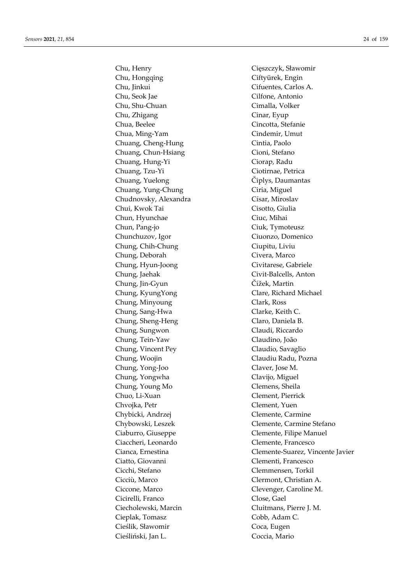Chu, Hongqing Ciftyürek, Engin Chu, Jinkui Cifuentes, Carlos A. Chu, Seok Jae Cilfone, Antonio Chu, Shu-Chuan Cimalla, Volker Chu, Zhigang Cinar, Eyup Chua, Beelee Cincotta, Stefanie Chua, Ming-Yam Cindemir, Umut Chuang, Cheng-Hung Cintia, Paolo Chuang, Chun-Hsiang Cioni, Stefano Chuang, Hung-Yi Ciorap, Radu Chuang, Tzu-Yi Ciotirnae, Petrica Chuang, Yuelong Čiplys, Daumantas Chuang, Yung-Chung Ciria, Miguel Chudnovsky, Alexandra Císar, Miroslav Chui, Kwok Tai Cisotto, Giulia Chun, Hyunchae Ciuc, Mihai Chun, Pang-jo Ciuk, Tymoteusz Chunchuzov, Igor Ciuonzo, Domenico Chung, Chih-Chung Ciupitu, Liviu Chung, Deborah Civera, Marco Chung, Hyun-Joong Civitarese, Gabriele Chung, Jaehak Civit-Balcells, Anton Chung, Jin-Gyun Čížek, Martin Chung, KyungYong Clare, Richard Michael Chung, Minyoung Clark, Ross Chung, Sang-Hwa Clarke, Keith C. Chung, Sheng-Heng Claro, Daniela B. Chung, Sungwon Claudi, Riccardo Chung, Tein-Yaw Claudino, João Chung, Vincent Pey Claudio, Savaglio Chung, Woojin Claudiu Radu, Pozna Chung, Yong-Joo Claver, Jose M. Chung, Yongwha Clavijo, Miguel Chung, Young Mo Clemens, Sheila Chuo, Li-Xuan Clement, Pierrick Chvojka, Petr Clement, Yuen Chybicki, Andrzej Clemente, Carmine Ciaburro, Giuseppe Clemente, Filipe Manuel Ciaccheri, Leonardo Clemente, Francesco Ciatto, Giovanni Clementi, Francesco Cicchi, Stefano Clemmensen, Torkil Cicciù, Marco Clermont, Christian A. Ciccone, Marco Clevenger, Caroline M. Cicirelli, Franco Close, Gael Ciecholewski, Marcin Cluitmans, Pierre J. M. Cieplak, Tomasz Cobb, Adam C. Cieślik, Sławomir Coca, Eugen Cieśliński, Jan L. Coccia, Mario

Chu, Henry Cięszczyk, Sławomir Chybowski, Leszek Clemente, Carmine Stefano Cianca, Ernestina Clemente-Suarez, Vincente Javier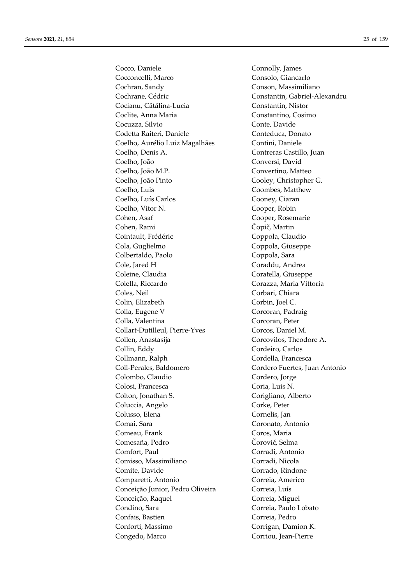Cocco, Daniele Connolly, James Cocconcelli, Marco Consolo, Giancarlo Cochran, Sandy Conson, Massimiliano Cochrane, Cédric Constantin, Gabriel-Alexandru Cocianu, Cătălina-Lucia Constantin, Nistor Coclite, Anna Maria Constantino, Cosimo Cocuzza, Silvio Conte, Davide Codetta Raiteri, Daniele Conteduca, Donato Coelho, Aurélio Luiz Magalhães Contini, Daniele Coelho, Denis A. Contreras Castillo, Juan Coelho, João Conversi, David Coelho, João M.P. Convertino, Matteo Coelho, João Pinto Cooley, Christopher G. Coelho, Luis Coombes, Matthew Coelho, Luís Carlos Cooney, Ciaran Coelho, Vitor N. Cooper, Robin Cohen, Asaf Cooper, Rosemarie Cohen, Rami Čopič, Martin Cointault, Frédéric Coppola, Claudio Cola, Guglielmo Coppola, Giuseppe Colbertaldo, Paolo Coppola, Sara Cole, Jared H Coraddu, Andrea Coleine, Claudia Coratella, Giuseppe Colella, Riccardo Corazza, Maria Vittoria Coles, Neil Corbari, Chiara Colin, Elizabeth Corbin, Joel C. Colla, Eugene V Corcoran, Padraig Colla, Valentina Corcoran, Peter Collart-Dutilleul, Pierre-Yves Corcos, Daniel M. Collen, Anastasija Corcovilos, Theodore A. Collin, Eddy Cordeiro, Carlos Collmann, Ralph Cordella, Francesca Coll-Perales, Baldomero Cordero Fuertes, Juan Antonio Colombo, Claudio Cordero, Jorge Colosi, Francesca Coria, Luis N. Colton, Jonathan S. Corigliano, Alberto Coluccia, Angelo Corke, Peter Colusso, Elena Cornelis, Jan Comai, Sara Coronato, Antonio Comeau, Frank Coros, Maria Comesaña, Pedro Čorović, Selma Comfort, Paul Corradi, Antonio Comisso, Massimiliano Corradi, Nicola Comite, Davide Corrado, Rindone Comparetti, Antonio Correia, Americo Conceição Junior, Pedro Oliveira Correia, Luís Conceição, Raquel Correia, Miguel Condino, Sara Correia, Paulo Lobato Confais, Bastien Correia, Pedro Conforti, Massimo Corrigan, Damion K. Congedo, Marco Corriou, Jean-Pierre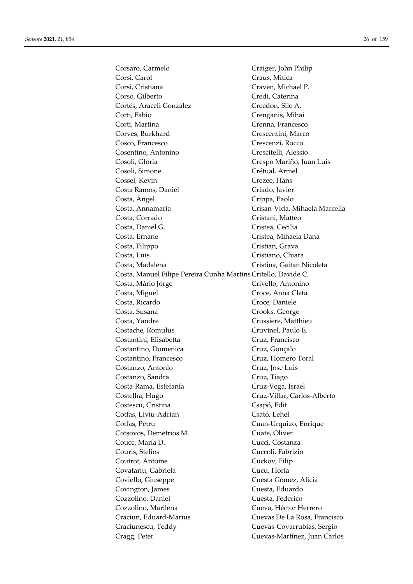Corsaro, Carmelo Craiger, John Philip Corsi, Carol Craus, Mitica Corsi, Cristiana Craven, Michael P. Corso, Gilberto Credi, Caterina Cortés, Araceli González Creedon, Sile A. Corti, Fabio Crenganis, Mihai Corti, Martina Crenna, Francesco Corves, Burkhard Crescentini, Marco Cosco, Francesco Crescenzi, Rocco Cosentino, Antonino Crescitelli, Alessio Cosoli, Gloria Crespo Mariño, Juan Luis Cosoli, Simone Crétual, Armel Cossel, Kevin Crezee, Hans Costa Ramos, Daniel Criado, Javier Costa, Ángel Costa, Crippa, Paolo Costa, Annamaria Crisan-Vida, Mihaela Marcella Costa, Corrado Cristani, Matteo Costa, Daniel G. Cristea, Cecilia Costa, Ernane Cristea, Mihaela Dana Costa, Filippo Cristian, Grava Costa, Luis Cristiano, Chiara Costa, Madalena Cristina, Gaitan Nicoleta Costa, Manuel Filipe Pereira Cunha Martins Critello, Davide C. Costa, Mário Jorge Crivello, Antonino Costa, Miguel Croce, Anna Cleta Costa, Ricardo Croce, Daniele Costa, Susana Crooks, George Costa, Yandre Crussiere, Matthieu Costache, Romulus Cruvinel, Paulo E. Costantini, Elisabetta Cruz, Francisco Costantino, Domenica Cruz, Gonçalo Costantino, Francesco Cruz, Homero Toral Costanzo, Antonio Cruz, Jose Luis Costanzo, Sandra Cruz, Tiago Costa-Rama, Estefanía Cruz-Vega, Israel Costelha, Hugo Cruz-Villar, Carlos-Alberto Costescu, Cristina Csapó, Edit Cotfas, Liviu-Adrian Csató, Lehel Cotfas, Petru Cuan-Urquizo, Enrique Cotsovos, Demetrios M. Cuate, Oliver Couce, María D. Cucci, Costanza Couris, Stelios Cuccoli, Fabrizio Coutrot, Antoine Cuckov, Filip Covatariu, Gabriela Cucu, Horia Coviello, Giuseppe Cuesta Gómez, Alicia Covington, James Cuesta, Eduardo Cozzolino, Daniel Cuesta, Federico Cozzolino, Marilena Cueva, Héctor Herrero Craciun, Eduard-Marius Cuevas De La Rosa, Francisco Craciunescu, Teddy Cuevas-Covarrubias, Sergio Cragg, Peter Cuevas-Martínez, Juan Carlos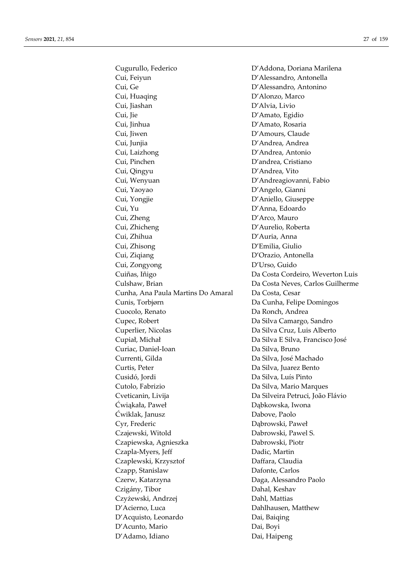Cui, Feiyun D'Alessandro, Antonella Cui, Ge D'Alessandro, Antonino Cui, Huaqing D'Alonzo, Marco Cui, Jiashan D'Alvia, Livio Cui, Jie D'Amato, Egidio Cui, Jinhua D'Amato, Rosaria Cui, Jiwen D'Amours, Claude Cui, Junjia D'Andrea, Andrea Cui, Laizhong D'Andrea, Antonio Cui, Pinchen D'andrea, Cristiano Cui, Qingyu D'Andrea, Vito Cui, Wenyuan **D'Andreagiovanni**, Fabio Cui, Yaoyao D'Angelo, Gianni Cui, Yongjie D'Aniello, Giuseppe Cui, Yu D'Anna, Edoardo Cui, Zheng D'Arco, Mauro Cui, Zhicheng D'Aurelio, Roberta Cui, Zhihua D'Auria, Anna Cui, Zhisong D'Emilia, Giulio Cui, Ziqiang D'Orazio, Antonella Cui, Zongyong D'Urso, Guido Cuiñas, Iñigo Da Costa Cordeiro, Weverton Luis Culshaw, Brian Da Costa Neves, Carlos Guilherme Cunha, Ana Paula Martins Do Amaral Da Costa, Cesar Cunis, Torbjørn Da Cunha, Felipe Domingos Cuocolo, Renato **Da Ronch, Andrea** Cupec, Robert Da Silva Camargo, Sandro Cuperlier, Nicolas Da Silva Cruz, Luis Alberto Cupiał, Michał Da Silva E Silva, Francisco José Curiac, Daniel-Ioan Da Silva, Bruno Currenti, Gilda Da Silva, José Machado Curtis, Peter Da Silva, Juarez Bento Cusidó, Jordi Da Silva, Luís Pinto Cutolo, Fabrizio Da Silva, Mario Marques Cveticanin, Livija Da Silveira Petruci, João Flávio Ćwiąkała, Paweł Dąbkowska, Iwona Ćwiklak, Janusz Dabove, Paolo Cyr, Frederic Dąbrowski, Paweł Czajewski, Witold Dabrowski, Pawel S. Czapiewska, Agnieszka Dabrowski, Piotr Czapla-Myers, Jeff Dadic, Martin Czaplewski, Krzysztof Daffara, Claudia Czapp, Stanislaw Dafonte, Carlos Czerw, Katarzyna Daga, Alessandro Paolo Czigány, Tibor Dahal, Keshav Czyżewski, Andrzej Dahl, Mattias D'Acierno, Luca Dahlhausen, Matthew D'Acquisto, Leonardo Dai, Baiqing D'Acunto, Mario Dai, Boyi D'Adamo, Idiano Dai, Haipeng

Cugurullo, Federico D'Addona, Doriana Marilena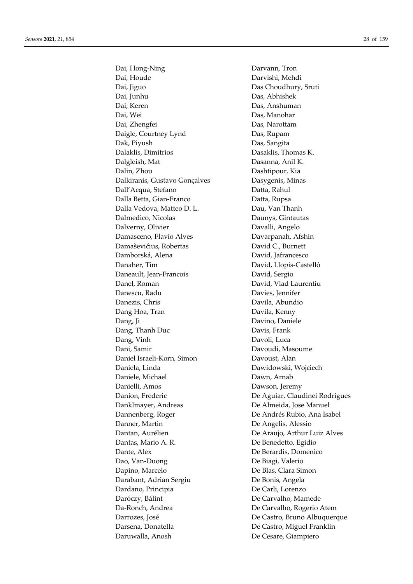Dai, Hong-Ning **Darvann**, Tron Dai, Houde Darvishi, Mehdi Dai, Jiguo Das Choudhury, Sruti Dai, Junhu Das, Abhishek Dai, Keren Das, Anshuman Dai, Wei Das, Manohar Dai, Zhengfei Das, Narottam Daigle, Courtney Lynd Das, Rupam Dak, Piyush Das, Sangita Dalaklis, Dimitrios Dasaklis, Thomas K. Dalgleish, Mat Dasanna, Anil K. Dalin, Zhou Dashtipour, Kia Dalkiranis, Gustavo Gonçalves Dasygenis, Minas Dall'Acqua, Stefano Datta, Rahul Dalla Betta, Gian-Franco Datta, Rupsa Dalla Vedova, Matteo D. L. Dau, Van Thanh Dalmedico, Nicolas Daunys, Gintautas Dalverny, Olivier Davalli, Angelo Damasceno, Flavio Alves Davarpanah, Afshin Damaševičius, Robertas David C., Burnett Damborská, Alena David, Jafrancesco Danaher, Tim David, Llopis-Castelló Daneault, Jean-Francois David, Sergio Danel, Roman David, Vlad Laurentiu Danescu, Radu Davies, Jennifer Danezis, Chris Davila, Abundio Dang Hoa, Tran Davila, Kenny Dang, Ji Davino, Daniele Dang, Thanh Duc Davis, Frank Dang, Vinh Davoli, Luca Dani, Samir Davoudi, Masoume Daniel Israeli-Korn, Simon Davoust, Alan Daniela, Linda Dawidowski, Wojciech Daniele, Michael Dawn, Arnab Danielli, Amos Dawson, Jeremy Danion, Frederic **De Aguiar**, Claudinei Rodrigues Danklmayer, Andreas De Almeida, Jose Manuel Dannenberg, Roger De Andrés Rubio, Ana Isabel Danner, Martin De Angelis, Alessio Dantan, Aurélien De Araujo, Arthur Luiz Alves Dantas, Mario A. R. De Benedetto, Egidio Dante, Alex De Berardis, Domenico Dao, Van-Duong De Biagi, Valerio Dapino, Marcelo De Blas, Clara Simon Darabant, Adrian Sergiu De Bonis, Angela Dardano, Principia De Carli, Lorenzo Daróczy, Bálint De Carvalho, Mamede Da-Ronch, Andrea De Carvalho, Rogerio Atem Darrozes, José De Castro, Bruno Albuquerque Darsena, Donatella De Castro, Miguel Franklin Daruwalla, Anosh De Cesare, Giampiero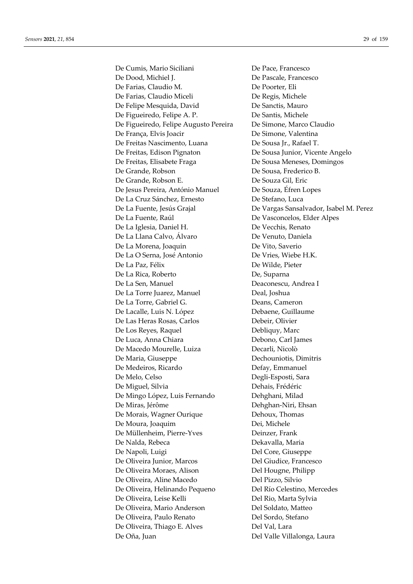De Cumis, Mario Siciliani De Pace, Francesco De Dood, Michiel J. De Pascale, Francesco De Farias, Claudio M. De Poorter, Eli De Farias, Claudio Miceli De Regis, Michele De Felipe Mesquida, David De Sanctis, Mauro De Figueiredo, Felipe A. P. De Santis, Michele De Figueiredo, Felipe Augusto Pereira De Simone, Marco Claudio De França, Elvis Joacir De Simone, Valentina De Freitas Nascimento, Luana De Sousa Jr., Rafael T. De Freitas, Edison Pignaton De Sousa Junior, Vicente Angelo De Freitas, Elisabete Fraga De Sousa Meneses, Domingos De Grande, Robson De Sousa, Frederico B. De Grande, Robson E. De Souza Gil, Eric De Jesus Pereira, António Manuel De Souza, Éfren Lopes De La Cruz Sánchez, Ernesto De Stefano, Luca De La Fuente, Raúl De Vasconcelos, Elder Alpes De La Iglesia, Daniel H. De Vecchis, Renato De La Llana Calvo, Álvaro De Venuto, Daniela De La Morena, Joaquin De Vito, Saverio De La O Serna, José Antonio De Vries, Wiebe H.K. De La Paz, Félix De Wilde, Pieter De La Rica, Roberto **De, Suparna** De La Sen, Manuel Deaconescu, Andrea I De La Torre Juarez, Manuel Deal, Joshua De La Torre, Gabriel G. Deans, Cameron De Lacalle, Luis N. López Debaene, Guillaume De Las Heras Rosas, Carlos Debeir, Olivier De Los Reyes, Raquel Debliquy, Marc De Luca, Anna Chiara Debono, Carl James De Macedo Mourelle, Luiza Decarli, Nicolò De Maria, Giuseppe Dechouniotis, Dimitris De Medeiros, Ricardo Defay, Emmanuel De Melo, Celso Degli-Esposti, Sara De Miguel, Silvia Dehais, Frédéric De Mingo López, Luis Fernando Dehghani, Milad De Miras, Jérôme **Dehghan-Niri**, Ehsan De Morais, Wagner Ourique Dehoux, Thomas De Moura, Joaquim Dei, Michele De Müllenheim, Pierre-Yves Deinzer, Frank De Nalda, Rebeca Dekavalla, Maria De Napoli, Luigi Del Core, Giuseppe De Oliveira Junior, Marcos Del Giudice, Francesco De Oliveira Moraes, Alison Del Hougne, Philipp De Oliveira, Aline Macedo Del Pizzo, Silvio De Oliveira, Helinando Pequeno Del Río Celestino, Mercedes De Oliveira, Leise Kelli **Del Rio, Marta Sylvia** De Oliveira, Mario Anderson Del Soldato, Matteo De Oliveira, Paulo Renato **Del Sordo**, Stefano De Oliveira, Thiago E. Alves Del Val, Lara De Oña, Juan Del Valle Villalonga, Laura

De La Fuente, Jesús Grajal De Vargas Sansalvador, Isabel M. Perez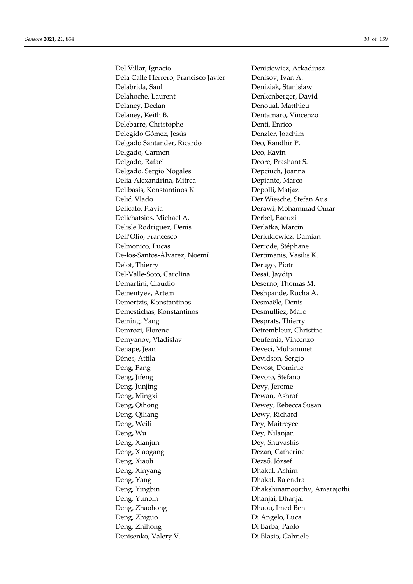Del Villar, Ignacio Denisiewicz, Arkadiusz Dela Calle Herrero, Francisco Javier Denisov, Ivan A. Delabrida, Saul Deniziak, Stanisław Delahoche, Laurent Denkenberger, David Delaney, Declan Denoual, Matthieu Delaney, Keith B. Dentamaro, Vincenzo Delebarre, Christophe Denti, Enrico Delegido Gómez, Jesús Denzler, Joachim Delgado Santander, Ricardo Deo, Randhir P. Delgado, Carmen Deo, Ravin Delgado, Rafael Deore, Prashant S. Delgado, Sergio Nogales Depciuch, Joanna Delia-Alexandrina, Mitrea Depiante, Marco Delibasis, Konstantinos K. Depolli, Matjaz Delić, Vlado Der Wiesche, Stefan Aus Delicato, Flavia **Derawi, Mohammad Omar** Delichatsios, Michael A. Derbel, Faouzi Delisle Rodriguez, Denis Derlatka, Marcin Dell'Olio, Francesco Derlukiewicz, Damian Delmonico, Lucas Derrode, Stéphane De-los-Santos-Álvarez, Noemí Dertimanis, Vasilis K. Delot, Thierry Derugo, Piotr Del-Valle-Soto, Carolina Desai, Jaydip Demartini, Claudio Deserno, Thomas M. Dementyev, Artem Deshpande, Rucha A. Demertzis, Konstantinos Desmaële, Denis Demestichas, Konstantinos Desmulliez, Marc Deming, Yang Desprats, Thierry Demrozi, Florenc Detrembleur, Christine Demyanov, Vladislav Deufemia, Vincenzo Denape, Jean Deveci, Muhammet Dénes, Attila Devidson, Sergio Deng, Fang Devost, Dominic Deng, Jifeng **Devoto**, Stefano Deng, Junjing Devy, Jerome Deng, Mingxi Dewan, Ashraf Deng, Qihong Dewey, Rebecca Susan Deng, Qiliang Dewy, Richard Deng, Weili Dey, Maitreyee Deng, Wu Dey, Nilanjan Deng, Xianjun Dey, Shuvashis Deng, Xiaogang **Dezan**, Catherine Deng, Xiaoli Dezső, József Deng, Xinyang Dhakal, Ashim Deng, Yang **Dhakal**, Rajendra Deng, Yingbin Dhakshinamoorthy, Amarajothi Deng, Yunbin Dhanjai, Dhanjai Deng, Zhaohong Dhaou, Imed Ben Deng, Zhiguo Di Angelo, Luca Deng, Zhihong Di Barba, Paolo Denisenko, Valery V. Di Blasio, Gabriele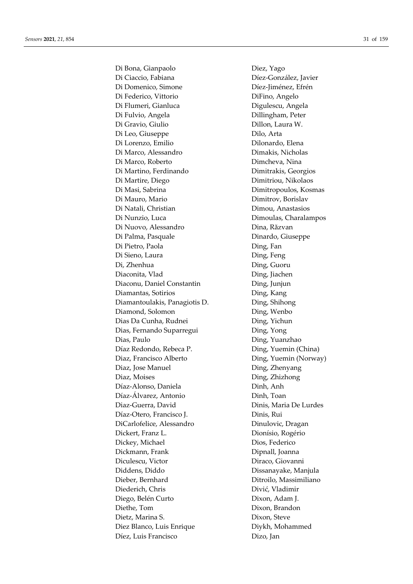Di Bona, Gianpaolo **Diez**, Yago Di Ciaccio, Fabiana Díez-González, Javier Di Domenico, Simone Díez-Jiménez, Efrén Di Federico, Vittorio DiFino, Angelo Di Flumeri, Gianluca Digulescu, Angela Di Fulvio, Angela **Dillingham**, Peter Di Gravio, Giulio **Dillon, Laura W.** Di Leo, Giuseppe Dilo, Arta Di Lorenzo, Emilio Dilonardo, Elena Di Marco, Alessandro Dimakis, Nicholas Di Marco, Roberto **Dimcheva**, Nina Di Martino, Ferdinando Dimitrakis, Georgios Di Martire, Diego Dimitriou, Nikolaos Di Masi, Sabrina Dimitropoulos, Kosmas Di Mauro, Mario **Dimitrov**, Borislav Di Natali, Christian Dimou, Anastasios Di Nunzio, Luca Dimoulas, Charalampos Di Nuovo, Alessandro **Dina, Răzvan** Di Palma, Pasquale Dinardo, Giuseppe Di Pietro, Paola **Ding**, Fan Di Sieno, Laura **Ding, Feng** Di, Zhenhua Ding, Guoru Diaconita, Vlad Ding, Jiachen Diaconu, Daniel Constantin Ding, Junjun Diamantas, Sotirios Ding, Kang Diamantoulakis, Panagiotis D. Ding, Shihong Diamond, Solomon Ding, Wenbo Dias Da Cunha, Rudnei **Ding**, Yichun Dias, Fernando Suparregui Ding, Yong Dias, Paulo Ding, Yuanzhao Díaz Redondo, Rebeca P. Ding, Yuemin (China) Diaz, Francisco Alberto Ding, Yuemin (Norway) Diaz, Jose Manuel Ding, Zhenyang Diaz, Moises Ding, Zhizhong Díaz-Alonso, Daniela Dinh, Anh Díaz-Álvarez, Antonio Dinh, Toan Diaz-Guerra, David Dinis, Maria De Lurdes Díaz-Otero, Francisco J. Dinis, Rui DiCarlofelice, Alessandro Dinulovic, Dragan Dickert, Franz L. Dionísio, Rogério Dickey, Michael Dios, Federico Dickmann, Frank Dipnall, Joanna Diculescu, Victor Diraco, Giovanni Diddens, Diddo Dissanayake, Manjula Dieber, Bernhard Ditroilo, Massimiliano Diederich, Chris Divić, Vladimir Diego, Belén Curto Dixon, Adam J. Diethe, Tom Dixon, Brandon Dietz, Marina S. Dixon, Steve Diez Blanco, Luis Enrique Diykh, Mohammed Díez, Luis Francisco Dizo, Jan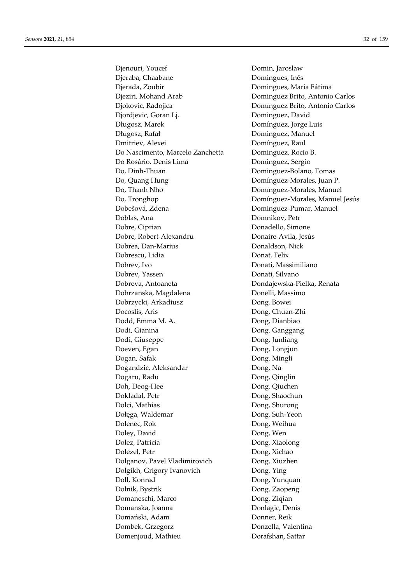Djenouri, Youcef Domin, Jaroslaw Djeraba, Chaabane **Domingues**, Inês Djerada, Zoubir Domingues, Maria Fátima Djeziri, Mohand Arab Dominguez Brito, Antonio Carlos Djokovic, Radojica Domínguez Brito, Antonio Carlos Djordjevic, Goran Lj. Dominguez, David Długosz, Marek Domínguez, Jorge Luis Długosz, Rafał Dominguez, Manuel Dmitriev, Alexei Domínguez, Raul Do Nascimento, Marcelo Zanchetta Dominguez, Rocio B. Do Rosário, Denis Lima Dominguez, Sergio Do, Dinh-Thuan Dominguez-Bolano, Tomas Do, Quang Hung **Dominguez-Morales**, Juan P. Do, Thanh Nho **Domínguez-Morales**, Manuel Do, Tronghop Domínguez-Morales, Manuel Jesús Dobešová, Zdena Dominguez-Pumar, Manuel Doblas, Ana Domnikov, Petr Dobre, Ciprian Donadello, Simone Dobre, Robert-Alexandru Donaire-Avila, Jesús Dobrea, Dan-Marius Donaldson, Nick Dobrescu, Lidia Donat, Felix Dobrev, Ivo Donati, Massimiliano Dobrev, Yassen Donati, Silvano Dobreva, Antoaneta Dondajewska-Pielka, Renata Dobrzanska, Magdalena **Donelli**, Massimo Dobrzycki, Arkadiusz Dong, Bowei Docoslis, Aris Dong, Chuan-Zhi Dodd, Emma M. A. Dong, Dianbiao Dodi, Gianina Dong, Ganggang Dodi, Giuseppe Dong, Junliang Doeven, Egan Dong, Longjun Dogan, Safak Dong, Mingli Dogandzic, Aleksandar **Dong**, Na Dogaru, Radu Dong, Qinglin Doh, Deog-Hee Dong, Qiuchen Dokladal, Petr Dong, Shaochun Dolci, Mathias Dong, Shurong Dołęga, Waldemar Dong, Suh-Yeon Dolenec, Rok Dong, Weihua Doley, David Dong, Wen Dolez, Patricia Dong, Xiaolong Dolezel, Petr Dong, Xichao Dolganov, Pavel Vladimirovich Dong, Xiuzhen Dolgikh, Grigory Ivanovich Dong, Ying Doll, Konrad Dong, Yunquan Dolnik, Bystrik Dong, Zaopeng Domaneschi, Marco Dong, Ziqian Domanska, Joanna **Donlagic**, Denis Domański, Adam Donner, Reik Dombek, Grzegorz Donzella, Valentina Domenjoud, Mathieu Dorafshan, Sattar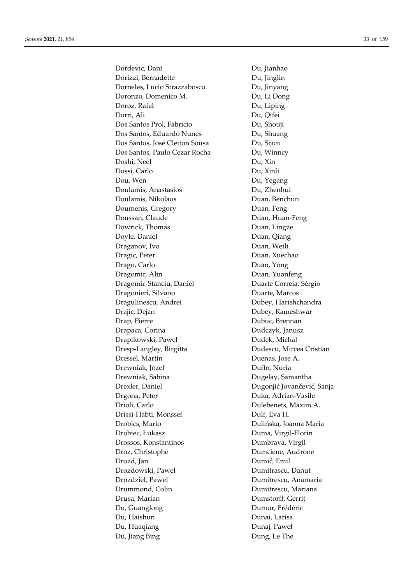Dordevic, Dani Du, Jianhao Dorizzi, Bernadette Du, Jinglin Dorneles, Lucio Strazzabosco Du, Jinyang Doronzo, Domenico M. Du, Li Dong Doroz, Rafal Du, Liping Dorri, Ali Du, Qifei Dos Santos Prol, Fabricio Du, Shouji Dos Santos, Eduardo Nunes Du, Shuang Dos Santos, José Cleiton Sousa Du, Sijun Dos Santos, Paulo Cezar Rocha Du, Winncy Doshi, Neel Du, Xin Dossi, Carlo Du, Xinli Dou, Wen Du, Yegang Doulamis, Anastasios Du, Zhenhui Doulamis, Nikolaos Duan, Benchun Doumenis, Gregory Duan, Feng Doussan, Claude Duan, Huan-Feng Dowrick, Thomas Duan, Lingze Doyle, Daniel Duan, Qiang Draganov, Ivo Duan, Weili Dragic, Peter Duan, Xuechao Drago, Carlo Duan, Yong Dragomir, Alin Duan, Yuanfeng Dragomir-Stanciu, Daniel Duarte Correia, Sérgio Dragonieri, Silvano Duarte, Marcos Dragulinescu, Andrei Dubey, Harishchandra Drajic, Dejan Dubey, Rameshwar Drap, Pierre Dubuc, Brennan Drapaca, Corina Dudczyk, Janusz Drapikowski, Pawel Dudek, Michal Dresp-Langley, Birgitta Dudescu, Mircea Cristian Dressel, Martin Duenas, Jose A. Drewniak, Józef Duffo, Nuria Drewniak, Sabina Dugelay, Samantha Drexler, Daniel Dugonjić Jovančević, Sanja Drgona, Peter Duka, Adrian-Vasile Drioli, Carlo Dulebenets, Maxim A. Drissi-Habti, Monssef Dulf, Eva H. Drobics, Mario Dulińska, Joanna Maria Drobiec, Łukasz Duma, Virgil-Florin Drossos, Konstantinos Dumbrava, Virgil Droz, Christophe Dumciene, Audrone Drozd, Jan Dumić, Emil Drozdowski, Pawel Dumitrascu, Danut Drozdziel, Pawel Dumitrescu, Anamaria Drummond, Colin Dumitrescu, Mariana Drusa, Marian Dumstorff, Gerrit Du, Guanglong Dumur, Frédéric Du, Haishun Dunai, Larisa Du, Huaqiang Dunaj, Paweł Du, Jiang Bing **Dung**, Le The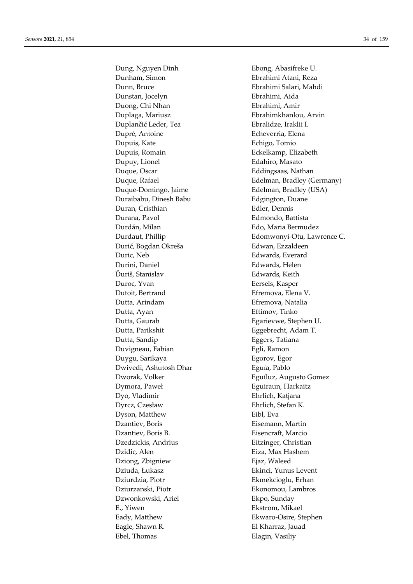Dung, Nguyen Dinh Ebong, Abasifreke U. Dunham, Simon Ebrahimi Atani, Reza Dunn, Bruce Ebrahimi Salari, Mahdi Dunstan, Jocelyn Ebrahimi, Aida Duong, Chi Nhan Ebrahimi, Amir Duplaga, Mariusz Ebrahimkhanlou, Arvin Duplančić Leder, Tea **Ebralidze**, Iraklii I. Dupré, Antoine **Echeverria**, Elena Dupuis, Kate Echigo, Tomio Dupuis, Romain Eckelkamp, Elizabeth Dupuy, Lionel **Edahiro**, Masato Duque, Oscar Eddingsaas, Nathan Duque-Domingo, Jaime Edelman, Bradley (USA) Duraibabu, Dinesh Babu Edgington, Duane Duran, Cristhian Edler, Dennis Durana, Pavol Edmondo, Battista Durdán, Milan Edo, Maria Bermudez Đurić, Bogdan Okreša **Edwan**, Ezzaldeen Duric, Neb Edwards, Everard Durini, Daniel Edwards, Helen Ďuriš, Stanislav Edwards, Keith Duroc, Yvan Eersels, Kasper Dutoit, Bertrand Efremova, Elena V. Dutta, Arindam Efremova, Natalia Dutta, Ayan **Eftimov**, Tinko Dutta, Gaurab **Egarievwe**, Stephen U. Dutta, Parikshit Eggebrecht, Adam T. Dutta, Sandip **Eggers**, Tatiana Duvigneau, Fabian **Egli**, Ramon Duygu, Sarikaya Egorov, Egor Dwivedi, Ashutosh Dhar Eguía, Pablo Dworak, Volker Eguíluz, Augusto Gomez Dymora, Paweł **Eguiraun**, Harkaitz Dyo, Vladimir Ehrlich, Katjana Dyrcz, Czesław Ehrlich, Stefan K. Dyson, Matthew Eibl, Eva Dzantiev, Boris Eisemann, Martin Dzantiev, Boris B. Eisencraft, Marcio Dzedzickis, Andrius Eitzinger, Christian Dzidic, Alen **Eiza**, Max Hashem Dziong, Zbigniew Ejaz, Waleed Dziuda, Łukasz Ekinci, Yunus Levent Dziurdzia, Piotr Ekmekcioglu, Erhan Dziurzanski, Piotr Ekonomou, Lambros Dzwonkowski, Ariel Ekpo, Sunday E., Yiwen Ekstrom, Mikael Eady, Matthew Ekwaro-Osire, Stephen Eagle, Shawn R. El Kharraz, Jauad Ebel, Thomas Elagin, Vasiliy

Duque, Rafael **Edelman, Bradley (Germany)** Durdaut, Phillip Edomwonyi-Otu, Lawrence C.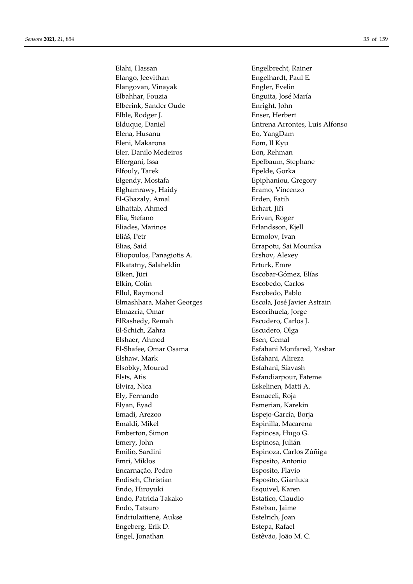Elahi, Hassan Engelbrecht, Rainer Elango, Jeevithan Engelhardt, Paul E. Elangovan, Vinayak **Engler, Evelin** Elbahhar, Fouzia Enguita, José María Elberink, Sander Oude Enright, John Elble, Rodger J. Enser, Herbert Elena, Husanu Eo, YangDam Eleni, Makarona **Eom**, Il Kyu Eler, Danilo Medeiros **Eon**, Rehman Elfergani, Issa **Executed Executes** Epelbaum, Stephane Elfouly, Tarek Epelde, Gorka Elgendy, Mostafa Epiphaniou, Gregory Elghamrawy, Haidy **Example Example 18** Eramo, Vincenzo El-Ghazaly, Amal **Erden**, Fatih Elhattab, Ahmed Erhart, Jiři Elia, Stefano Erivan, Roger Eliades, Marinos Erlandsson, Kjell Eliáš, Petr Ermolov, Ivan Elias, Said Errapotu, Sai Mounika Eliopoulos, Panagiotis A. Ershov, Alexey Elkatatny, Salaheldin Erturk, Emre Elken, Jüri Escobar-Gómez, Elías Elkin, Colin Escobedo, Carlos Ellul, Raymond Escobedo, Pablo Elmashhara, Maher Georges Escola, José Javier Astrain Elmazria, Omar Escorihuela, Jorge ElRashedy, Remah **Escudero**, Carlos J. El-Schich, Zahra **Escudero**, Olga Elshaer, Ahmed Esen, Cemal El-Shafee, Omar Osama Esfahani Monfared, Yashar Elshaw, Mark **Esfahani**, Alireza Elsobky, Mourad Esfahani, Siavash Elsts, Atis Esfandiarpour, Fateme Elvira, Nica Eskelinen, Matti A. Ely, Fernando Esmaeeli, Roja Elyan, Eyad Esmerian, Karekin Emadi, Arezoo Espejo-García, Borja Emaldi, Mikel Espinilla, Macarena Emberton, Simon Espinosa, Hugo G. Emery, John Espinosa, Julián Emilio, Sardini Espinoza, Carlos Zúñiga Emri, Miklos Esposito, Antonio Encarnação, Pedro Esposito, Flavio Endisch, Christian Esposito, Gianluca Endo, Hiroyuki Esquivel, Karen Endo, Patricia Takako **Estatico, Claudio** Endo, Tatsuro Esteban, Jaime Endriulaitienė, Auksė Estelrich, Joan Engeberg, Erik D. Estepa, Rafael Engel, Jonathan Estêvão, João M. C.

Elduque, Daniel Entrena Arrontes, Luis Alfonso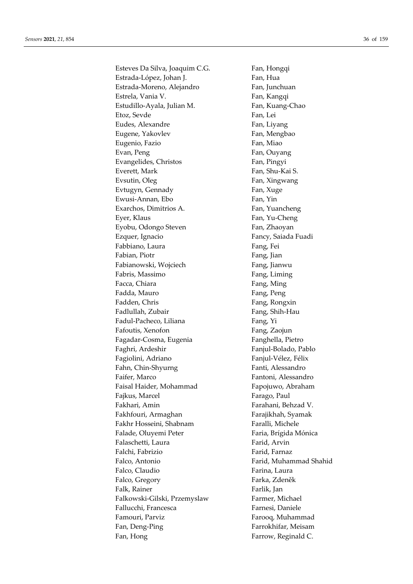Esteves Da Silva, Joaquim C.G. Fan, Hongqi Estrada-López, Johan J. **Fan**, Hua Estrada-Moreno, Alejandro Fan, Junchuan Estrela, Vania V. **Fan**, Kangqi Estudillo-Ayala, Julian M. Fan, Kuang-Chao Etoz, Sevde Fan, Lei Eudes, Alexandre Fan, Liyang Eugene, Yakovlev Fan, Mengbao Eugenio, Fazio **Fan**, Miao Evan, Peng Fan, Ouyang Evangelides, Christos Fan, Pingyi Everett, Mark Fan, Shu-Kai S. Evsutin, Oleg Fan, Xingwang Evtugyn, Gennady Fan, Xuge Ewusi-Annan, Ebo Fan, Yin Exarchos, Dimitrios A. Fan, Yuancheng Eyer, Klaus Fan, Yu-Cheng Eyobu, Odongo Steven Fan, Zhaoyan Ezquer, Ignacio **Fancy**, Saiada Fuadi Fabbiano, Laura Fang, Fei Fabian, Piotr Fang, Jian Fabianowski, Wojciech Fang, Jianwu Fabris, Massimo **Fang, Liming** Facca, Chiara Fang, Ming Fadda, Mauro **Fang, Peng** Fadden, Chris Fang, Rongxin Fadlullah, Zubair **Fang**, Shih-Hau Fadul-Pacheco, Liliana Fang, Yi Fafoutis, Xenofon Fang, Zaojun Fagadar-Cosma, Eugenia Fanghella, Pietro Faghri, Ardeshir Fanjul-Bolado, Pablo Fagiolini, Adriano Fanjul-Vélez, Félix Fahn, Chin-Shyurng Fanti, Alessandro Faifer, Marco Fantoni, Alessandro Faisal Haider, Mohammad Fapojuwo, Abraham Fajkus, Marcel **Farago**, Paul Fakhari, Amin Farahani, Behzad V. Fakhfouri, Armaghan Farajikhah, Syamak Fakhr Hosseini, Shabnam Faralli, Michele Falade, Oluyemi Peter Faria, Brígida Mónica Falaschetti, Laura Farid, Arvin Falchi, Fabrizio **Falchi, Farnaz** Falco, Antonio Farid, Muhammad Shahid Falco, Claudio Farina, Laura Falco, Gregory Farka, Zdeněk Falk, Rainer Farlik, Jan Falkowski-Gilski, Przemyslaw Farmer, Michael Fallucchi, Francesca **Fallucchi**, Francesca **Farnesi**, Daniele Famouri, Parviz Farooq, Muhammad Fan, Deng-Ping Farrokhifar, Meisam Fan, Hong Farrow, Reginald C.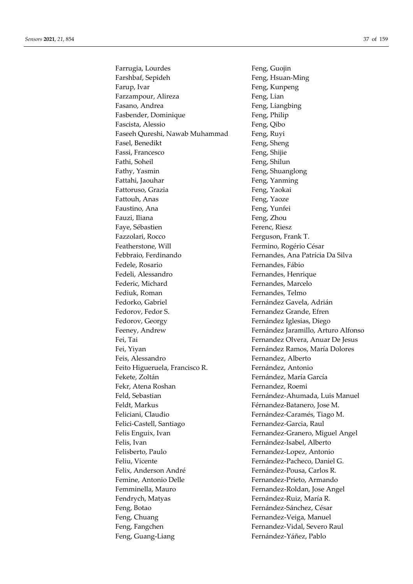Farrugia, Lourdes Feng, Guojin Farshbaf, Sepideh Feng, Hsuan-Ming Farup, Ivar **Feng, Kunpeng** Farzampour, Alireza Feng, Lian Fasano, Andrea Feng, Liangbing Fasbender, Dominique Feng, Philip Fascista, Alessio Feng, Qibo Faseeh Qureshi, Nawab Muhammad Feng, Ruyi Fasel, Benedikt Feng, Sheng Fassi, Francesco Feng, Shijie Fathi, Soheil Feng, Shilun Fathy, Yasmin Feng, Shuanglong Fattahi, Jaouhar Feng, Yanming Fattoruso, Grazia **Feng, Yaokai** Fattouh, Anas Feng, Yaoze Faustino, Ana Feng, Yunfei Fauzi, Iliana Feng, Zhou Faye, Sébastien Ferenc, Riesz Fazzolari, Rocco Ferguson, Frank T. Featherstone, Will Fermino, Rogério César Febbraio, Ferdinando Fernandes, Ana Patrícia Da Silva Fedele, Rosario **Fernandes**, Fábio Fedeli, Alessandro Fernandes, Henrique Federic, Michard Fernandes, Marcelo Fediuk, Roman Fernandes, Telmo Fedorko, Gabriel Fernández Gavela, Adrián Fedorov, Fedor S. Fernandez Grande, Efren Fedorov, Georgy Fernández Iglesias, Diego Feeney, Andrew Fernández Jaramillo, Arturo Alfonso Fei, Tai Fernandez Olvera, Anuar De Jesus Fei, Yiyan Fernández Ramos, María Dolores Feis, Alessandro Fernandez, Alberto Feito Higueruela, Francisco R. Fernández, Antonio Fekete, Zoltán **Fernández**, María García Fekr, Atena Roshan Fernandez, Roemi Feld, Sebastian Fernández-Ahumada, Luis Manuel Feldt, Markus Férnandez-Batanero, Jose M. Feliciani, Claudio Fernández-Caramés, Tiago M. Felici-Castell, Santiago Fernandez-Garcia, Raul Felis Enguix, Ivan Fernandez-Granero, Miguel Angel Felis, Ivan Fernández-Isabel, Alberto Felisberto, Paulo Fernandez-Lopez, Antonio Feliu, Vicente **Fernández-Pacheco**, Daniel G. Felix, Anderson André Fernández-Pousa, Carlos R. Femine, Antonio Delle Fernandez-Prieto, Armando Femminella, Mauro Fernandez-Roldan, Jose Angel Fendrych, Matyas Fernández-Ruiz, María R. Feng, Botao Fernández-Sánchez, César Feng, Chuang Fernandez-Veiga, Manuel Feng, Fangchen Fernandez-Vidal, Severo Raul Feng, Guang-Liang Fernández-Yáñez, Pablo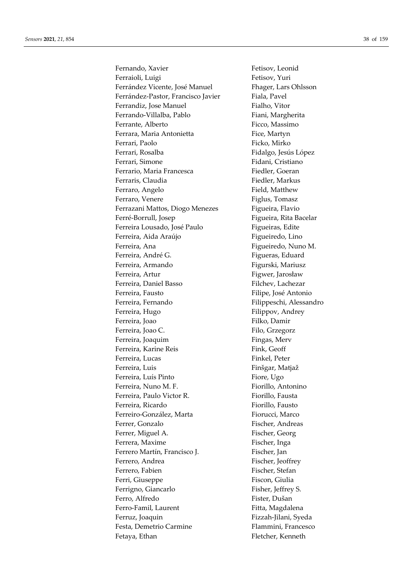Fernando, Xavier Fetisov, Leonid Ferraioli, Luigi Fetisov, Yuri Ferrández Vicente, José Manuel Fhager, Lars Ohlsson Ferrández-Pastor, Francisco Javier Fiala, Pavel Ferrandiz, Jose Manuel Fialho, Vitor Ferrando-Villalba, Pablo Fiani, Margherita Ferrante, Alberto Ficco, Massimo Ferrara, Maria Antonietta Fice, Martyn Ferrari, Paolo Ficko, Mirko Ferrari, Rosalba **Fidalgo**, Jesús López Ferrari, Simone Fidani, Cristiano Ferrario, Maria Francesca<br>
Fiedler, Goeran Ferraris, Claudia Fiedler, Markus Ferraro, Angelo Field, Matthew Ferraro, Venere Figlus, Tomasz Ferrazani Mattos, Diogo Menezes Figueira, Flavio Ferré-Borrull, Josep Figueira, Rita Bacelar Ferreira Lousado, José Paulo Figueiras, Edite Ferreira, Aida Araújo Figueiredo, Lino Ferreira, Ana **Figueiredo**, Nuno M. Ferreira, André G. The Communist est est de Figueras, Eduard Ferreira, Armando Figurski, Mariusz Ferreira, Artur Figwer, Jarosław Ferreira, Daniel Basso Filchev, Lachezar Ferreira, Fausto **Filipe, Instantonio** Filipe, José Antonio Ferreira, Fernando Filippeschi, Alessandro Ferreira, Hugo **Filippov**, Andrey Ferreira, Joao Filko, Damir Ferreira, Joao C. Filo, Grzegorz Ferreira, Joaquim Fingas, Merv Ferreira, Karine Reis Fink, Geoff Ferreira, Lucas Finkel, Peter Ferreira, Luis Finšgar, Matjaž Ferreira, Luís Pinto Fiore, Ugo Ferreira, Nuno M. F. Fiorillo, Antonino Ferreira, Paulo Victor R. Fiorillo, Fausta Ferreira, Ricardo Fiorillo, Fausto Ferreiro-González, Marta Fiorucci, Marco Ferrer, Gonzalo Fischer, Andreas Ferrer, Miguel A. Fischer, Georg Ferrera, Maxime Fischer, Inga Ferrero Martín, Francisco J. Fischer, Jan Ferrero, Andrea Fischer, Jeoffrey Ferrero, Fabien Fischer, Stefan Ferri, Giuseppe Fiscon, Giulia Ferrigno, Giancarlo Fisher, Jeffrey S. Ferro, Alfredo Fister, Dušan Ferro-Famil, Laurent Fitta, Magdalena Ferruz, Joaquin Fizzah-Jilani, Syeda Festa, Demetrio Carmine Flammini, Francesco Fetaya, Ethan Fletcher, Kenneth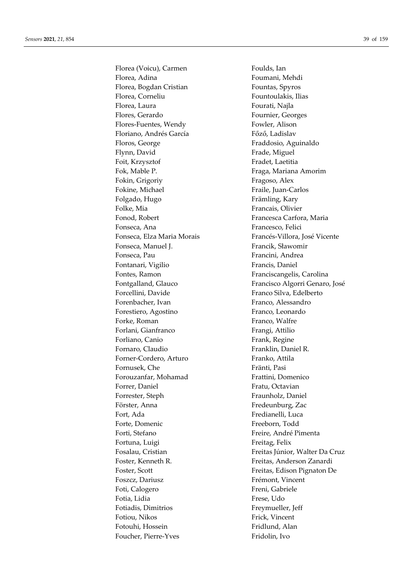Florea (Voicu), Carmen Foulds, Ian Florea, Adina **Foumani**, Mehdi Florea, Bogdan Cristian Fountas, Spyros Florea, Corneliu Fountoulakis, Ilias Florea, Laura **Fourati**, Najla Flores, Gerardo Fournier, Georges Flores-Fuentes, Wendy Fowler, Alison Floriano, Andrés García **Főző, Ladislav** Floros, George Fraddosio, Aguinaldo Flynn, David Frade, Miguel Foit, Krzysztof Fradet, Laetitia Fok, Mable P. Fraga, Mariana Amorim Fokin, Grigoriy Fragoso, Alex Fokine, Michael Fraile, Juan-Carlos Folgado, Hugo Främling, Kary Folke, Mia Francais, Olivier Fonod, Robert Francesca Carfora, Maria Fonseca, Ana Francesco, Felici Fonseca, Manuel J. Francik, Sławomir Fonseca, Pau Francini, Andrea Fontanari, Vigilio Francis, Daniel Fontes, Ramon Franciscangelis, Carolina Forcellini, Davide Franco Silva, Edelberto Forenbacher, Ivan Franco, Alessandro Forestiero, Agostino Franco, Leonardo Forke, Roman Franco, Walfre Forlani, Gianfranco Frangi, Attilio Forliano, Canio **Frank**, Regine Fornaro, Claudio Franklin, Daniel R. Forner-Cordero, Arturo Franko, Attila Fornusek, Che Fränti, Pasi Forouzanfar, Mohamad Frattini, Domenico Forrer, Daniel Fratu, Octavian Forrester, Steph Fraunholz, Daniel Förster, Anna Fredeunburg, Zac Fort, Ada Fredianelli, Luca Forte, Domenic Freeborn, Todd Forti, Stefano Freire, André Pimenta Fortuna, Luigi Freitag, Felix Foster, Kenneth R. Freitas, Anderson Zanardi Freitas, Edison Pignaton De Foszcz, Dariusz Frémont, Vincent Foti, Calogero Freni, Gabriele Fotia, Lidia Frese, Udo Fotiadis, Dimitrios Freymueller, Jeff Fotiou, Nikos Frick, Vincent Fotouhi, Hossein Fridlund, Alan Foucher, Pierre-Yves Fridolin, Ivo

Fonseca, Elza Maria Morais Francés-Villora, José Vicente Fontgalland, Glauco Francisco Algorri Genaro, José Fosalau, Cristian Freitas Júnior, Walter Da Cruz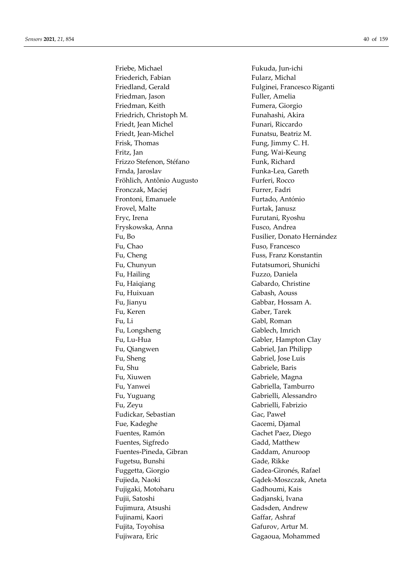Friebe, Michael Fukuda, Jun-ichi Friederich, Fabian Fularz, Michal Friedland, Gerald Fulginei, Francesco Riganti Friedman, Jason Fuller, Amelia Friedman, Keith Fumera, Giorgio Friedrich, Christoph M. Funahashi, Akira Friedt, Jean Michel Funari, Riccardo Friedt, Jean-Michel Funatsu, Beatriz M. Frisk, Thomas Fung, Jimmy C. H. Fritz, Jan Fung, Wai-Keung Frizzo Stefenon, Stéfano Funk, Richard Frnda, Jaroslav **Funka-Lea**, Gareth Fröhlich, Antônio Augusto Furferi, Rocco Fronczak, Maciej Furrer, Fadri Frontoni, Emanuele Furtado, António Frovel, Malte Furtak, Janusz Fryc, Irena Furutani, Ryoshu Fryskowska, Anna Fusco, Andrea Fu, Chao Fuso, Francesco Fu, Cheng Fuss, Franz Konstantin Fu, Chunyun Futatsumori, Shunichi Fu, Hailing Fuzzo, Daniela Fu, Haiqiang Gabardo, Christine Fu, Huixuan Gabash, Aouss Fu, Jianyu Gabbar, Hossam A. Fu, Keren Gaber, Tarek Fu, Li Gabl, Roman Fu, Longsheng Gablech, Imrich Fu, Lu-Hua Gabler, Hampton Clay Fu, Qiangwen Gabriel, Jan Philipp Fu, Sheng Gabriel, Jose Luis Fu, Shu Gabriele, Baris Fu, Xiuwen Gabriele, Magna Fu, Yanwei Gabriella, Tamburro Fu, Yuguang Gabrielli, Alessandro Fu, Zeyu Gabrielli, Fabrizio Fudickar, Sebastian Gac, Paweł Fue, Kadeghe Gacemi, Djamal Fuentes, Ramón Gachet Paez, Diego Fuentes, Sigfredo Gadd, Matthew Fuentes-Pineda, Gibran Gaddam, Anuroop Fugetsu, Bunshi Gade, Rikke Fuggetta, Giorgio Gadea-Gironés, Rafael Fujieda, Naoki Gądek-Moszczak, Aneta Fujigaki, Motoharu Gadhoumi, Kais Fujii, Satoshi Gadjanski, Ivana Fujimura, Atsushi Gadsden, Andrew Fujinami, Kaori Gaffar, Ashraf Fujita, Toyohisa Gafurov, Artur M. Fujiwara, Eric Gagaoua, Mohammed

Fu, Bo Fusilier, Donato Hernández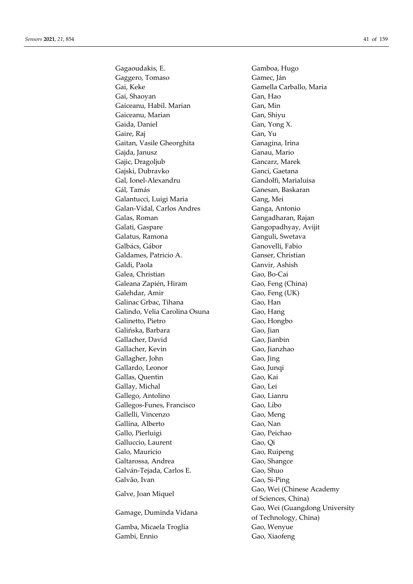Gagaoudakis, E. **Gamboa**, Hugo Gaggero, Tomaso Gamec, Ján Gai, Keke Gamella Carballo, Maria Gai, Shaoyan Gan, Hao Gaiceanu, Habil. Marian Gan, Min Gaiceanu, Marian Gan, Shiyu Gaida, Daniel Gan, Yong X. Gaire, Raj Gan, Yu Gaitan, Vasile Gheorghita Ganagina, Irina Gajda, Janusz **Ganau, Mario** Gajic, Dragoljub Gancarz, Marek Gajski, Dubravko Ganci, Gaetana Gal, Ionel-Alexandru Gandolfi, Marialuisa Gál, Tamás Ganesan, Baskaran Galantucci, Luigi Maria **Gang**, Mei Galan-Vidal, Carlos Andres Ganga, Antonio Galas, Roman Gangadharan, Rajan Galati, Gaspare Gangopadhyay, Avijit Galatus, Ramona Ganguli, Swetava Galbács, Gábor Ganovelli, Fabio Galdames, Patricio A. Ganser, Christian Galdi, Paola Ganvir, Ashish Galea, Christian Gao, Bo-Cai Galeana Zapién, Hiram Gao, Feng (China) Galehdar, Amir Gao, Feng (UK) Galinac Grbac, Tihana Gao, Han Galindo, Velia Carolina Osuna Gao, Hang Galinetto, Pietro Gao, Hongbo Galińska, Barbara Gao, Jian Gallacher, David Gao, Jianbin Gallacher, Kevin Gao, Jianzhao Gallagher, John Gao, Jing Gallardo, Leonor Gao, Junqi Gallas, Quentin Gao, Kai Gallay, Michal Gao, Lei Gallego, Antolino Gao, Lianru Gallegos-Funes, Francisco Gao, Libo Gallelli, Vincenzo Gao, Meng Gallina, Alberto Gao, Nan Gallo, Pierluigi Gao, Peichao Galluccio, Laurent Gao, Qi Galo, Mauricio Gao, Ruipeng Galtarossa, Andrea Gao, Shangce Galván-Tejada, Carlos E. Gao, Shuo Galvão, Ivan Gao, Si-Ping Galve, Joan Miquel Gao, Wei (Chinese Academy Gao, Wei (Guangdong University<br>
Gao, Wei (Guangdong University Gamba, Micaela Troglia Gao, Wenyue Gambi, Ennio Gao, Xiaofeng

of Sciences, China) of Technology, China)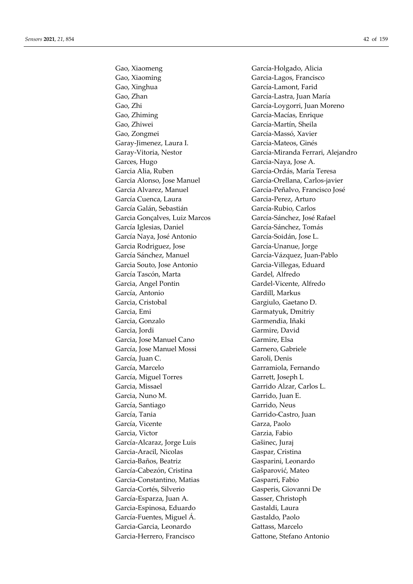Gao, Xiaoming Garcia-Lagos, Francisco Gao, Xinghua García-Lamont, Farid Gao, Zhan García-Lastra, Juan María Gao, Zhi García-Loygorri, Juan Moreno Gao, Zhiming García-Macías, Enrique Gao, Zhiwei García-Martín, Sheila Gao, Zongmei García-Massó, Xavier Garay-Jimenez, Laura I. García-Mateos, Ginés Garces, Hugo Garcia-Naya, Jose A. Garcia Alia, Ruben García-Ordás, María Teresa Garcia Alonso, Jose Manuel García-Orellana, Carlos-javier Garcia Alvarez, Manuel García-Peñalvo, Francisco José García Cuenca, Laura García-Perez, Arturo García Galán, Sebastián García-Rubio, Carlos Garcia Gonçalves, Luiz Marcos García-Sánchez, José Rafael García Iglesias, Daniel García-Sánchez, Tomás García Naya, José Antonio García-Soidán, Jose L. Garcia Rodriguez, Jose García-Unanue, Jorge García Sánchez, Manuel García-Vázquez, Juan-Pablo Garcia Souto, Jose Antonio Garcia-Villegas, Eduard García Tascón, Marta Gardel, Alfredo Garcia, Angel Pontin Gardel-Vicente, Alfredo García, Antonio Gardill, Markus Garcia, Cristobal Gargiulo, Gaetano D. Garcia, Emi Garmatyuk, Dmitriy Garcia, Gonzalo Garmendia, Iñaki Garcia, Jordi Garmire, David Garcia, Jose Manuel Cano Garmire, Elsa García, Jose Manuel Mossi Garnero, Gabriele García, Juan C. Garoli, Denis García, Marcelo Garramiola, Fernando García, Miguel Torres Garrett, Joseph L Garcia, Missael Garrido Alzar, Carlos L. Garcia, Nuno M. Garrido, Juan E. García, Santiago Garrido, Neus García, Tania Garrido-Castro, Juan García, Vicente Garza, Paolo Garcia, Victor Garzia, Fabio García-Alcaraz, Jorge Luis Gašinec, Juraj Garcia-Aracil, Nicolas Gaspar, Cristina Garcia-Baños, Beatriz Gasparini, Leonardo García-Cabezón, Cristina Gašparović, Mateo Garcia-Constantino, Matias Gasparri, Fabio García-Cortés, Silverio Gasperis, Giovanni De García-Esparza, Juan A. Gasser, Christoph Garcia-Espinosa, Eduardo Gastaldi, Laura García-Fuentes, Miguel Á. Gastaldo, Paolo Garcia-Garcia, Leonardo Gattass, Marcelo Garcia-Herrero, Francisco Gattone, Stefano Antonio

Gao, Xiaomeng García-Holgado, Alicia Garay-Vitoria, Nestor García-Miranda Ferrari, Alejandro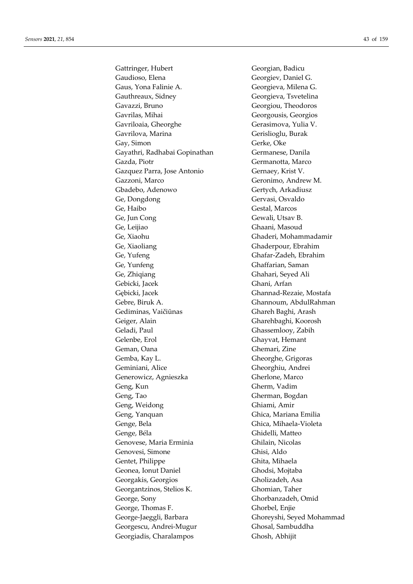Gattringer, Hubert Georgian, Badicu Gaudioso, Elena Georgiev, Daniel G. Gaus, Yona Falinie A. Georgieva, Milena G. Gauthreaux, Sidney Georgieva, Tsvetelina Gavazzi, Bruno Georgiou, Theodoros Gavrilas, Mihai Georgousis, Georgios Gavriloaia, Gheorghe Gerasimova, Yulia V. Gavrilova, Marina Gerislioglu, Burak Gay, Simon Gerke, Oke Gayathri, Radhabai Gopinathan Germanese, Danila Gazda, Piotr Germanotta, Marco Gazquez Parra, Jose Antonio Gernaey, Krist V. Gazzoni, Marco Geronimo, Andrew M. Gbadebo, Adenowo Gertych, Arkadiusz Ge, Dongdong Gervasi, Osvaldo Ge, Haibo Gestal, Marcos Ge, Jun Cong Gewali, Utsav B. Ge, Leijiao Ghaani, Masoud Ge, Xiaohu Ghaderi, Mohammadamir Ge, Xiaoliang Ghaderpour, Ebrahim Ge, Yufeng Ghafar-Zadeh, Ebrahim Ge, Yunfeng Ghaffarian, Saman Ge, Zhiqiang Ghahari, Seyed Ali Gebicki, Jacek Ghani, Arfan Gębicki, Jacek Ghannad-Rezaie, Mostafa Gebre, Biruk A. Ghannoum, AbdulRahman Gediminas, Vaičiūnas Ghareh Baghi, Arash Geiger, Alain Gharehbaghi, Koorosh Geladi, Paul Ghassemlooy, Zabih Gelenbe, Erol Ghayvat, Hemant Geman, Oana Ghemari, Zine Gemba, Kay L. Gheorghe, Grigoras Geminiani, Alice Gheorghiu, Andrei Generowicz, Agnieszka Gherlone, Marco Geng, Kun Gherm, Vadim Geng, Tao Gherman, Bogdan Geng, Weidong Ghiami, Amir Geng, Yanquan Ghica, Mariana Emilia Genge, Bela Ghica, Mihaela-Violeta Genge, Béla Ghidelli, Matteo Genovese, Maria Erminia Ghilain, Nicolas Genovesi, Simone Ghisi, Aldo Gentet, Philippe Ghita, Mihaela Geonea, Ionut Daniel Ghodsi, Mojtaba Georgakis, Georgios Gholizadeh, Asa Georgantzinos, Stelios K. Ghomian, Taher George, Sony Ghorbanzadeh, Omid George, Thomas F. Ghorbel, Enjie George-Jaeggli, Barbara Ghoreyshi, Seyed Mohammad Georgescu, Andrei-Mugur Ghosal, Sambuddha Georgiadis, Charalampos Ghosh, Abhijit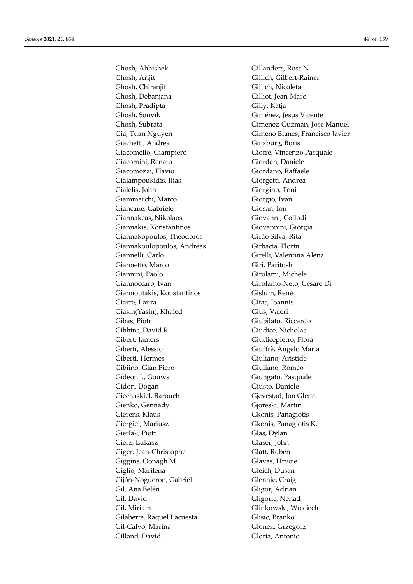Ghosh, Abhishek Gillanders, Ross N Ghosh, Arijit Gillich, Gilbert-Rainer Ghosh, Chiranjit Gillich, Nicoleta Ghosh, Debanjana Gilliot, Jean-Marc Ghosh, Pradipta Gilly, Katja Ghosh, Souvik Giménez, Jesus Vicente Ghosh, Subrata Gimenez-Guzman, Jose Manuel Gia, Tuan Nguyen Gimeno Blanes, Francisco Javier Giachetti, Andrea Ginzburg, Boris Giacomello, Giampiero Giofrè, Vincenzo Pasquale Giacomini, Renato Giordan, Daniele Giacomozzi, Flavio Giordano, Raffaele Gialampoukidis, Ilias Giorgetti, Andrea Gialelis, John Giorgino, Toni Giammarchi, Marco Giorgio, Ivan Giancane, Gabriele Giosan, Ion Giannakeas, Nikolaos Giovanni, Collodi Giannakis, Konstantinos Giovannini, Giorgia Giannakopoulos, Theodoros Girão Silva, Rita Giannakoulopoulos, Andreas Girbacia, Florin Giannelli, Carlo Girelli, Valentina Alena Giannetto, Marco Giri, Paritosh Giannini, Paolo Girolami, Michele Giannoccaro, Ivan Girolamo-Neto, Cesare Di Giannoutakis, Konstantinos Gislum, René Giarre, Laura Gitas, Ioannis Giasin(Yasin), Khaled Gitis, Valeri Gibas, Piotr Giubilato, Riccardo Gibbins, David R. Giudice, Nicholas Gibert, Jamers Giudicepietro, Flora Giberti, Alessio Giuffrè, Angelo Maria Giberti, Hermes Giuliano, Aristide Gibiino, Gian Piero Giuliano, Romeo Gideon J., Gouws Giungato, Pasquale Gidon, Dogan Giusto, Daniele Giechaskiel, Barouch Gievestad, Jon Glenn Gienko, Gennady Gjoreski, Martin Gierens, Klaus Gkonis, Panagiotis Giergiel, Mariusz Gkonis, Panagiotis K. Gierlak, Piotr Glas, Dylan Gierz, Lukasz Glaser, John Giger, Jean-Christophe Glatt, Ruben Giggins, Oonagh M Glavas, Hrvoje Giglio, Marilena Gleich, Dusan Gijón-Nogueron, Gabriel Glennie, Craig Gil, Ana Belén Gligor, Adrian Gil, David Gligoric, Nenad Gil, Miriam Glinkowski, Wojciech Gilaberte, Raquel Lacuesta Glisic, Branko Gil-Calvo, Marina Glonek, Grzegorz Gilland, David Gloria, Antonio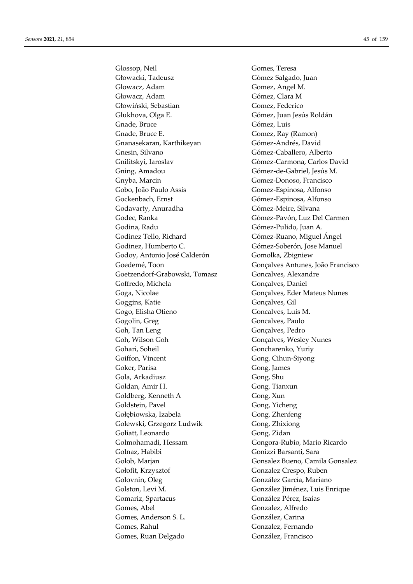Glossop, Neil Gomes, Teresa Głowacki, Tadeusz Gómez Salgado, Juan Glowacz, Adam Gomez, Angel M. Głowacz, Adam Gómez, Clara M Głowiński, Sebastian Gomez, Federico Glukhova, Olga E. Gómez, Juan Jesús Roldán Gnade, Bruce Gómez, Luis Gnade, Bruce E. Gomez, Ray (Ramon) Gnanasekaran, Karthikeyan Gómez-Andrés, David Gnesin, Silvano Gómez-Caballero, Alberto Gnilitskyi, Iaroslav Gómez-Carmona, Carlos David Gning, Amadou Gómez-de-Gabriel, Jesús M. Gnyba, Marcin Gomez-Donoso, Francisco Gobo, João Paulo Assis Gomez-Espinosa, Alfonso Gockenbach, Ernst Gómez-Espinosa, Alfonso Godavarty, Anuradha Gómez-Meire, Silvana Godec, Ranka Gómez-Pavón, Luz Del Carmen Godina, Radu Gómez-Pulido, Juan A. Godinez Tello, Richard Gómez-Ruano, Miguel Ángel Godinez, Humberto C. **Gómez-Soberón**, Jose Manuel Godoy, Antonio José Calderón Gomolka, Zbigniew Goetzendorf-Grabowski, Tomasz Goncalves, Alexandre Goffredo, Michela Gonçalves, Daniel Goga, Nicolae Gonçalves, Eder Mateus Nunes Goggins, Katie Gonçalves, Gil Gogo, Elisha Otieno Goncalves, Luís M. Gogolin, Greg Goncalves, Paulo Goh, Tan Leng Gonçalves, Pedro Goh, Wilson Goh Gonçalves, Wesley Nunes Gohari, Soheil Goncharenko, Yuriy Goiffon, Vincent Gong, Cihun-Siyong Goker, Parisa Gong, James Gola, Arkadiusz Gong, Shu Goldan, Amir H. Gong, Tianxun Goldberg, Kenneth A Gong, Xun Goldstein, Pavel Gong, Yicheng Gołębiowska, Izabela Gong, Zhenfeng Golewski, Grzegorz Ludwik Gong, Zhixiong Goliatt, Leonardo Gong, Zidan Golmohamadi, Hessam Gongora-Rubio, Mario Ricardo Golnaz, Habibi Gonizzi Barsanti, Sara Gołofit, Krzysztof Gonzalez Crespo, Ruben Golovnin, Oleg González García, Mariano Golston, Levi M. González Jiménez, Luis Enrique Gomariz, Spartacus González Pérez, Isaías Gomes, Abel Gonzalez, Alfredo Gomes, Anderson S. L. González, Carina Gomes, Rahul Gonzalez, Fernando Gomes, Ruan Delgado González, Francisco

Goedemé, Toon Gonçalves Antunes, João Francisco Golob, Marjan Gonsalez Bueno, Camila Gonsalez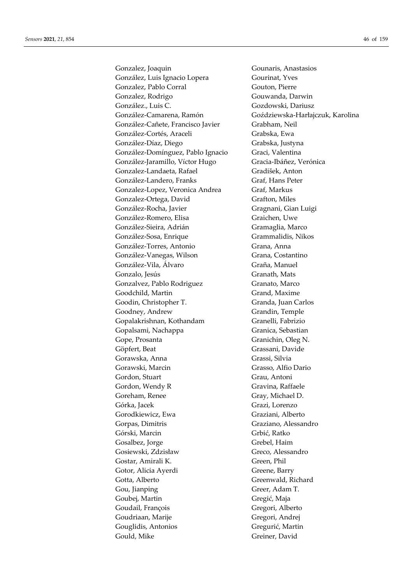Gonzalez, Joaquin Gounaris, Anastasios González, Luis Ignacio Lopera Gourinat, Yves Gonzalez, Pablo Corral Gouton, Pierre Gonzalez, Rodrigo Gouwanda, Darwin González., Luis C. Gozdowski, Dariusz González-Camarena, Ramón Goździewska-Harłajczuk, Karolina González-Cañete, Francisco Javier Grabham, Neil González-Cortés, Araceli Grabska, Ewa González-Díaz, Diego Grabska, Justyna González-Domínguez, Pablo Ignacio Graci, Valentina González-Jaramillo, Víctor Hugo Gracia-Ibáñez, Verónica Gonzalez-Landaeta, Rafael Gradišek, Anton González-Landero, Franks Graf, Hans Peter Gonzalez-Lopez, Veronica Andrea Graf, Markus Gonzalez-Ortega, David Grafton, Miles González-Rocha, Javier Gragnani, Gian Luigi González-Romero, Elisa Graichen, Uwe González-Sieira, Adrián Gramaglia, Marco González-Sosa, Enrique Grammalidis, Nikos González-Torres, Antonio Grana, Anna González-Vanegas, Wilson Grana, Costantino González-Vila, Álvaro Graña, Manuel Gonzalo, Jesús Granath, Mats Gonzalvez, Pablo Rodriguez Granato, Marco Goodchild, Martin Grand, Maxime Goodin, Christopher T. Granda, Juan Carlos Goodney, Andrew Grandin, Temple Gopalakrishnan, Kothandam Granelli, Fabrizio Gopalsami, Nachappa Granica, Sebastian Gope, Prosanta Granichin, Oleg N. Göpfert, Beat Grassani, Davide Gorawska, Anna Grassi, Silvia Gorawski, Marcin Grasso, Alfio Dario Gordon, Stuart Grau, Antoni Gordon, Wendy R Gravina, Raffaele Goreham, Renee Gray, Michael D. Górka, Jacek Grazi, Lorenzo Gorodkiewicz, Ewa Graziani, Alberto Gorpas, Dimitris Graziano, Alessandro Górski, Marcin Grbić, Ratko Gosalbez, Jorge Grebel, Haim Gosiewski, Zdzisław Greco, Alessandro Gostar, Amirali K. Green, Phil Gotor, Alicia Ayerdi Greene, Barry Gotta, Alberto Greenwald, Richard Gou, Jianping Greer, Adam T. Goubej, Martin Gregić, Maja Goudail, François Gregori, Alberto Goudriaan, Marije Gregori, Andrej Gouglidis, Antonios Gregurić, Martin Gould, Mike Greiner, David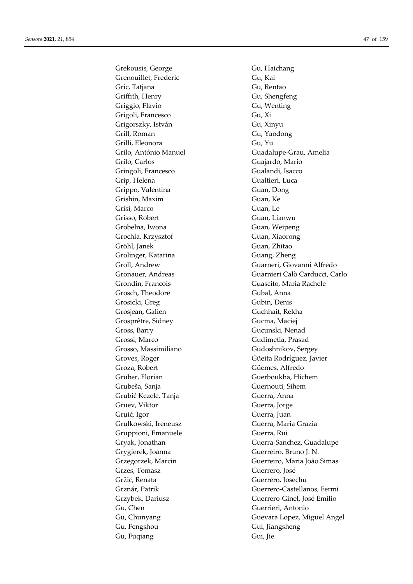Grekousis, George Gu, Haichang Grenouillet, Frederic Gu, Kai Gric, Tatjana Gu, Rentao Griffith, Henry Gu, Shengfeng Griggio, Flavio Gu, Wenting Grigoli, Francesco Gu, Xi Grigorszky, István Gu, Xinyu Grill, Roman Gu, Yaodong Grilli, Eleonora Gu, Yu Grilo, Carlos Guajardo, Mario Gringoli, Francesco Gualandi, Isacco Grip, Helena Gualtieri, Luca Grippo, Valentina Guan, Dong Grishin, Maxim Guan, Ke Grisi, Marco Guan, Le Grisso, Robert Guan, Lianwu Grobelna, Iwona Guan, Weipeng Grochla, Krzysztof Guan, Xiaorong Gröhl, Janek Guan, Zhitao Grolinger, Katarina Guang, Zheng Grondin, Francois Guascito, Maria Rachele Grosch, Theodore Gubal, Anna Grosicki, Greg Gubin, Denis Grosjean, Galien Guchhait, Rekha Grosprêtre, Sidney Gucma, Maciej Gross, Barry Gucunski, Nenad Grossi, Marco Gudimetla, Prasad Grosso, Massimiliano Gudoshnikov, Sergey Groza, Robert Güemes, Alfredo Gruber, Florian Guerboukha, Hichem Grubeša, Sanja Guernouti, Sihem Grubić Kezele, Tanja **Guerra**, Anna Gruev, Viktor Guerra, Jorge Gruić, Igor Guerra, Juan Grulkowski, Ireneusz Guerra, Maria Grazia Gruppioni, Emanuele Guerra, Rui Grygierek, Joanna Guerreiro, Bruno J. N. Grzes, Tomasz Guerrero, José Gržić, Renata Guerrero, Josechu Gu, Chen Guerrieri, Antonio Gu, Fengshou Gui, Jiangsheng Gu, Fuqiang Gui, Jie

Grilo, António Manuel Guadalupe-Grau, Amelia Groll, Andrew Guarneri, Giovanni Alfredo Gronauer, Andreas Guarnieri Calò Carducci, Carlo Groves, Roger Güeita Rodríguez, Javier Gryak, Jonathan Guerra-Sanchez, Guadalupe Grzegorzek, Marcin Guerreiro, Maria João Simas Grznár, Patrik Guerrero-Castellanos, Fermi Grzybek, Dariusz Guerrero-Ginel, José Emilio Gu, Chunyang Guevara Lopez, Miguel Angel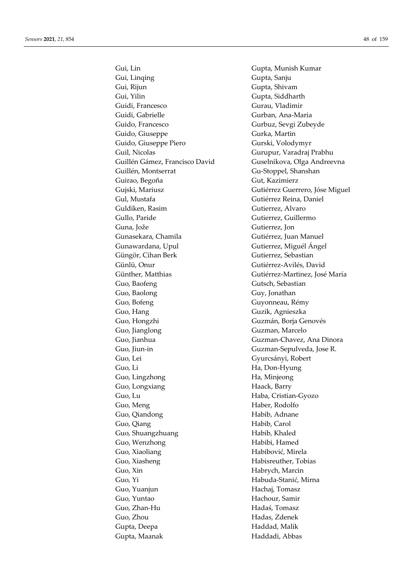Gui, Linqing Gupta, Sanju Gui, Rijun Gupta, Shivam Gui, Yilin Gupta, Siddharth Guidi, Francesco Gurau, Vladimir Guidi, Gabrielle Gurban, Ana-Maria Guido, Francesco Gurbuz, Sevgi Zubeyde Guido, Giuseppe Gurka, Martin Guido, Giuseppe Piero Gurski, Volodymyr Guil, Nicolas Gurupur, Varadraj Prabhu Guillén Gámez, Francisco David Guselnikova, Olga Andreevna Guillén, Montserrat Gu-Stoppel, Shanshan Guirao, Begoña Gut, Kazimierz Gujski, Mariusz Guiski, Mariusz Guerrero, Jóse Miguel Gul, Mustafa Gutiérrez Reina, Daniel Guldiken, Rasim Gutierrez, Alvaro Gullo, Paride Gutierrez, Guillermo Guna, Jože Gutierrez, Jon Gunasekara, Chamila Gutiérrez, Juan Manuel Gunawardana, Upul Gutierrez, Miguél Ángel Güngör, Cihan Berk Gutierrez, Sebastian Günlü, Onur Gutiérrez-Avilés, David Günther, Matthias Gutiérrez-Martinez, José María Guo, Baofeng Gutsch, Sebastian Guo, Baolong Guy, Jonathan Guo, Bofeng Guyonneau, Rémy Guo, Hang Guzik, Agnieszka Guo, Hongzhi Guzmán, Borja Genovés Guo, Jianglong Guzman, Marcelo Guo, Jianhua Guzman-Chavez, Ana Dinora Guo, Jiun-in Guzman-Sepulveda, Jose R. Guo, Lei Gyurcsányi, Robert Guo, Li Ha, Don-Hyung Guo, Lingzhong Ha, Minjeong Guo, Longxiang **Haack**, Barry Guo, Lu Haba, Cristian-Gyozo Guo, Meng **Haber**, Rodolfo Guo, Qiandong Habib, Adnane Guo, Qiang **Habib**, Carol Guo, Shuangzhuang **Habib**, Khaled Guo, Wenzhong Habibi, Hamed Guo, Xiaoliang Habibović, Mirela Guo, Xiasheng Habisreuther, Tobias Guo, Xin Habrych, Marcin Guo, Yi Habuda-Stanić, Mirna Guo, Yuanjun Hachaj, Tomasz Guo, Yuntao Hachour, Samir Guo, Zhan-Hu Hadaś, Tomasz Guo, Zhou Hadas, Zdenek Gupta, Deepa **Haddad**, Malik Gupta, Maanak **Haddadi**, Abbas

Gui, Lin Gupta, Munish Kumar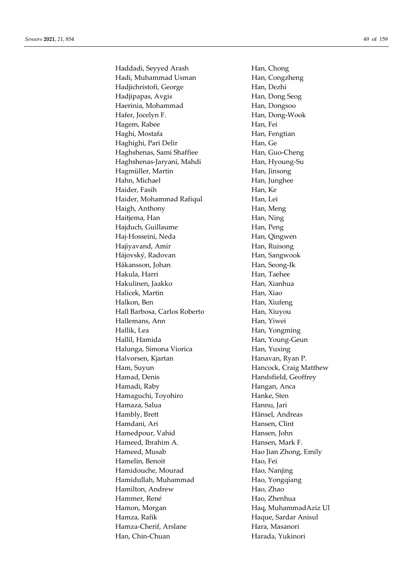Haddadi, Seyyed Arash Han, Chong Hadi, Muhammad Usman Han, Congzheng Hadjichristofi, George Han, Dezhi Hadjipapas, Avgis Han, Dong Seog Haerinia, Mohammad Han, Dongsoo Hafer, Jocelyn F. **Han, Dong-Wook** Hagem, Rabee Han, Fei Haghi, Mostafa **Han, Fengtian** Haghighi, Pari Delir Han, Ge Haghshenas, Sami Shaffiee Han, Guo-Cheng Haghshenas-Jaryani, Mahdi Han, Hyoung-Su Hagmüller, Martin Han, Jinsong Hahn, Michael **Han**, Junghee Haider, Fasih Han, Ke Haider, Mohammad Rafiqul Han, Lei Haigh, Anthony **Han, Meng** Haitjema, Han Han, Ning Hajduch, Guillaume Han, Peng Haj-Hosseini, Neda Han, Qingwen Hajiyavand, Amir **Han, Ruisong** Hájovský, Radovan Han, Sangwook Håkansson, Johan Han, Seong-Ik Hakula, Harri **Han, Taehee** Hakulinen, Jaakko Han, Xianhua Halicek, Martin Han, Xiao Halkon, Ben Han, Xiufeng Hall Barbosa, Carlos Roberto Han, Xiuyou Hallemans, Ann **Han**, Yiwei Hallik, Lea Han, Yongming Hallil, Hamida Han, Young-Geun Halunga, Simona Viorica Han, Yuxing Halvorsen, Kjartan **Hanavan**, Ryan P. Ham, Suyun Hancock, Craig Matthew Hamad, Denis Handsfield, Geoffrey Hamadi, Raby Hangan, Anca Hamaguchi, Toyohiro **Hanke**, Sten Hamaza, Salua **Hannu**, Jari Hänsel, Andreas Hamdani, Ari **Hansen**, Clint Hamedpour, Vahid Hansen, John Hameed, Ibrahim A. **Hansen**, Mark F. Hameed, Musab Hao Jian Zhong, Emily Hamelin, Benoit **Hangler** Hao, Fei Hamidouche, Mourad Hao, Nanjing Hamidullah, Muhammad Hao, Yongqiang Hamilton, Andrew Hao, Zhao Hammer, René **Hao, Zhenhua** Hamon, Morgan **Hag, MuhammadAziz Ul** Hamza, Rafik **Haque, Sardar Anisul** Hamza-Cherif, Arslane **Hara, Masanori** Han, Chin-Chuan Harada, Yukinori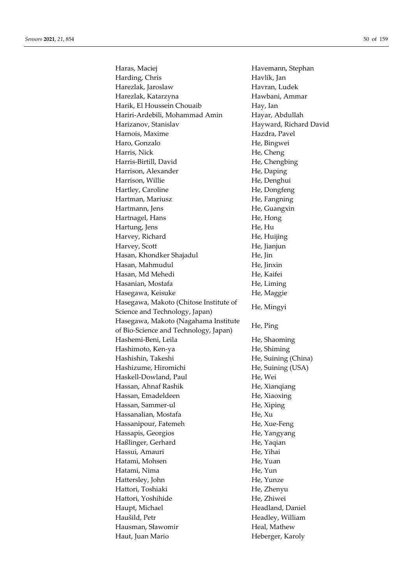Haras, Maciej **Havemann**, Stephan Harding, Chris Havlík, Jan Harezlak, Jaroslaw Havran, Ludek Harezlak, Katarzyna Hawbani, Ammar Harik, El Houssein Chouaib Hay, Ian Hariri-Ardebili, Mohammad Amin Hayar, Abdullah Harizanov, Stanislav Hayward, Richard David Harnois, Maxime Hazdra, Pavel Haro, Gonzalo He, Bingwei Harris, Nick He, Cheng Harris-Birtill, David He, Chengbing Harrison, Alexander He, Daping Harrison, Willie He, Denghui Hartley, Caroline He, Dongfeng Hartman, Mariusz **He**, Fangning Hartmann, Jens He, Guangxin Hartnagel, Hans He, Hong Hartung, Jens He, Hu Harvey, Richard He, Huijing Harvey, Scott He, Jianjun Hasan, Khondker Shajadul He, Jin Hasan, Mahmudul He, Jinxin Hasan, Md Mehedi He, Kaifei Hasanian, Mostafa He, Liming Hasegawa, Keisuke **He, Maggie** Hasegawa, Makoto (Chitose Institute of Science and Technology, Japan) He, Mingyi Hasegawa, Makoto (Nagahama Institute of Bio-Science and Technology, Japan) He, Ping Hashemi-Beni, Leila He, Shaoming Hashimoto, Ken-ya He, Shiming Hashishin, Takeshi He, Suining (China) Hashizume, Hiromichi He, Suining (USA) Haskell-Dowland, Paul He, Wei Hassan, Ahnaf Rashik He, Xianqiang Hassan, Emadeldeen He, Xiaoxing Hassan, Sammer-ul He, Xiping Hassanalian, Mostafa He, Xu Hassanipour, Fatemeh He, Xue-Feng Hassapis, Georgios **He**, Yangyang Haßlinger, Gerhard He, Yaqian Hassui, Amauri He, Yihai Hatami, Mohsen He, Yuan Hatami, Nima He, Yun Hattersley, John He, Yunze Hattori, Toshiaki He, Zhenyu Hattori, Yoshihide He, Zhiwei Haupt, Michael **Headland**, Daniel Haušild, Petr Headley, William Hausman, Sławomir **Heal, Mathew** Haut, Juan Mario **Heberger**, Karoly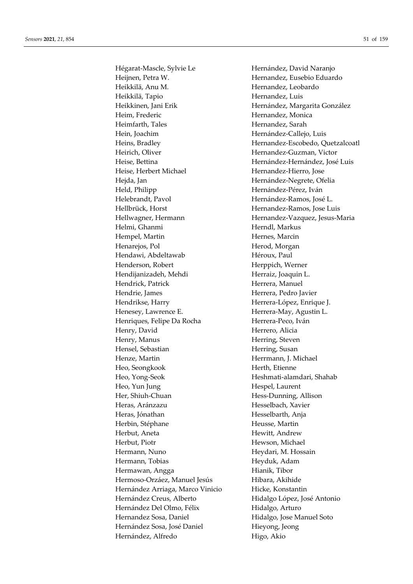Hégarat-Mascle, Sylvie Le Hernández, David Naranjo Heijnen, Petra W. **Hernandez**, Eusebio Eduardo Heikkilä, Anu M. Karl Hernandez, Leobardo Heikkilä, Tapio **Hernandez**, Luis Heim, Frederic Hernandez, Monica Heimfarth, Tales Hernandez, Sarah Hein, Joachim Hernández-Callejo, Luis Heirich, Oliver Hernandez-Guzman, Victor Heise, Herbert Michael Hernandez-Hierro, Jose Hejda, Jan Hernández-Negrete, Ofelia Held, Philipp Hernández-Pérez, Iván Helebrandt, Pavol Hernández-Ramos, José L. Hellbrück, Horst Hernandez-Ramos, Jose Luis Helmi, Ghanmi Herndl, Markus Hempel, Martin Hernes, Marcin Henarejos, Pol **Herod**, Morgan Hendawi, Abdeltawab Héroux, Paul Henderson, Robert Herppich, Werner Hendijanizadeh, Mehdi Herraiz, Joaquin L. Hendrick, Patrick Herrera, Manuel Hendrie, James Herrera, Pedro Javier Hendrikse, Harry Herrera-López, Enrique J. Henesey, Lawrence E. **Herrera-May, Agustin L.** Herrera-May, Agustin L. Henriques, Felipe Da Rocha Herrera-Peco, Iván Henry, David Herrero, Alicia Henry, Manus **Henry, Manus** Herring, Steven Hensel, Sebastian Herring, Susan Henze, Martin **Herrmann**, J. Michael Heo, Seongkook Herth, Etienne Heo, Yong-Seok Heshmati-alamdari, Shahab Heo, Yun Jung Hespel, Laurent Her, Shiuh-Chuan Hess-Dunning, Allison Heras, Aránzazu Hesselbach, Xavier Heras, Jónathan **Hesselbarth**, Anja Herbin, Stéphane Heusse, Martin Herbut, Aneta Hewitt, Andrew Herbut, Piotr Hewson, Michael Hermann, Nuno Heydari, M. Hossain Hermann, Tobias **Heyduk**, Adam Hermawan, Angga 

Hianik, Tibor Hermoso-Orzáez, Manuel Jesús Hibara, Akihide Hernández Arriaga, Marco Vinicio Hicke, Konstantin Hernández Creus, Alberto Hidalgo López, José Antonio Hernández Del Olmo, Félix Hidalgo, Arturo Hernandez Sosa, Daniel Hidalgo, Jose Manuel Soto Hernández Sosa, José Daniel **Hieyong**, Jeong Hernández, Alfredo Higo, Akio

Heikkinen, Jani Erik Hernández, Margarita González Heins, Bradley Hernandez-Escobedo, Quetzalcoatl Heise, Bettina Hernández-Hernández, José Luis Hellwagner, Hermann Hernandez-Vazquez, Jesus-Maria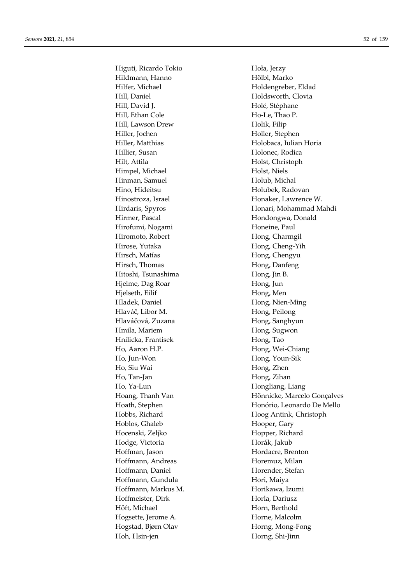Higuti, Ricardo Tokio **Hoła**, Jerzy Hildmann, Hanno Hölbl, Marko Hilfer, Michael **Holdengreber**, Eldad Hill, Daniel Holdsworth, Clovia Hill, David J. **Holé**, Stéphane Hill, Ethan Cole Ho-Le, Thao P. Hill, Lawson Drew Holik, Filip Hiller, Jochen Holler, Stephen Hiller, Matthias Holobaca, Iulian Horia Hillier, Susan Holonec, Rodica Hilt, Attila Holst, Christoph Himpel, Michael Holst, Niels Hinman, Samuel Holub, Michal Hino, Hideitsu **Holubek**, Radovan Hinostroza, Israel **Honaker**, Lawrence W. Hirmer, Pascal Hondongwa, Donald Hirofumi, Nogami Honeine, Paul Hiromoto, Robert Hong, Charmgil Hirose, Yutaka Hong, Cheng-Yih Hirsch, Matías **Hong, Chengyu** Hirsch, Thomas Hong, Danfeng Hitoshi, Tsunashima Hong, Jin B. Hjelme, Dag Roar Hong, Jun Hjelseth, Eilif Hong, Men Hladek, Daniel Hong, Nien-Ming Hlaváč, Libor M. Karl Hong, Peilong Hlaváčová, Zuzana **Hong**, Sanghyun Hmila, Mariem **Hong, Sugwon** Hnilicka, Frantisek Hong, Tao Ho, Aaron H.P. **Hong**, Wei-Chiang Ho, Jun-Won Hong, Youn-Sik Ho, Siu Wai **Hong**, Zhen Ho, Tan-Jan Hong, Zihan Ho, Ya-Lun Hongliang, Liang Hoblos, Ghaleb Hooper, Gary Hocenski, Zeljko Hopper, Richard Hodge, Victoria Horák, Jakub Hoffman, Jason Hordacre, Brenton Hoffmann, Andreas **Horemuz**, Milan Hoffmann, Daniel **Hoffmann**, Daniel **Horender**, Stefan Hoffmann, Gundula Hori, Maiya Hoffmann, Markus M. **Horikawa**, Izumi Hoffmeister, Dirk Horla, Dariusz Höft, Michael **Horn**, Berthold Hogsette, Jerome A. Horne, Malcolm Hogstad, Bjørn Olav Horng, Mong-Fong Hoh, Hsin-jen Horng, Shi-Jinn

Hirdaris, Spyros **Honari**, Mohammad Mahdi Hoang, Thanh Van Hönnicke, Marcelo Gonçalves Hoath, Stephen Honório, Leonardo De Mello Hobbs, Richard Hoog Antink, Christoph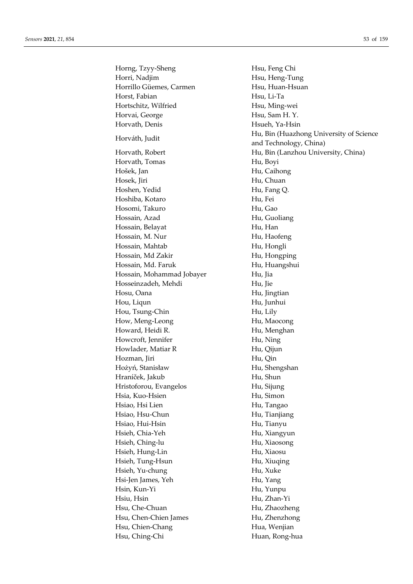Horng, Tzyy-Sheng Hsu, Feng Chi Horri, Nadjim **Horri, Nadjim** Hsu, Heng-Tung Horrillo Güemes, Carmen Hsu, Huan-Hsuan Horst, Fabian Hsu, Li-Ta Hortschitz, Wilfried Hsu, Ming-wei Horvai, George Hsu, Sam H. Y. Horvath, Denis Hsueh, Ya-Hsin Hu, Bin (Huazhong University of Science<br>
Hu, Bin (Huazhong University of Science and Technology, China) Horvath, Robert Hu, Bin (Lanzhou University, China) Horvath, Tomas Hu, Boyi Hošek, Jan Hu, Caihong Hosek, Jiri Hu, Chuan Hoshen, Yedid Hu, Fang Q. Hoshiba, Kotaro Hu, Fei Hosomi, Takuro **Hu**, Gao Hossain, Azad Hu, Guoliang Hossain, Belayat **Hu**, Han Hossain, M. Nur Hu, Haofeng Hossain, Mahtab Hu, Hongli Hossain, Md Zakir Hu, Hongping Hossain, Md. Faruk Hu, Huangshui Hossain, Mohammad Jobayer Hu, Jia Hosseinzadeh, Mehdi Hu, Jie Hosu, Oana **Hu**, Jingtian Hou, Liqun Hu, Junhui Hou, Tsung-Chin Hu, Lily How, Meng-Leong **Hu, Maocong** Howard, Heidi R. **Hu, Menghan** Howcroft, Jennifer Hu, Ning Howlader, Matiar R Hu, Qijun Hozman, Jiri Hu, Qin Hożyń, Stanisław Hu, Shengshan Hraníček, Jakub Hu, Shun Hristoforou, Evangelos Hu, Sijung Hsia, Kuo-Hsien Hu, Simon Hsiao, Hsi Lien **Hu, Tangao** Hsiao, Hsu-Chun Hu, Tianjiang Hsiao, Hui-Hsin Hu, Tianyu Hsieh, Chia-Yeh Hu, Xiangyun Hsieh, Ching-lu Hu, Xiaosong Hsieh, Hung-Lin Hu, Xiaosu Hsieh, Tung-Hsun Hu, Xiuqing Hsieh, Yu-chung Hu, Xuke Hsi-Jen James, Yeh Hu, Yang Hsin, Kun-Yi Hu, Yunpu Hsiu, Hsin Hu, Zhan-Yi Hsu, Che-Chuan Hu, Zhaozheng Hsu, Chen-Chien James Hu, Zhenzhong Hsu, Chien-Chang Hua, Wenjian Hsu, Ching-Chi Huan, Rong-hua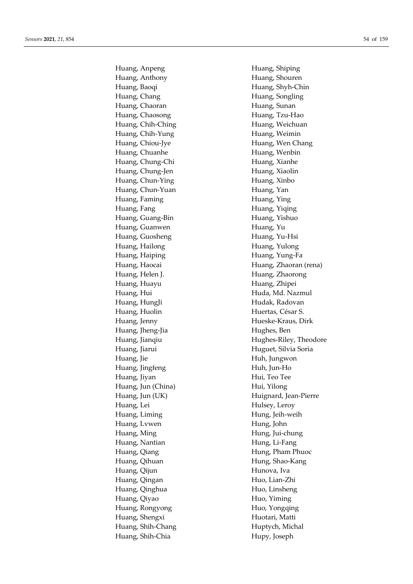Huang, Anpeng **Huang**, Shiping Huang, Anthony Huang, Shouren Huang, Baoqi **Huang**, Shyh-Chin Huang, Chang **Huang**, Songling Huang, Chaoran **Huang, Sunan** Huang, Chaosong Huang, Tzu-Hao Huang, Chih-Ching **Huang**, Weichuan Huang, Chih-Yung Huang, Weimin Huang, Chiou-Jye Huang, Wen Chang Huang, Chuanhe **Huang**, Wenbin Huang, Chung-Chi Huang, Xianhe Huang, Chung-Jen Huang, Xiaolin Huang, Chun-Ying Huang, Xinbo Huang, Chun-Yuan Huang, Yan Huang, Faming **Huang**, Ying Huang, Fang **Huang**, Yiqing Huang, Guang-Bin Huang, Yishuo Huang, Guanwen **Huang, Yu** Huang, Guosheng Huang, Yu-Hsi Huang, Hailong **Huang**, Yulong Huang, Haiping **Huang**, Yung-Fa Huang, Helen J. **Huang**, Zhaorong Huang, Huayu Huang, Zhipei Huang, Hui **Huda, Md. Nazmul** Huang, HungJi **Hudak, Radovan** Huang, Huolin Huertas, César S. Huang, Jenny Hueske-Kraus, Dirk Huang, Jheng-Jia Hughes, Ben Huang, Jiarui **Huguet**, Silvia Soria Huang, Jie **Huh, Jungwon** Huang, Jingfeng **Huh, Jun-Ho** Huang, Jiyan Hui, Teo Tee Huang, Jun (China) Hui, Yilong Huang, Lei Hulsey, Leroy Huang, Liming **Hung**, Jeih-weih Huang, Lywen Hung, John Huang, Ming Hung, Jui-chung Huang, Nantian **Hung**, Li-Fang Huang, Qiang Hung, Pham Phuoc Huang, Qihuan **Hung**, Shao-Kang Huang, Qijun Hunova, Iva Huang, Qingan Huo, Lian-Zhi Huang, Qinghua **Huo, Linsheng** Huang, Qiyao Huo, Yiming Huang, Rongyong Huo, Yongqing Huang, Shengxi Huotari, Matti Huang, Shih-Chang Huptych, Michal Huang, Shih-Chia Hupy, Joseph

Huang, Haocai **Huang, Zhaoran (rena)** Huang, Jianqiu **Hughes-Riley**, Theodore Huang, Jun (UK) Huignard, Jean-Pierre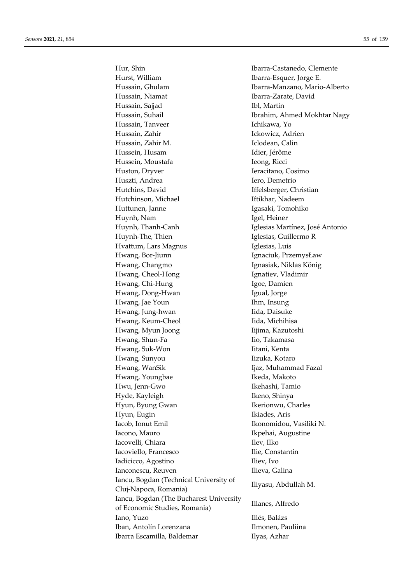Hurst, William Ibarra-Esquer, Jorge E. Hussain, Ghulam Ibarra-Manzano, Mario-Alberto Hussain, Niamat Ibarra-Zarate, David Hussain, Sajjad Ibl, Martin Hussain, Suhail **Ibrahim**, Ahmed Mokhtar Nagy Hussain, Tanveer **Ichikawa**, Yo Hussain, Zahir **Ickowicz**, Adrien Hussain, Zahir M. Iclodean, Calin Hussein, Husam Idier, Jérôme Hussein, Moustafa **Ieong**, Ricci Huston, Dryver Ieracitano, Cosimo Huszti, Andrea Iero, Demetrio Hutchins, David Iffelsberger, Christian Hutchinson, Michael **Iftikhar**, Nadeem Huttunen, Janne Igasaki, Tomohiko Huynh, Nam Igel, Heiner Huynh, Thanh-Canh Iglesias Martínez, José Antonio Huynh-The, Thien Iglesias, Guillermo R Hvattum, Lars Magnus **Iglesias**, Luis Hwang, Bor-Jiunn Ignaciuk, PrzemysŁaw Hwang, Changmo Ignasiak, Niklas König Hwang, Cheol-Hong Ignatiev, Vladimir Hwang, Chi-Hung Igoe, Damien Hwang, Dong-Hwan **Igual**, Jorge Hwang, Jae Youn Ihm, Insung Hwang, Jung-hwan **Iida**, Daisuke Hwang, Keum-Cheol Iida, Michihisa Hwang, Myun Joong Iijima, Kazutoshi Hwang, Shun-Fa Iio, Takamasa Hwang, Suk-Won Iitani, Kenta Hwang, Sunyou **Iizuka**, Kotaro Hwang, WanSik Ijaz, Muhammad Fazal Hwang, Youngbae Ikeda, Makoto Hwu, Jenn-Gwo Ikehashi, Tamio Hyde, Kayleigh Ikeno, Shinya Hyun, Byung Gwan Ikerionwu, Charles Hyun, Eugin **Ikiades**, Aris Iacob, Ionut Emil Ikonomidou, Vasiliki N. Iacono, Mauro **Ikpehai, Augustine** Iacovelli, Chiara Ilev, Ilko Iacoviello, Francesco Ilie, Constantin Iadicicco, Agostino Iliev, Ivo Ianconescu, Reuven Ilieva, Galina Iancu, Bogdan (Technical University of nanca, Bogdan (Technical Britishy of Iliyasu, Abdullah M.<br>Cluj-Napoca, Romania) Iancu, Bogdan (The Bucharest University nanca, *bogdan* (The bucharest Chrycrshy Illanes, Alfredo<br>of Economic Studies, Romania) Iano, Yuzo Illés, Balázs Iban, Antolín Lorenzana Ilmonen, Pauliina Ibarra Escamilla, Baldemar **Ilyas**, Azhar

Hur, Shin Ibarra-Castanedo, Clemente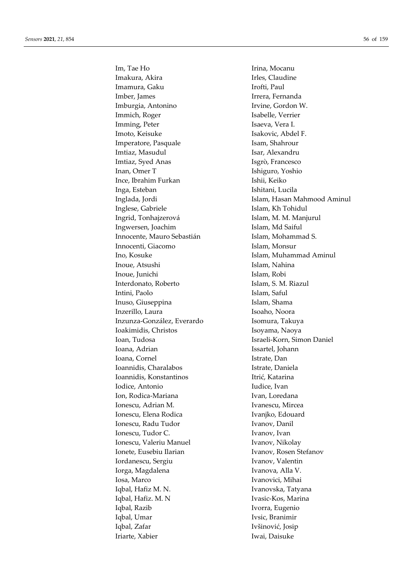Im, Tae Ho **II** Irina, Mocanu Imakura, Akira **Irles**, Claudine Imamura, Gaku **Irofti**, Paul Imber, James **Irrera**, Fernanda Imburgia, Antonino Irvine, Gordon W. Immich, Roger Isabelle, Verrier Imming, Peter Isaeva, Vera I. Imoto, Keisuke Isakovic, Abdel F. Imperatore, Pasquale Isam, Shahrour Imtiaz, Masudul **Isar, Alexandru** Imtiaz, Syed Anas Isgrò, Francesco Inan, Omer T **Ishiguro**, Yoshio Ince, Ibrahim Furkan Ishii, Keiko Inga, Esteban **Ishitani**, Lucila Inglese, Gabriele Islam, Kh Tohidul Ingrid, Tonhajzerová Islam, M. M. Manjurul Ingwersen, Joachim Islam, Md Saiful Innocente, Mauro Sebastián Islam, Mohammad S. Innocenti, Giacomo Islam, Monsur Ino, Kosuke Islam, Muhammad Aminul Inoue, Atsushi Islam, Nahina Inoue, Junichi Islam, Robi Interdonato, Roberto Islam, S. M. Riazul Intini, Paolo **Islam, Saful** Inuso, Giuseppina Islam, Shama Inzerillo, Laura **Isoaho, Noora** Inzunza-González, Everardo Isomura, Takuya Ioakimidis, Christos Isoyama, Naoya Ioan, Tudosa Israeli-Korn, Simon Daniel Ioana, Adrian Issartel, Johann Ioana, Cornel **Istrate**, Dan Ioannidis, Charalabos Istrate, Daniela Ioannidis, Konstantinos Itrić, Katarina Iodice, Antonio **Iudice**, Ivan Ion, Rodica-Mariana **Ivan, Loredana** Ionescu, Adrian M. Ivanescu, Mircea Ionescu, Elena Rodica Ivanjko, Edouard Ionescu, Radu Tudor Ivanov, Danil Ionescu, Tudor C. Ivanov, Ivan Ionescu, Valeriu Manuel Ivanov, Nikolay Ionete, Eusebiu Ilarian Ivanov, Rosen Stefanov Iordanescu, Sergiu Ivanov, Valentin Iorga, Magdalena **Ivanova**, Alla V. Iosa, Marco **Ivanovici**, Mihai Iqbal, Hafiz M. N. Ivanovska, Tatyana Iqbal, Hafiz. M. N Ivasic-Kos, Marina Iqbal, Razib Ivorra, Eugenio Iqbal, Umar Ivsic, Branimir Iqbal, Zafar Ivšinović, Josip Iriarte, Xabier **Iwai, Daisuke** 

Inglada, Jordi **Islam, Hasan Mahmood Aminul**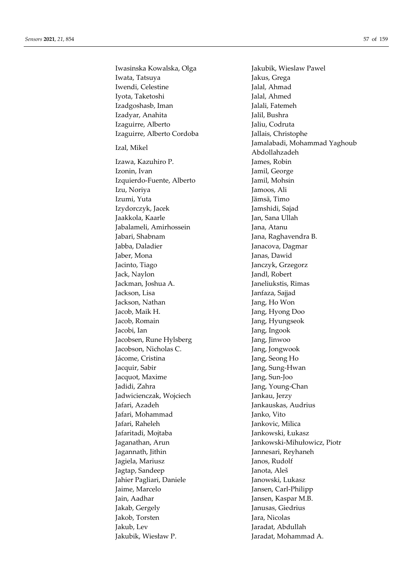Iwasinska Kowalska, Olga Jakubik, Wieslaw Pawel Iwata, Tatsuya **Imperient State State Services** Jakus, Grega Iwendi, Celestine **Jalal, Ahmad** Iyota, Taketoshi **Jalal, Ahmed** Izadgoshasb, Iman Jalali, Fatemeh Izadyar, Anahita Jalil, Bushra Izaguirre, Alberto Jaliu, Codruta Izaguirre, Alberto Cordoba Jallais, Christophe Izal, Mikel Jamalabadi, Mohammad Yaghoub Abdollahzadeh Izawa, Kazuhiro P. James, Robin Izonin, Ivan Jamil, George Izquierdo-Fuente, Alberto Jamil, Mohsin Izu, Noriya Jamoos, Ali Izumi, Yuta Jämsä, Timo Izydorczyk, Jacek Jamshidi, Sajad Jaakkola, Kaarle Jan, Sana Ullah Jabalameli, Amirhossein Jana, Atanu Jabari, Shabnam Jana, Raghavendra B. Jabba, Daladier **Janacova**, Dagmar Jaber, Mona Janas, Dawid Jacinto, Tiago Janczyk, Grzegorz Jack, Naylon Jandl, Robert Jackman, Joshua A. Janeliukstis, Rimas Jackson, Lisa Janfaza, Sajjad Jackson, Nathan Jang, Ho Won Jacob, Maik H. Jang, Hyong Doo Jacob, Romain **Jang**, Hyungseok Jacobi, Ian Jang, Ingook Jacobsen, Rune Hylsberg Jang, Jinwoo Jacobson, Nicholas C. Jang, Jongwook Jácome, Cristina **Jang**, Seong Ho Jacquir, Sabir Jang, Sung-Hwan Jacquot, Maxime Jang, Sun-Joo Jadidi, Zahra  $\qquad \qquad$  Jang, Young-Chan Jadwicienczak, Wojciech Jankau, Jerzy Jafari, Azadeh Jankauskas, Audrius Jafari, Mohammad Janko, Vito Jafari, Raheleh Jankovic, Milica Jafaritadi, Mojtaba Jankowski, Łukasz Jaganathan, Arun Jankowski-Mihułowicz, Piotr Jagannath, Jithin Jannesari, Reyhaneh Jagiela, Mariusz **Janos**, Rudolf Jagtap, Sandeep Janota, Aleš Jahier Pagliari, Daniele Janowski, Lukasz Jaime, Marcelo Jansen, Carl-Philipp Jain, Aadhar Jansen, Kaspar M.B. Jakab, Gergely Janusas, Giedrius Jakob, Torsten Jara, Nicolas Jakub, Lev Jaradat, Abdullah Jakubik, Wiesław P. Jaradat, Mohammad A.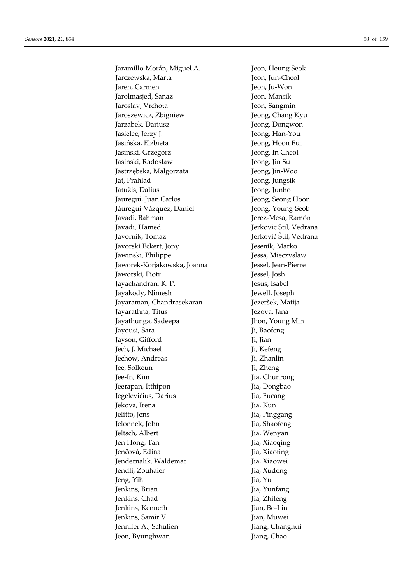2.1.154<br>
Matamillo-Moreins Magnet A.<br>
Jacon Hennig, Seck Brown, Hennig, Seck Brown, Hennig, Seck<br>
Jacon Linder, Verhand Matamillon, Verhand Matamillon, Verhand Matamillon, Verhand Matamillon, Verhand Matamillon, Verhand M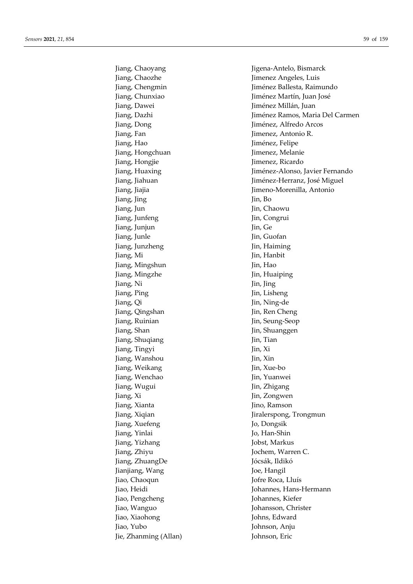51,854<br>
39 of 159<br>
Jiang, Chaoyang<br>
Jiang, Chaoyang<br>
Jiang, Chaoxhe<br>
Jiang, Chaoxhe<br>
Jiang, Chaoxhe<br>
Jiang, Chaoxhe<br>
Jiang, Dawei<br>
Jiang, Dawei<br>
Jiang, Dawei<br>
Jiang, Dawei<br>
Jiang, Dawei<br>
Jiang, Dawei<br>
Jiang, Dawei<br>
Jiang, Jiang Mingshun<br>
Jiang Mingshun<br>
Jiang Ning<br>
Jiang Ning<br>
Jiang Ci<br>
Jiang Ci<br>
Jiang Ci<br>
Jiang Ci<br>
Jiang Ci<br>
Jiang Ci<br>
Jiang Ci<br>
Jiang Ci<br>
Jiang Ci<br>
Jiang Ci<br>
Jiang Ci<br>
Jiang Shan<br>
Jin, Sumangen<br>
Jin, Sumangen<br>
Jin, Sumangen<br>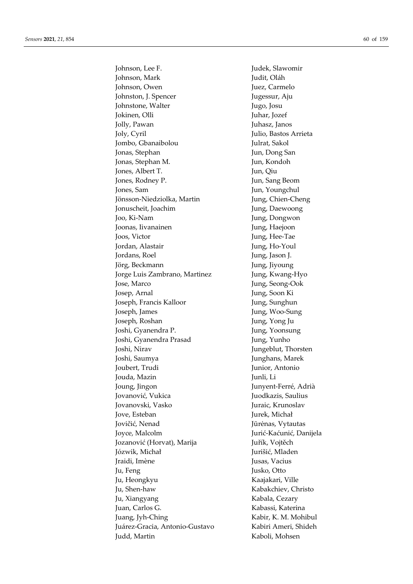Johnson, Lee F. Judek, Slawomir Johnson, Mark Judit, Oláh Johnson, Owen Juez, Carmelo Johnston, J. Spencer Jugessur, Aju Johnstone, Walter Jugo, Josu Jokinen, Olli Juhar, Jozef Jolly, Pawan Juhasz, Janos Joly, Cyril Julio, Bastos Arrieta Jombo, Gbanaibolou Julrat, Sakol Jonas, Stephan Jun, Dong San Jonas, Stephan M. Jun, Kondoh Jones, Albert T. Jun, Qiu Jones, Rodney P. Jun, Sang Beom Jones, Sam Jun, Youngchul Jönsson-Niedziolka, Martin Jung, Chien-Cheng Jonuscheit, Joachim Jung, Daewoong Joo, Ki-Nam Jung, Dongwon Joonas, Iivanainen Jung, Haejoon Joos, Victor Jung, Hee-Tae Jordan, Alastair Jung, Ho-Youl Jordans, Roel Jung, Jason J. Jörg, Beckmann Jung, Jiyoung Jorge Luis Zambrano, Martinez Jung, Kwang-Hyo Jose, Marco Jung, Seong-Ook Josep, Arnal Jung, Soon Ki Joseph, Francis Kalloor Jung, Sunghun Joseph, James Jung, Woo-Sung Joseph, Roshan Jung, Yong Ju Joshi, Gyanendra P. Jung, Yoonsung Joshi, Gyanendra Prasad Jung, Yunho Joshi, Nirav Jungeblut, Thorsten Joshi, Saumya Junghans, Marek Joubert, Trudi Junior, Antonio Jouda, Mazin Junli, Li Joung, Jingon Junyent-Ferré, Adrià Jovanović, Vukica Juodkazis, Saulius Jovanovski, Vasko Juraic, Krunoslav Jove, Esteban Jurek, Michał Jovičić, Nenad Jūrėnas, Vytautas Joyce, Malcolm Jurić-Kaćunić, Danijela Jozanović (Horvat), Marija Juřík, Vojtěch Józwik, Michał **Jurišić**, Mladen Iraidi, Imène  $\qquad \qquad$  Jusas, Vacius Ju, Feng Jusko, Otto Ju, Heongkyu Kaajakari, Ville Ju, Shen-haw Kabakchiev, Christo Ju, Xiangyang Kabala, Cezary Juan, Carlos G. Kabassi, Katerina Juang, Jyh-Ching Kabir, K. M. Mohibul Juárez-Gracia, Antonio-Gustavo Kabiri Ameri, Shideh Judd, Martin Kaboli, Mohsen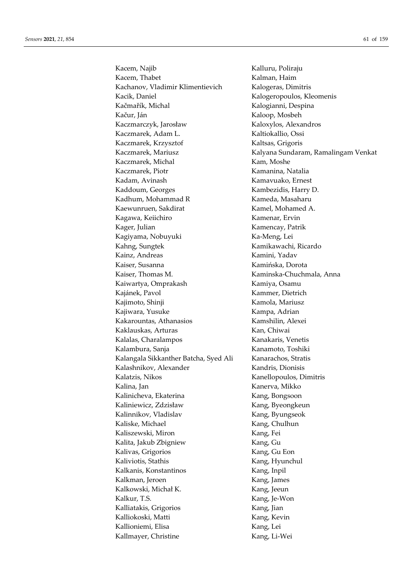Kacem, Najib Kalluru, Poliraju Kacem, Thabet Kalman, Haim Kachanov, Vladimir Klimentievich Kalogeras, Dimitris Kacik, Daniel Kalogeropoulos, Kleomenis Kačmařík, Michal Kalogianni, Despina Kačur, Ján Kaloop, Mosbeh Kaczmarczyk, Jarosław Kaloxylos, Alexandros Kaczmarek, Adam L. Kaltiokallio, Ossi Kaczmarek, Krzysztof Kaltsas, Grigoris Kaczmarek, Mariusz **Kalyana Sundaram, Ramalingam Venkat** Kaczmarek, Michal Kam, Moshe Kaczmarek, Piotr **Kamanina**, Natalia Kadam, Avinash Kamavuako, Ernest Kaddoum, Georges Kambezidis, Harry D. Kadhum, Mohammad R Kameda, Masaharu Kaewunruen, Sakdirat Kamel, Mohamed A. Kagawa, Keiichiro Kamenar, Ervin Kager, Julian Kamencay, Patrik Kagiyama, Nobuyuki Ka-Meng, Lei Kahng, Sungtek Kamikawachi, Ricardo Kainz, Andreas Kamini, Yadav Kaiser, Susanna Kamińska, Dorota Kaiser, Thomas M. Kaminska-Chuchmala, Anna Kaiwartya, Omprakash Kamiya, Osamu Kajánek, Pavol Kammer, Dietrich Kajimoto, Shinji Kamola, Mariusz Kajiwara, Yusuke Kampa, Adrian Kakarountas, Athanasios Kamshilin, Alexei Kaklauskas, Arturas Kan, Chiwai Kalalas, Charalampos Kanakaris, Venetis Kalambura, Sanja Kanamoto, Toshiki Kalangala Sikkanther Batcha, Syed Ali Kanarachos, Stratis Kalashnikov, Alexander Kandris, Dionisis Kalatzis, Nikos Kanellopoulos, Dimitris Kalina, Jan Kanerva, Mikko Kalinicheva, Ekaterina Kang, Bongsoon Kaliniewicz, Zdzisław Kang, Byeongkeun Kalinnikov, Vladislav Kang, Byungseok Kaliske, Michael Kang, Chulhun Kaliszewski, Miron Kang, Fei Kalita, Jakub Zbigniew Kang, Gu Kalivas, Grigorios Kang, Gu Eon Kaliviotis, Stathis Kang, Hyunchul Kalkanis, Konstantinos Kang, Inpil Kalkman, Jeroen Kang, James Kalkowski, Michał K. Kang, Jeeun Kalkur, T.S. Kang, Je-Won Kalliatakis, Grigorios Kang, Jian Kalliokoski, Matti Kang, Kevin Kallioniemi, Elisa Kang, Lei Kallmayer, Christine Kang, Li-Wei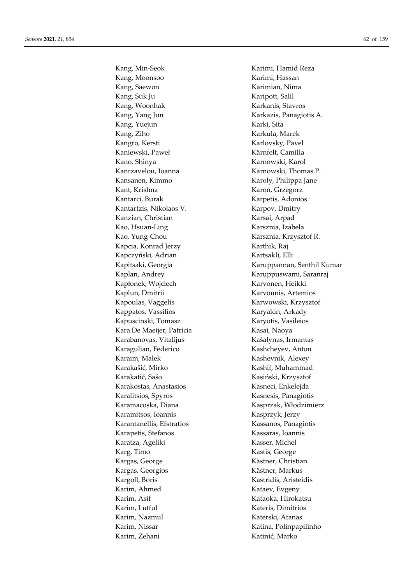Kang, Min-Seok Karimi, Hamid Reza Kang, Moonsoo Karimi, Hassan Kang, Saewon **Karimian**, Nima Kang, Suk Ju Karipott, Salil Kang, Woonhak Karkanis, Stavros Kang, Yang Jun Karkazis, Panagiotis A. Kang, Yuejun Karki, Sita Kang, Ziho Karkula, Marek Kangro, Kersti Karlovsky, Pavel Kaniewski, Paweł Kärnfelt, Camilla Kano, Shinya Karnowski, Karol Kanrzavelou, Ioanna Karnowski, Thomas P. Kansanen, Kimmo Karoly, Philippa Jane Kant, Krishna Karoń, Grzegorz Kantarci, Burak Karpetis, Adonios Kantartzis, Nikolaos V. Karpov, Dmitry Kanzian, Christian Karsai, Arpad Kao, Hsuan-Ling Karsznia, Izabela Kao, Yung-Chou Karsznia, Krzysztof R. Kapcia, Konrad Jerzy Karthik, Raj Kapczyński, Adrian Kartsakli, Elli Kaplan, Andrey **Karuppuswami, Saranraj** Kapłonek, Wojciech Karvonen, Heikki Kaplun, Dmitrii Karvounis, Artemios Kapoulas, Vaggelis Karwowski, Krzysztof Kappatos, Vassilios **Karyakin**, Arkady Kapuscinski, Tomasz Karyotis, Vasileios Kara De Maeijer, Patricia Kasai, Naoya Karabanovas, Vitalijus Kašalynas, Irmantas Karagulian, Federico Kashcheyev, Anton Karaim, Malek Kashevnik, Alexey Karakašić, Mirko Kashif, Muhammad Karakatič, Sašo Kasiński, Krzysztof Karakostas, Anastasios Kasneci, Enkelejda Karalitsios, Spyros Kasnesis, Panagiotis Karamacoska, Diana Kasprzak, Włodzimierz Karamitsos, Ioannis Kasprzyk, Jerzy Karantanellis, Efstratios Kassanos, Panagiotis Karapetis, Stefanos Kassaras, Ioannis Karatza, Ageliki Kasser, Michel Karg, Timo Kastis, George Kargas, George Kästner, Christian Kargas, Georgios Kästner, Markus Kargoll, Boris Kastridis, Aristeidis Karim, Ahmed Kataev, Evgeny Karim, Asif Kataoka, Hirokatsu Karim, Lutful Kateris, Dimitrios Karim, Nazmul Katerski, Atanas Karim, Nissar Katina, Polinpapilinho Karim, Zehani **Katinić**, Marko

Kapitsaki, Georgia Karuppannan, Senthil Kumar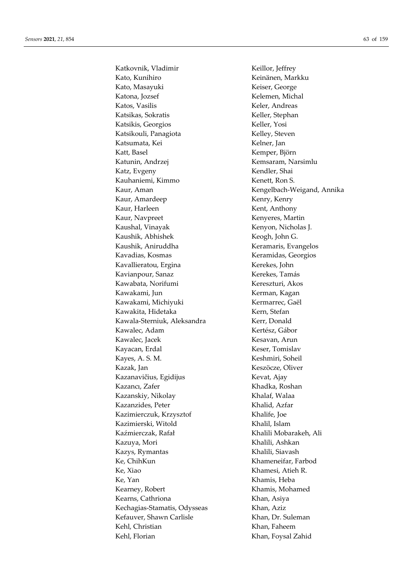Katkovnik, Vladimir Keillor, Jeffrey Kato, Kunihiro Keinänen, Markku Kato, Masayuki Keiser, George Katona, Jozsef Kelemen, Michal Katos, Vasilis Keler, Andreas Katsikas, Sokratis Keller, Stephan Katsikis, Georgios Keller, Yosi Katsikouli, Panagiota Kelley, Steven Katsumata, Kei Kelner, Jan Katt, Basel Kemper, Björn Katunin, Andrzej Kemsaram, Narsimlu Katz, Evgeny Kendler, Shai Kauhaniemi, Kimmo Kenett, Ron S. Kaur, Aman Kengelbach-Weigand, Annika Kaur, Amardeep Kenry, Kenry Kaur, Harleen Kent, Anthony Kaur, Navpreet Kenyeres, Martin Kaushal, Vinayak **Kenyon**, Nicholas J. Kaushik, Abhishek Keogh, John G. Kaushik, Aniruddha Keramaris, Evangelos Kavadias, Kosmas Keramidas, Georgios Kavallieratou, Ergina Kerekes, John Kavianpour, Sanaz Kerekes, Tamás Kawabata, Norifumi Kereszturi, Akos Kawakami, Jun Kerman, Kagan Kawakami, Michiyuki Kermarrec, Gaël Kawakita, Hidetaka Kern, Stefan Kawala-Sterniuk, Aleksandra Kerr, Donald Kawalec, Adam Kertész, Gábor Kawalec, Jacek Kesavan, Arun Kayacan, Erdal Keser, Tomislav Kayes, A. S. M. Keshmiri, Soheil Kazak, Jan Keszöcze, Oliver Kazanavičius, Egidijus Kevat, Ajay Kazancı, Zafer Khadka, Roshan Kazanskiy, Nikolay Khalaf, Walaa Kazanzides, Peter Khalid, Azfar Kazimierczuk, Krzysztof Khalife, Joe Kazimierski, Witold Khalil, Islam Kaźmierczak, Rafał Khalili Mobarakeh, Ali Kazuya, Mori **Khalili**, Ashkan Kazys, Rymantas Khalili, Siavash Ke, ChihKun Khameneifar, Farbod Ke, Xiao Khamesi, Atieh R. Ke, Yan Khamis, Heba Kearney, Robert Khamis, Mohamed Kearns, Cathriona **Khan, Khan, Asiya** Kechagias-Stamatis, Odysseas Khan, Aziz Kefauver, Shawn Carlisle Khan, Dr. Suleman Kehl, Christian Khan, Faheem Kehl, Florian Khan, Foysal Zahid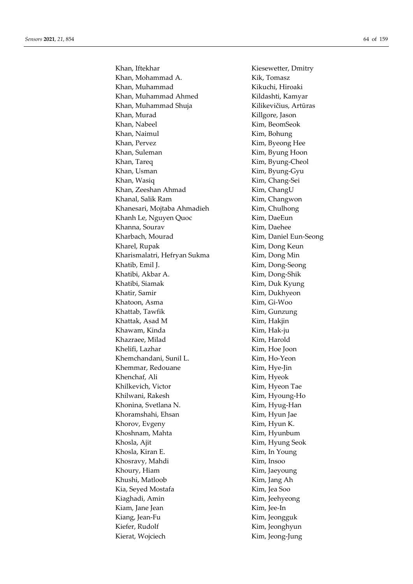Khan, Iftekhar Kiesewetter, Dmitry Khan, Mohammad A. Kik, Tomasz Khan, Muhammad Kikuchi, Hiroaki Khan, Muhammad Ahmed Kildashti, Kamyar Khan, Muhammad Shuja Kilikevičius, Artūras Khan, Murad Killgore, Jason Khan, Nabeel Kim, BeomSeok Khan, Naimul Kim, Bohung Khan, Pervez Kim, Byeong Hee Khan, Suleman Kim, Byung Hoon Khan, Tareq Kim, Byung-Cheol Khan, Usman Kim, Byung-Gyu Khan, Wasiq **Kim**, Chang-Sei Khan, Zeeshan Ahmad Kim, ChangU Khanal, Salik Ram Kim, Changwon Khanesari, Mojtaba Ahmadieh Kim, Chulhong Khanh Le, Nguyen Quoc Kim, DaeEun Khanna, Sourav Kim, Daehee Kharbach, Mourad Kim, Daniel Eun-Seong Kharel, Rupak Kim, Dong Keun Kharismalatri, Hefryan Sukma Kim, Dong Min Khatib, Emil J. Kim, Dong-Seong Khatibi, Akbar A. Kim, Dong-Shik Khatibi, Siamak Kim, Duk Kyung Khatir, Samir Kim, Dukhyeon Khatoon, Asma Kim, Gi-Woo Khattab, Tawfik Kim, Gunzung Khattak, Asad M Kim, Hakjin Khawam, Kinda Kim, Hak-ju Khazraee, Milad Kim, Harold Khelifi, Lazhar Kim, Hoe Joon Khemchandani, Sunil L. Kim, Ho-Yeon Khemmar, Redouane Kim, Hye-Jin Khenchaf, Ali Kim, Hyeok Khilkevich, Victor Kim, Hyeon Tae Khilwani, Rakesh Kim, Hyoung-Ho Khonina, Svetlana N. Kim, Hyug-Han Khoramshahi, Ehsan Kim, Hyun Jae Khorov, Evgeny Kim, Hyun K. Khoshnam, Mahta Kim, Hyunbum Khosla, Ajit Kim, Hyung Seok Khosla, Kiran E. Kim, In Young Khosravy, Mahdi Kim, Insoo Khoury, Hiam Kim, Jaeyoung Khushi, Matloob Kim, Jang Ah Kia, Seyed Mostafa Kim, Jea Soo Kiaghadi, Amin Kim, Jeehyeong Kiam, Jane Jean Kim, Jee-In Kiang, Jean-Fu **Kim, Kim, Jeongguk** Kiefer, Rudolf Kim, Jeonghyun Kierat, Wojciech Kim, Jeong-Jung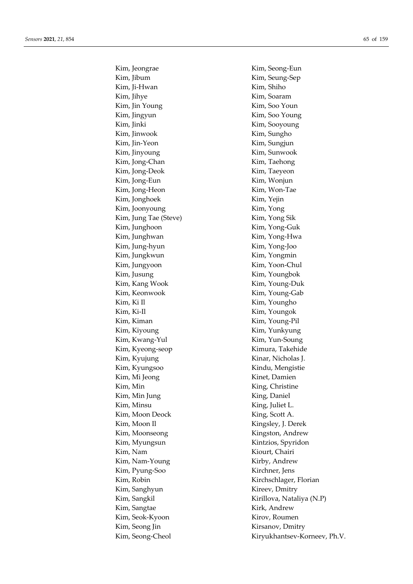Kim, Jeongrae Kim, Seong-Eun Kim, Jibum Kim, Seung-Sep Kim, Ji-Hwan Kim, Shiho Kim, Jihye Kim, Soaram Kim, Jin Young Kim, Soo Youn Kim, Jingyun Kim, Soo Young Kim, Jinki Kim, Sooyoung Kim, Jinwook Kim, Sungho Kim, Jin-Yeon Kim, Sungjun Kim, Jinyoung Kim, Sunwook Kim, Jong-Chan Kim, Taehong Kim, Jong-Deok Kim, Taeyeon Kim, Jong-Eun Kim, Wonjun Kim, Jong-Heon Kim, Won-Tae Kim, Jonghoek Kim, Yejin Kim, Joonyoung Kim, Yong Kim, Jung Tae (Steve) Kim, Yong Sik Kim, Junghoon Kim, Yong-Guk Kim, Junghwan Kim, Yong-Hwa Kim, Jung-hyun Kim, Yong-Joo Kim, Jungkwun Kim, Yongmin Kim, Jungyoon Kim, Yoon-Chul Kim, Jusung Kim, Youngbok Kim, Kang Wook Kim, Young-Duk Kim, Keonwook Kim, Young-Gab Kim, Ki Il Kim, Youngho Kim, Ki-Il Kim, Youngok Kim, Kiman Kim, Young-Pil Kim, Kiyoung Kim, Yunkyung Kim, Kwang-Yul Kim, Yun-Soung Kim, Kyeong-seop Kimura, Takehide Kim, Kyujung **Kinar**, Nicholas J. Kim, Kyungsoo Kindu, Mengistie Kim, Mi Jeong Kinet, Damien Kim, Min King, Christine Kim, Min Jung King, Daniel Kim, Minsu King, Juliet L. Kim, Moon Deock King, Scott A. Kim, Moon Il Kingsley, J. Derek Kim, Moonseong **Kingston**, Andrew Kim, Myungsun Kintzios, Spyridon Kim, Nam Kiourt, Chairi Kim, Nam-Young Kirby, Andrew Kim, Pyung-Soo Kirchner, Jens Kim, Robin Kirchschlager, Florian Kim, Sanghyun Kireev, Dmitry Kim, Sangtae Kirk, Andrew Kim, Seok-Kyoon Kirov, Roumen Kim, Seong Jin Kirsanov, Dmitry

Kim, Sangkil Kirillova, Nataliya (N.P) Kim, Seong-Cheol Kiryukhantsev-Korneev, Ph.V.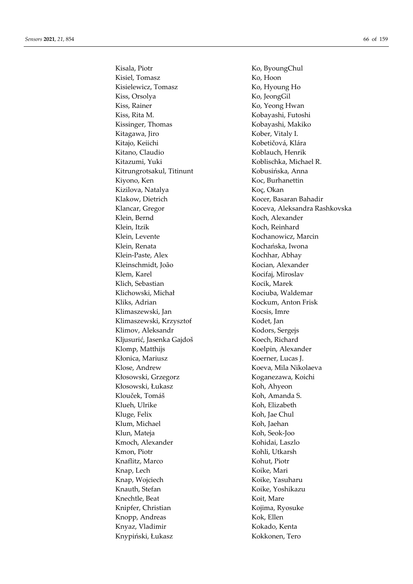Kisala, Piotr Ko, ByoungChul Kisiel, Tomasz Ko, Hoon Kisielewicz, Tomasz Ko, Hyoung Ho Kiss, Orsolya Ko, JeongGil Kiss, Rainer Ko, Yeong Hwan Kiss, Rita M. Kobayashi, Futoshi Kissinger, Thomas Kobayashi, Makiko Kitagawa, Jiro Kober, Vitaly I. Kitajo, Keiichi Kobetičová, Klára Kitano, Claudio Koblauch, Henrik Kitazumi, Yuki Koblischka, Michael R. Kitrungrotsakul, Titinunt Kobusińska, Anna Kiyono, Ken Koc, Burhanettin Kizilova, Natalya **Koç**, Okan Klakow, Dietrich Kocer, Basaran Bahadir Klein, Bernd Koch, Alexander Klein, Itzik Koch, Reinhard Klein, Levente Kochanowicz, Marcin Klein, Renata Kochańska, Iwona Klein-Paste, Alex Kochhar, Abhay Kleinschmidt, João Kocian, Alexander Klem, Karel Kocifaj, Miroslav Klich, Sebastian Kocik, Marek Klichowski, Michał Kociuba, Waldemar Kliks, Adrian Kockum, Anton Frisk Klimaszewski, Jan Kocsis, Imre Klimaszewski, Krzysztof Kodet, Jan Klimov, Aleksandr Kodors, Sergejs Kljusurić, Jasenka Gajdoš Koech, Richard Klomp, Matthijs Koelpin, Alexander Kłonica, Mariusz Koerner, Lucas J. Klose, Andrew Koeva, Mila Nikolaeva Kłosowski, Grzegorz Koganezawa, Koichi Kłosowski, Łukasz Koh, Ahyeon Klouček, Tomáš Koh, Amanda S. Klueh, Ulrike Koh, Elizabeth Kluge, Felix Koh, Jae Chul Klum, Michael Koh, Jaehan Klun, Mateja Koh, Seok-Joo Kmoch, Alexander Kohidai, Laszlo Kmon, Piotr Kohli, Utkarsh Knaflitz, Marco Kohut, Piotr Knap, Lech Koike, Mari Knap, Wojciech Koike, Yasuharu Knauth, Stefan Koike, Yoshikazu Knechtle, Beat Koit, Mare Knipfer, Christian Kojima, Ryosuke Knopp, Andreas Kok, Ellen Knyaz, Vladimir Kokado, Kenta Knypiński, Łukasz Kokkonen, Tero

Klancar, Gregor Koceva, Aleksandra Rashkovska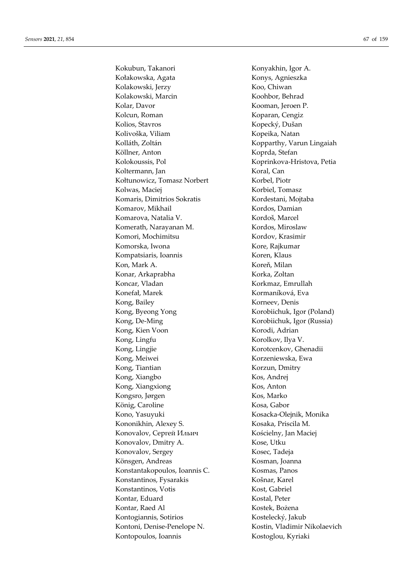Kokubun, Takanori Konyakhin, Igor A. Kołakowska, Agata Konys, Agnieszka Kolakowski, Jerzy Koo, Chiwan Kolakowski, Marcin Koohbor, Behrad Kolar, Davor Kooman, Jeroen P. Kolcun, Roman Koparan, Cengiz Kolios, Stavros Kopecký, Dušan Kolivoška, Viliam Kopeika, Natan Kolláth, Zoltán Kopparthy, Varun Lingaiah Köllner, Anton Koprda, Stefan Kolokoussis, Pol Koprinkova-Hristova, Petia Koltermann, Jan Koral, Can Kołtunowicz, Tomasz Norbert Korbel, Piotr Kolwas, Maciej Korbiel, Tomasz Komaris, Dimitrios Sokratis Kordestani, Mojtaba Komarov, Mikhail Kordos, Damian Komarova, Natalia V. Kordoš, Marcel Komerath, Narayanan M. Kordos, Miroslaw Komori, Mochimitsu Kordov, Krasimir Komorska, Iwona Kore, Rajkumar Kompatsiaris, Ioannis Koren, Klaus Kon, Mark A. Koreň, Milan Konar, Arkaprabha Korka, Zoltan Koncar, Vladan Korkmaz, Emrullah Konefał, Marek Kormaníková, Eva Kong, Bailey **Korneev**, Denis Kong, Byeong Yong Korobiichuk, Igor (Poland) Kong, De-Ming Korobiichuk, Igor (Russia) Kong, Kien Voon Korodi, Adrian Kong, Lingfu Korolkov, Ilya V. Kong, Lingjie Korotcenkov, Ghenadii Kong, Meiwei Korzeniewska, Ewa Kong, Tiantian Korzun, Dmitry Kong, Xiangbo Kos, Andrej Kong, Xiangxiong Kos, Anton Kongsro, Jørgen Kos, Marko König, Caroline Kosa, Gabor Kono, Yasuyuki Kosacka-Olejnik, Monika Kononikhin, Alexey S. Kosaka, Priscila M. Konovalov, Сергей Ильич Kościelny, Jan Maciej Konovalov, Dmitry A. Kose, Utku Konovalov, Sergey Kosec, Tadeja Könsgen, Andreas Kosman, Joanna Konstantakopoulos, Ioannis C. Kosmas, Panos Konstantinos, Fysarakis Košnar, Karel Konstantinos, Votis Kost, Gabriel Kontar, Eduard Kostal, Peter Kontar, Raed Al Kostek, Bożena Kontogiannis, Sotirios Kostelecký, Jakub Kontoni, Denise-Penelope N. Kostin, Vladimir Nikolaevich Kontopoulos, Ioannis Kostoglou, Kyriaki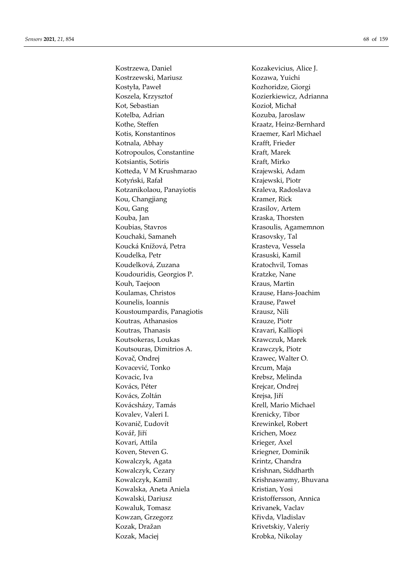Kostrzewa, Daniel Kozakevicius, Alice J. Kostrzewski, Mariusz Kozawa, Yuichi Kostyła, Paweł **Kozhoridze**, Giorgi Koszela, Krzysztof Kozierkiewicz, Adrianna Kot, Sebastian Kozioł, Michał Kotelba, Adrian Kozuba, Jaroslaw Kothe, Steffen Kraatz, Heinz-Bernhard Kotis, Konstantinos Kraemer, Karl Michael Kotnala, Abhay Krafft, Frieder Kotropoulos, Constantine Kraft, Marek Kotsiantis, Sotiris Kraft, Mirko Kotteda, V M Krushmarao Krajewski, Adam Kotyński, Rafał Krajewski, Piotr Kotzanikolaou, Panayiotis Kraleva, Radoslava Kou, Changjiang **Kramer**, Rick Kou, Gang Krasilov, Artem Kouba, Jan Kraska, Thorsten Koubias, Stavros **Krasoulis**, Agamemnon Kouchaki, Samaneh Krasovsky, Tal Koucká Knížová, Petra Krasteva, Vessela Koudelka, Petr Krasuski, Kamil Koudelková, Zuzana kontra Kratochvil, Tomas Koudouridis, Georgios P. Kratzke, Nane Kouh, Taejoon Kraus, Martin Koulamas, Christos Krause, Hans-Joachim Kounelis, Ioannis Krause, Paweł Koustoumpardis, Panagiotis Krausz, Nili Koutras, Athanasios Krauze, Piotr Koutras, Thanasis Kravari, Kalliopi Koutsokeras, Loukas Krawczuk, Marek Koutsouras, Dimitrios A. Krawczyk, Piotr Kovač, Ondrej Krawec, Walter O. Kovacević, Tonko Krcum, Maja Kovacic, Iva Krebsz, Melinda Kovács, Péter Krejcar, Ondrej Kovács, Zoltán Krejsa, Jiří Kovácsházy, Tamás Krell, Mario Michael Kovalev, Valeri I. Krenicky, Tibor Kovanič, Ľudovít Krewinkel, Robert Kovář, Jiří Krichen, Moez Kovari, Attila Krieger, Axel Koven, Steven G. Kriegner, Dominik Kowalczyk, Agata Krintz, Chandra Kowalczyk, Cezary Krishnan, Siddharth Kowalczyk, Kamil Krishnaswamy, Bhuvana Kowalska, Aneta Aniela Kristian, Yosi Kowalski, Dariusz **Kristoffersson, Annica** Kowaluk, Tomasz **Krivanek, Vaclav** Kowzan, Grzegorz **Křivda, Vladislav** Kozak, Dražan Krivetskiy, Valeriy Kozak, Maciej Krobka, Nikolay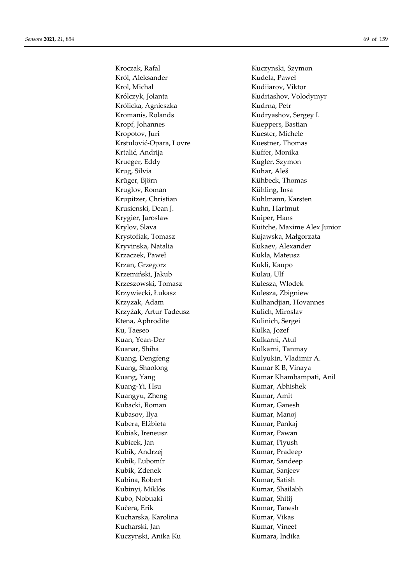Kroczak, Rafal Kuczynski, Szymon Król, Aleksander **Kudela, Paweł** Krol, Michał Kudiiarov, Viktor Królczyk, Jolanta Kudriashov, Volodymyr Królicka, Agnieszka Kudrna, Petr Kromanis, Rolands Kudryashov, Sergey I. Kropf, Johannes Kueppers, Bastian Kropotov, Juri Kuester, Michele Krstulović-Opara, Lovre Kuestner, Thomas Krtalić, Andrija **Krtalić, Andrija** Kuffer, Monika Krueger, Eddy Kugler, Szymon Krug, Silvia Kuhar, Aleš Krüger, Björn Kühbeck, Thomas Kruglov, Roman Kühling, Insa Krupitzer, Christian Kuhlmann, Karsten Krusienski, Dean J. Kuhn, Hartmut Krygier, Jaroslaw Kuiper, Hans Krystofiak, Tomasz **Krystofiak, Krystofiak, Krystofiak**, Małgorzata Kryvinska, Natalia Kukaev, Alexander Krzaczek, Paweł **Krzaczek, Paweł Kukla, Mateusz** Krzan, Grzegorz **Kukli**, Kaupo Krzemiński, Jakub Kulau, Ulf Krzeszowski, Tomasz Kulesza, Włodek Krzywiecki, Łukasz Kulesza, Zbigniew Krzyzak, Adam Kulhandjian, Hovannes Krzyżak, Artur Tadeusz Kulich, Miroslav Ktena, Aphrodite **Kulinich**, Sergei Ku, Taeseo Kulka, Jozef Kuan, Yean-Der Kulkarni, Atul Kuanar, Shiba Kulkarni, Tanmay Kuang, Dengfeng **Kulyukin**, Vladimir A. Kuang, Shaolong **Kumar K B**, Vinaya Kuang-Yi, Hsu Kumar, Abhishek Kuangyu, Zheng Kumar, Amit Kubacki, Roman Kumar, Ganesh Kubasov, Ilya Kumar, Manoj Kubera, Elżbieta Kumar, Pankaj Kubiak, Ireneusz **Kumar, Pawan** Kubicek, Jan Kumar, Piyush Kubik, Andrzej Kumar, Pradeep Kubík, Ľubomír Kumar, Sandeep Kubik, Zdenek Kumar, Sanjeev Kubina, Robert Kumar, Satish Kubinyi, Miklós Kumar, Shailabh Kubo, Nobuaki Kumar, Shitij Kučera, Erik Kumar, Tanesh Kucharska, Karolina Kumar, Vikas Kucharski, Jan Kumar, Vineet Kuczynski, Anika Ku Kumara, Indika

Krylov, Slava Kuitche, Maxime Alex Junior Kuang, Yang Kumar Khambampati, Anil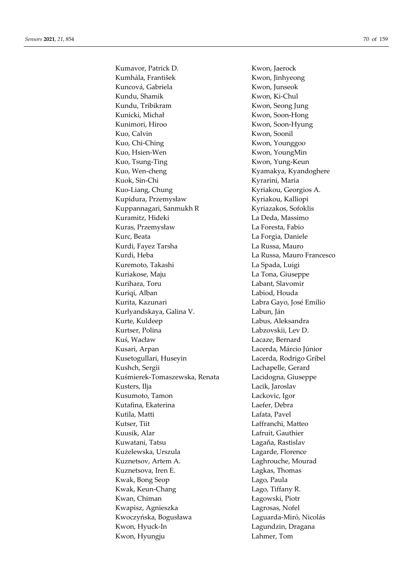Kumavor, Patrick D. Kwon, Jaerock Kumhála, František Kwon, Jinhyeong Kuncová, Gabriela Kwon, Junseok Kundu, Shamik Kwon, Ki-Chul Kundu, Tribikram Kwon, Seong Jung Kunicki, Michał Kwon, Soon-Hong Kunimori, Hiroo Kwon, Soon-Hyung Kuo, Calvin Kwon, Soonil Kuo, Chi-Ching Kwon, Younggoo Kuo, Hsien-Wen Kwon, YoungMin Kuo, Tsung-Ting **Kuon, Yung-Keun** Kuo, Wen-cheng Kyamakya, Kyandoghere Kuok, Sin-Chi Kyrarini, Maria Kuo-Liang, Chung Kyriakou, Georgios A. Kupidura, Przemysław Kyriakou, Kalliopi Kuppannagari, Sanmukh R Kyriazakos, Sofoklis Kuramitz, Hideki **La Deda, Massimo** Kuras, Przemysław La Foresta, Fabio Kurc, Beata La Forgia, Daniele Kurdi, Fayez Tarsha **La Russa**, Mauro Kurdi, Heba La Russa, Mauro Francesco Kuremoto, Takashi **La Spada**, Luigi Kuriakose, Maju **La Tona, Giuseppe** Kurihara, Toru **Labant, Slavomir** Kuriqi, Alban Labiod, Houda Kurita, Kazunari Labra Gayo, José Emilio Kurlyandskaya, Galina V. Labun, Ján Kurte, Kuldeep Labus, Aleksandra Kurtser, Polina Labzovskii, Lev D. Kuś, Wacław Lacaze, Bernard Kusari, Arpan Lacerda, Márcio Júnior Kusetogullari, Huseyin Lacerda, Rodrigo Gribel Kushch, Sergii Lachapelle, Gerard Kuśmierek-Tomaszewska, Renata Lacidogna, Giuseppe Kusters, Ilja **Lacik**, Jaroslav Kusumoto, Tamon Lackovic, Igor Kutafina, Ekaterina Laefer, Debra Kutila, Matti **Lafata, Pavel** Kutser, Tiit Laffranchi, Matteo Kuusik, Alar Lafruit, Gauthier Kuwatani, Tatsu **Lagania, Kastislav** Kużelewska, Urszula Lagarde, Florence Kuznetsov, Artem A. Laghrouche, Mourad Kuznetsova, Iren E. Lagkas, Thomas Kwak, Bong Seop Lago, Paula Kwak, Keun-Chang Lago, Tiffany R. Kwan, Chiman Łagowski, Piotr Kwapisz, Agnieszka Lagrosas, Nofel Kwoczyńska, Bogusława Laguarda-Miró, Nicolás Kwon, Hyuck-In Lagundzin, Dragana Kwon, Hyungju Lahmer, Tom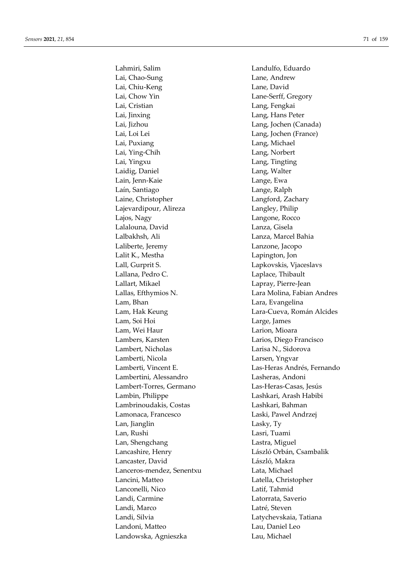Lahmiri, Salim Landulfo, Eduardo Lai, Chao-Sung Lane, Andrew Lai, Chiu-Keng Lane, David Lai, Chow Yin Lane-Serff, Gregory Lai, Cristian Lang, Fengkai Lai, Jinxing Lang, Hans Peter Lai, Jizhou Lang, Jochen (Canada) Lai, Loi Lei Lang, Jochen (France) Lai, Puxiang **Lang, Michael** Lai, Ying-Chih Lang, Norbert Lai, Yingxu Lang, Tingting Laidig, Daniel **Lang, Walter** Lain, Jenn-Kaie Lange, Ewa Laín, Santiago Lange, Ralph Laine, Christopher Langford, Zachary Lajevardipour, Alireza Langley, Philip Lajos, Nagy Langone, Rocco Lalalouna, David Lanza, Gisela Lalbakhsh, Ali Lanza, Marcel Bahia Laliberte, Jeremy Lanzone, Jacopo Lalit K., Mestha **Lapington**, Jon Lall, Gurprit S. Lapkovskis, Vjaceslavs Lallana, Pedro C. **Laplace**, Thibault Lallart, Mikael **Lapray, Pierre-Jean** Lallas, Efthymios N. Lara Molina, Fabian Andres Lam, Bhan Lara, Evangelina Lam, Hak Keung Lara-Cueva, Román Alcides Lam, Soi Hoi Large, James Lam, Wei Haur Larion, Mioara Lambers, Karsten Larios, Diego Francisco Lambert, Nicholas Larisa N., Sidorova Lamberti, Nicola Larsen, Yngvar Lamberti, Vincent E. Las-Heras Andrés, Fernando Lambertini, Alessandro Lasheras, Andoni Lambert-Torres, Germano Las-Heras-Casas, Jesús Lambin, Philippe Lashkari, Arash Habibi Lambrinoudakis, Costas Lashkari, Bahman Lamonaca, Francesco Laski, Pawel Andrzej Lan, Jianglin Lasky, Ty Lan, Rushi Lasri, Tuami Lan, Shengchang **Lastra**, Miguel Lancashire, Henry László Orbán, Csambalik Lancaster, David László, Makra Lanceros-mendez, Senentxu Lata, Michael Lancini, Matteo Latella, Christopher Lanconelli, Nico Latif, Tahmid Landi, Carmine Latorrata, Saverio Landi, Marco Latré, Steven Landi, Silvia Latychevskaia, Tatiana Landoni, Matteo Lau, Daniel Leo Landowska, Agnieszka Lau, Michael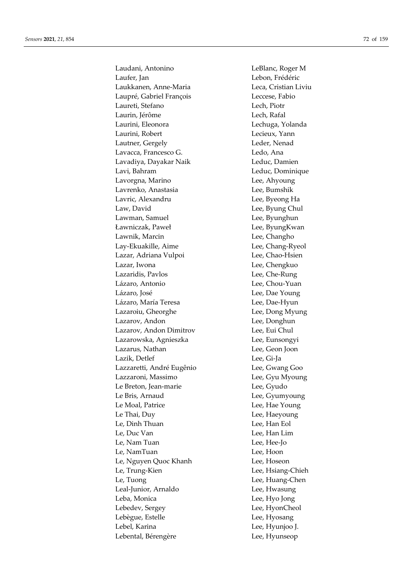Laudani, Antonino LeBlanc, Roger M Laufer, Jan Lebon, Frédéric Laukkanen, Anne-Maria Leca, Cristian Liviu Laupré, Gabriel François Leccese, Fabio Laureti, Stefano Lech, Piotr Laurin, Jérôme Lech, Rafal Laurini, Eleonora Lechuga, Yolanda Laurini, Robert Lecieux, Yann Lautner, Gergely **Leder**, Nenad Lavacca, Francesco G. Santa Ledo, Ana Lavadiya, Dayakar Naik Leduc, Damien Lavi, Bahram Leduc, Dominique Lavorgna, Marino Lee, Ahyoung Lavrenko, Anastasia Lee, Bumshik Lavric, Alexandru **Lee**, Byeong Ha Law, David Lee, Byung Chul Lawman, Samuel Lee, Byunghun Ławniczak, Paweł Lee, ByungKwan Lawnik, Marcin **Lee**, Changho Lay-Ekuakille, Aime Lee, Chang-Ryeol Lazar, Adriana Vulpoi Lee, Chao-Hsien Lazar, Iwona **Lee**, Chengkuo Lazaridis, Pavlos Lee, Che-Rung Lázaro, Antonio Lee, Chou-Yuan Lázaro, José Lee, Dae Young Lázaro, María Teresa Lee, Dae-Hyun Lazaroiu, Gheorghe Lee, Dong Myung Lazarov, Andon Lee, Donghun Lazarov, Andon Dimitrov Lee, Eui Chul Lazarowska, Agnieszka Lee, Eunsongyi Lazarus, Nathan Lee, Geon Joon Lazik, Detlef Lee, Gi-Ja Lazzaretti, André Eugênio Lee, Gwang Goo Lazzaroni, Massimo Lee, Gyu Myoung Le Breton, Jean-marie Lee, Gyudo Le Bris, Arnaud Lee, Gyumyoung Le Moal, Patrice Lee, Hae Young Le Thai, Duy Lee, Haeyoung Le, Dinh Thuan Lee, Han Eol Lee, Duc Van Lee, Han Lim Le, Nam Tuan Lee, Hee-Jo Le, NamTuan Lee, Hoon Le, Nguyen Quoc Khanh Lee, Hoseon Le, Trung-Kien Lee, Hsiang-Chieh Le, Tuong Lee, Huang-Chen Leal-Junior, Arnaldo Lee, Hwasung Leba, Monica Lee, Hyo Jong Lebedev, Sergey Lee, HyonCheol Lebègue, Estelle Lee, Hyosang Lebel, Karina Lee, Hyunjoo J. Lebental, Bérengère Lee, Hyunseop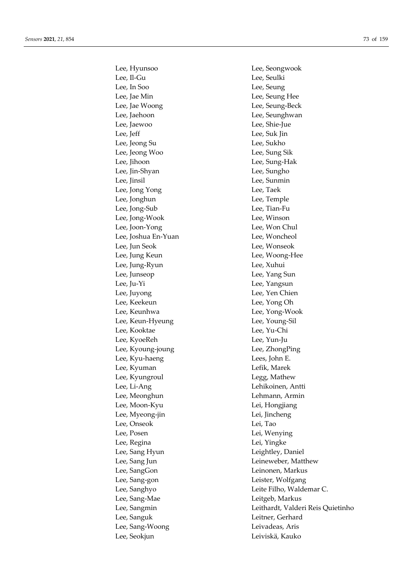Lee, Hyunsoo Lee, Seongwook Lee, Il-Gu Lee, Seulki Lee, In Soo Lee, Seung Lee, Jae Min Lee, Seung Hee Lee, Jae Woong Lee, Seung-Beck Lee, Jaehoon Lee, Seunghwan Lee, Jaewoo Lee, Shie-Jue Lee, Jeff Lee, Suk Jin Lee, Jeong Su Lee, Sukho Lee, Jeong Woo Lee, Sung Sik Lee, Jihoon Lee, Sung-Hak Lee, Jin-Shyan Lee, Sungho Lee, Jinsil Lee, Sunmin Lee, Jong Yong Lee, Taek Lee, Jonghun Lee, Temple Lee, Jong-Sub Lee, Tian-Fu Lee, Jong-Wook Lee, Winson Lee, Joon-Yong Lee, Won Chul Lee, Joshua En-Yuan Lee, Woncheol Lee, Jun Seok Lee, Wonseok Lee, Jung Keun Lee, Woong-Hee Lee, Jung-Ryun Lee, Xuhui Lee, Junseop Lee, Yang Sun Lee, Ju-Yi Lee, Yangsun Lee, Juyong Lee, Yen Chien Lee, Keekeun Lee, Yong Oh Lee, Keunhwa Lee, Yong-Wook Lee, Keun-Hyeung Lee, Young-Sil Lee, Kooktae Lee, Yu-Chi Lee, KyoeReh Lee, Yun-Ju Lee, Kyoung-joung Lee, ZhongPing Lee, Kyu-haeng **Lees**, John E. Lee, Kyuman Lefik, Marek Lee, Kyungroul **Legg**, Mathew Lee, Li-Ang Lehikoinen, Antti Lee, Meonghun **Lehmann**, Armin Lee, Moon-Kyu Lei, Hongjiang Lee, Myeong-jin Lei, Jincheng Lee, Onseok Lei, Tao Lee, Posen Lei, Wenying Lee, Regina Lei, Yingke Lee, Sang Hyun Leightley, Daniel Lee, Sang Jun Leineweber, Matthew Lee, SangGon Leinonen, Markus Lee, Sang-gon Leister, Wolfgang Lee, Sang-Mae Leitgeb, Markus Lee, Sanguk Leitner, Gerhard Lee, Sang-Woong Leivadeas, Aris Lee, Seokjun Leiviskä, Kauko

Lee, Sanghyo Leite Filho, Waldemar C. Lee, Sangmin Leithardt, Valderi Reis Quietinho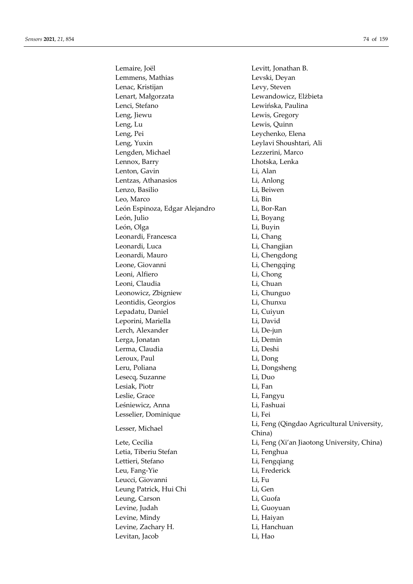Lemaire, Joël **Lewitt**, Jonathan B. Lemmens, Mathias Levski, Deyan Lenac, Kristijan Levy, Steven Lenart, Małgorzata Lewandowicz, Elżbieta Lenci, Stefano Lewińska, Paulina Leng, Jiewu Lewis, Gregory Leng, Lu Lewis, Quinn Leng, Pei Leychenko, Elena Leng, Yuxin Leylavi Shoushtari, Ali Lengden, Michael Lezzerini, Marco Lennox, Barry Lhotska, Lenka Lenton, Gavin Li, Alan Lentzas, Athanasios Li, Anlong Lenzo, Basilio Li, Beiwen Leo, Marco Li, Bin León Espinoza, Edgar Alejandro Li, Bor-Ran León, Julio Li, Boyang León, Olga Li, Buyin Leonardi, Francesca Li, Chang Leonardi, Luca Li, Changjian Leonardi, Mauro Li, Chengdong Leone, Giovanni Li, Chengqing Leoni, Alfiero Li, Chong Leoni, Claudia **Li**, Chuan Leonowicz, Zbigniew Li, Chunguo Leontidis, Georgios Li, Chunxu Lepadatu, Daniel **Lightnian Career** Li, Cuiyun Leporini, Mariella Li, David Lerch, Alexander Li, De-jun Lerga, Jonatan Li, Demin Lerma, Claudia Li, Deshi Leroux, Paul Li, Dong Leru, Poliana **Li**, Dongsheng Lesecq, Suzanne Li, Duo Lesiak, Piotr Li, Fan Leslie, Grace Li, Fangyu Leśniewicz, Anna Li, Fashuai Lesselier, Dominique Li, Fei Letia, Tiberiu Stefan Li, Fenghua Lettieri, Stefano **Li**, Fengqiang Leu, Fang-Yie Li, Frederick Leucci, Giovanni Li, Fu Leung Patrick, Hui Chi Li, Gen Leung, Carson Li, Guofa Levine, Judah Li, Guoyuan Levine, Mindy Li, Haiyan Levine, Zachary H. Charles Li, Hanchuan Levitan, Jacob Li, Hao

Lesser, Michael **Lightnice Lightnice Lightnice Lightnice Lesser**, Michael **Lesser**, Michael China) Lete, Cecilia **Li**, Feng (Xi'an Jiaotong University, China)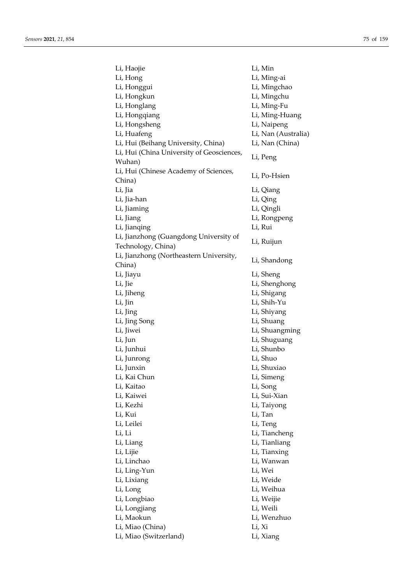| Li, Haojie                                | Li, Min             |
|-------------------------------------------|---------------------|
| Li, Hong                                  | Li, Ming-ai         |
| Li, Honggui                               | Li, Mingchao        |
| Li, Hongkun                               | Li, Mingchu         |
| Li, Honglang                              | Li, Ming-Fu         |
| Li, Hongqiang                             | Li, Ming-Huang      |
| Li, Hongsheng                             | Li, Naipeng         |
| Li, Huafeng                               | Li, Nan (Australia) |
| Li, Hui (Beihang University, China)       | Li, Nan (China)     |
| Li, Hui (China University of Geosciences, |                     |
| Wuhan)                                    | Li, Peng            |
| Li, Hui (Chinese Academy of Sciences,     |                     |
| China)                                    | Li, Po-Hsien        |
| Li, Jia                                   | Li, Qiang           |
| Li, Jia-han                               | Li, Qing            |
| Li, Jiaming                               | Li, Qingli          |
| Li, Jiang                                 | Li, Rongpeng        |
| Li, Jianqing                              | Li, Rui             |
| Li, Jianzhong (Guangdong University of    |                     |
| Technology, China)                        | Li, Ruijun          |
| Li, Jianzhong (Northeastern University,   |                     |
| China)                                    | Li, Shandong        |
| Li, Jiayu                                 | Li, Sheng           |
| Li <i>,</i> Jie                           | Li, Shenghong       |
| Li, Jiheng                                | Li, Shigang         |
| Li, Jin                                   | Li, Shih-Yu         |
| Li, Jing                                  | Li, Shiyang         |
| Li, Jing Song                             | Li, Shuang          |
| Li, Jiwei                                 | Li, Shuangming      |
| Li, Jun                                   | Li, Shuguang        |
| Li, Junhui                                | Li, Shunbo          |
| Li, Junrong                               | Li, Shuo            |
| Li, Junxin                                | Li, Shuxiao         |
| Li, Kai Chun                              |                     |
| Li, Kaitao                                | Li, Simeng          |
| Li, Kaiwei                                | Li, Song            |
|                                           | Li, Sui-Xian        |
| Li, Kezhi                                 | Li, Taiyong         |
| Li, Kui                                   | Li, Tan             |
| Li, Leilei                                | Li, Teng            |
| Li, Li                                    | Li, Tiancheng       |
| Li, Liang                                 | Li, Tianliang       |
| Li, Lijie                                 | Li, Tianxing        |
| Li, Linchao                               | Li, Wanwan          |
| Li, Ling-Yun                              | Li, Wei             |
| Li, Lixiang                               | Li, Weide           |
| Li, Long                                  | Li, Weihua          |
| Li, Longbiao                              | Li, Weijie          |
| Li, Longjiang                             | Li, Weili           |
| Li, Maokun                                | Li, Wenzhuo         |
| Li, Miao (China)                          | Li, Xi              |
| Li, Miao (Switzerland)                    | Li, Xiang           |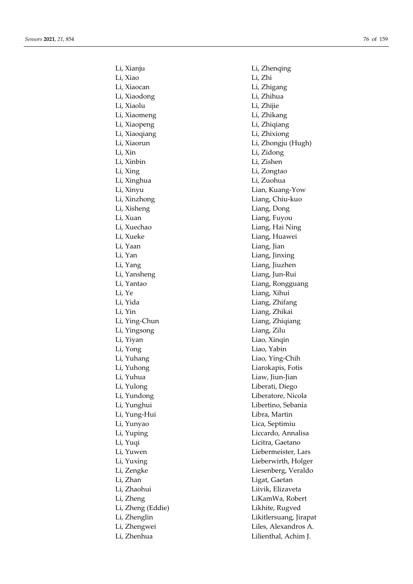Li, Xianju Li, Zhenqing Li, Xiao Li, Zhi Li, Xiaocan Li, Zhigang Li, Xiaodong Li, Zhihua Li, Xiaolu Li, Zhijie Li, Xiaomeng Li, Zhikang Li, Xiaopeng Li, Zhiqiang Li, Xiaoqiang Li, Zhixiong Li, Xiaorun Li, Zhongju (Hugh) Li, Xin Li, Zidong Li, Xinbin Li, Zishen Li, Xing Li, Zongtao Li, Xinghua Li, Zuohua Li, Xinyu Lian, Kuang-Yow Li, Xinzhong Liang, Chiu-kuo Li, Xisheng Liang, Dong Li, Xuan Liang, Fuyou Li, Xuechao Liang, Hai Ning Li, Xueke Liang, Huawei Li, Yaan Liang, Jian Li, Yan Liang, Jinxing Li, Yang Liang, Jiuzhen Li, Yansheng Liang, Jun-Rui Li, Yantao Liang, Rongguang Li, Ye Liang, Xihui Li, Yida Liang, Zhifang Li, Yin Liang, Zhikai Li, Ying-Chun Liang, Zhiqiang Li, Yingsong Liang, Zilu Li, Yiyan Liao, Xinqin Li, Yong Liao, Yabin Li, Yuhang Liao, Ying-Chih Li, Yuhong Liarokapis, Fotis Li, Yuhua Liaw, Jiun-Jian Li, Yulong Liberati, Diego Li, Yundong Liberatore, Nicola Li, Yunghui Libertino, Sebania Li, Yung-Hui Libra, Martin Li, Yunyao Lica, Septimiu Li, Yuping Liccardo, Annalisa Li, Yuqi Licitra, Gaetano Li, Yuwen Liebermeister, Lars Li, Yuxing Lieberwirth, Holger Li, Zengke Liesenberg, Veraldo Li, Zhan Ligat, Gaetan Li, Zhaohui Liivik, Elizaveta Li, Zheng LiKamWa, Robert Li, Zheng (Eddie) Likhite, Rugved Li, Zhenglin Likitlersuang, Jirapat Li, Zhengwei Liles, Alexandros A. Li, Zhenhua Lilienthal, Achim J.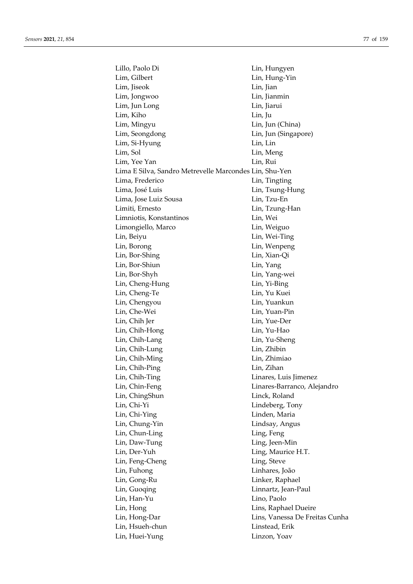| Lillo, Paolo Di                                        | Lin, Hungyen                   |
|--------------------------------------------------------|--------------------------------|
| Lim, Gilbert                                           | Lin, Hung-Yin                  |
| Lim, Jiseok                                            | Lin, Jian                      |
| Lim, Jongwoo                                           | Lin, Jianmin                   |
| Lim, Jun Long                                          | Lin, Jiarui                    |
| Lim, Kiho                                              | Lin, Ju                        |
| Lim, Mingyu                                            | Lin, Jun (China)               |
| Lim, Seongdong                                         | Lin, Jun (Singapore)           |
| Lim, Si-Hyung                                          | Lin, Lin                       |
| Lim, Sol                                               | Lin, Meng                      |
| Lim, Yee Yan                                           | Lin, Rui                       |
| Lima E Silva, Sandro Metrevelle Marcondes Lin, Shu-Yen |                                |
| Lima, Frederico                                        | Lin, Tingting                  |
| Lima, José Luis                                        | Lin, Tsung-Hung                |
| Lima, Jose Luiz Sousa                                  | Lin, Tzu-En                    |
| Limiti, Ernesto                                        | Lin, Tzung-Han                 |
| Limniotis, Konstantinos                                | Lin, Wei                       |
| Limongiello, Marco                                     | Lin, Weiguo                    |
| Lin, Beiyu                                             | Lin, Wei-Ting                  |
| Lin, Borong                                            | Lin, Wenpeng                   |
| Lin, Bor-Shing                                         | Lin, Xian-Qi                   |
| Lin, Bor-Shiun                                         |                                |
|                                                        | Lin, Yang                      |
| Lin, Bor-Shyh                                          | Lin, Yang-wei                  |
| Lin, Cheng-Hung                                        | Lin, Yi-Bing                   |
| Lin, Cheng-Te                                          | Lin, Yu Kuei                   |
| Lin, Chengyou                                          | Lin, Yuankun                   |
| Lin, Che-Wei                                           | Lin, Yuan-Pin                  |
| Lin <i>,</i> Chih Jer                                  | Lin, Yue-Der                   |
| Lin, Chih-Hong                                         | Lin, Yu-Hao                    |
| Lin, Chih-Lang                                         | Lin, Yu-Sheng                  |
| Lin, Chih-Lung                                         | Lin, Zhibin                    |
| Lin, Chih-Ming                                         | Lin, Zhimiao                   |
| Lin, Chih-Ping                                         | Lin, Zihan                     |
| Lin, Chih-Ting                                         | Linares, Luis Jimenez          |
| Lin, Chin-Feng                                         | Linares-Barranco, Alejandro    |
| Lin, ChingShun                                         | Linck, Roland                  |
| Lin, Chi-Yi                                            | Lindeberg, Tony                |
| Lin, Chi-Ying                                          | Linden, Maria                  |
| Lin, Chung-Yin                                         | Lindsay, Angus                 |
| Lin, Chun-Ling                                         | Ling, Feng                     |
| Lin, Daw-Tung                                          | Ling, Jeen-Min                 |
| Lin, Der-Yuh                                           | Ling, Maurice H.T.             |
| Lin, Feng-Cheng                                        | Ling, Steve                    |
| Lin, Fuhong                                            | Linhares, João                 |
| Lin, Gong-Ru                                           | Linker, Raphael                |
| Lin, Guoqing                                           | Linnartz, Jean-Paul            |
| Lin, Han-Yu                                            | Lino, Paolo                    |
| Lin, Hong                                              | Lins, Raphael Dueire           |
| Lin, Hong-Dar                                          | Lins, Vanessa De Freitas Cunha |
| Lin, Hsueh-chun                                        | Linstead, Erik                 |
| Lin, Huei-Yung                                         | Linzon, Yoav                   |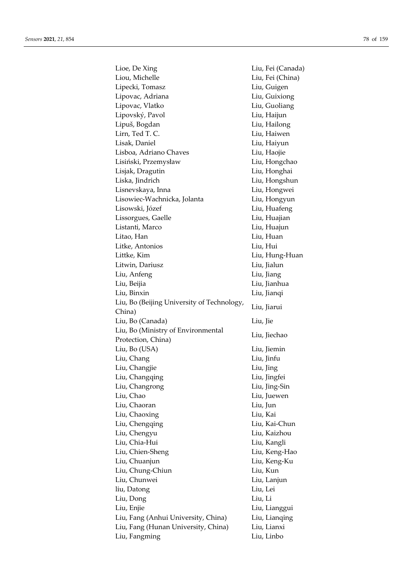| Lioe, De Xing                              | Liu, Fei (Canada) |
|--------------------------------------------|-------------------|
| Liou, Michelle                             | Liu, Fei (China)  |
| Lipecki, Tomasz                            | Liu, Guigen       |
| Lipovac, Adriana                           | Liu, Guixiong     |
| Lipovac, Vlatko                            | Liu, Guoliang     |
| Lipovský, Pavol                            | Liu, Haijun       |
| Lipuš, Bogdan                              | Liu, Hailong      |
| Lirn, Ted T. C.                            | Liu, Haiwen       |
| Lisak, Daniel                              | Liu, Haiyun       |
| Lisboa, Adriano Chaves                     | Liu, Haojie       |
| Lisiński, Przemysław                       | Liu, Hongchao     |
| Lisjak, Dragutin                           | Liu, Honghai      |
| Liska, Jindrich                            | Liu, Hongshun     |
| Lisnevskaya, Inna                          | Liu, Hongwei      |
| Lisowiec-Wachnicka, Jolanta                | Liu, Hongyun      |
| Lisowski, Józef                            | Liu, Huafeng      |
| Lissorgues, Gaelle                         | Liu, Huajian      |
| Listanti, Marco                            | Liu, Huajun       |
| Litao, Han                                 | Liu, Huan         |
| Litke, Antonios                            | Liu, Hui          |
|                                            |                   |
| Littke, Kim                                | Liu, Hung-Huan    |
| Litwin, Dariusz                            | Liu, Jialun       |
| Liu, Anfeng                                | Liu, Jiang        |
| Liu, Beijia                                | Liu, Jianhua      |
| Liu, Binxin                                | Liu, Jianqi       |
| Liu, Bo (Beijing University of Technology, | Liu, Jiarui       |
| China)<br>Liu, Bo (Canada)                 | Liu, Jie          |
| Liu, Bo (Ministry of Environmental         |                   |
| Protection, China)                         | Liu, Jiechao      |
| Liu, Bo (USA)                              | Liu, Jiemin       |
|                                            | Liu, Jinfu        |
| Liu, Chang                                 |                   |
| Liu, Changjie                              | Liu, Jing         |
| Liu, Changqing                             | Liu, Jingfei      |
| Liu, Changrong                             | Liu, Jing-Sin     |
| Liu, Chao                                  | Liu, Juewen       |
| Liu, Chaoran                               | Liu, Jun          |
| Liu, Chaoxing                              | Liu, Kai          |
| Liu, Chengqing                             | Liu, Kai-Chun     |
| Liu, Chengyu                               | Liu, Kaizhou      |
| Liu, Chia-Hui                              | Liu, Kangli       |
| Liu, Chien-Sheng                           | Liu, Keng-Hao     |
| Liu, Chuanjun                              | Liu, Keng-Ku      |
| Liu, Chung-Chiun                           | Liu, Kun          |
| Liu, Chunwei                               | Liu, Lanjun       |
| liu, Datong                                | Liu, Lei          |
| Liu, Dong                                  | Liu, Li           |
| Liu, Enjie                                 | Liu, Lianggui     |
| Liu, Fang (Anhui University, China)        | Liu, Lianqing     |
| Liu, Fang (Hunan University, China)        | Liu, Lianxi       |
| Liu, Fangming                              | Liu, Linbo        |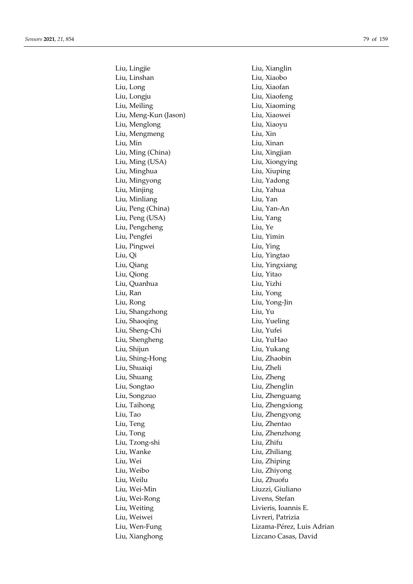Liu, Lingjie Liu, Xianglin Liu, Linshan Liu, Xiaobo Liu, Long Liu, Xiaofan Liu, Longju Liu, Xiaofeng Liu, Meiling Liu, Xiaoming Liu, Meng-Kun (Jason) Liu, Xiaowei Liu, Menglong Liu, Xiaoyu Liu, Mengmeng Liu, Xin Liu, Min Liu, Xinan Liu, Ming (China) Liu, Xingjian Liu, Ming (USA) Liu, Xiongying Liu, Minghua Liu, Xiuping Liu, Mingyong Liu, Yadong Liu, Minjing Liu, Yahua Liu, Minliang Liu, Yan Liu, Peng (China) Liu, Yan-An Liu, Peng (USA) Liu, Yang Liu, Pengcheng Liu, Ye Liu, Pengfei Liu, Yimin Liu, Pingwei Liu, Ying Liu, Qi Liu, Yingtao Liu, Qiang Liu, Yingxiang Liu, Qiong Liu, Yitao Liu, Quanhua Liu, Yizhi Liu, Ran Liu, Yong Liu, Rong Liu, Yong-Jin Liu, Shangzhong Liu, Yu Liu, Shaoqing Liu, Yueling Liu, Sheng-Chi Liu, Yufei Liu, Shengheng Liu, YuHao Liu, Shijun Liu, Yukang Liu, Shing-Hong Liu, Zhaobin Liu, Shuaiqi Liu, Zheli Liu, Shuang Liu, Zheng Liu, Songtao Liu, Zhenglin Liu, Songzuo Liu, Zhenguang Liu, Taihong Liu, Zhengxiong Liu, Tao Liu, Zhengyong Liu, Teng Liu, Zhentao Liu, Tong Liu, Zhenzhong Liu, Tzong-shi Liu, Zhifu Liu, Wanke Liu, Zhiliang Liu, Wei Liu, Zhiping Liu, Weibo Liu, Zhiyong Liu, Weilu Liu, Zhuofu Liu, Wei-Min Liuzzi, Giuliano Liu, Wei-Rong Livens, Stefan Liu, Weiting Livieris, Ioannis E. Liu, Weiwei Livreri, Patrizia Liu, Xianghong Lizcano Casas, David

Liu, Wen-Fung Lizama-Pérez, Luis Adrian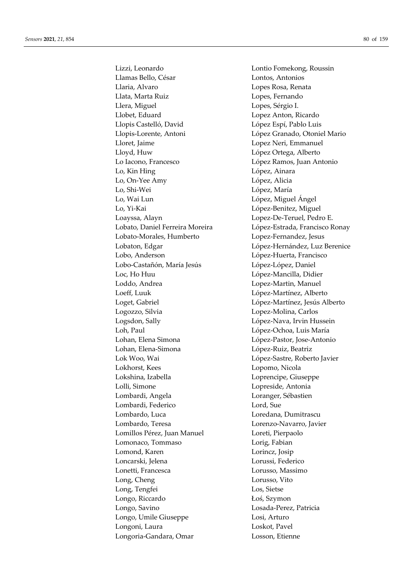Lizzi, Leonardo Lontio Fomekong, Roussin Llamas Bello, César **Lontos**, Antonios Llaria, Alvaro Lopes Rosa, Renata Llata, Marta Ruiz Lopes, Fernando Llera, Miguel Lopes, Sérgio I. Llobet, Eduard Lopez Anton, Ricardo Llopis Castelló, David López Espí, Pablo Luis Llopis-Lorente, Antoni López Granado, Otoniel Mario Lloret, Jaime Lopez Neri, Emmanuel Lloyd, Huw López Ortega, Alberto Lo Iacono, Francesco López Ramos, Juan Antonio Lo, Kin Hing **London** López, Ainara Lo, On-Yee Amy López, Alicia Lo, Shi-Wei López, María Lo, Wai Lun López, Miguel Ángel Lo, Yi-Kai López-Benitez, Miguel Loayssa, Alayn Lopez-De-Teruel, Pedro E. Lobato, Daniel Ferreira Moreira López-Estrada, Francisco Ronay Lobato-Morales, Humberto Lopez-Fernandez, Jesus Lobo, Anderson López-Huerta, Francisco Lobo-Castañón, María Jesús López-López, Daniel Loc, Ho Huu López-Mancilla, Didier Loddo, Andrea Lopez-Martin, Manuel Loeff, Luuk López-Martínez, Alberto Loget, Gabriel López-Martínez, Jesús Alberto Logozzo, Silvia Lopez-Molina, Carlos Logsdon, Sally López-Nava, Irvin Hussein Loh, Paul López-Ochoa, Luis María Lohan, Elena Simona López-Pastor, Jose-Antonio Lohan, Elena-Simona López-Ruiz, Beatriz Lok Woo, Wai López-Sastre, Roberto Javier Lokhorst, Kees Lopomo, Nicola Lokshina, Izabella Loprencipe, Giuseppe Lolli, Simone Lopreside, Antonia Lombardi, Angela Loranger, Sébastien Lombardi, Federico Lord, Sue Lombardo, Luca Loredana, Dumitrascu Lombardo, Teresa Lorenzo-Navarro, Javier Lomillos Pérez, Juan Manuel Loreti, Pierpaolo Lomonaco, Tommaso Lorig, Fabian Lomond, Karen Lorincz, Josip Loncarski, Jelena Lorussi, Federico Lonetti, Francesca Lorusso, Massimo Long, Cheng Lorusso, Vito Long, Tengfei Los, Sietse Longo, Riccardo Łoś, Szymon Longo, Savino Losada-Perez, Patricia Longo, Umile Giuseppe Losi, Arturo Longoni, Laura Loskot, Pavel Longoria-Gandara, Omar Losson, Etienne

Lobaton, Edgar López-Hernández, Luz Berenice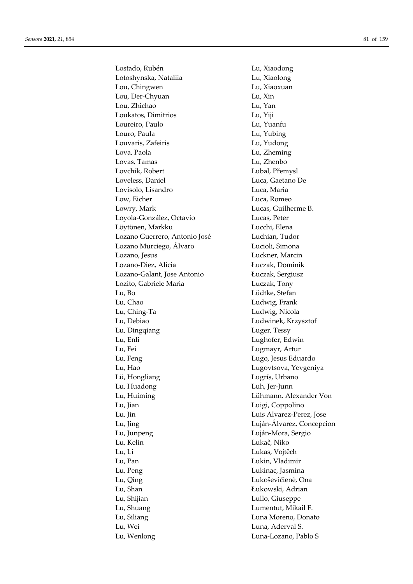Lostado, Rubén Lu, Xiaodong Lotoshynska, Nataliia Lu, Xiaolong Lou, Chingwen Lu, Xiaoxuan Lou, Der-Chyuan Lu, Xin Lou, Zhichao Lu, Yan Loukatos, Dimitrios Lu, Yiji Loureiro, Paulo Lu, Yuanfu Louro, Paula Lu, Yubing Louvaris, Zafeiris Lu, Yudong Lova, Paola Lu, Zheming Lovas, Tamas Lu, Zhenbo Lovchik, Robert Lubal, Přemysl Loveless, Daniel Luca, Gaetano De Lovisolo, Lisandro Luca, Maria Low, Eicher Luca, Romeo Lowry, Mark Lucas, Guilherme B. Loyola-González, Octavio Lucas, Peter Löytönen, Markku Lucchi, Elena Lozano Guerrero, Antonio José Luchian, Tudor Lozano Murciego, Álvaro **Lucioli**, Simona Lozano, Jesus Luckner, Marcin Lozano-Diez, Alicia Łuczak, Dominik Lozano-Galant, Jose Antonio Łuczak, Sergiusz Lozito, Gabriele Maria Luczak, Tony Lu, Bo Lüdtke, Stefan Lu, Chao Ludwig, Frank Lu, Ching-Ta Ludwig, Nicola Lu, Debiao Ludwinek, Krzysztof Lu, Dingqiang Luger, Tessy Lu, Enli Lughofer, Edwin Lu, Fei Lugmayr, Artur Lu, Feng Lugo, Jesus Eduardo Lu, Hao Lugovtsova, Yevgeniya Lü, Hongliang **Lugrís**, Urbano Lu, Huadong Luh, Jer-Junn Lu, Huiming Lühmann, Alexander Von Lu, Jian Luigi, Coppolino Lu, Jin Luis Alvarez-Perez, Jose Lu, Jing Luján-Álvarez, Concepcion Lu, Junpeng Luján-Mora, Sergio Lu, Kelin Lukač, Niko Lu, Li Lukas, Vojtěch Lu, Pan Lukin, Vladimir Lu, Peng Lukinac, Jasmina Lu, Qing Lukoševičienė, Ona Lu, Shan Łukowski, Adrian Lu, Shijian Lullo, Giuseppe Lu, Shuang Lumentut, Mikail F. Lu, Siliang Luna Moreno, Donato Lu, Wei Luna, Aderval S. Lu, Wenlong Luna-Lozano, Pablo S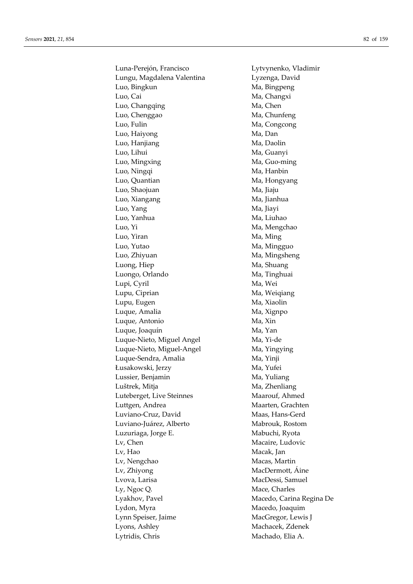Luna-Perejón, Francisco Lytvynenko, Vladimir Lungu, Magdalena Valentina Lyzenga, David Luo, Bingkun Ma, Bingpeng Luo, Cai Ma, Changxi Luo, Changqing Ma, Chen Luo, Chenggao Ma, Chunfeng Luo, Fulin Ma, Congcong Luo, Haiyong Ma, Dan Luo, Hanjiang Ma, Daolin Luo, Lihui Ma, Guanyi Luo, Mingxing The Ma, Guo-ming Luo, Ningqi Ma, Hanbin Luo, Quantian Ma, Hongyang Luo, Shaojuan Ma, Jiaju Luo, Xiangang **Ma**, Jianhua Luo, Yang Ma, Jiayi Luo, Yanhua Ma, Liuhao Luo, Yi Ma, Mengchao Luo, Yiran Ma, Ming Luo, Yutao Ma, Mingguo Luo, Zhiyuan Ma, Mingsheng Luong, Hiep Ma, Shuang Luongo, Orlando Ma, Tinghuai Lupi, Cyril Ma, Wei Lupu, Ciprian Ma, Weiqiang Lupu, Eugen Ma, Xiaolin Luque, Amalia Ma, Xignpo Luque, Antonio Ma, Xin Luque, Joaquín Ma, Yan Luque-Nieto, Miguel Angel Ma, Yi-de Luque-Nieto, Miguel-Angel Ma, Yingying Luque-Sendra, Amalia Ma, Yinji Łusakowski, Jerzy Ma, Yufei Lussier, Benjamin Ma, Yuliang Luštrek, Mitja Ma, Zhenliang Luteberget, Live Steinnes Maarouf, Ahmed Luttgen, Andrea Maarten, Grachten Luviano-Cruz, David Maas, Hans-Gerd Luviano-Juárez, Alberto Mabrouk, Rostom Luzuriaga, Jorge E. Mabuchi, Ryota Lv, Chen Macaire, Ludovic Lv, Hao Macak, Jan Lv, Nengchao Macas, Martin Lv, Zhiyong MacDermott, Áine Lvova, Larisa MacDessi, Samuel Ly, Ngoc Q. Mace, Charles Lyakhov, Pavel Macedo, Carina Regina De Lydon, Myra Macedo, Joaquim Lynn Speiser, Jaime MacGregor, Lewis J Lyons, Ashley Machacek, Zdenek Lytridis, Chris Machado, Elia A.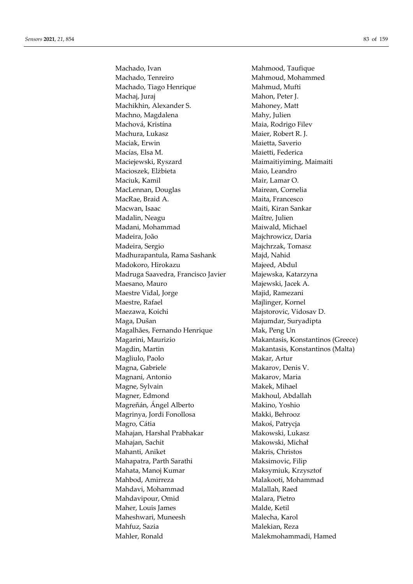Machado, Ivan Mahmood, Taufique Machado, Tenreiro Mahmoud, Mohammed Machado, Tiago Henrique Mahmud, Mufti Machaj, Juraj Mahon, Peter J. Machikhin, Alexander S. Mahoney, Matt Machno, Magdalena Mahy, Julien Machová, Kristína Maia, Rodrigo Filev Machura, Lukasz Maier, Robert R. J. Maciak, Erwin Maietta, Saverio Macías, Elsa M. Maietti, Federica Maciejewski, Ryszard Maimaitiyiming, Maimaiti Macioszek, Elżbieta Maio, Leandro Maciuk, Kamil Mair, Lamar O. MacLennan, Douglas Mairean, Cornelia MacRae, Braid A. Maita, Francesco Macwan, Isaac **Maiti, Kiran Sankar** Maiti, Kiran Sankar Madalin, Neagu Maître, Julien Madani, Mohammad Maiwald, Michael Madeira, João **Majchrowicz**, Daria Madeira, Sergio Majchrzak, Tomasz Madhurapantula, Rama Sashank Majd, Nahid Madokoro, Hirokazu Majeed, Abdul Madruga Saavedra, Francisco Javier Majewska, Katarzyna Maesano, Mauro Majewski, Jacek A. Maestre Vidal, Jorge Majid, Ramezani Maestre, Rafael Majlinger, Kornel Maezawa, Koichi Majstorovic, Vidosav D. Maga, Dušan Majumdar, Suryadipta Magalhães, Fernando Henrique Mak, Peng Un Magdin, Martin Makantasis, Konstantinos (Malta) Magliulo, Paolo **Makar**, Artur Magna, Gabriele Makarov, Denis V. Magnani, Antonio Makarov, Maria Magne, Sylvain Makek, Mihael Magner, Edmond Makhoul, Abdallah Magreñán, Ángel Alberto Makino, Yoshio Magrinya, Jordi Fonollosa Makki, Behrooz Magro, Cátia **Makoś, Patrycja** Mahajan, Harshal Prabhakar Makowski, Lukasz Mahajan, Sachit Makowski, Michał Mahanti, Aniket Makris, Christos Mahapatra, Parth Sarathi Maksimovic, Filip Mahata, Manoj Kumar Maksymiuk, Krzysztof Mahbod, Amirreza Malakooti, Mohammad Mahdavi, Mohammad Malallah, Raed Mahdavipour, Omid Malara, Pietro Maher, Louis James Malde, Ketil Maheshwari, Muneesh Malecha, Karol Mahfuz, Sazia Malekian, Reza Mahler, Ronald Malekmohammadi, Hamed

Magarini, Maurizio Makantasis, Konstantinos (Greece)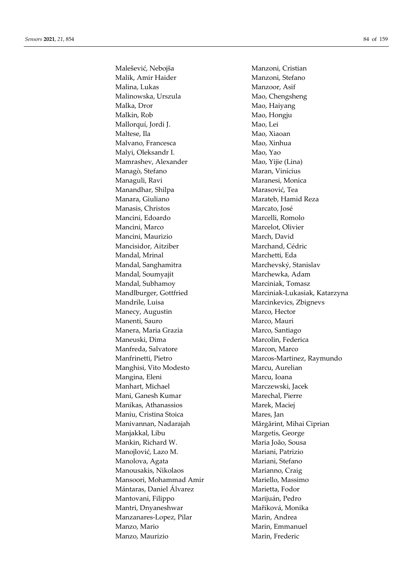Malešević, Nebojša Manzoni, Cristian Malik, Amir Haider Manzoni, Stefano Malina, Lukas Manzoor, Asif Malinowska, Urszula Mao, Chengsheng Malka, Dror Mao, Haiyang Malkin, Rob Mao, Hongju Mallorquí, Jordi J. Mao, Lei Maltese, Ila Mac, Xiaoan Malvano, Francesca Mao, Xinhua Malyi, Oleksandr I. Mao, Yao Mamrashev, Alexander Mao, Yijie (Lina) Managò, Stefano Maran, Vinícius Managuli, Ravi Maranesi, Monica Manandhar, Shilpa Marasović, Tea Manara, Giuliano **Manara, Giuliano** Marateb, Hamid Reza Manasis, Christos Marcato, José Mancini, Edoardo Marcelli, Romolo Mancini, Marco Marcelot, Olivier Mancini, Maurizio March, David Mancisidor, Aitziber Marchand, Cédric Mandal, Mrinal Marchetti, Eda Mandal, Sanghamitra Marchevský, Stanislav Mandal, Soumyajit Marchewka, Adam Mandal, Subhamoy Marciniak, Tomasz Mandrile, Luisa Marcinkevics, Zbignevs Manecy, Augustin Marco, Hector Manenti, Sauro Marco, Mauri Manera, Maria Grazia **Marco**, Santiago Maneuski, Dima Marcolin, Federica Manfreda, Salvatore Marcon, Marcon, Marcon, Marcon, Marcon, Marcon, Marcon, Marcon, Marcon, Marcon, Marcon, Marcon, Marcon, Marcon, Marcon, Marcon, Marcon, Marcon, Marcon, Marcon, Marcon, Marcon, Marcon, Marcon, Marcon, Ma Manghisi, Vito Modesto Marcu, Aurelian Mangina, Eleni Marcu, Ioana Manhart, Michael Marczewski, Jacek Mani, Ganesh Kumar Marechal, Pierre Manikas, Athanassios Marek, Maciej Maniu, Cristina Stoica Mares, Jan Manivannan, Nadarajah Mărgărint, Mihai Ciprian Manjakkal, Libu Margetis, George Mankin, Richard W. Maria João, Sousa Manojlović, Lazo M. Mariani, Patrizio Manolova, Agata **Manolova, Agata Manolova, Agata Manolova**, Agata Manolova, Agata Manolova, Agata Manolova, Aga Manousakis, Nikolaos Marianno, Craig Mansoori, Mohammad Amir **Mariello, Massimo** Mántaras, Daniel Álvarez Marietta, Fodor Mantovani, Filippo Marijuán, Pedro Mantri, Dnyaneshwar Mařiková, Monika Manzanares-Lopez, Pilar Marin, Andrea Manzo, Mario **Manzo**, Marin, Emmanuel Manzo, Maurizio Marin, Frederic

Mandlburger, Gottfried Marciniak-Lukasiak, Katarzyna Manfrinetti, Pietro **Marcos-Martinez, Raymundo**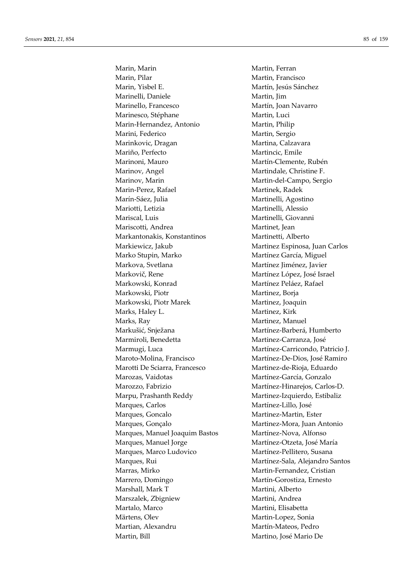Marin, Marin Martin, Ferran Marin, Pilar Martin, Francisco Marin, Yisbel E. Martín, Jesús Sánchez Marinelli, Daniele Martin, Jim Marinello, Francesco Martín, Joan Navarro Marinesco, Stéphane Martin, Luci Marin-Hernandez, Antonio Martin, Philip Marini, Federico Martin, Sergio Marinkovic, Dragan Martina, Calzavara Mariño, Perfecto Martincic, Emile Marinoni, Mauro Martín-Clemente, Rubén Marinov, Angel Martindale, Christine F. Marinov, Marin Martin-del-Campo, Sergio Marin-Perez, Rafael Martinek, Radek Marín-Sáez, Julia Martinelli, Agostino Mariotti, Letizia Martinelli, Alessio Mariscal, Luis Martinelli, Giovanni Mariscotti, Andrea Martinet, Jean Markantonakis, Konstantinos Martinetti, Alberto Markiewicz, Jakub Martinez Espinosa, Juan Carlos Marko Stupin, Marko **Martínez García**, Miguel Markova, Svetlana Martínez Jiménez, Javier Markovič, Rene Martínez López, José Israel Markowski, Konrad Martínez Peláez, Rafael Markowski, Piotr Martinez, Borja Markowski, Piotr Marek Martinez, Joaquin Marks, Haley L. Martinez, Kirk Marks, Ray Martinez, Manuel Markušić, Snježana Martínez-Barberá, Humberto Marmiroli, Benedetta Martinez-Carranza, José Marmugi, Luca Martínez-Carricondo, Patricio J. Maroto-Molina, Francisco Martínez-De-Dios, José Ramiro Marotti De Sciarra, Francesco Martinez-de-Rioja, Eduardo Marozas, Vaidotas Martínez-García, Gonzalo Marozzo, Fabrizio Martínez-Hinarejos, Carlos-D. Marpu, Prashanth Reddy Martinez-Izquierdo, Estibaliz Marques, Carlos Martínez-Lillo, José Marques, Goncalo Martinez-Martin, Ester Marques, Gonçalo Martinez-Mora, Juan Antonio Marques, Manuel Joaquim Bastos Martínez-Nova, Alfonso Marques, Manuel Jorge Martínez-Otzeta, José María Marques, Marco Ludovico Martínez-Pellitero, Susana Marques, Rui **Martínez-Sala, Alejandro Santos** Marras, Mirko Martin-Fernandez, Cristian Marrero, Domingo Martín-Gorostiza, Ernesto Marshall, Mark T Martini, Alberto Marszalek, Zbigniew Martini, Andrea Martalo, Marco **Martini**, Elisabetta Märtens, Olev Martin-Lopez, Sonia Martian, Alexandru Martín-Mateos, Pedro Martin, Bill Martino, José Mario De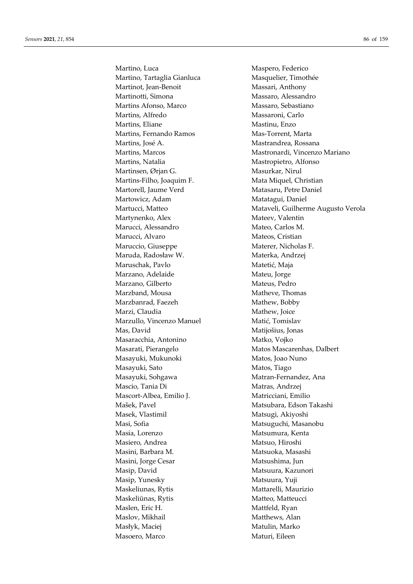Martino, Luca Maspero, Federico Martino, Tartaglia Gianluca Masquelier, Timothée Martinot, Jean-Benoit Massari, Anthony Martinotti, Simona Massaro, Alessandro Martins Afonso, Marco Massaro, Sebastiano Martins, Alfredo Massaroni, Carlo Martins, Eliane Mastinu, Enzo Martins, Fernando Ramos Mas-Torrent, Marta Martins, José A. Mastrandrea, Rossana Martins, Natalia Mastropietro, Alfonso Martinsen, Ørjan G. Masurkar, Nirul Martins-Filho, Joaquim F. Mata Miquel, Christian Martorell, Jaume Verd Matasaru, Petre Daniel Martowicz, Adam Matatagui, Daniel Martynenko, Alex Mateev, Valentin Marucci, Alessandro Mateo, Carlos M. Marucci, Alvaro Mateos, Cristian Maruccio, Giuseppe Materer, Nicholas F. Maruda, Radosław W. Materka, Andrzej Maruschak, Pavlo Matetić, Maja Marzano, Adelaide Mateu, Jorge Marzano, Gilberto Mateus, Pedro Marzband, Mousa Matheve, Thomas Marzbanrad, Faezeh Mathew, Bobby Marzi, Claudia Mathew, Joice Marzullo, Vincenzo Manuel Matić, Tomislav Mas, David Matijošius, Jonas Masaracchia, Antonino Matko, Vojko Masarati, Pierangelo Matos Mascarenhas, Dalbert Masayuki, Mukunoki Matos, Joao Nuno Masayuki, Sato Matos, Tiago Masayuki, Sohgawa Matran-Fernandez, Ana Mascio, Tania Di Matras, Andrzej Mascort-Albea, Emilio J. Matricciani, Emilio Mašek, Pavel Matsubara, Edson Takashi Masek, Vlastimil Matsugi, Akiyoshi Masi, Sofia **Matsuguchi**, Masanobu Masia, Lorenzo **Matsumura**, Kenta Masiero, Andrea Matsuo, Hiroshi Masini, Barbara M. Matsuoka, Masashi Masini, Jorge Cesar Matsushima, Jun Masip, David Matsuura, Kazunori Masip, Yunesky Matsuura, Yuji Maskeliunas, Rytis Mattarelli, Maurizio Maskeliūnas, Rytis Matteo, Matteucci Maslen, Eric H. Mattfeld, Ryan Maslov, Mikhail Matthews, Alan Masłyk, Maciej Matulin, Marko Masoero, Marco Maturi, Eileen

Martins, Marcos Mastronardi, Vincenzo Mariano Martucci, Matteo Mataveli, Guilherme Augusto Verola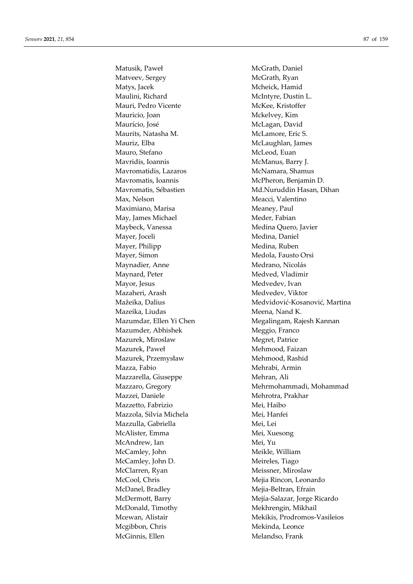Matusik, Paweł McGrath, Daniel Matveev, Sergey McGrath, Ryan Matys, Jacek Mcheick, Hamid Maulini, Richard McIntyre, Dustin L. Mauri, Pedro Vicente McKee, Kristoffer Mauricio, Joan Mckelvey, Kim Maurício, José **McLagan**, David Maurits, Natasha M. McLamore, Eric S. Mauriz, Elba McLaughlan, James Mauro, Stefano McLeod, Euan Mavridis, Ioannis McManus, Barry J. Mavromatidis, Lazaros McNamara, Shamus Mavromatis, Ioannis McPheron, Benjamin D. Max, Nelson Meacci, Valentino Maximiano, Marisa Meaney, Paul May, James Michael Meder, Fabian Maybeck, Vanessa Medina Quero, Javier Mayer, Joceli Medina, Daniel Mayer, Philipp Medina, Ruben Mayer, Simon Medola, Fausto Orsi Maynadier, Anne Medrano, Nicolás Maynard, Peter Medved, Vladimir Mayor, Jesus Medvedev, Ivan Mazaheri, Arash Medvedev, Viktor Mazeika, Liudas Meena, Nand K. Mazumder, Abhishek Meggio, Franco Mazurek, Miroslaw Megret, Patrice Mazurek, Paweł Mehmood, Faizan Mazurek, Przemysław Mehmood, Rashid Mazza, Fabio **Mehrabi**, Armin Mazzarella, Giuseppe Mehran, Ali Mazzei, Daniele Mehrotra, Prakhar Mazzetto, Fabrizio Mei, Haibo Mazzola, Silvia Michela **Mei**, Hanfei Mazzulla, Gabriella Mei, Lei McAlister, Emma Mei, Xuesong McAndrew, Ian Mei, Yu McCamley, John Meikle, William McCamley, John D. Meireles, Tiago McClarren, Ryan Meissner, Miroslaw McCool, Chris Mejia Rincon, Leonardo McDanel, Bradley Mejia-Beltran, Efrain McDonald, Timothy Mekhrengin, Mikhail Mcgibbon, Chris Mekinda, Leonce McGinnis, Ellen Melandso, Frank

Mavromatis, Sébastien Md.Nuruddin Hasan, Dihan Mažeika, Dalius Medvidović-Kosanović, Martina Mazumdar, Ellen Yi Chen Megalingam, Rajesh Kannan Mazzaro, Gregory Mehrmohammadi, Mohammad McDermott, Barry Mejía-Salazar, Jorge Ricardo Mcewan, Alistair Mekikis, Prodromos-Vasileios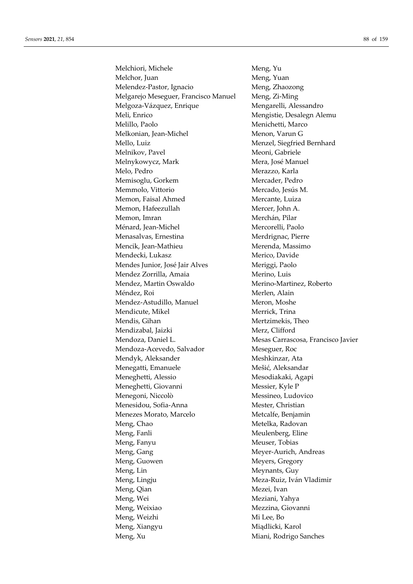Melchiori, Michele Meng, Yu Melchor, Juan Meng, Yuan Melendez-Pastor, Ignacio Meng, Zhaozong Melgarejo Meseguer, Francisco Manuel Meng, Zi-Ming Melgoza-Vázquez, Enrique Mengarelli, Alessandro Meli, Enrico Mengistie, Desalegn Alemu Melillo, Paolo Menichetti, Marco Melkonian, Jean-Michel Menon, Varun G Mello, Luiz Menzel, Siegfried Bernhard Melnikov, Pavel Meoni, Gabriele Melnykowycz, Mark Mera, José Manuel Melo, Pedro Merazzo, Karla Memisoglu, Gorkem Mercader, Pedro Memmolo, Vittorio Mercado, Jesús M. Memon, Faisal Ahmed Mercante, Luiza Memon, Hafeezullah Mercer, John A. Memon, Imran Merchán, Pilar Ménard, Jean-Michel Mercorelli, Paolo Menasalvas, Ernestina Merdrignac, Pierre Mencik, Jean-Mathieu Merenda, Massimo Mendecki, Lukasz Merico, Davide Mendes Junior, José Jair Alves Meriggi, Paolo Mendez Zorrilla, Amaia Merino, Luis Mendez, Martin Oswaldo Merino-Martinez, Roberto Méndez, Roi Merlen, Alain Mendez-Astudillo, Manuel Meron, Moshe Mendicute, Mikel Merrick, Trina Mendis, Gihan Mertzimekis, Theo Mendizabal, Jaizki Merz, Clifford Mendoza, Daniel L. Mesas Carrascosa, Francisco Javier Mendoza-Acevedo, Salvador Meseguer, Roc Mendyk, Aleksander Meshkinzar, Ata Menegatti, Emanuele Mešić, Aleksandar Meneghetti, Alessio Mesodiakaki, Agapi Meneghetti, Giovanni Messier, Kyle P Menegoni, Niccolò Messineo, Ludovico Menesidou, Sofia-Anna Mester, Christian Menezes Morato, Marcelo Metcalfe, Benjamin Meng, Chao Metelka, Radovan Meng, Fanli Meulenberg, Eline Meng, Fanyu Meuser, Tobias Meng, Gang Meyer-Aurich, Andreas Meng, Guowen Meyers, Gregory Meng, Lin Meynants, Guy Meng, Lingju Meza-Ruiz, Iván Vladimir Meng, Qian Mezei, Ivan Meng, Wei Meziani, Yahya Meng, Weixiao Mezzina, Giovanni Meng, Weizhi Mi Lee, Bo Meng, Xiangyu Miądlicki, Karol Meng, Xu Miani, Rodrigo Sanches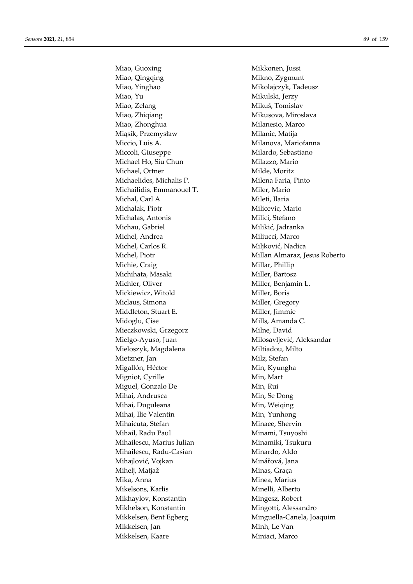Miao, Guoxing **Mikkonen**, Jussi Miao, Qingqing Mikno, Zygmunt Miao, Yinghao Mikolajczyk, Tadeusz Miao, Yu Mikulski, Jerzy Miao, Zelang Mikuš, Tomislav Miao, Zhiqiang **Mikusova**, Miroslava Miao, Zhonghua Milanesio, Marco Miąsik, Przemysław Milanic, Matija Miccio, Luis A. Milanova, Mariofanna Miccoli, Giuseppe Milardo, Sebastiano Michael Ho, Siu Chun Milazzo, Mario Michael, Ortner Milde, Moritz Michaelides, Michalis P. Milena Faria, Pinto Michailidis, Emmanouel T. Miler, Mario Michal, Carl A Mileti, Ilaria Michalak, Piotr Milicevic, Mario Michalas, Antonis Milici, Stefano Michau, Gabriel Milikić, Jadranka Michel, Andrea Miliucci, Marco Michel, Carlos R. Miljković, Nadica Michie, Craig Millar, Phillip Michihata, Masaki Miller, Bartosz Michler, Oliver Miller, Benjamin L. Mickiewicz, Witold Miller, Boris Miclaus, Simona Miller, Gregory Middleton, Stuart E. Miller, Jimmie Midoglu, Cise Mills, Amanda C. Mieczkowski, Grzegorz Milne, David Mielgo-Ayuso, Juan Milosavljević, Aleksandar Mieloszyk, Magdalena Miltiadou, Milto Mietzner, Jan Milz, Stefan Migallón, Héctor Min, Kyungha Migniot, Cyrille Min, Mart Miguel, Gonzalo De Min, Rui Mihai, Andrusca Min, Se Dong Mihai, Duguleana Min, Weiqing Mihai, Ilie Valentin Min, Yunhong Mihaicuta, Stefan Minaee, Shervin Mihail, Radu Paul **Minami**, Tsuyoshi Mihailescu, Marius Iulian Minamiki, Tsukuru Mihailescu, Radu-Casian Minardo, Aldo Mihailović, Vojkan Minářová, Jana Mihelj, Matjaž Minas, Graça Mika, Anna **Minea**, Marius Mikelsons, Karlis Minelli, Alberto Mikhaylov, Konstantin Mingesz, Robert Mikhelson, Konstantin Mingotti, Alessandro Mikkelsen, Bent Egberg Minguella-Canela, Joaquim Mikkelsen, Jan Minh, Le Van Mikkelsen, Kaare Miniaci, Marco

Michel, Piotr Millan Almaraz, Jesus Roberto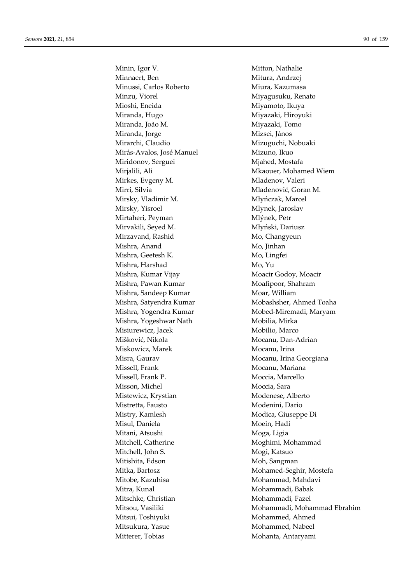Minin, Igor V. Mitton, Nathalie Minnaert, Ben Mitura, Andrzej Minussi, Carlos Roberto Miura, Kazumasa Minzu, Viorel **Minzu, Nigalism** Miyagusuku, Renato Mioshi, Eneida Miyamoto, Ikuya Miranda, Hugo **Miyazaki**, Hiroyuki Miranda, João M. Miyazaki, Tomo Miranda, Jorge Mizsei, János Mirarchi, Claudio Mizuguchi, Nobuaki Mirás-Avalos, José Manuel Mizuno, Ikuo Miridonov, Serguei Miahed, Mostafa Mirjalili, Ali Mkaouer, Mohamed Wiem Mirkes, Evgeny M. Mladenov, Valeri Mirri, Silvia Mirri, Silvia Museum Madenović, Goran M. Mirsky, Vladimir M. Mirsky, Marcel Mirsky, Yisroel Mlynek, Jaroslav Mirtaheri, Peyman Mlýnek, Petr Mirvakili, Seyed M. Młyński, Dariusz Mirzavand, Rashid Mo, Changyeun Mishra, Anand Mo, Jinhan Mishra, Geetesh K. Mo, Lingfei Mishra, Harshad Mo, Yu Mishra, Kumar Vijay Moacir Godoy, Moacir Mishra, Pawan Kumar Moafipoor, Shahram Mishra, Sandeep Kumar Moar, William Mishra, Yogendra Kumar Mobed-Miremadi, Maryam Mishra, Yogeshwar Nath Mobilia, Mirka Misiurewicz, Jacek Mobilio, Marco Mišković, Nikola Mocanu, Dan-Adrian Miskowicz, Marek Mocanu, Irina Misra, Gaurav **Misra, Gaurav Mocanu, Irina Georgiana** Missell, Frank Mocanu, Mariana Missell, Frank P. Moccia, Marcello Misson, Michel Moccia, Sara Mistewicz, Krystian Modenese, Alberto Mistretta, Fausto Modenini, Dario Mistry, Kamlesh Modica, Giuseppe Di Misul, Daniela Moein, Hadi Mitani, Atsushi Moga, Ligia Mitchell, Catherine Moghimi, Mohammad Mitchell, John S. Mogi, Katsuo Mitishita, Edson Moh, Sangman Mitka, Bartosz Mohamed-Seghir, Mostefa Mitobe, Kazuhisa **Mohammad, Mahdavi** Mitra, Kunal Mohammadi, Babak Mitschke, Christian Mohammadi, Fazel Mitsui, Toshiyuki Mohammed, Ahmed Mitsukura, Yasue Mohammed, Nabeel Mitterer, Tobias Mohanta, Antaryami

Mishra, Satyendra Kumar Mobashsher, Ahmed Toaha Mitsou, Vasiliki Mohammadi, Mohammad Ebrahim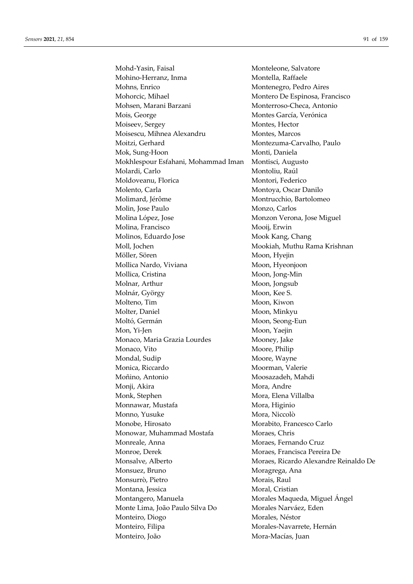Mohd-Yasin, Faisal Monteleone, Salvatore Mohino-Herranz, Inma Montella, Raffaele Mohns, Enrico Montenegro, Pedro Aires Mohorcic, Mihael Montero De Espinosa, Francisco Mohsen, Marani Barzani **Monterroso-Checa**, Antonio Mois, George Montes García, Verónica Moiseev, Sergey Montes, Hector Moisescu, Mihnea Alexandru Montes, Marcos Moitzi, Gerhard Montezuma-Carvalho, Paulo Mok, Sung-Hoon Monti, Daniela Mokhlespour Esfahani, Mohammad Iman Montisci, Augusto Molardi, Carlo Montoliu, Raúl Moldoveanu, Florica Montori, Federico Molento, Carla Montoya, Oscar Danilo Molimard, Jérôme Montrucchio, Bartolomeo Molin, Jose Paulo Monzo, Carlos Molina López, Jose Monzon Verona, Jose Miguel Molina, Francisco Mooij, Erwin Molinos, Eduardo Jose Mook Kang, Chang Moll, Jochen Mookiah, Muthu Rama Krishnan Möller, Sören Moon, Hyejin Mollica Nardo, Viviana Moon, Hyeonjoon Mollica, Cristina Moon, Jong-Min Molnar, Arthur Moon, Jongsub Molnár, György Moon, Kee S. Molteno, Tim Moon, Kiwon Molter, Daniel Moon, Minkyu Moltó, Germán Moon, Seong-Eun Mon, Yi-Jen Moon, Yaejin Monaco, Maria Grazia Lourdes Mooney, Jake Monaco, Vito Moore, Philip Mondal, Sudip Moore, Wayne Monica, Riccardo Moorman, Valerie Moñino, Antonio Moosazadeh, Mahdi Monji, Akira Mora, Andre Monk, Stephen Mora, Elena Villalba Monnawar, Mustafa Mora, Higinio Monno, Yusuke Mora, Niccolò Monobe, Hirosato Morabito, Francesco Carlo Monowar, Muhammad Mostafa Moraes, Chris Monreale, Anna Moraes, Fernando Cruz Monroe, Derek Moraes, Francisca Pereira De Monsalve, Alberto Moraes, Ricardo Alexandre Reinaldo De Monsuez, Bruno Moragrega, Ana Monsurrò, Pietro **Monsurrò**, Pietro Morais, Raul Montana, Jessica Moral, Cristian Montangero, Manuela Morales Maqueda, Miguel Ángel Monte Lima, João Paulo Silva Do Morales Narváez, Eden Monteiro, Diogo Morales, Néstor Monteiro, Filipa Morales-Navarrete, Hernán Monteiro, João Mora-Macías, Juan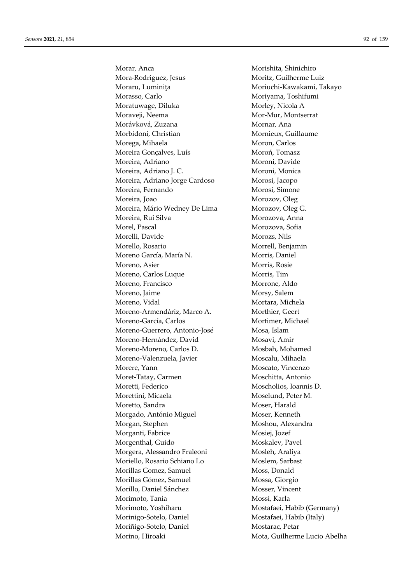Morar, Anca **Morishita**, Shinichiro Mora-Rodriguez, Jesus Moritz, Guilherme Luiz Moraru, Luminița Moriuchi-Kawakami, Takayo Morasso, Carlo Moriyama, Toshifumi Moratuwage, Diluka Morley, Nicola A Moraveji, Neema Mor-Mur, Montserrat Morávková, Zuzana Mornar, Ana Morbidoni, Christian Mornieux, Guillaume Morega, Mihaela Moron, Carlos Moreira Gonçalves, Luís Moroń, Tomasz Moreira, Adriano Moroni, Davide Moreira, Adriano J. C. Moroni, Monica Moreira, Adriano Jorge Cardoso Morosi, Jacopo Moreira, Fernando Morosi, Simone Moreira, Joao Morozov, Oleg Moreira, Mário Wedney De Lima Morozov, Oleg G. Moreira, Rui Silva Morozova, Anna Morel, Pascal Morozova, Sofia Morelli, Davide Morozs, Nils Morello, Rosario Morrell, Benjamin Moreno García, María N. Morris, Daniel Moreno, Asier Morris, Rosie Moreno, Carlos Luque Morris, Tim Moreno, Francisco Morrone, Aldo Moreno, Jaime Morsy, Salem Moreno, Vidal Mortara, Michela Moreno-Armendáriz, Marco A. Morthier, Geert Moreno-García, Carlos Mortimer, Michael Moreno-Guerrero, Antonio-José Mosa, Islam Moreno-Hernández, David Mosavi, Amir Moreno-Moreno, Carlos D. Mosbah, Mohamed Moreno-Valenzuela, Javier Moscalu, Mihaela Morere, Yann Moscato, Vincenzo Moret-Tatay, Carmen Moschitta, Antonio Moretti, Federico Moscholios, Ioannis D. Morettini, Micaela Moselund, Peter M. Moretto, Sandra Moser, Harald Morgado, António Miguel Moser, Kenneth Morgan, Stephen Moshou, Alexandra Morganti, Fabrice Mosiej, Jozef Morgenthal, Guido Moskalev, Pavel Morgera, Alessandro Fraleoni Mosleh, Araliya Moriello, Rosario Schiano Lo Moslem, Sarbast Morillas Gomez, Samuel Moss, Donald Morillas Gómez, Samuel Mossa, Giorgio Morillo, Daniel Sánchez Mosser, Vincent Morimoto, Tania **Mossi, Karla** Morimoto, Yoshiharu Mostafaei, Habib (Germany) Morinigo-Sotelo, Daniel Mostafaei, Habib (Italy) Moríñigo-Sotelo, Daniel Mostarac, Petar Morino, Hiroaki Mota, Guilherme Lucio Abelha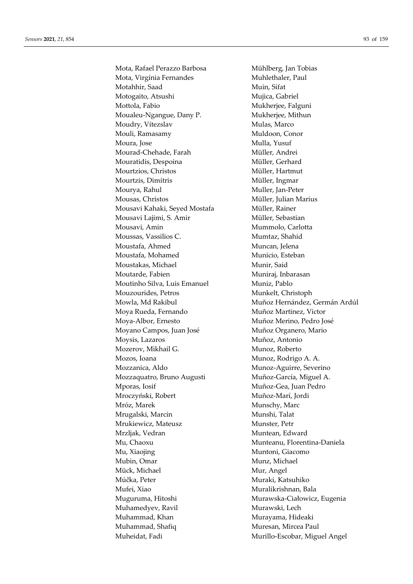Mota, Rafael Perazzo Barbosa Mühlberg, Jan Tobias Mota, Virgínia Fernandes Muhlethaler, Paul Motahhir, Saad Muin, Sifat Motogaito, Atsushi Mujica, Gabriel Mottola, Fabio Mukherjee, Falguni Moualeu-Ngangue, Dany P. Mukherjee, Mithun Moudry, Vítezslav Mulas, Marco Mouli, Ramasamy Muldoon, Conor Moura, Jose Mulla, Yusuf Mourad-Chehade, Farah Müller, Andrei Mouratidis, Despoina Müller, Gerhard Mourtzios, Christos Müller, Hartmut Mourtzis, Dimitris Müller, Ingmar Mourya, Rahul Muller, Jan-Peter Mousas, Christos Müller, Julian Marius Mousavi Kahaki, Seyed Mostafa Müller, Rainer Mousavi Lajimi, S. Amir Müller, Sebastian Mousavi, Amin Mummolo, Carlotta Moussas, Vassilios C. Mumtaz, Shahid Moustafa, Ahmed Muncan, Jelena Moustafa, Mohamed Municio, Esteban Moustakas, Michael Munir, Said Moutarde, Fabien Muniraj, Inbarasan Moutinho Silva, Luis Emanuel Muniz, Pablo Mouzourides, Petros Munkelt, Christoph Moya Rueda, Fernando Muñoz Martinez, Victor Moya-Albor, Ernesto Muñoz Merino, Pedro José Moyano Campos, Juan José Muñoz Organero, Mario Moysis, Lazaros Muñoz, Antonio Mozerov, Mikhail G. Munoz, Roberto Mozos, Ioana **Munoz**, Rodrigo A. A. Mozzanica, Aldo Munoz-Aguirre, Severino Mozzaquatro, Bruno Augusti Muñoz-García, Miguel A. Mporas, Iosif Muñoz-Gea, Juan Pedro Mroczyński, Robert Muñoz-Marí, Jordi Mróz, Marek Munschy, Marc Mrugalski, Marcin Munshi, Talat Mrukiewicz, Mateusz Munster, Petr Mrzljak, Vedran Muntean, Edward Mu, Chaoxu Munteanu, Florentina-Daniela Mu, Xiaojing Muntoni, Giacomo Mubin, Omar Munz, Michael Mück, Michael Mur, Angel Múčka, Peter **Muraki, Katsuhiko** Mufei, Xiao **Muralikrishnan, Bala** Muguruma, Hitoshi Murawska-Ciałowicz, Eugenia Muhamedyev, Ravil Murawski, Lech Muhammad, Khan Murayama, Hideaki Muhammad, Shafiq Muresan, Mircea Paul Muheidat, Fadi Murillo-Escobar, Miguel Angel

Mowla, Md Rakibul Muñoz Hernández, Germán Ardúl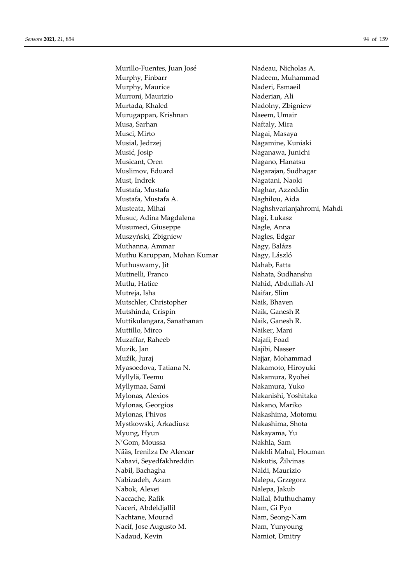Murillo-Fuentes, Juan José Nadeau, Nicholas A. Murphy, Finbarr Nadeem, Muhammad Murphy, Maurice Naderi, Esmaeil Murroni, Maurizio Naderian, Ali Murtada, Khaled Nadolny, Zbigniew Murugappan, Krishnan Naeem, Umair Musa, Sarhan Naftaly, Mira Musci, Mirto Nagai, Masaya Musial, Jedrzej **Nagamine**, Kuniaki Musić, Josip Naganawa, Junichi Musicant, Oren Nagano, Hanatsu Muslimov, Eduard Nagarajan, Sudhagar Must, Indrek Nagatani, Naoki Mustafa, Mustafa Naghar, Azzeddin Mustafa, Mustafa A. Naghilou, Aida Musteata, Mihai Naghshvarianjahromi, Mahdi Musuc, Adina Magdalena Nagi, Łukasz Musumeci, Giuseppe Nagle, Anna Muszyński, Zbigniew Nagles, Edgar Muthanna, Ammar Nagy, Balázs Muthu Karuppan, Mohan Kumar Nagy, László Muthuswamy, Jit Nahab, Fatta Mutinelli, Franco Nahata, Sudhanshu Mutlu, Hatice Nahid, Abdullah-Al Mutreja, Isha Naifar, Slim Mutschler, Christopher Naik, Bhaven Mutshinda, Crispin Naik, Ganesh R Muttikulangara, Sanathanan Naik, Ganesh R. Muttillo, Mirco Naiker, Mani Muzaffar, Raheeb Najafi, Foad Muzik, Jan Najibi, Nasser Mužík, Juraj Najjar, Mohammad Myasoedova, Tatiana N. Nakamoto, Hiroyuki Myllylä, Teemu Nakamura, Ryohei Myllymaa, Sami Nakamura, Yuko Mylonas, Alexios Nakanishi, Yoshitaka Mylonas, Georgios Nakano, Mariko Mylonas, Phivos Nakashima, Motomu Mystkowski, Arkadiusz Nakashima, Shota Myung, Hyun Nakayama, Yu N'Gom, Moussa Nakhla, Sam Nääs, Irenilza De Alencar Nakhli Mahal, Houman Nabavi, Seyedfakhreddin Nakutis, Žilvinas Nabil, Bachagha Naldi, Maurizio Nabizadeh, Azam Nalepa, Grzegorz Nabok, Alexei Nalepa, Jakub Naccache, Rafik Nallal, Muthuchamy Naceri, Abdeldjallil Nam, Gi Pyo Nachtane, Mourad Nam, Seong-Nam Nacif, Jose Augusto M. Nam, Yunyoung Nadaud, Kevin Namiot, Dmitry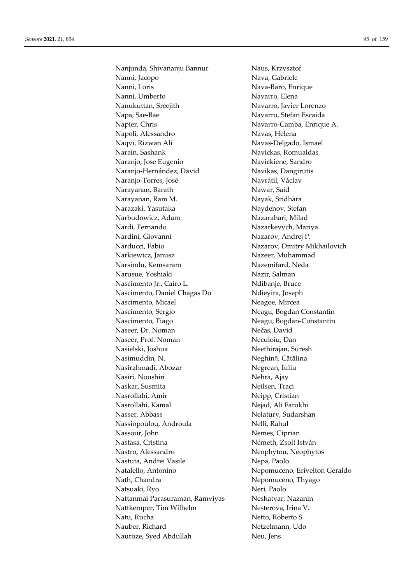Nanjunda, Shivananju Bannur Naus, Krzysztof Nanni, Jacopo Nava, Gabriele Nanni, Loris Nava-Baro, Enrique Nanni, Umberto Navarro, Elena Nanukuttan, Sreejith Navarro, Javier Lorenzo Napa, Sae-Bae Navarro, Stefan Escaida Napier, Chris Navarro-Camba, Enrique A. Napoli, Alessandro Navas, Helena Naqvi, Rizwan Ali Navas-Delgado, Ismael Narain, Sashank Navickas, Romualdas Naranjo, Jose Eugenio Navickiene, Sandro Naranjo-Hernández, David Navikas, Dangirutis Naranjo-Torres, José Navrátil, Václav Narayanan, Barath Nawar, Said Narayanan, Ram M. Nayak, Sridhara Narazaki, Yasutaka Naydenov, Stefan Narbudowicz, Adam Nazarahari, Milad Nardi, Fernando Nazarkevych, Mariya Nardini, Giovanni Nazarov, Andrej P. Narducci, Fabio Nazarov, Dmitry Mikhailovich Narkiewicz, Janusz Nazeer, Muhammad Narsimlu, Kemsaram Nazemifard, Neda Narusue, Yoshiaki Nazir, Salman Nascimento Jr., Cairo L. Ndibanje, Bruce Nascimento, Daniel Chagas Do Ndieyira, Joseph Nascimento, Micael Neagoe, Mircea Nascimento, Sergio Neagu, Bogdan Constantin Nascimento, Tiago Neagu, Bogdan-Constantin Naseer, Dr. Noman Nečas, David Naseer, Prof. Noman Neculoiu, Dan Nasielski, Joshua Neethirajan, Suresh Nasimuddin, N. Neghină, Cătălina Nasirahmadi, Abozar Negrean, Iuliu Nasiri, Noushin Nehra, Ajay Naskar, Susmita Neilsen, Traci Nasrollahi, Amir Neipp, Cristian Nasrollahi, Kamal Nejad, Ali Farokhi Nasser, Abbass Nelatury, Sudarshan Nassiopoulou, Androula Nelli, Rahul Nassour, John Nemes, Ciprian Nastasa, Cristina Németh, Zsolt István Nastro, Alessandro Neophytou, Neophytos Nastuta, Andrei Vasile Nepa, Paolo Natalello, Antonino Nepomuceno, Erivelton Geraldo Nath, Chandra Nepomuceno, Thyago Natsuaki, Ryo Neri, Paolo Nattanmai Parasuraman, Ramviyas Neshatvar, Nazanin Nattkemper, Tim Wilhelm Nesterova, Irina V. Natu, Rucha Netto, Roberto S. Nauber, Richard Netzelmann, Udo Nauroze, Syed Abdullah Neu, Jens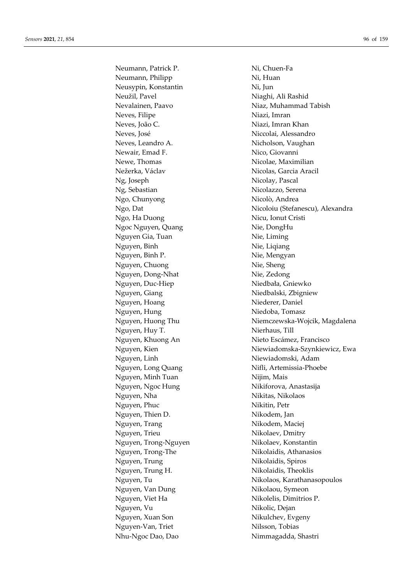Neumann, Patrick P. Ni, Chuen-Fa Neumann, Philipp Ni, Huan Neusypin, Konstantin Ni, Jun Neužil, Pavel Niaghi, Ali Rashid Nevalainen, Paavo Niaz, Muhammad Tabish Neves, Filipe Niazi, Imran Neves, João C. Niazi, Imran Khan Neves, José Niccolai, Alessandro Neves, Leandro A. Nicholson, Vaughan Newair, Emad F. Nico, Giovanni Newe, Thomas Nicolae, Maximilian Nežerka, Václav Nicolas, Garcia Aracil Ng, Joseph Nicolay, Pascal Ng, Sebastian Nicolazzo, Serena Ngo, Chunyong Nicolò, Andrea Ngo, Ha Duong Nicu, Ionut Cristi Ngoc Nguyen, Quang Nie, DongHu Nguyen Gia, Tuan Nie, Liming Nguyen, Binh Nie, Liqiang Nguyen, Binh P. Nie, Mengyan Nguyen, Chuong Nie, Sheng Nguyen, Dong-Nhat Nie, Zedong Nguyen, Duc-Hiep Niedbała, Gniewko Nguyen, Giang Niedbalski, Zbigniew Nguyen, Hoang Niederer, Daniel Nguyen, Hung Niedoba, Tomasz Nguyen, Huy T. Nierhaus, Till Nguyen, Khuong An Nieto Escámez, Francisco Nguyen, Linh Niewiadomski, Adam Nguyen, Long Quang Nifli, Artemissia-Phoebe Nguyen, Minh Tuan Nijim, Mais Nguyen, Ngoc Hung Nikiforova, Anastasija Nguyen, Nha Nikitas, Nikolaos Nguyen, Phuc Nikitin, Petr Nguyen, Thien D. Nikodem, Jan Nguyen, Trang Nikodem, Maciej Nguyen, Trieu Nikolaev, Dmitry Nguyen, Trong-Nguyen Nikolaev, Konstantin Nguyen, Trong-The Nikolaidis, Athanasios Nguyen, Trung Nikolaidis, Spiros Nguyen, Trung H. Nikolaidis, Theoklis Nguyen, Van Dung Nikolaou, Symeon Nguyen, Viet Ha Nikolelis, Dimitrios P. Nguyen, Vu Nikolic, Dejan Nguyen, Xuan Son Nikulchev, Evgeny Nguyen-Van, Triet Nilsson, Tobias Nhu-Ngoc Dao, Dao Nimmagadda, Shastri

Ngo, Dat Nicoloiu (Stefanescu), Alexandra Nguyen, Huong Thu Niemczewska-Wojcik, Magdalena Nguyen, Kien Niewiadomska-Szynkiewicz, Ewa Nguyen, Tu Nikolaos, Karathanasopoulos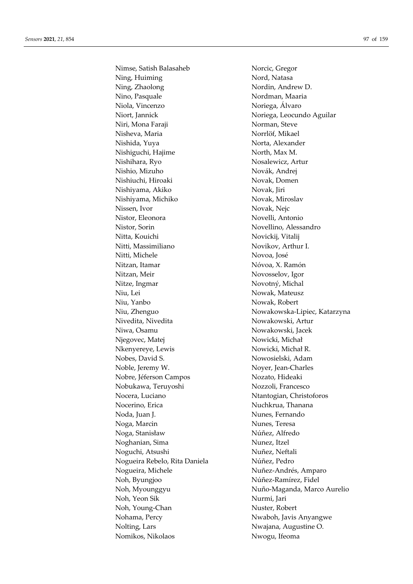Nimse, Satish Balasaheb Norcic, Gregor Ning, Huiming Nord, Natasa Ning, Zhaolong Nordin, Andrew D. Nino, Pasquale Nordman, Maaria Niola, Vincenzo Noriega, Álvaro Niort, Jannick Noriega, Leocundo Aguilar Niri, Mona Faraji Norman, Steve Nisheva, Maria Norrlöf, Mikael Nishida, Yuya Norta, Alexander Nishiguchi, Hajime North, Max M. Nishihara, Ryo Nosalewicz, Artur Nishio, Mizuho Novák, Andrej Nishiuchi, Hiroaki Novak, Domen Nishiyama, Akiko Novak, Jiri Nishiyama, Michiko Novak, Miroslav Nissen, Ivor Novak, Nejc Nistor, Eleonora Novelli, Antonio Nistor, Sorin Novellino, Alessandro Nitta, Kouichi Novickij, Vitalij Nitti, Massimiliano Novikov, Arthur I. Nitti, Michele Novoa, José Nitzan, Itamar Nóvoa, X. Ramón Nitzan, Meir Novosselov, Igor Nitze, Ingmar Novotný, Michal Niu, Lei Nowak, Mateusz Niu, Yanbo Nowak, Robert Nivedita, Nivedita Nowakowski, Artur Niwa, Osamu Nowakowski, Jacek Njegovec, Matej Nowicki, Michał Nkenyereye, Lewis Nowicki, Michał R. Nobes, David S. Nowosielski, Adam Noble, Jeremy W. Noyer, Jean-Charles Nobre, Jéferson Campos Nozato, Hideaki Nobukawa, Teruyoshi Nozzoli, Francesco Nocera, Luciano Ntantogian, Christoforos Nocerino, Erica Nuchkrua, Thanana Noda, Juan J. Nunes, Fernando Noga, Marcin Nunes, Teresa Noga, Stanisław Núñez, Alfredo Noghanian, Sima Nunez, Itzel Noguchi, Atsushi Nuñez, Neftali Nogueira Rebelo, Rita Daniela Núñez, Pedro Nogueira, Michele Nuñez-Andrés, Amparo Noh, Byungjoo Núñez-Ramírez, Fidel Noh, Yeon Sik Nurmi, Jari Noh, Young-Chan Nuster, Robert Nohama, Percy Nwaboh, Javis Anyangwe Nolting, Lars Nwajana, Augustine O. Nomikos, Nikolaos Nwogu, Ifeoma

Niu, Zhenguo Nowakowska-Lipiec, Katarzyna Noh, Myounggyu Nuño-Maganda, Marco Aurelio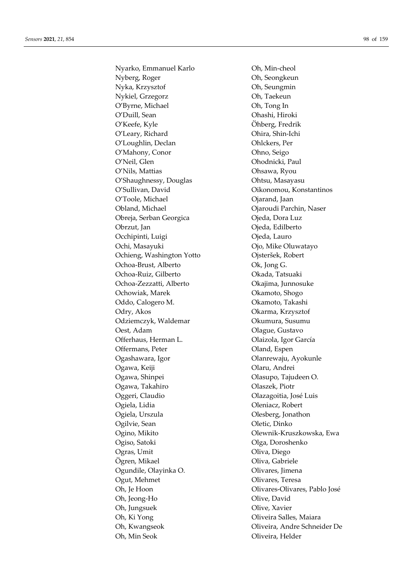Nyarko, Emmanuel Karlo Oh, Min-cheol Nyberg, Roger Oh, Seongkeun Nyka, Krzysztof Oh, Seungmin Nykiel, Grzegorz Oh, Taekeun O'Byrne, Michael Oh, Tong In O'Duill, Sean **O'Duill**, Sean O'Keefe, Kyle Öhberg, Fredrik O'Leary, Richard Ohira, Shin-Ichi O'Loughlin, Declan Ohlckers, Per O'Mahony, Conor Ohno, Seigo O'Neil, Glen Ohodnicki, Paul O'Nils, Mattias Ohsawa, Ryou O'Shaughnessy, Douglas Ohtsu, Masayasu O'Sullivan, David Cikonomou, Konstantinos O'Toole, Michael **O'Toole**, Michael **O**jarand, Jaan Obland, Michael Ojaroudi Parchin, Naser Obreja, Serban Georgica Ojeda, Dora Luz Obrzut, Jan Ojeda, Edilberto Occhipinti, Luigi Cieda, Lauro Ochi, Masayuki Ojo, Mike Oluwatayo Ochieng, Washington Yotto Ojsteršek, Robert Ochoa-Brust, Alberto Ok, Jong G. Ochoa-Ruiz, Gilberto Okada, Tatsuaki Ochoa-Zezzatti, Alberto Okajima, Junnosuke Ochowiak, Marek **Okamoto**, Shogo Oddo, Calogero M. Okamoto, Takashi Odry, Akos Okarma, Krzysztof Odziemczyk, Waldemar Okumura, Susumu Oest, Adam Olague, Gustavo Offerhaus, Herman L. Olaizola, Igor García Offermans, Peter **Oland**, Espen Ogashawara, Igor Olanrewaju, Ayokunle Ogawa, Keiji Olaru, Andrei Ogawa, Shinpei Olasupo, Tajudeen O. Ogawa, Takahiro Olaszek, Piotr Oggeri, Claudio Olazagoitia, José Luis Ogiela, Lidia Oleniacz, Robert Ogiela, Urszula Olesberg, Jonathon Ogilvie, Sean **Oletic, Dinko** Ogino, Mikito Olewnik-Kruszkowska, Ewa Ogiso, Satoki Olga, Doroshenko Ogras, Umit Oliva, Diego Ögren, Mikael Oliva, Gabriele Ogundile, Olayinka O. Olivares, Jimena Ogut, Mehmet Olivares, Teresa Oh, Je Hoon Olivares-Olivares, Pablo José Oh, Jeong-Ho Olive, David Oh, Jungsuek Olive, Xavier Oh, Ki Yong **Oliveira Salles, Maiara** Oh, Kwangseok Oliveira, Andre Schneider De Oh, Min Seok Oliveira, Helder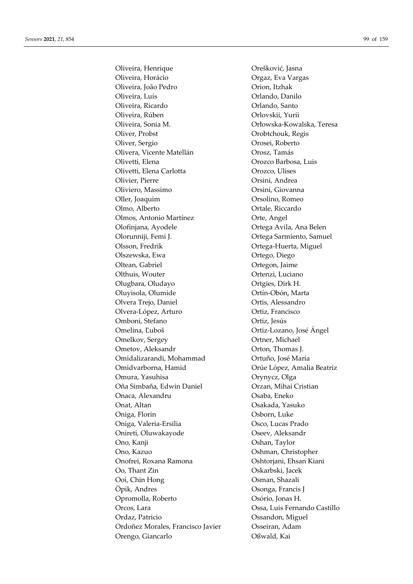Oliveira, Henrique **Orešković**, Jasna Oliveira, Horácio Orgaz, Eva Vargas Oliveira, João Pedro Orion, Itzhak Oliveira, Luís Orlando, Danilo Oliveira, Ricardo Orlando, Santo Oliveira, Rúben Orlovskii, Yurii Oliveira, Sonia M. Orłowska-Kowalska, Teresa Oliver, Probst Orobtchouk, Regis Oliver, Sergio Orosei, Roberto Olivera, Vicente Matellán Orosz, Tamás Olivetti, Elena Orozco Barbosa, Luis Olivetti, Elena Carlotta Orozco, Ulises Olivier, Pierre Orsini, Andrea Oliviero, Massimo Orsini, Giovanna Oller, Joaquim Orsolino, Romeo Olmo, Alberto Ortale, Riccardo Olmos, Antonio Martínez Orte, Angel Olofinjana, Ayodele Ortega Avila, Ana Belen Olorunniji, Femi J. Ortega Sarmiento, Samuel Olsson, Fredrik Ortega-Huerta, Miguel Olszewska, Ewa Ortego, Diego Oltean, Gabriel Ortegon, Jaime Olthuis, Wouter **Ortenzi**, Luciano Olugbara, Oludayo Ortgies, Dirk H. Oluyisola, Olumide Ortín-Obón, Marta Olvera Trejo, Daniel **Ortis**, Alessandro Olvera-López, Arturo **Ortiz**, Francisco Omboni, Stefano Ortiz, Jesús Omelina, Ľuboš Ortiz-Lozano, José Ángel Omelkov, Sergey **Ortner**, Michael Ometov, Aleksandr **Orton**, Thomas J. Omidalizarandi, Mohammad Ortuño, José María Omidvarborna, Hamid Orúe López, Amalia Beatriz Omura, Yasuhisa Orynycz, Olga Oña Simbaña, Edwin Daniel Orzan, Mihai Cristian Onaca, Alexandru Osaba, Eneko Onat, Altan Osakada, Yasuko Oniga, Florin Osborn, Luke Oniga, Valeria-Ersilia Osco, Lucas Prado Onireti, Oluwakayode Oseev, Aleksandr Ono, Kanji Oshan, Taylor Ono, Kazuo Oshman, Christopher Onofrei, Roxana Ramona Oshtorjani, Ehsan Kiani Oo, Thant Zin Oskarbski, Jacek Ooi, Chin Hong Osman, Shazali Öpik, Andres Osonga, Francis J Opromolla, Roberto Osório, Jonas H. Orcos, Lara Ossa, Luis Fernando Castillo Ordaz, Patricio Ossandon, Miguel Ordoñez Morales, Francisco Javier Osseiran, Adam Orengo, Giancarlo Oßwald, Kai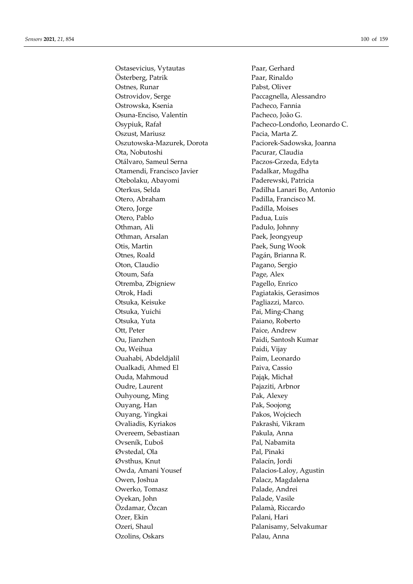Ostasevicius, Vytautas Paar, Gerhard Österberg, Patrik Paar, Rinaldo Ostnes, Runar Pabst, Oliver Ostrovidov, Serge Paccagnella, Alessandro Ostrowska, Ksenia Pacheco, Fannia Osuna-Enciso, Valentín Pacheco, João G. Oszust, Mariusz Pacia, Marta Z. Oszutowska-Mazurek, Dorota Paciorek-Sadowska, Joanna Ota, Nobutoshi Pacurar, Claudia Otálvaro, Sameul Serna Paczos-Grzeda, Edyta Otamendi, Francisco Javier Padalkar, Mugdha Otebolaku, Abayomi Paderewski, Patricia Oterkus, Selda Padilha Lanari Bo, Antonio Otero, Abraham Padilla, Francisco M. Otero, Jorge Padilla, Moises Otero, Pablo Padua, Luis Othman, Ali Padulo, Johnny Othman, Arsalan Paek, Jeongyeup Otis, Martin Paek, Sung Wook Otnes, Roald Pagán, Brianna R. Oton, Claudio Pagano, Sergio Otoum, Safa Page, Alex Otremba, Zbigniew Pagello, Enrico Otrok, Hadi Pagiatakis, Gerasimos Otsuka, Keisuke Pagliazzi, Marco. Otsuka, Yuichi Pai, Ming-Chang Otsuka, Yuta Paiano, Roberto Ott, Peter Paice, Andrew Ou, Jianzhen Paidi, Santosh Kumar Ou, Weihua Paidi, Vijay Ouahabi, Abdeldjalil Paim, Leonardo Oualkadi, Ahmed El Paiva, Cassio Ouda, Mahmoud Pająk, Michał Oudre, Laurent Pajaziti, Arbnor Ouhyoung, Ming Pak, Alexey Ouyang, Han Pak, Soojong Ouyang, Yingkai Pakos, Wojciech Ovaliadis, Kyriakos Pakrashi, Vikram Overeem, Sebastiaan Pakula, Anna Ovseník, Ľuboš Pal, Nabamita Øvstedal, Ola Pal, Pinaki Øvsthus, Knut Palacín, Jordi Owda, Amani Yousef Palacios-Laloy, Agustin Owen, Joshua **Palacz**, Magdalena Owerko, Tomasz Palade, Andrei Oyekan, John Palade, Vasile Özdamar, Özcan Palamà, Riccardo Ozer, Ekin Palani, Hari Ozeri, Shaul Palanisamy, Selvakumar Ozolins, Oskars Palau, Anna

Osypiuk, Rafał Pacheco-Londoño, Leonardo C.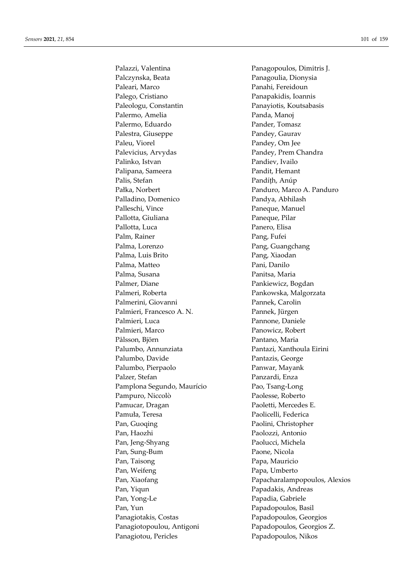Palazzi, Valentina Panagopoulos, Dimitris J. Palczynska, Beata Panagoulia, Dionysia Paleari, Marco Panahi, Fereidoun Palego, Cristiano Panapakidis, Ioannis Paleologu, Constantin Panayiotis, Koutsabasis Palermo, Amelia Panda, Manoj Palermo, Eduardo Pander, Tomasz Palestra, Giuseppe Pandey, Gaurav Paleu, Viorel Pandey, Om Jee Palevicius, Arvydas Pandey, Prem Chandra Palinko, Istvan Pandiev, Ivailo Palipana, Sameera Pandit, Hemant Palis, Stefan Pandíth, Anúp Pałka, Norbert Panduro, Marco A. Panduro Palladino, Domenico Pandya, Abhilash Palleschi, Vince Paneque, Manuel Pallotta, Giuliana Paneque, Pilar Pallotta, Luca Panero, Elisa Palm, Rainer Pang, Fufei Palma, Lorenzo **Pang, Guangchang** Palma, Luis Brito Pang, Xiaodan Palma, Matteo Pani, Danilo Palma, Susana Panitsa, Maria Palmer, Diane Pankiewicz, Bogdan Palmeri, Roberta Pankowska, Malgorzata Palmerini, Giovanni Pannek, Carolin Palmieri, Francesco A. N. Pannek, Jürgen Palmieri, Luca Pannone, Daniele Palmieri, Marco Panowicz, Robert Pålsson, Björn Pantano, Maria Palumbo, Annunziata Pantazi, Xanthoula Eirini Palumbo, Davide Pantazis, George Palumbo, Pierpaolo Panwar, Mayank Palzer, Stefan Panzardi, Enza Pamplona Segundo, Maurício Pao, Tsang-Long Pampuro, Niccolò Paolesse, Roberto Pamucar, Dragan Paoletti, Mercedes E. Pamuła, Teresa Paolicelli, Federica Pan, Guoqing Paolini, Christopher Pan, Haozhi Paolozzi, Antonio Pan, Jeng-Shyang Paolucci, Michela Pan, Sung-Bum Paone, Nicola Pan, Taisong Papa, Mauricio Pan, Weifeng Papa, Umberto Pan, Yiqun Papadakis, Andreas Pan, Yong-Le Papadia, Gabriele Pan, Yun Papadopoulos, Basil Panagiotakis, Costas Papadopoulos, Georgios Panagiotopoulou, Antigoni Papadopoulos, Georgios Z. Panagiotou, Pericles Papadopoulos, Nikos

Pan, Xiaofang Papacharalampopoulos, Alexios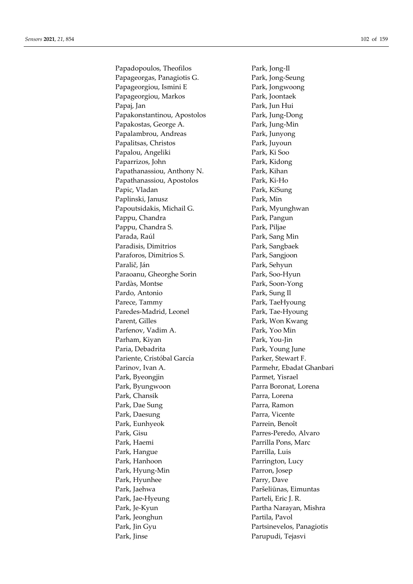Papadopoulos, Theofilos Park, Jong-Il Papageorgas, Panagiotis G. Park, Jong-Seung Papageorgiou, Ismini E Park, Jongwoong Papageorgiou, Markos Park, Joontaek Papaj, Jan Park, Jun Hui Papakonstantinou, Apostolos Park, Jung-Dong Papakostas, George A. Park, Jung-Min Papalambrou, Andreas Park, Junyong Papalitsas, Christos **Park, Park, Park**, Park, Park, Park, Park, Park, Park, Park, Park, Park, Park, Park, Park, Park, Park, Park, Park, Park, Park, Park, Park, Park, Park, Park, Park, Park, Park, Park, Park, Park, Park, P Papalou, Angeliki Park, Ki Soo Paparrizos, John Park, Kidong Papathanassiou, Anthony N. Park, Kihan Papathanassiou, Apostolos Park, Ki-Ho Papic, Vladan Park, KiSung Paplinski, Janusz Park, Min Papoutsidakis, Michail G. Park, Myunghwan Pappu, Chandra Park, Pangun Pappu, Chandra S. Park, Piljae Parada, Raúl **Park, Sang Min** Paradisis, Dimitrios Park, Sangbaek Paraforos, Dimitrios S. Park, Sangjoon Paralič, Ján Park, Sehyun Paraoanu, Gheorghe Sorin Park, Soo-Hyun Pardàs, Montse Park, Soon-Yong Pardo, Antonio Park, Sung Il Parece, Tammy Park, TaeHyoung Paredes-Madrid, Leonel Park, Tae-Hyoung Parent, Gilles **Park, Won Kwang** Parfenov, Vadim A. Park, Yoo Min Parham, Kiyan Park, You-Jin Paria, Debadrita Park, Young June Pariente, Cristóbal García Parker, Stewart F. Parinov, Ivan A. Parmehr, Ebadat Ghanbari Park, Byeongjin Parmet, Yisrael Park, Byungwoon Parra Boronat, Lorena Park, Chansik Parra, Lorena Park, Dae Sung Parra, Ramon Park, Daesung Parra, Vicente Park, Eunhyeok Parrein, Benoît Park, Gisu Parres-Peredo, Alvaro Park, Haemi Parrilla Pons, Marc Park, Hangue Parrilla, Luis Park, Hanhoon Parrington, Lucy Park, Hyung-Min Parron, Josep Park, Hyunhee Parry, Dave Park, Jaehwa Paršeliūnas, Eimuntas Park, Jae-Hyeung Parteli, Eric J. R. Park, Je-Kyun Partha Narayan, Mishra Park, Jeonghun Partila, Pavol Park, Jin Gyu Partsinevelos, Panagiotis Park, Jinse Parupudi, Tejasvi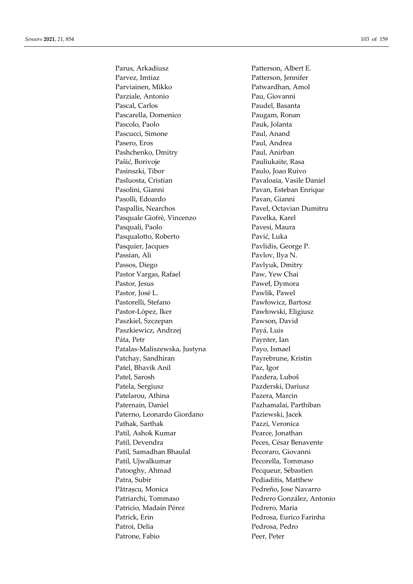Parus, Arkadiusz Patterson, Albert E. Parvez, Imtiaz Patterson, Jennifer Parviainen, Mikko Patwardhan, Amol Parziale, Antonio Pau, Giovanni Pascal, Carlos **Paudel**, Basanta Pascarella, Domenico Paugam, Ronan Pascolo, Paolo Pauk, Jolanta Pascucci, Simone Paul, Anand Pasero, Eros Paul, Andrea Pashchenko, Dmitry Paul, Anirban Pašić, Borivoje Pauliukaite, Rasa Pasinszki, Tibor Paulo, Joao Ruivo Pasluosta, Cristian Pavaloaia, Vasile Daniel Pasolini, Gianni **Pavan, Esteban Enrique** Pasolli, Edoardo Pavan, Gianni Paspallis, Nearchos Pavel, Octavian Dumitru Pasquale Giofrè, Vincenzo Pavelka, Karel Pasquali, Paolo Pavesi, Maura Pasqualotto, Roberto Pavić, Luka Pasquier, Jacques Pavlidis, George P. Passian, Ali Pavlov, Ilya N. Passos, Diego Pavlyuk, Dmitry Pastor Vargas, Rafael Paw, Yew Chai Pastor, Jesus Paweł, Dymora Pastor, José L. Pawlik, Pawel Pastorelli, Stefano Pawłowicz, Bartosz Pastor-López, Iker Pawłowski, Eligiusz Paszkiel, Szczepan Pawson, David Paszkiewicz, Andrzej Payá, Luis Páta, Petr Paynter, Ian Patalas-Maliszewska, Justyna Payo, Ismael Patchay, Sandhiran Payrebrune, Kristin Patel, Bhavik Anil Paz, Igor Patel, Sarosh Pazdera, Luboš Patela, Sergiusz Pazderski, Dariusz Patelarou, Athina Pazera, Marcin Paternain, Daniel Pazhamalai, Parthiban Paterno, Leonardo Giordano Paziewski, Jacek Pathak, Sarthak Pazzi, Veronica Patil, Ashok Kumar Pearce, Jonathan Patil, Devendra Peces, César Benavente Patil, Samadhan Bhaulal Pecoraro, Giovanni Patil, Ujwalkumar Pecorella, Tommaso Patooghy, Ahmad Pecqueur, Sébastien Patra, Subir Pediaditis, Matthew Pătrașcu, Monica Pedreño, Jose Navarro Patriarchi, Tommaso Pedrero González, Antonio Patricio, Madaín Pérez Pedrero, Maria Patrick, Erin Pedrosa, Eurico Farinha Patroi, Delia Pedrosa, Pedrosa, Pedrosa, Pedro Patrone, Fabio Peer, Peter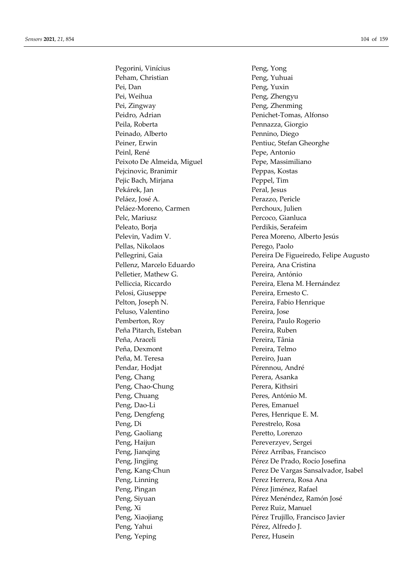Pegorini, Vinícius Peng, Yong Peham, Christian Peng, Yuhuai Pei, Dan Peng, Yuxin Pei, Weihua Peng, Zhengyu Pei, Zingway Peng, Zhenming Peidro, Adrian Penichet-Tomas, Alfonso Peila, Roberta Pennazza, Giorgio Peinado, Alberto Pennino, Diego Peiner, Erwin Pentiuc, Stefan Gheorghe Peinl, René Pepe, Antonio Peixoto De Almeida, Miguel Pepe, Massimiliano Pejcinovic, Branimir Peppas, Kostas Pejic Bach, Mirjana Peppel, Tim Pekárek, Jan Peral, Jesus Peláez, José A. Perazzo, Pericle Peláez-Moreno, Carmen Perchoux, Julien Pelc, Mariusz Percoco, Gianluca Peleato, Borja Perdikis, Serafeim Pelevin, Vadim V. Perea Moreno, Alberto Jesús Pellas, Nikolaos Perego, Paolo Pellenz, Marcelo Eduardo Pereira, Ana Cristina Pelletier, Mathew G. Pereira, António Pelliccia, Riccardo Pereira, Elena M. Hernández Pelosi, Giuseppe Pereira, Ernesto C. Pelton, Joseph N. Pereira, Fabio Henrique Peluso, Valentino Pereira, Jose Pemberton, Roy Pereira, Paulo Rogerio Peña Pitarch, Esteban Pereira, Ruben Peña, Araceli Pereira, Tânia Peña, Dexmont Pereira, Telmo Peña, M. Teresa Pereiro, Juan Pendar, Hodjat Pérennou, André Peng, Chang Perera, Asanka Peng, Chao-Chung Perera, Kithsiri Peng, Chuang Peres, António M. Peng, Dao-Li Peres, Emanuel Peng, Dengfeng Peres, Henrique E. M. Peng, Di Perestrelo, Rosa Peng, Gaoliang Peretto, Lorenzo Peng, Haijun Pereverzyev, Sergei Peng, Jianqing Pérez Arribas, Francisco Peng, Linning Perez Herrera, Rosa Ana Peng, Pingan Pérez Jiménez, Rafael Peng, Xi Perez Ruiz, Manuel Peng, Yahui Pérez, Alfredo J. Peng, Yeping Perez, Husein

Pellegrini, Gaia Pereira De Figueiredo, Felipe Augusto Peng, Jingjing Pérez De Prado, Rocío Josefina Peng, Kang-Chun Perez De Vargas Sansalvador, Isabel Peng, Siyuan Pérez Menéndez, Ramón José Peng, Xiaojiang Pérez Trujillo, Francisco Javier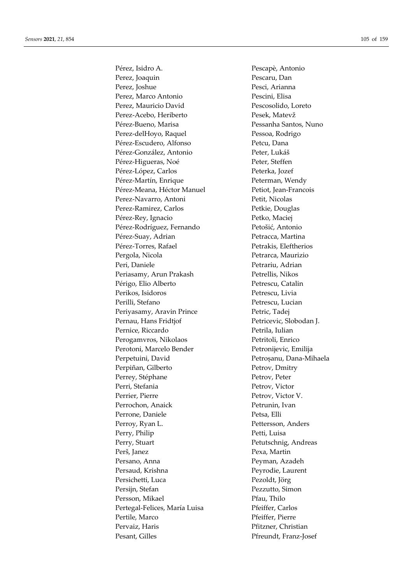Pérez, Isidro A. Pescapè, Antonio Perez, Joaquin Pescaru, Dan Perez, Joshue Pesci, Arianna Perez, Marco Antonio Pescini, Elisa Perez, Mauricio David Pescosolido, Loreto Perez-Acebo, Heriberto Pesek, Matevž Pérez-Bueno, Marisa Pessanha Santos, Nuno Perez-delHoyo, Raquel Pessoa, Rodrigo Pérez-Escudero, Alfonso Petcu, Dana Pérez-González, Antonio Peter, Lukáš Pérez-Higueras, Noé Peter, Steffen Pérez-López, Carlos Peterka, Jozef Pérez-Martín, Enrique Peterman, Wendy Pérez-Meana, Héctor Manuel Petiot, Jean-Francois Perez-Navarro, Antoni Petit, Nicolas Perez-Ramirez, Carlos Petkie, Douglas Pérez-Rey, Ignacio Petko, Maciej Pérez-Rodríguez, Fernando Petošić, Antonio Pérez-Suay, Adrian Petracca, Martina Pérez-Torres, Rafael Petrakis, Eleftherios Pergola, Nicola Petrarca, Maurizio Peri, Daniele Petrariu, Adrian Periasamy, Arun Prakash Petrellis, Nikos Périgo, Elio Alberto Petrescu, Catalin Perikos, Isidoros Petrescu, Livia Perilli, Stefano Petrescu, Lucian Periyasamy, Aravin Prince Petric, Tadej Pernau, Hans Fridtjof Petricevic, Slobodan J. Pernice, Riccardo Petrila, Iulian Perogamvros, Nikolaos Petritoli, Enrico Perotoni, Marcelo Bender Petronijevic, Emilija Perpetuini, David Petroșanu, Dana-Mihaela Perpiñan, Gilberto Petrov, Dmitry Perrey, Stéphane Petrov, Peter Perri, Stefania Petrov, Victor Perrier, Pierre Petrov, Victor V. Perrochon, Anaick Petrunin, Ivan Perrone, Daniele Petsa, Elli Perroy, Ryan L. Pettersson, Anders Perry, Philip Petti, Luisa Perry, Stuart Perry, Stuart Petutschnig, Andreas Perš, Janez Pexa, Martin Persano, Anna **Peyman, Azadeh** Persaud, Krishna Peyrodie, Laurent Persichetti, Luca Pezoldt, Jörg Persijn, Stefan Pezzutto, Simon Persson, Mikael Pfau, Thilo Pertegal-Felices, María Luisa Pfeiffer, Carlos Pertile, Marco Pfeiffer, Pierre Pervaiz, Haris **Pfitzner**, Christian Pesant, Gilles Pfreundt, Franz-Josef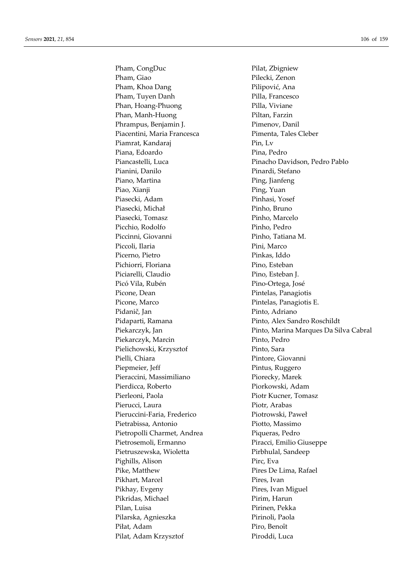Pham, CongDuc Pilat, Zbigniew Pham, Giao Pilecki, Zenon Pham, Khoa Dang Pilipović, Ana Pham, Tuyen Danh Pilla, Francesco Phan, Hoang-Phuong Pilla, Viviane Phan, Manh-Huong Piltan, Farzin Phrampus, Benjamin J. Pimenov, Danil Piacentini, Maria Francesca<br>
Pimenta, Tales Cleber Piamrat, Kandaraj Pin, Lv Piana, Edoardo Pina, Pedro Pianini, Danilo Pinardi, Stefano Piano, Martina Ping, Jianfeng Piao, Xianji Ping, Yuan Piasecki, Adam Pinhasi, Yosef Piasecki, Michał Pinho, Bruno Piasecki, Tomasz Pinho, Marcelo Picchio, Rodolfo Pinho, Pedro Piccinni, Giovanni Pinho, Tatiana M. Piccoli, Ilaria Pini, Marco Picerno, Pietro Pinkas, Iddo Pichiorri, Floriana Pino, Esteban Piciarelli, Claudio Pino, Esteban J. Picó Vila, Rubén Pino-Ortega, José Picone, Dean Pintelas, Panagiotis Picone, Marco Pintelas, Panagiotis E. Pidanič, Jan Pinto, Adriano Pidaparti, Ramana Pinto, Alex Sandro Roschildt Piekarczyk, Marcin Pinto, Pedro Pielichowski, Krzysztof Pinto, Sara Pielli, Chiara Pintore, Giovanni Piepmeier, Jeff Pintus, Ruggero Pieraccini, Massimiliano Piorecky, Marek Pierdicca, Roberto **Piorkowski**, Adam Pierleoni, Paola Piotr Kucner, Tomasz Pierucci, Laura Piotr, Arabas Pieruccini-Faria, Frederico Piotrowski, Paweł Pietrabissa, Antonio Piotto, Massimo Pietropolli Charmet, Andrea Piqueras, Pedro Pietrosemoli, Ermanno Piracci, Emilio Giuseppe Pietruszewska, Wioletta Pirbhulal, Sandeep Pighills, Alison Pirc, Eva Pike, Matthew Pires De Lima, Rafael Pikhart, Marcel Pires, Ivan Pikhay, Evgeny Pires, Ivan Miguel Pikridas, Michael Pirim, Harun Pilan, Luisa **Pilan, Pekka** Pilarska, Agnieszka Pirinoli, Paola Piłat, Adam Piro, Benoît Pilat, Adam Krzysztof Piroddi, Luca

Piancastelli, Luca Pinacho Davidson, Pedro Pablo Piekarczyk, Jan Pinto, Marina Marques Da Silva Cabral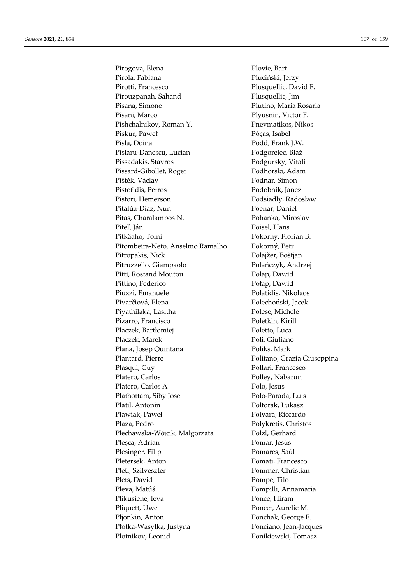Pirogova, Elena Plovie, Bart Pirola, Fabiana Pluciński, Jerzy Pirotti, Francesco Plusquellic, David F. Pirouzpanah, Sahand Plusquellic, Jim Pisana, Simone Plutino, Maria Rosaria Pisani, Marco Plyusnin, Victor F. Pishchalnikov, Roman Y. Pnevmatikos, Nikos Piskur, Paweł Pôças, Isabel Pisla, Doina Podd, Frank J.W. Pislaru-Danescu, Lucian Podgorelec, Blaž Pissadakis, Stavros Podgursky, Vitali Pissard-Gibollet, Roger Podhorski, Adam Píštěk, Václav Podnar, Simon Pistofidis, Petros Podobnik, Janez Pistori, Hemerson Podsiadły, Radosław Pitalúa-Díaz, Nun Poenar, Daniel Pitas, Charalampos N. Pohanka, Miroslav Piteľ, Ján Poisel, Hans Pitkäaho, Tomi Pokorny, Florian B. Pitombeira-Neto, Anselmo Ramalho Pokorný, Petr Pitropakis, Nick Polajžer, Boštjan Pitruzzello, Giampaolo Polańczyk, Andrzej Pitti, Rostand Moutou Polap, Dawid Pittino, Federico Połap, Dawid Piuzzi, Emanuele Polatidis, Nikolaos Pivarčiová, Elena Polechoński, Jacek Piyathilaka, Lasitha Polese, Michele Pizarro, Francisco Poletkin, Kirill Płaczek, Bartłomiej Poletto, Luca Placzek, Marek Poli, Giuliano Plana, Josep Quintana Poliks, Mark Plantard, Pierre **Politano**, Grazia Giuseppina Plasqui, Guy Pollari, Francesco Platero, Carlos Polley, Nabarun Platero, Carlos A Polo, Jesus Plathottam, Siby Jose Polo-Parada, Luis Platil, Antonin Poltorak, Lukasz Pławiak, Paweł Polvara, Riccardo Plaza, Pedro Polykretis, Christos Plechawska-Wójcik, Małgorzata Pölzl, Gerhard Pleşca, Adrian Pomar, Jesús Plesinger, Filip Pomares, Saúl Pletersek, Anton Pomati, Francesco Pletl, Szilveszter Pommer, Christian Plets, David Pompe, Tilo Pleva, Matúš Pompilli, Annamaria Plikusiene, Ieva Ponce, Hiram Pliquett, Uwe Poncet, Aurelie M. Pljonkin, Anton Ponchak, George E. Płotka-Wasylka, Justyna Ponciano, Jean-Jacques Plotnikov, Leonid Ponikiewski, Tomasz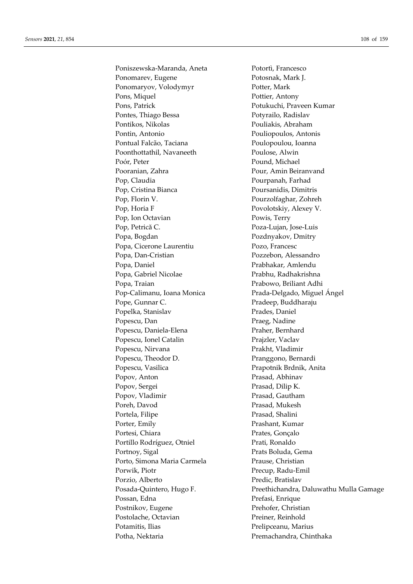Poniszewska-Maranda, Aneta Potortì, Francesco Ponomarev, Eugene Potosnak, Mark J. Ponomaryov, Volodymyr Potter, Mark Pons, Miquel Pottier, Antony Pons, Patrick Pons, Patrick Pons, Patrick Pons, Patrick Pons, Patrick Pons, Patrick Pons, Patrick Pons, Patrick Pontes, Thiago Bessa Potyrailo, Radislav Pontikos, Nikolas Pouliakis, Abraham Pontin, Antonio Pouliopoulos, Antonis Pontual Falcão, Taciana Poulopoulou, Ioanna Poonthottathil, Navaneeth Poulose, Alwin Poór, Peter Pound, Michael Pooranian, Zahra Pour, Amin Beiranvand Pop, Claudia Pourpanah, Farhad Pop, Cristina Bianca Poursanidis, Dimitris Pop, Florin V. Pourzolfaghar, Zohreh Pop, Horia F Povolotskiy, Alexey V. Pop, Ion Octavian Powis, Terry Pop, Petrică C. Poza-Lujan, Jose-Luis Popa, Bogdan Pozdnyakov, Dmitry Popa, Cicerone Laurentiu Pozo, Francesc Popa, Dan-Cristian Pozzebon, Alessandro Popa, Daniel Prabhakar, Amlendu Popa, Gabriel Nicolae Prabhu, Radhakrishna Popa, Traian Prabowo, Briliant Adhi Pop-Calimanu, Ioana Monica Prada-Delgado, Miguel Ángel Pope, Gunnar C. Pradeep, Buddharaju Popelka, Stanislav Prades, Daniel Popescu, Dan **Praeg**, Nadine Popescu, Daniela-Elena Praher, Bernhard Popescu, Ionel Catalin Prajzler, Vaclav Popescu, Nirvana Prakht, Vladimir Popescu, Theodor D. Pranggono, Bernardi Popescu, Vasilica Prapotnik Brdnik, Anita Popov, Anton Prasad, Abhinav Popov, Sergei Prasad, Dilip K. Popov, Vladimir Prasad, Gautham Poreh, Davod Prasad, Mukesh Portela, Filipe Prasad, Shalini Porter, Emily Prashant, Kumar Portesi, Chiara Prates, Gonçalo Portillo Rodríguez, Otniel Prati, Ronaldo Portnoy, Sigal Prats Boluda, Gema Porto, Simona Maria Carmela Prause, Christian Porwik, Piotr Precup, Radu-Emil Porzio, Alberto Predic, Bratislav Possan, Edna Prefasi, Enrique Postnikov, Eugene Prehofer, Christian Postolache, Octavian Preiner, Reinhold Potamitis, Ilias Prelipceanu, Marius Potha, Nektaria **Premachandra**, Chinthaka

Posada-Quintero, Hugo F. Preethichandra, Daluwathu Mulla Gamage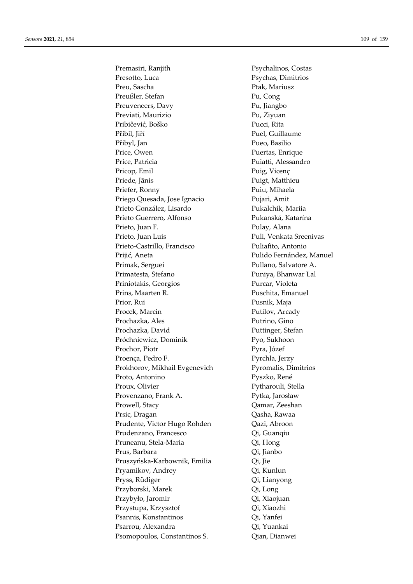Premasiri, Ranjith Presotto, Luca Preu, Sascha Preußler, Stefan Preuveneers, Davy Previati, Maurizio Pribičević, Boško Přibil, Jiří Přibyl, Jan Price, Owen Price, Patricia Pricop, Emil Priede, Jānis Priefer, Ronny Priego Quesada, Jose Ignacio Prieto González, Lisardo Prieto Guerrero, Alfonso Prieto, Juan F. Prieto, Juan Luis Prieto-Castrillo, Francisco Prijić, Aneta Primak, Serguei Primatesta, Stefano Priniotakis, Georgios Prins, Maarten R. Prior. Rui Procek, Marcin Prochazka, Ales Prochazka, David Próchniewicz, Dominik Prochor, Piotr Proença, Pedro F. Prokhorov, Mikhail Evgenevich Proto, Antonino Proux. Olivier Provenzano, Frank A. Prowell, Stacy Prsic, Dragan Prudente, Victor Hugo Rohden Prudenzano, Francesco Pruneanu, Stela-Maria Prus, Barbara Pruszyńska-Karbownik, Emilia Pryamikov, Andrey Pryss, Rüdiger Przyborski, Marek Przybyło, Jaromir Przystupa, Krzysztof Psannis, Konstantinos Psarrou, Alexandra Psomopoulos, Constantinos S.

Psychalinos, Costas Psychas, Dimitrios Ptak, Mariusz Pu, Cong Pu, Jiangbo Pu, Ziyuan Pucci, Rita Puel, Guillaume Pueo, Basilio Puertas, Enrique Puiatti, Alessandro Puig, Vicenç Puigt, Matthieu Puiu, Mihaela Pujari, Amit Pukalchik, Mariia Pukanská, Katarína Pulay, Alana Puli, Venkata Sreenivas Puliafito, Antonio Pulido Fernández. Manuel Pullano, Salvatore A. Puniya, Bhanwar Lal Purcar, Violeta Puschita, Emanuel Pusnik, Maja Putilov, Arcady Putrino, Gino Puttinger, Stefan Pyo, Sukhoon Pyra, Józef Pyrchla, Jerzy Pyromalis, Dimitrios Pyszko, René Pytharouli, Stella Pytka, Jarosław Qamar, Zeeshan Qasha, Rawaa Qazi, Abroon Qi, Guanqiu Qi, Hong Qi, Jianbo Oi. Iie Qi, Kunlun Qi, Lianyong Qi, Long Qi, Xiaojuan Oi. Xiaozhi Oi. Yanfei Oi. Yuankai Oian, Dianwei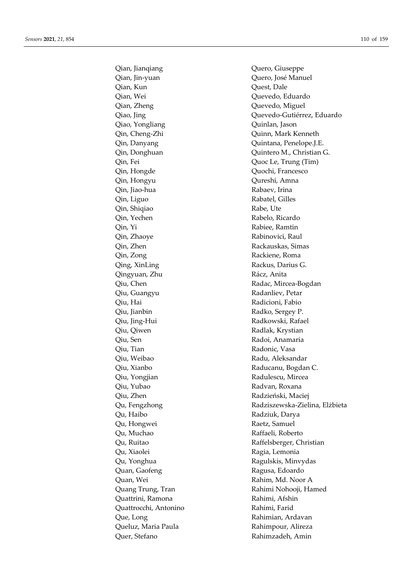Qian, Jin-yuan Quero, José Manuel Qian, Kun Quest, Dale Qian, Wei Quevedo, Eduardo Qian, Zheng Quevedo, Miguel Qiao, Yongliang Quinlan, Jason Qin, Cheng-Zhi Quinn, Mark Kenneth Qin, Fei Quoc Le, Trung (Tim) Qin, Hongde Quochi, Francesco Qin, Hongyu Qureshi, Amna Qin, Jiao-hua Rabaev, Irina Qin, Liguo Rabatel, Gilles Qin, Shiqiao Rabe, Ute Qin, Yechen Rabelo, Ricardo Qin, Yi Rabiee, Ramtin Qin, Zhaoye Rabinovici, Raul Qin, Zhen Rackauskas, Simas Qin, Zong Rackiene, Roma Qing, XinLing Rackus, Darius G. Qingyuan, Zhu **Rácz**, Anita Qiu, Guangyu Radanliev, Petar Qiu, Hai Radicioni, Fabio Qiu, Jianbin Radko, Sergey P. Qiu, Jing-Hui Radkowski, Rafael Qiu, Qiwen Radlak, Krystian Qiu, Sen Radoi, Anamaria Qiu, Tian Radonic, Vasa Qiu, Weibao **Radu, Aleksandar** Qiu, Xianbo **Raducanu, Bogdan C.** Qiu, Yongjian Radulescu, Mircea Qiu, Yubao Radvan, Roxana Qiu, Zhen Radzieński, Maciej Qu, Haibo Radziuk, Darya Qu, Hongwei Raetz, Samuel Qu, Muchao Raffaeli, Roberto Qu, Xiaolei Ragia, Lemonia Qu, Yonghua Ragulskis, Minvydas Quan, Gaofeng **Ragusa**, Edoardo Quan, Wei Rahim, Md. Noor A Quattrini, Ramona Rahimi, Afshin Quattrocchi, Antonino Rahimi, Farid Que, Long Rahimian, Ardavan Queluz, Maria Paula **Rahimpour, Alireza** Quer, Stefano Rahimzadeh, Amin

Qian, Jianqiang **Quero, Giuseppe** Qiao, Jing Quevedo-Gutiérrez, Eduardo Qin, Danyang Quintana, Penelope.J.E. Qin, Donghuan Quintero M., Christian G. Qiu, Chen **Radac**, Mircea-Bogdan Qu, Fengzhong **Radziszewska-Zielina**, Elżbieta Qu, Ruitao Raffelsberger, Christian Quang Trung, Tran Rahimi Nohooji, Hamed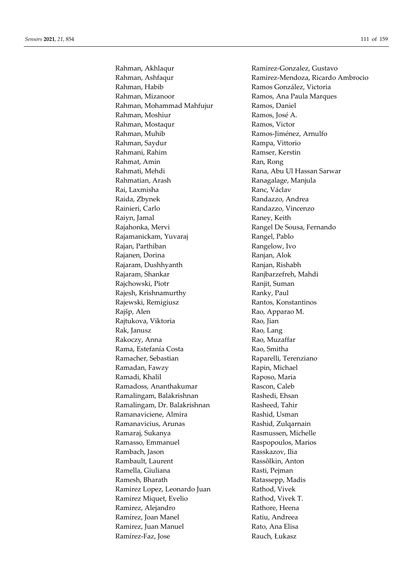Rahman, Akhlaqur Ramirez-Gonzalez, Gustavo Rahman, Habib **Ramos González**, Victoria Rahman, Mizanoor Ramos, Ana Paula Marques Rahman, Mohammad Mahfujur Ramos, Daniel Rahman, Moshiur Ramos, José A. Rahman, Mostaqur Ramos, Victor Rahman, Muhib **Ramos-Jiménez**, Arnulfo Rahman, Saydur Rampa, Vittorio Rahmani, Rahim Ramser, Kerstin Rahmat, Amin Ran, Rong Rahmati, Mehdi **Rana, Abu Ul Hassan Sarwar** Rahmatian, Arash Ranagalage, Manjula Rai, Laxmisha **Ranc, Václav** Ranc, Václav Raida, Zbynek **Randazzo**, Andrea Rainieri, Carlo Randazzo, Vincenzo Raiyn, Jamal Raney, Keith Rajahonka, Mervi **Rangel De Sousa, Fernando** Rajamanickam, Yuvaraj Rangel, Pablo Rajan, Parthiban Rangelow, Ivo Rajanen, Dorina **Ranjan, Alok** Rajaram, Dushhyanth Ranjan, Rishabh Rajaram, Shankar **Ranjbarzefreh, Mahdi** Rajchowski, Piotr **Ranjit**, Suman Rajesh, Krishnamurthy **Ranky**, Paul Rajewski, Remigiusz **Rantos**, Konstantinos Rajšp, Alen **Rao, Apparao M.** Rajtukova, Viktoria *Kao, Jian* Rak, Janusz **Rao, Lang** Rakoczy, Anna Rao, Muzaffar Rama, Estefanía Costa Rao, Smitha Ramacher, Sebastian **Raparelli**, Terenziano Ramadan, Fawzy **Rapin, Michael** Ramadi, Khalil Raposo, Maria Ramadoss, Ananthakumar Rascon, Caleb Ramalingam, Balakrishnan Rashedi, Ehsan Ramalingam, Dr. Balakrishnan Rasheed, Tahir Ramanaviciene, Almira Rashid, Usman Ramanavicius, Arunas **Rashid, Zulgarnain** Ramaraj, Sukanya **Rasmussen**, Michelle Ramasso, Emmanuel Raspopoulos, Marios Rambach, Jason Rasskazov, Ilia Rambault, Laurent **Rass**õlkin, Anton Ramella, Giuliana Rasti, Pejman Ramesh, Bharath Ratassepp, Madis Ramirez Lopez, Leonardo Juan Rathod, Vivek Ramirez Miquet, Evelio Rathod, Vivek T. Ramirez, Alejandro **Rathore**, Heena Ramírez, Joan Manel **Ratiu**, Andreea Ramirez, Juan Manuel Rato, Ana Elisa Ramírez-Faz, Jose **Rauch, Eukasz** 

Rahman, Ashfaqur **Ramirez-Mendoza, Ricardo Ambrocio**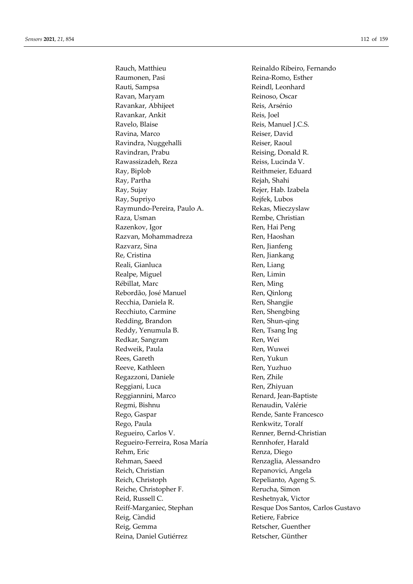Rauch, Matthieu Reinaldo Ribeiro, Fernando Raumonen, Pasi Reina-Romo, Esther Rauti, Sampsa **Reindl**, Leonhard Ravan, Maryam Reinoso, Oscar Ravankar, Abhijeet Reis, Arsénio Ravankar, Ankit Reis, Joel Ravelo, Blaise Reis, Manuel J.C.S. Ravina, Marco Reiser, David Ravindra, Nuggehalli Reiser, Raoul Ravindran, Prabu Reising, Donald R. Rawassizadeh, Reza Reiss, Lucinda V. Ray, Biplob Reithmeier, Eduard Ray, Partha Rejah, Shahi Ray, Sujay Rejer, Hab. Izabela Ray, Supriyo Rejfek, Lubos Raymundo-Pereira, Paulo A. Rekas, Mieczyslaw Raza, Usman Rembe, Christian Razenkov, Igor Ren, Hai Peng Razvan, Mohammadreza Ren, Haoshan Razvarz, Sina **Ren, Kanadara Ren**, Jianfeng Re, Cristina Ren, Jiankang Reali, Gianluca Ren, Liang Realpe, Miguel **Ren**, Limin Rébillat, Marc **Ren**, Ming Rebordão, José Manuel Ren, Qinlong Recchia, Daniela R. Ren, Shangjie Recchiuto, Carmine Ren, Shengbing Redding, Brandon Ren, Shun-qing Reddy, Yenumula B. Ren, Tsang Ing Redkar, Sangram Ren, Wei Redweik, Paula Ren, Wuwei Rees, Gareth Ren, Yukun Reeve, Kathleen Ren, Yuzhuo Regazzoni, Daniele Ren, Zhile Reggiani, Luca Ren, Zhiyuan Reggiannini, Marco Renard, Jean-Baptiste Regmi, Bishnu **Renaudin**, Valérie Rego, Gaspar **Rende**, Sante Francesco Rego, Paula Renkwitz, Toralf Regueiro, Carlos V. Renner, Bernd-Christian Regueiro-Ferreira, Rosa María **Rennhofer**, Harald Rehm, Eric Renza, Diego Rehman, Saeed Renzaglia, Alessandro Reich, Christian Repanovici, Angela Reich, Christoph Repelianto, Ageng S. Reiche, Christopher F. Rerucha, Simon Reid, Russell C. **Reshetnyak**, Victor Reig, Càndid Retiere, Fabrice Reig, Gemma Retscher, Guenther Reina, Daniel Gutiérrez Retscher, Günther

Reiff-Marganiec, Stephan Resque Dos Santos, Carlos Gustavo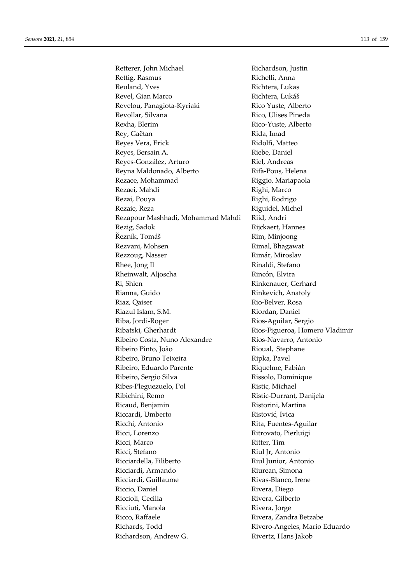Retterer, John Michael Richardson, Justin Rettig, Rasmus Richelli, Anna Reuland, Yves Richtera, Lukas Revel, Gian Marco Richtera, Lukáš Revelou, Panagiota-Kyriaki Rico Yuste, Alberto Revollar, Silvana Rico, Ulises Pineda Rexha, Blerim Rico-Yuste, Alberto Rey, Gaëtan Rida, Imad Reyes Vera, Erick Ridolfi, Matteo Reyes, Bersain A. Riebe, Daniel Reyes-González, Arturo **Riel**, Andreas Reyna Maldonado, Alberto Rifà-Pous, Helena Rezaee, Mohammad Riggio, Mariapaola Rezaei, Mahdi Righi, Marco Rezai, Pouya **Righi, Rodrigo** Rezaie, Reza Riguidel, Michel Rezapour Mashhadi, Mohammad Mahdi Riid, Andri Rezig, Sadok Rijckaert, Hannes Řezník, Tomáš Rim, Minjoong Rezvani, Mohsen Rimal, Bhagawat Rezzoug, Nasser Rimár, Miroslav Rhee, Jong Il Rinaldi, Stefano Rheinwalt, Aljoscha Rincón, Elvira Ri, Shien Rinkenauer, Gerhard Rianna, Guido Rinkevich, Anatoly Riaz, Qaiser Rio-Belver, Rosa Riazul Islam, S.M. Riordan, Daniel Riba, Jordi-Roger Rios-Aguilar, Sergio Ribatski, Gherhardt Rios-Figueroa, Homero Vladimir Ribeiro Costa, Nuno Alexandre Rios-Navarro, Antonio Ribeiro Pinto, João Rioual, Stephane Ribeiro, Bruno Teixeira Ripka, Pavel Ribeiro, Eduardo Parente Riquelme, Fabián Ribeiro, Sergio Silva Rissolo, Dominique Ribes-Pleguezuelo, Pol Ristic, Michael Ribichini, Remo Ristic-Durrant, Danijela Ricaud, Benjamin Ristorini, Martina Riccardi, Umberto Ristović, Ivica Ricchi, Antonio Rita, Fuentes-Aguilar Ricci, Lorenzo Ritrovato, Pierluigi Ricci, Marco Ritter, Tim Ricci, Stefano Riul Jr, Antonio Ricciardella, Filiberto Riul Junior, Antonio Ricciardi, Armando **Riurean, Simona** Ricciardi, Guillaume Rivas-Blanco, Irene Riccio, Daniel Rivera, Diego Riccioli, Cecilia **Rivera, Gilberto** Ricciuti, Manola **Rivera, Rivera, Iorge** Ricco, Raffaele Rivera, Zandra Betzabe Richards, Todd Rivero-Angeles, Mario Eduardo Richardson, Andrew G. Rivertz, Hans Jakob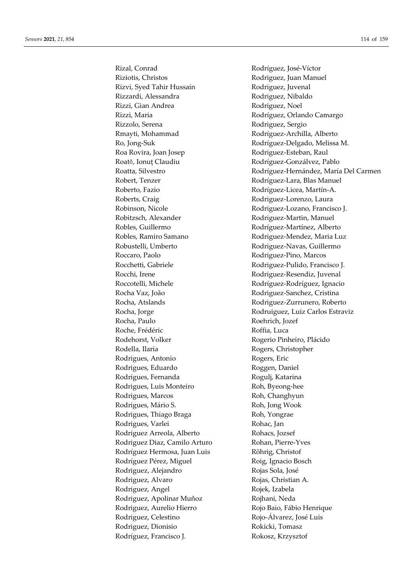Rizal, Conrad Rodríguez, José-Víctor Riziotis, Christos **Rodriguez**, Juan Manuel Rizvi, Syed Tahir Hussain Rodriguez, Juvenal Rizzardi, Alessandra **Rodriguez**, Nibaldo Rizzi, Gian Andrea **Rodriguez**, Noel Rizzi, Maria Rodríguez, Orlando Camargo Rizzolo, Serena Rodriguez, Sergio Rmayti, Mohammad Rodríguez-Archilla, Alberto Roa Rovira, Joan Josep Rodriguez-Esteban, Raul Roată, Ionuț Claudiu **Rodríguez-Gonzálvez, Pablo** Robert, Tenzer Rodríguez-Lara, Blas Manuel Roberto, Fazio Rodríguez-Licea, Martín-A. Roberts, Craig Rodriguez-Lorenzo, Laura Robinson, Nicole Rodriguez-Lozano, Francisco J. Robitzsch, Alexander Rodriguez-Martin, Manuel Robles, Guillermo Rodríguez-Martínez, Alberto Robustelli, Umberto Rodriguez-Navas, Guillermo Roccaro, Paolo Rodriguez-Pino, Marcos Rocchetti, Gabriele Rodriguez-Pulido, Francisco J. Rocchi, Irene **Rodriguez-Resendiz**, Juvenal Roccotelli, Michele Rodríguez-Rodríguez, Ignacio Rocha Vaz, João Rodriguez-Sanchez, Cristina Rocha, Atslands Rodriguez-Zurrunero, Roberto Rocha, Paulo Roehrich, Jozef Roche, Frédéric **Roffia**, Luca Rodehorst, Volker Rogerio Pinheiro, Plácido Rodella, Ilaria **Rogers, Christopher** Rodrigues, Antonio Rogers, Eric Rodrigues, Eduardo Roggen, Daniel Rodrigues, Fernanda Rogulj, Katarina Rodrigues, Luis Monteiro **Roh, Byeong-hee** Rodrigues, Marcos Roh, Changhyun Rodrigues, Mário S. Roh, Jong Wook Rodrigues, Thiago Braga Roh, Yongrae Rodrigues, Varlei Rohac, Jan Rodriguez Arreola, Alberto Rohacs, Jozsef Rodriguez Diaz, Camilo Arturo Rohan, Pierre-Yves Rodríguez Hermosa, Juan Luis Röhrig, Christof Rodríguez Pérez, Miguel Roig, Ignacio Bosch Rodriguez, Alejandro Provinces Rojas Sola, José Rodriguez, Alvaro Rojas, Christian A. Rodriguez, Angel Rojek, Izabela Rodriguez, Apolinar Muñoz Rojhani, Neda Rodriguez, Aurelio Hierro Rojo Baio, Fábio Henrique Rodriguez, Celestino Rojo-Álvarez, José Luis Rodriguez, Dionisio Rokicki, Tomasz Rodríguez, Francisco J. Rokosz, Krzysztof

Ro, Jong-Suk Rodríguez-Delgado, Melissa M. Roatta, Silvestro Rodríguez-Hernández, María Del Carmen Robles, Ramiro Samano **Rodriguez-Mendez, Maria Luz** Rocha, Jorge Rodruiguez, Luiz Carlos Estraviz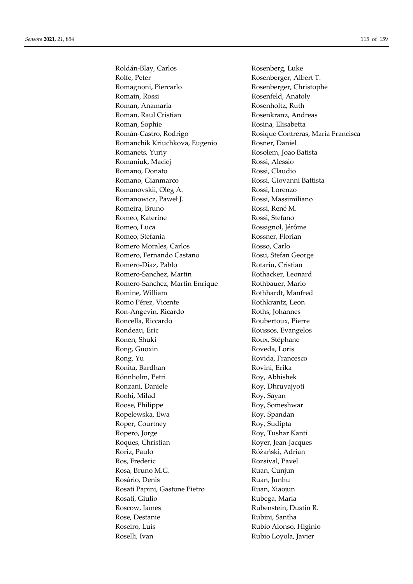Roldán-Blay, Carlos Rolfe, Peter Romagnoni, Piercarlo Romain, Rossi Roman, Anamaria Roman, Raul Cristian Roman, Sophie Román-Castro, Rodrigo Romanchik Kriuchkova, Eugenio Romanets, Yuriy Romaniuk, Maciej Romano, Donato Romano, Gianmarco Romanovskii, Oleg A. Romanowicz, Paweł J. Romeira, Bruno Romeo, Katerine Romeo, Luca Romeo, Stefania Romero Morales, Carlos Romero, Fernando Castano Romero-Diaz, Pablo Romero-Sanchez, Martin Romero-Sanchez, Martin Enrique Romine, William Romo Pérez, Vicente Ron-Angevin, Ricardo Roncella, Riccardo Rondeau, Eric Ronen, Shuki Rong, Guoxin Rong, Yu Ronita, Bardhan Rönnholm, Petri Ronzani, Daniele Roohi, Milad Roose, Philippe Ropelewska, Ewa Roper, Courtney Ropero, Jorge Roques, Christian Roriz, Paulo Ros. Frederic Rosa, Bruno M.G. Rosário, Denis Rosati Papini, Gastone Pietro Rosati, Giulio Roscow, James Rose, Destanie Roseiro, Luís Roselli, Ivan

Rosenberg, Luke Rosenberger, Albert T. Rosenberger, Christophe Rosenfeld, Anatoly Rosenholtz, Ruth Rosenkranz, Andreas Rosina, Elisabetta Rosique Contreras, María Francisca Rosner, Daniel Rosolem, Joao Batista Rossi, Alessio Rossi, Claudio Rossi, Giovanni Battista Rossi, Lorenzo Rossi, Massimiliano Rossi, René M. Rossi, Stefano Rossignol, Jérôme Rossner, Florian Rosso, Carlo Rosu, Stefan George Rotariu, Cristian Rothacker, Leonard Rothbauer, Mario Rothhardt, Manfred Rothkrantz, Leon Roths, Johannes Roubertoux, Pierre Roussos, Evangelos Roux, Stéphane Roveda, Loris Rovida, Francesco Rovini, Erika Roy, Abhishek Roy, Dhruvajyoti Roy, Sayan Roy, Someshwar Roy, Spandan Roy, Sudipta Roy, Tushar Kanti Royer, Jean-Jacques Różański, Adrian Rozsival, Pavel Ruan, Cunjun Ruan, Junhu Ruan, Xiaojun Rubega, Maria Rubenstein, Dustin R. Rubini, Santha Rubio Alonso, Higinio Rubio Loyola, Javier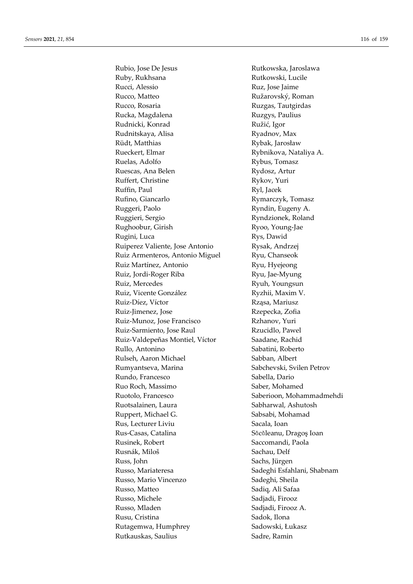Rubio, Jose De Jesus Ruby, Rukhsana Rucci, Alessio Rucco, Matteo Rucco, Rosaria Rucka, Magdalena Rudnicki, Konrad Rudnitskaya, Alisa Rüdt, Matthias Rueckert, Elmar Ruelas, Adolfo Ruescas, Ana Belen Ruffert, Christine Ruffin, Paul Rufino, Giancarlo Ruggeri, Paolo Ruggieri, Sergio Rughoobur, Girish Rugini, Luca Ruiperez Valiente, Jose Antonio Ruiz Armenteros, Antonio Miguel Ruiz Martínez, Antonio Ruiz, Jordi-Roger Riba Ruiz, Mercedes Ruiz, Vicente González Ruiz-Díez, Víctor Ruiz-Jimenez, Jose Ruiz-Munoz, Jose Francisco Ruiz-Sarmiento, Jose Raul Ruiz-Valdepeñas Montiel, Víctor Rullo, Antonino Rulseh, Aaron Michael Rumyantseva, Marina Rundo, Francesco Ruo Roch, Massimo Ruotolo, Francesco Ruotsalainen, Laura Ruppert, Michael G. Rus, Lecturer Liviu Rus-Casas, Catalina Rusinek, Robert Rusnák, Miloš Russ. John Russo, Mariateresa Russo, Mario Vincenzo Russo, Matteo Russo, Michele Russo, Mladen Rusu. Cristina Rutagemwa, Humphrey Rutkauskas, Saulius

Rutkowska, Jaroslawa Rutkowski, Lucile Ruz, Jose Jaime Ružarovský, Roman Ruzgas, Tautgirdas Ruzgys, Paulius Ružić, Igor Ryadnov, Max Rybak, Jarosław Rybnikova, Nataliya A. Rybus, Tomasz Rydosz, Artur Rykov, Yuri Ryl, Jacek Rymarczyk, Tomasz Ryndin, Eugeny A. Ryndzionek, Roland Ryoo, Young-Jae Rys, Dawid Rysak, Andrzej Ryu, Chanseok Ryu, Hyejeong Ryu, Jae-Myung Ryuh, Youngsun Ryzhii, Maxim V. Rząsa, Mariusz Rzepecka, Zofia Rzhanov, Yuri Rzucidlo, Pawel Saadane, Rachid Sabatini, Roberto Sabban, Albert Sabchevski, Svilen Petrov Sabella, Dario Saber, Mohamed Saberioon, Mohammadmehdi Sabharwal, Ashutosh Sabsabi, Mohamad Sacala, Ioan Săcăleanu, Dragoș Ioan Saccomandi, Paola Sachau, Delf Sachs, Jürgen Sadeghi Esfahlani, Shabnam Sadeghi, Sheila Sadiq, Ali Safaa Sadiadi, Firooz Sadiadi. Firooz A. Sadok, Ilona Sadowski, Łukasz Sadre, Ramin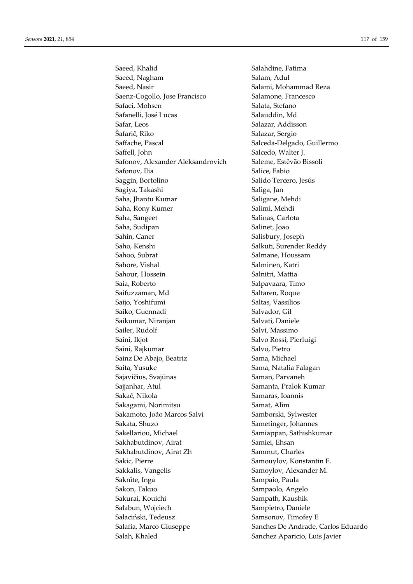Saeed, Khalid Salahdine, Fatima Saeed, Nagham Salam, Adul Saeed, Nasir Salami, Mohammad Reza Saenz-Cogollo, Jose Francisco Salamone, Francesco Safaei, Mohsen Salata, Stefano Safanelli, José Lucas Salauddin, Md Safar, Leos Salazar, Addisson Šafarič, Riko Salazar, Sergio Saffache, Pascal Salceda-Delgado, Guillermo Saffell, John Salcedo, Walter J. Safonov, Alexander Aleksandrovich Saleme, Estêvão Bissoli Safonov, Ilia Salice, Fabio Saggin, Bortolino Salido Tercero, Jesús Sagiya, Takashi Saliga, Jan Saha, Jhantu Kumar Saligane, Mehdi Saha, Rony Kumer Salimi, Mehdi Saha, Sangeet Salinas, Carlota Saha, Sudipan Salinet, Joao Sahin, Caner Salisbury, Joseph Saho, Kenshi Salkuti, Surender Reddy Sahoo, Subrat Salmane, Houssam Sahore, Vishal Salminen, Katri Sahour, Hossein Salnitri, Mattia Saia, Roberto Salpavaara, Timo Saifuzzaman, Md<br>
Saltaren, Roque Saijo, Yoshifumi Saltas, Vassilios Saiko, Guennadi Salvador, Gil Saikumar, Niranjan Salvati, Daniele Sailer, Rudolf Sailway, Salvi, Massimo Saini, Ikjot Salvo Rossi, Pierluigi Saini, Rajkumar Salvo, Pietro Sainz De Abajo, Beatriz Sama, Michael Saita, Yusuke Sama, Natalia Falagan Sajavičius, Svajūnas Saman, Parvaneh Sajjanhar, Atul Samanta, Pralok Kumar Sakač, Nikola Samaras, Ioannis Sakagami, Norimitsu Samat, Alim Sakamoto, João Marcos Salvi Samborski, Sylwester Sakata, Shuzo Sametinger, Johannes Sakellariou, Michael Samiappan, Sathishkumar Sakhabutdinov, Airat Samiei, Ehsan Sakhabutdinov, Airat Zh Sammut, Charles Sakic, Pierre Samouylov, Konstantin E. Sakkalis, Vangelis Samoylov, Alexander M. Saknīte, Inga Sampaio, Paula Sakon, Takuo Sampaolo, Angelo Sakurai, Kouichi Sampath, Kaushik Sałabun, Wojciech Sampietro, Daniele Sałaciński, Tedeusz Samsonov, Timofey E Salafia, Marco Giuseppe Sanches De Andrade, Carlos Eduardo Salah, Khaled Sanchez Aparicio, Luis Javier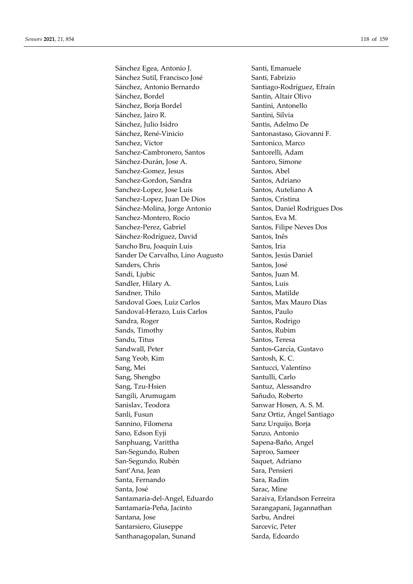Sánchez Egea, Antonio J. Santi, Emanuele Sánchez Sutil, Francisco José Santi, Fabrizio Sánchez, Antonio Bernardo Santiago-Rodríguez, Efraín Sánchez, Bordel Santin, Altair Olivo Sánchez, Borja Bordel Santini, Antonello Sánchez, Jairo R. Santini, Silvia Sánchez, Julio Isidro **Santis**, Adelmo De Sánchez, René-Vinicio Santonastaso, Giovanni F. Sanchez, Victor Santonico, Marco Sanchez-Cambronero, Santos Santorelli, Adam Sánchez-Durán, Jose A. Santoro, Simone Sanchez-Gomez, Jesus Santos, Abel Sanchez-Gordon, Sandra Santos, Adriano Sanchez-Lopez, Jose Luis Santos, Auteliano A Sanchez-Lopez, Juan De Dios Santos, Cristina Sánchez-Molina, Jorge Antonio Santos, Daniel Rodrigues Dos Sanchez-Montero, Rocio Santos, Eva M. Sanchez-Perez, Gabriel Santos, Filipe Neves Dos Sánchez-Rodríguez, David Santos, Inês Sancho Bru, Joaquín Luis Santos, Iria Sander De Carvalho, Lino Augusto Santos, Jesús Daniel Sanders, Chris Santos, José Sandi, Ljubic Santos, Juan M. Sandler, Hilary A. Santos, Luis Sandner, Thilo Santos, Matilde Sandoval Goes, Luiz Carlos Santos, Max Mauro Dias Sandoval-Herazo, Luis Carlos Santos, Paulo Sandra, Roger Santos, Rodrigo Sands, Timothy Santos, Rubim Sandu, Titus Santos, Teresa Sandwall, Peter Santos-García, Gustavo Sang Yeob, Kim Santosh, K. C. Sang, Mei Santucci, Valentino Sang, Shengbo Santulli, Carlo Sang, Tzu-Hsien Santuz, Alessandro Sangili, Arumugam Sañudo, Roberto Sanislav, Teodora Sanwar Hosen, A. S. M. Sanli, Fusun Sanz Ortiz, Ángel Santiago Sannino, Filomena Sanz Urquijo, Borja Sano, Edson Eyji Sanzo, Antonio Sanphuang, Varittha Sapena-Baño, Angel San-Segundo, Ruben Saproo, Sameer San-Segundo, Rubén Saquet, Adriano Sant'Ana, Jean Sant'Ana, Jean Sara, Pensieri Santa, Fernando **Santa, Radim** Santa, José **Santa, Santa, Mine** Santamaria-del-Angel, Eduardo Saraiva, Erlandson Ferreira Santamaría-Peña, Jacinto Sarangapani, Jagannathan Santana, Jose Sarbu, Andrei Santarsiero, Giuseppe Santarsiero, Peter Santhanagopalan, Sunand Sarda, Edoardo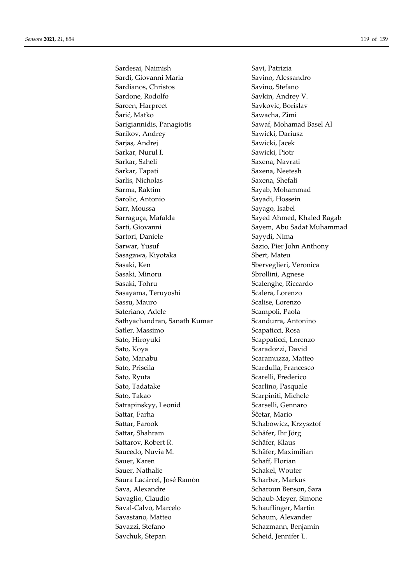Sardesai, Naimish Savi, Patrizia Sardi, Giovanni Maria **Savino, Alessandro** Savino, Alessandro Sardianos, Christos Savino, Stefano Sardone, Rodolfo Savkin, Andrey V. Sareen, Harpreet Savkovic, Borislav Šarić, Matko Sawacha, Zimi Sarigiannidis, Panagiotis Sawaf, Mohamad Basel Al Sarikov, Andrey Sawicki, Dariusz Sarjas, Andrej Sawicki, Jacek Sarkar, Nurul I. Sawicki, Piotr Sarkar, Saheli Saxena, Navrati Sarkar, Tapati Saxena, Neetesh Sarlis, Nicholas Saxena, Shefali Sarma, Raktim Sayab, Mohammad Sarolic, Antonio Sayadi, Hossein Sarr, Moussa Sayago, Isabel Sarraguça, Mafalda Sayed Ahmed, Khaled Ragab Sarti, Giovanni Sayem, Abu Sadat Muhammad Sartori, Daniele Sayydi, Nima Sarwar, Yusuf Sazio, Pier John Anthony Sasagawa, Kiyotaka Sbert, Mateu Sasaki, Ken Solerveglieri, Veronica Sasaki, Minoru Sbrollini, Agnese Sasaki, Tohru Scalenghe, Riccardo Sasayama, Teruyoshi Scalera, Lorenzo Sassu, Mauro Scalise, Lorenzo Sateriano, Adele Scampoli, Paola Sathyachandran, Sanath Kumar Scandurra, Antonino Satler, Massimo Scapaticci, Rosa Sato, Hiroyuki Scappaticci, Lorenzo Sato, Koya Scaradozzi, David Sato, Manabu Scaramuzza, Matteo Sato, Priscila Sato, Priscila Scardulla, Francesco Sato, Ryuta Scarelli, Frederico Sato, Tadatake Scarlino, Pasquale Sato, Takao Scarpiniti, Michele Satrapinskyy, Leonid Scarselli, Gennaro Sattar, Farha Ščetar, Mario Sattar, Farook Schabowicz, Krzysztof Sattar, Shahram Schäfer, Ihr Jörg Sattarov, Robert R. Schäfer, Klaus Saucedo, Nuvia M. Schäfer, Maximilian Sauer, Karen Schaff, Florian Sauer, Nathalie Schakel, Wouter Saura Lacárcel, José Ramón (Scharber, Markus Sava, Alexandre Scharoun Benson, Sara Savaglio, Claudio Schaub-Meyer, Simone Saval-Calvo, Marcelo Schauflinger, Martin Savastano, Matteo Schaum, Alexander Savazzi, Stefano Schazmann, Benjamin Savchuk, Stepan Scheid, Jennifer L.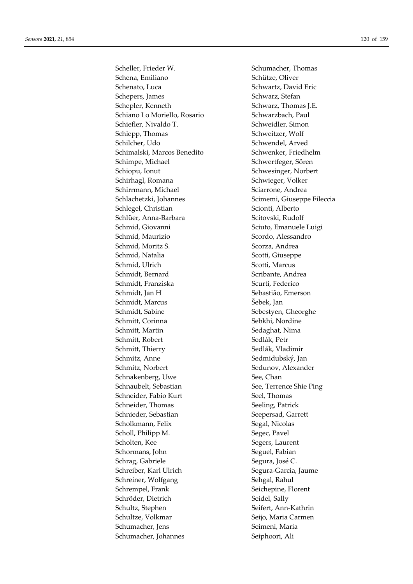Scheller, Frieder W. Schumacher, Thomas Schena, Emiliano Schütze, Oliver Schenato, Luca Schwartz, David Eric Schepers, James Schwarz, Stefan Schepler, Kenneth Schwarz, Thomas J.E. Schiano Lo Moriello, Rosario Schwarzbach, Paul Schiefler, Nivaldo T. Schweidler, Simon Schiepp, Thomas Schweitzer, Wolf Schilcher, Udo Schwendel, Arved Schimalski, Marcos Benedito Schwenker, Friedhelm Schimpe, Michael Schwertfeger, Sören Schiopu, Ionut Schwesinger, Norbert Schirhagl, Romana Schwieger, Volker Schirrmann, Michael Sciarrone, Andrea Schlachetzki, Johannes Scimemi, Giuseppe Fileccia Schlegel, Christian Scionti, Alberto Schlüer, Anna-Barbara Scitovski, Rudolf Schmid, Giovanni Sciuto, Emanuele Luigi Schmid, Maurizio Scordo, Alessandro Schmid, Moritz S. Scorza, Andrea Schmid, Natalia Scotti, Giuseppe Schmid, Ulrich Scotti, Marcus Schmidt, Bernard Scribante, Andrea Schmidt, Franziska Scurti, Federico Schmidt, Jan H Sebastião, Emerson Schmidt, Marcus Šebek, Jan Schmidt, Sabine Sebestyen, Gheorghe Schmitt, Corinna Sebkhi, Nordine Schmitt, Martin Sedaghat, Nima Schmitt, Robert Sedlák, Petr Schmitt, Thierry Sedlák, Vladimír Schmitz, Anne Sedmidubský, Jan Schmitz, Norbert Sedunov, Alexander Schnakenberg, Uwe See, Chan Schnaubelt, Sebastian See, Terrence Shie Ping Schneider, Fabio Kurt Seel, Thomas Schneider, Thomas Seeling, Patrick Schnieder, Sebastian Seepersad, Garrett Scholkmann, Felix Segal, Nicolas Scholl, Philipp M. Segec, Pavel Scholten, Kee Segers, Laurent Schormans, John Seguel, Fabian Schrag, Gabriele Segura, José C. Schreiber, Karl Ulrich Segura-Garcia, Jaume Schreiner, Wolfgang Sehgal, Rahul Schrempel, Frank Seichepine, Florent Schröder, Dietrich Seidel, Sally Schultz, Stephen Seifert, Ann-Kathrin Schultze, Volkmar Seijo, Maria Carmen Schumacher, Jens Seimeni, Maria Schumacher, Johannes Seiphoori, Ali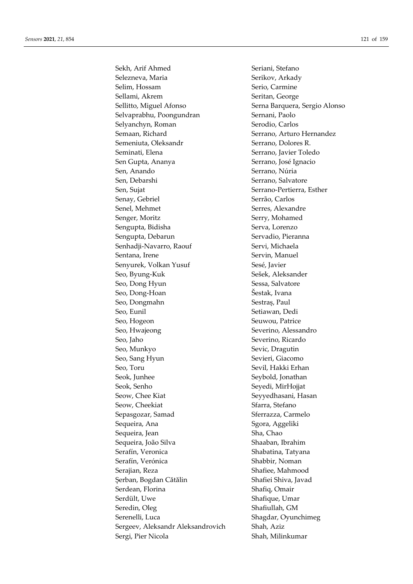Sekh, Arif Ahmed Seriani, Stefano Selezneva, Maria Serikov, Arkady Selim, Hossam Serio, Carmine Sellami, Akrem Seritan, George Sellitto, Miguel Afonso Serna Barquera, Sergio Alonso Selvaprabhu, Poongundran Sernani, Paolo Selyanchyn, Roman Serodio, Carlos Semaan, Richard Serrano, Arturo Hernandez Semeniuta, Oleksandr Serrano, Dolores R. Seminati, Elena Serrano, Javier Toledo Sen Gupta, Ananya Serrano, José Ignacio Sen, Anando Serrano, Núria Sen, Debarshi Serrano, Salvatore Sen, Sujat Serrano-Pertierra, Esther Senay, Gebriel Serrão, Carlos Senel, Mehmet Serres, Alexandre Senger, Moritz Serry, Mohamed Sengupta, Bidisha Serva, Lorenzo Sengupta, Debarun Servadio, Pieranna Senhadji-Navarro, Raouf Servi, Michaela Sentana, Irene Servin, Manuel Senyurek, Volkan Yusuf Sesé, Javier Seo, Byung-Kuk Sešek, Aleksander Seo, Dong Hyun Sessa, Salvatore Seo, Dong-Hoan Šestak, Ivana Seo, Dongmahn Sestraș, Paul Seo, Eunil Seo, Eunil Setiawan, Dedi Seo, Hogeon Seuwou, Patrice Seo, Hwajeong Severino, Alessandro Seo, Jaho Severino, Ricardo Seo, Munkyo Sevic, Dragutin Seo, Sang Hyun Sevieri, Giacomo Seo, Toru Sevil, Hakki Erhan Seok, Junhee Seybold, Jonathan Seok, Senho Seyedi, MirHojjat Seow, Chee Kiat Seyyedhasani, Hasan Seow, Cheekiat Sfarra, Stefano Sepasgozar, Samad Sferrazza, Carmelo Sequeira, Ana Sequeira, Ana Sequeira, Ana Sequeira, Ana Sequeira, Ana Sequeira, A Sequeira, Jean Sha, Chao Sequeira, João Silva Shaaban, Ibrahim Serafín, Veronica Shabatina, Tatyana Serafín, Verónica **Shabbir, Noman** Serajian, Reza Shafiee, Mahmood Serban, Bogdan Cătălin Shafiei Shiva, Javad Serdean, Florina Shafiq, Omair Serdült, Uwe Shafique, Umar Seredin, Oleg Shafiullah, GM Serenelli, Luca Shagdar, Oyunchimeg Sergeev, Aleksandr Aleksandrovich Shah, Aziz Sergi, Pier Nicola Shah, Milinkumar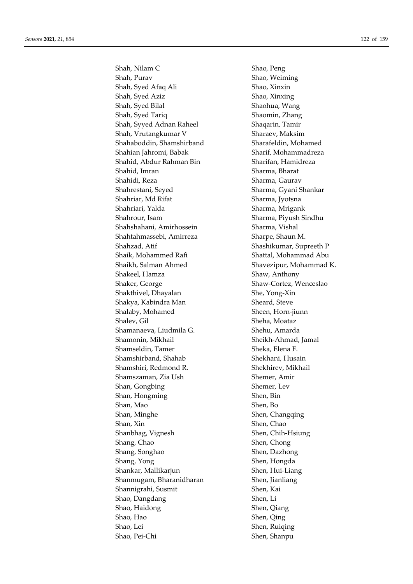Shah, Nilam C Shao, Peng Shah, Purav Shao, Weiming Shah, Syed Afaq Ali Shao, Xinxin Shah, Syed Aziz Shao, Xinxing Shah, Syed Bilal Shaohua, Wang Shah, Syed Tariq Shaomin, Zhang Shah, Syyed Adnan Raheel Shaqarin, Tamir Shah, Vrutangkumar V Sharaev, Maksim Shahaboddin, Shamshirband Sharafeldin, Mohamed Shahian Jahromi, Babak Sharif, Mohammadreza Shahid, Abdur Rahman Bin Sharifan, Hamidreza Shahid, Imran Sharma, Bharat Shahidi, Reza Sharma, Gaurav Shahrestani, Seyed Sharma, Gyani Shankar Shahriar, Md Rifat Sharma, Jyotsna Shahriari, Yalda Sharma, Mrigank Shahrour, Isam Sharma, Piyush Sindhu Shahshahani, Amirhossein Sharma, Vishal Shahtahmassebi, Amirreza Sharpe, Shaun M. Shahzad, Atif Shashikumar, Supreeth P Shaik, Mohammed Rafi Shattal, Mohammad Abu Shaikh, Salman Ahmed Shavezipur, Mohammad K. Shakeel, Hamza Shaw, Anthony Shaker, George Shaw-Cortez, Wenceslao Shakthivel, Dhayalan She, Yong-Xin Shakya, Kabindra Man Sheard, Steve Shalaby, Mohamed Sheen, Horn-jiunn Shalev, Gil Sheha, Moataz Shamanaeva, Liudmila G. Shehu, Amarda Shamonin, Mikhail Sheikh-Ahmad, Jamal Shamseldin, Tamer Sheka, Elena F. Shamshirband, Shahab Shekhani, Husain Shamshiri, Redmond R. Shekhirev, Mikhail Shamszaman, Zia Ush Shemer, Amir Shan, Gongbing Shemer, Lev Shan, Hongming Shen, Bin Shan, Mao Shen, Bo Shan, Minghe Shen, Changqing Shan, Xin Shen, Chao Shanbhag, Vignesh Shen, Chih-Hsiung Shang, Chao Shen, Chong Shang, Songhao Shen, Dazhong Shang, Yong Shen, Hongda Shankar, Mallikarjun Shen, Hui-Liang Shanmugam, Bharanidharan Shen, Jianliang Shannigrahi, Susmit Shen, Kai Shao, Dangdang Shen, Li Shao, Haidong Shen, Qiang Shao, Hao Shen, Qing Shao, Lei Shen, Ruiqing Shao, Pei-Chi Shen, Shanpu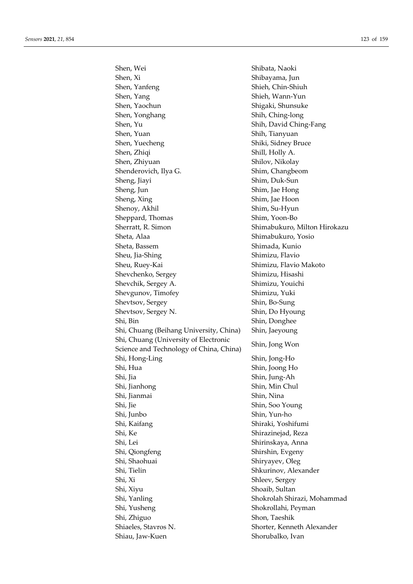Shen, Wei Shibata, Naoki Shen, Xi Shibayama, Jun Shen, Yanfeng Shieh, Chin-Shiuh Shen, Yang Shieh, Wann-Yun Shen, Yaochun Shigaki, Shunsuke Shen, Yonghang Shih, Ching-long Shen, Yu Shih, David Ching-Fang Shen, Yuan Shih, Tianyuan Shen, Yuecheng Shiki, Sidney Bruce Shen, Zhiqi Shen, Zhiqi Shill, Holly A. Shen, Zhiyuan Shilov, Nikolay Shenderovich, Ilya G. Shim, Changbeom Sheng, Jiayi Shim, Duk-Sun Sheng, Jun Shim, Jae Hong Sheng, Xing Shim, Jae Hoon Shenoy, Akhil Shim, Su-Hyun Sheppard, Thomas Shim, Yoon-Bo Sherratt, R. Simon Shimabukuro, Milton Hirokazu Sheta, Alaa Shimabukuro, Yosio Sheta, Bassem Shimada, Kunio Sheu, Jia-Shing Shimizu, Flavio Sheu, Ruey-Kai Shimizu, Flavio Makoto Shevchenko, Sergey Shimizu, Hisashi Shevchik, Sergey A. Shimizu, Youichi Shevgunov, Timofey Shimizu, Yuki Shevtsov, Sergey Shin, Bo-Sung Shevtsov, Sergey N. Shin, Do Hyoung Shi, Bin Shin, Donghee Shi, Chuang (Beihang University, China) Shin, Jaeyoung Shi, Chuang (University of Electronic Shin, China, China, China, China, China, Iong Won Shi, Hong-Ling Shin, Jong-Ho Shi, Hua Shin, Joong Ho Shi, Jia Shin, Jung-Ah Shi, Jianhong Shin, Min Chul Shi, Jianmai Shin, Nina Shi, Jie Shin, Soo Young Shi, Junbo Shin, Yun-ho Shi, Kaifang Shi, Kaifang Shi, Kaifang Shi, Kaifang Shi, Kaifang Shi, Kaifang Shi, Kaifang Shi, Kaifang Shi, K Shi, Ke Shirazinejad, Reza Shi, Lei Shirinskaya, Anna Shi, Qiongfeng Shirshin, Evgeny Shi, Shaohuai Shiryayev, Oleg Shi, Tielin Shkurinov, Alexander Shi, Xi Shleev, Sergey Shi, Xiyu Shoaib, Sultan Shi, Yanling Shokrolah Shirazi, Mohammad Shi, Yusheng Shokrollahi, Peyman Shi, Zhiguo Shon, Taeshik Shiaeles, Stavros N. Shorter, Kenneth Alexander Shiau, Jaw-Kuen Shorubalko, Ivan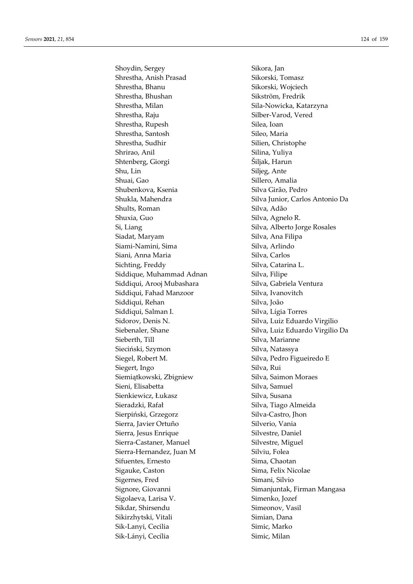Shoydin, Sergey Sikora, Jan Shrestha, Anish Prasad Sikorski, Tomasz Shrestha, Bhanu Sikorski, Wojciech Shrestha, Bhushan Sikström, Fredrik Shrestha, Milan Shrestha, Milan Sila-Nowicka, Katarzyna Shrestha, Raju Silber-Varod, Vered Shrestha, Rupesh Silea, Ioan Shrestha, Santosh Sileo, Maria Shrestha, Sudhir Silien, Christophe Shrirao, Anil Silina, Yuliya Shtenberg, Giorgi **Shtenberg**, Giorgi **Shtenberg**, Giorgi **Shtenberg**, Giorgi **Shtenberg**, Giorgi **Shtenberg**, Giorgi **Shtenberg**, Giorgi **Shtenberg**, Giorgi **Shtenberg**, Giorgi **Shtenberg**, Giorgi **Shtenberg**, Giorgi **Sht** Shu, Lin Siljeg, Ante Shuai, Gao Sillero, Amalia Shubenkova, Ksenia Silva Girão, Pedro Shults, Roman Silva, Adão Shuxia, Guo Silva, Agnelo R. Si, Liang Silva, Alberto Jorge Rosales Siadat, Maryam Silva, Ana Filipa Siami-Namini, Sima Silva, Arlindo Siani, Anna Maria **Silva**, Carlos Sichting, Freddy Silva, Catarina L. Siddique, Muhammad Adnan Silva, Filipe Siddiqui, Arooj Mubashara Silva, Gabriela Ventura Siddiqui, Fahad Manzoor Silva, Ivanovitch Siddiqui, Rehan Silva, João Siddiqui, Salman I. Silva, Lígia Torres Sidorov, Denis N. Silva, Luiz Eduardo Virgilio Sieberth, Till Silva, Marianne Sieciński, Szymon Silva, Natassya Siegel, Robert M. Silva, Pedro Figueiredo E Siegert, Ingo Silva, Rui Siemiątkowski, Zbigniew Silva, Saimon Moraes Sieni, Elisabetta Silva, Samuel Sienkiewicz, Łukasz Silva, Susana Sieradzki, Rafał **Silva, Silva, Tiago Almeida** Sierpiński, Grzegorz Silva-Castro, Jhon Sierra, Javier Ortuño Silverio, Vania Sierra, Jesus Enrique Silvestre, Daniel Sierra-Castaner, Manuel Silvestre, Miguel Sierra-Hernandez, Juan M Silviu, Folea Sifuentes, Ernesto **Sima, Chaotan** Sigauke, Caston Sima, Felix Nicolae Sigernes, Fred Simani, Silvio Sigolaeva, Larisa V. Simenko, Jozef Sikdar, Shirsendu Simeonov, Vasil Sikirzhytski, Vitali Simian, Dana Sik-Lanyi, Cecilia Simic, Marko Sik-Lányi, Cecília Simic, Milan

Shukla, Mahendra Silva Junior, Carlos Antonio Da Siebenaler, Shane Silva, Luiz Eduardo Virgilio Da Signore, Giovanni Simanjuntak, Firman Mangasa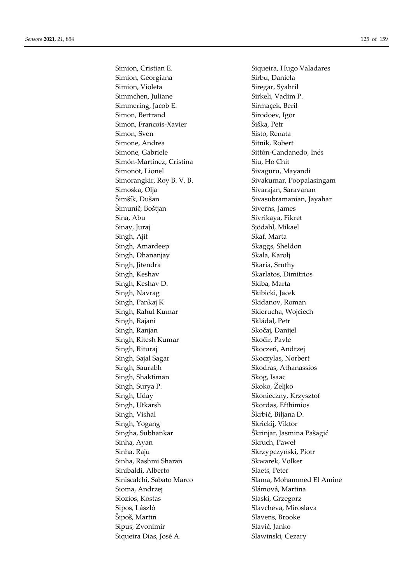Simion, Georgiana Sirbu, Daniela Simion, Violeta Siregar, Syahril Simmchen, Juliane Sirkeli, Vadim P. Simmering, Jacob E. Sirmaçek, Beril Simon, Bertrand Sirodoev, Igor Simon, Francois-Xavier Šiška, Petr Simon, Sven Sisto, Renata Simone, Andrea Sitnik, Robert Simone, Gabriele Sittón-Candanedo, Inés Simón-Martínez, Cristina Siu, Ho Chit Simonot, Lionel Sivaguru, Mayandi Simoska, Olja Sivarajan, Saravanan Šimšík, Dušan Sivasubramanian, Jayahar Šimunič, Boštjan Siverns, James Sina, Abu Sivrikaya, Fikret Sinay, Juraj Sinay, Juraj Sinay, Juraj Sinay, Juraj Sinay, Sinay, Sinay, Sinay, Sinay, Sinay, Sinay, Sinay, Sinay, Sinay, Sinay, Sinay, Sinay, Sinay, Sinay, Sinay, Sinay, Sinay, Sinay, Sinay, Sinay, Sinay, Sinay, Sinay, Si Singh, Ajit Skaf, Marta Singh, Amardeep Skaggs, Sheldon Singh, Dhananjay Singh, Skala, Karolj Singh, Jitendra Singh, Skaria, Sruthy Singh, Keshav Skarlatos, Dimitrios Singh, Keshav D. Skiba, Marta Singh, Navrag Skibicki, Jacek Singh, Pankaj K Skidanov, Roman Singh, Rahul Kumar Skierucha, Wojciech Singh, Rajani **Skládal**, Petr Singh, Ranjan Skočaj, Danijel Singh, Ritesh Kumar Skočir, Pavle Singh, Rituraj Skoczeń, Andrzej Singh, Sajal Sagar Skoczylas, Norbert Singh, Saurabh Skodras, Athanassios Singh, Shaktiman Skog, Isaac Singh, Surya P. Skoko, Željko Singh, Uday Skonieczny, Krzysztof Singh, Utkarsh Skordas, Efthimios Singh, Vishal Škrbić, Biljana D. Singh, Yogang Skrickij, Viktor Singha, Subhankar Škrinjar, Jasmina Pašagić Sinha, Ayan Skruch, Paweł Sinha, Raju Skrzypczyński, Piotr Sinha, Rashmi Sharan Sharan Skwarek, Volker Sinibaldi, Alberto Slaets, Peter Sioma, Andrzej Slámová, Martina Siozios, Kostas Slaski, Grzegorz Sipos, László Slavcheva, Miroslava Šipoš, Martin Slavens, Brooke Sipus, Zvonimir Slavič, Janko Siqueira Dias, José A. Slawinski, Cezary

Simion, Cristian E. Siqueira, Hugo Valadares Simorangkir, Roy B. V. B. Sivakumar, Poopalasingam Siniscalchi, Sabato Marco Slama, Mohammed El Amine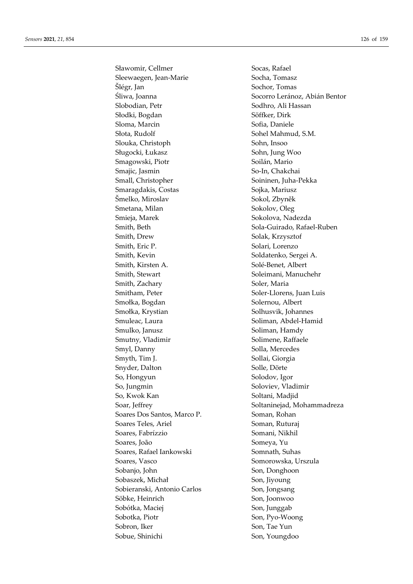Sławomir, Cellmer Socas, Rafael Sleewaegen, Jean-Marie Socha, Tomasz Šlégr, Jan Sochor, Tomas Slobodian, Petr Sodhro, Ali Hassan Słodki, Bogdan Söffker, Dirk Sloma, Marcin Sofia, Daniele Słota, Rudolf Sohel Mahmud, S.M. Slouka, Christoph Sohn, Insoo Sługocki, Łukasz Sohn, Jung Woo Smagowski, Piotr Soilán, Mario Smajic, Jasmin So-In, Chakchai Small, Christopher Soininen, Juha-Pekka Smaragdakis, Costas Sojka, Mariusz Šmelko, Miroslav Sokol, Zbyněk Smetana, Milan Sokolov, Oleg Smieja, Marek Sokolova, Nadezda Smith, Beth Sola-Guirado, Rafael-Ruben Smith, Drew Solak, Krzysztof Smith, Eric P. Solari, Lorenzo Smith, Kevin Soldatenko, Sergei A. Smith, Kirsten A. Solé-Benet, Albert Smith, Stewart Soleimani, Manuchehr Smith, Zachary Soler, Maria Smitham, Peter Soler-Llorens, Juan Luis Smołka, Bogdan Solernou, Albert Smołka, Krystian Solhusvik, Johannes Smuleac, Laura Soliman, Abdel-Hamid Smulko, Janusz Soliman, Hamdy Smutny, Vladimir Solimene, Raffaele Smyl, Danny Solla, Mercedes Smyth, Tim J. Sollai, Giorgia Snyder, Dalton Solle, Dörte So, Hongyun Solodov, Igor So, Jungmin Soloviev, Vladimir So, Kwok Kan Soltani, Madjid Soares Dos Santos, Marco P. Soman, Rohan Soares Teles, Ariel Soman, Ruturaj Soares, Fabrízzio Somani, Nikhil Soares, João Someya, Yu Soares, Rafael Iankowski Somnath, Suhas Soares, Vasco Somorowska, Urszula Sobanjo, John Son, Donghoon Sobaszek, Michał Son, Jiyoung Sobieranski, Antonio Carlos Son, Jongsang Söbke, Heinrich Son, Joonwoo Sobótka, Maciej Son, Junggab Sobotka, Piotr Son, Pyo-Woong Sobron, Iker Son, Tae Yun Sobue, Shinichi Son, Youngdoo

Śliwa, Joanna (Group) established Socorro Leránoz, Abián Bentor Soar, Jeffrey Soltaninejad, Mohammadreza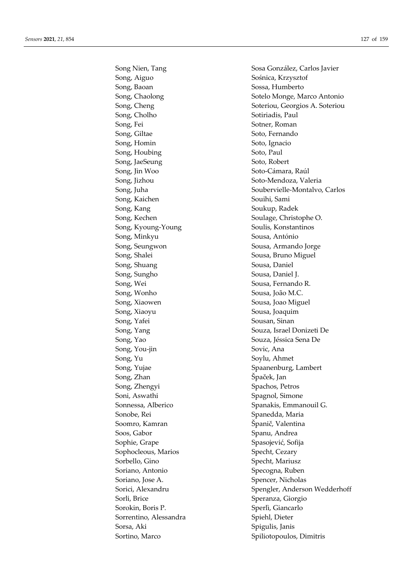Song, Aiguo Sośnica, Krzysztof Song, Baoan Sossa, Humberto Song, Cholho Sotiriadis, Paul Song, Fei Sotner, Roman Song, Giltae Soto, Fernando Song, Homin Soto, Ignacio Song, Houbing Soto, Paul Song, JaeSeung Soto, Robert Song, Jin Woo Soto-Cámara, Raúl Song, Jizhou Soto-Mendoza, Valeria Song, Kaichen Souihi, Sami Song, Kang Soukup, Radek Song, Kechen Soulage, Christophe O. Song, Kyoung-Young Soulis, Konstantinos Song, Minkyu Sousa, António Song, Seungwon Sousa, Armando Jorge Song, Shalei Sousa, Bruno Miguel Song, Shuang Sousa, Daniel Song, Sungho Sousa, Daniel J. Song, Wei Sousa, Fernando R. Song, Wonho Sousa, João M.C. Song, Xiaowen Sousa, Joao Miguel Song, Xiaoyu Sousa, Joaquim Song, Yafei Sousan, Sinan Song, Yang Souza, Israel Donizeti De Song, Yao Souza, Jéssica Sena De Song, You-jin Sovic, Ana Song, Yu Soylu, Ahmet Song, Yujae Spaanenburg, Lambert Song, Zhan Špaček, Jan Song, Zhengyi Spachos, Petros Soni, Aswathi Spagnol, Simone Sonnessa, Alberico Spanakis, Emmanouil G. Sonobe, Rei Spanedda, Maria Soomro, Kamran Soomro, Kamran Španič, Valentina Soos, Gabor Spanu, Andrea Sophie, Grape Spasojević, Sofija Sophocleous, Marios Specht, Cezary Sorbello, Gino Specht, Mariusz Soriano, Antonio Specogna, Ruben Soriano, Jose A. Spencer, Nicholas Sorli, Brice Speranza, Giorgio Sorokin, Boris P. Sperlì, Giancarlo Sorrentino, Alessandra Spiehl, Dieter Sorsa, Aki Spigulis, Janis Sortino, Marco Spiliotopoulos, Dimitris

Song Nien, Tang Sosa González, Carlos Javier Song, Chaolong Sotelo Monge, Marco Antonio Song, Cheng Soteriou, Georgios A. Soteriou Song, Juha Soubervielle-Montalvo, Carlos Sorici, Alexandru Spengler, Anderson Wedderhoff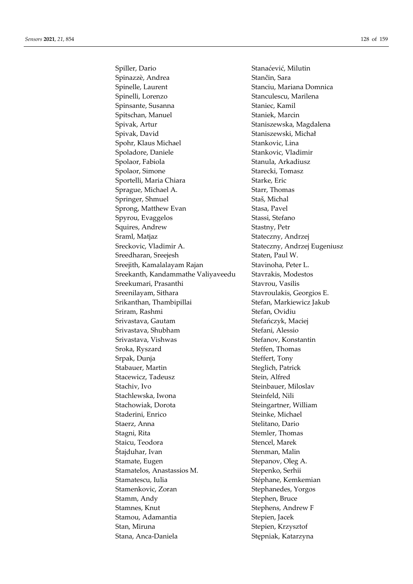Spiller, Dario Stanaćević, Milutin Spinazzè, Andrea Stančin, Sara Spinelle, Laurent **Stanciu**, Mariana Domnica Spinelli, Lorenzo Stanculescu, Marilena Spinsante, Susanna Staniec, Kamil Spitschan, Manuel Staniek, Marcin Spivak, Artur Staniszewska, Magdalena Spivak, David Staniszewski, Michał Spohr, Klaus Michael Stankovic, Lina Spoladore, Daniele Stankovic, Vladimir Spolaor, Fabiola Stanula, Arkadiusz Spolaor, Simone Starecki, Tomasz Sportelli, Maria Chiara Starke, Eric Sprague, Michael A. Starr, Thomas Springer, Shmuel Staš, Michal Sprong, Matthew Evan Stasa, Pavel Spyrou, Evaggelos Stassi, Stefano Squires, Andrew Stastny, Petr Sraml, Matjaz Sraml, Matjaz Stateczny, Andrzej Sreckovic, Vladimir A. Stateczny, Andrzej Eugeniusz Sreedharan, Sreejesh Staten, Paul W. Sreejith, Kamalalayam Rajan Stavinoha, Peter L. Sreekanth, Kandammathe Valiyaveedu Stavrakis, Modestos Sreekumari, Prasanthi Stavrou, Vasilis Sreenilayam, Sithara Stavroulakis, Georgios E. Srikanthan, Thambipillai Stefan, Markiewicz Jakub Sriram, Rashmi Stefan, Ovidiu Srivastava, Gautam Stefańczyk, Maciej Srivastava, Shubham Stefani, Alessio Srivastava, Vishwas Stefanov, Konstantin Sroka, Ryszard Steffen, Thomas Srpak, Dunja Srpak, Steffert, Tony Stabauer, Martin Steglich, Patrick Stacewicz, Tadeusz Stein, Alfred Stachiv, Ivo Steinbauer, Miloslav Stachlewska, Iwona Steinfeld, Nili Stachowiak, Dorota Steingartner, William Staderini, Enrico Steinke, Michael Staerz, Anna Stelitano, Dario Stagni, Rita Stagni, Rita Stemler, Thomas Staicu, Teodora **Staicu, Teodora** Stencel, Marek Štajduhar, Ivan Stenman, Malin Stamate, Eugen Stepanov, Oleg A. Stamatelos, Anastassios M. Stepenko, Serhii Stamatescu, Iulia Stéphane, Kemkemian Stamenkovic, Zoran Stephanedes, Yorgos Stamm, Andy Stephen, Bruce Stamnes, Knut Stephens, Andrew F Stamou, Adamantia Stepien, Jacek Stan, Miruna Stepien, Krzysztof Stana, Anca-Daniela Stepniak, Katarzyna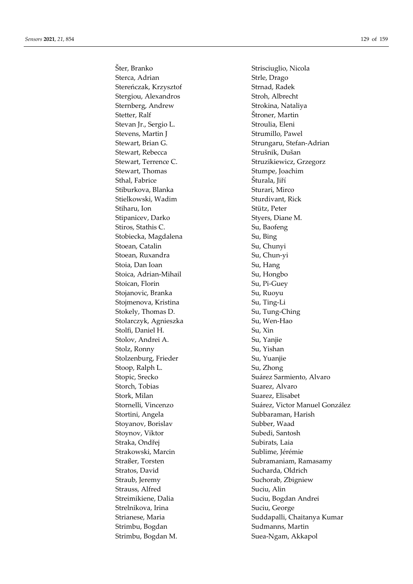Šter. Branko Sterca, Adrian Stereńczak, Krzysztof Stergiou, Alexandros Sternberg, Andrew Stetter, Ralf Stevan Jr., Sergio L. Stevens, Martin J Stewart, Brian G. Stewart, Rebecca Stewart, Terrence C. Stewart, Thomas Sthal, Fabrice Stiburkova, Blanka Stielkowski, Wadim Stiharu, Ion Stipanicev, Darko Stiros, Stathis C. Stobiecka, Magdalena Stoean, Catalin Stoean, Ruxandra Stoia, Dan Ioan Stoica, Adrian-Mihail Stoican, Florin Stojanovic, Branka Stojmenova, Kristina Stokely, Thomas D. Stolarczyk, Agnieszka Stolfi, Daniel H. Stolov, Andrei A. Stolz, Ronny Stolzenburg, Frieder Stoop, Ralph L. Stopic, Srecko Storch. Tobias Stork, Milan Stornelli, Vincenzo Stortini, Angela Stoyanov, Borislav Stoynov, Viktor Straka, Ondřej Strakowski, Marcin Straßer, Torsten Stratos, David Straub, Jeremy Strauss, Alfred Streimikiene, Dalia Strelnikova, Irina Strianese, Maria Strimbu, Bogdan Strimbu, Bogdan M.

Strisciuglio, Nicola Strle, Drago Strnad, Radek Stroh, Albrecht Strokina, Nataliya Štroner, Martin Stroulia, Eleni Strumillo, Pawel Strungaru, Stefan-Adrian Strušnik, Dušan Struzikiewicz, Grzegorz Stumpe, Joachim Šturala, Jiří Sturari, Mirco Sturdivant, Rick Stütz, Peter Styers, Diane M. Su, Baofeng Su, Bing Su, Chunyi Su, Chun-yi Su, Hang Su, Hongbo Su, Pi-Guey Su, Ruoyu Su, Ting-Li Su, Tung-Ching Su, Wen-Hao Su, Xin Su, Yanjie Su, Yishan Su, Yuanjie Su, Zhong Suárez Sarmiento, Alvaro Suarez, Alvaro Suarez, Elisabet Suárez, Victor Manuel González Subbaraman, Harish Subber, Waad Subedi, Santosh Subirats, Laia Sublime, Jérémie Subramaniam, Ramasamy Sucharda, Oldrich Suchorab, Zbigniew Suciu, Alin Suciu, Bogdan Andrei Suciu, George Suddapalli, Chaitanya Kumar Sudmanns, Martin Suea-Ngam, Akkapol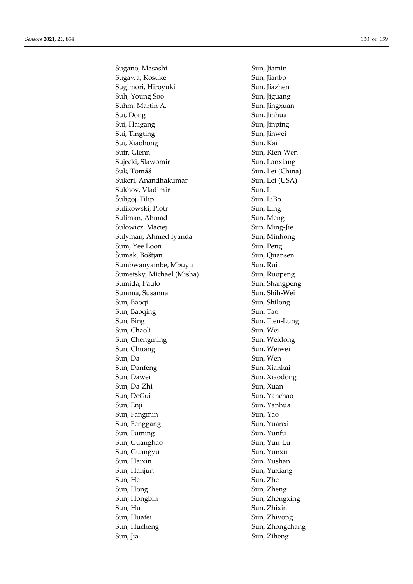Sugano, Masashi Sun, Jiamin Sugawa, Kosuke Sun, Jianbo Sugimori, Hiroyuki Sun, Jiazhen Suh, Young Soo Sun, Jiguang Suhm, Martin A. Sun, Jingxuan Sui, Dong Sun, Jinhua Sui, Haigang Sun, Jinping Sui, Tingting Sun, Jinwei Sui, Xiaohong Sun, Kai Suir, Glenn Suir, Glenn Sun, Kien-Wen Sujecki, Slawomir Sun, Lanxiang Suk, Tomáš Sun, Lei (China) Sukeri, Anandhakumar Sun, Lei (USA) Sukhov, Vladimir Sun, Li Šuligoj, Filip Sun, LiBo Sulikowski, Piotr Sun, Ling Suliman, Ahmad Sun, Meng Sułowicz, Maciej Sun, Ming-Jie Sulyman, Ahmed Iyanda Sun, Minhong Sum, Yee Loon Sun, Peng Šumak, Boštjan Sun, Quansen Sumbwanyambe, Mbuyu Sun, Rui Sumetsky, Michael (Misha) Sun, Ruopeng Sumida, Paulo Sun, Shangpeng Summa, Susanna Sun, Shih-Wei Sun, Baoqi Sun, Shilong Sun, Baoqing Sun, Tao Sun, Bing Sun, Tien-Lung Sun, Chaoli Sun, Wei Sun, Chengming Sun, Weidong Sun, Chuang Sun, Weiwei Sun, Da Sun, Wen Sun, Danfeng Sun, Xiankai Sun, Dawei Sun, Xiaodong Sun, Da-Zhi Sun, Xuan Sun, DeGui Sun, Yanchao Sun, Enji Sun, Yanhua Sun, Fangmin Sun, Yao Sun, Fenggang Sun, Yuanxi Sun, Fuming Sun, Yunfu Sun, Guanghao Sun, Yun-Lu Sun, Guangyu Sun, Yunxu Sun, Haixin Sun, Yushan Sun, Hanjun Sun, Yuxiang Sun, He Sun, Zhe Sun, Hong Sun, Zheng Sun, Hongbin Sun, Zhengxing Sun, Hu Sun, Zhixin Sun, Huafei Sun, Zhiyong Sun, Hucheng Sun, Zhongchang Sun, Jia Sun, Ziheng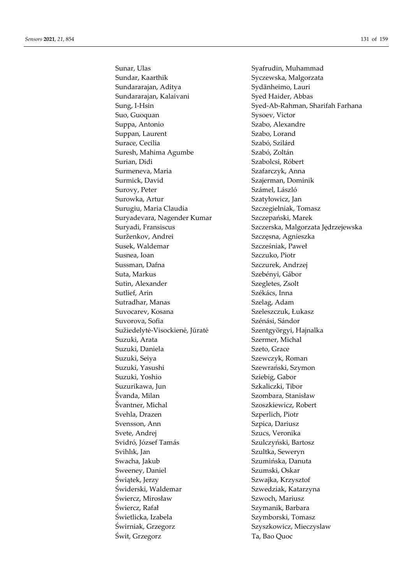Sunar, Ulas Syafrudin, Muhammad Sundar, Kaarthik Syczewska, Malgorzata Sundararajan, Aditya Sydänheimo, Lauri Sundararajan, Kalaivani Syed Haider, Abbas Suo, Guoquan Sysoev, Victor Suppa, Antonio Szabo, Alexandre Suppan, Laurent Szabo, Lorand Surace, Cecilia Szabó, Szilárd Suresh, Mahima Agumbe Szabó, Zoltán Surian, Didi Szabolcsi, Róbert Surmeneva, Maria **Szafarczyk**, Anna Surmick, David Szajerman, Dominik Surovy, Peter Számel, László Surowka, Artur Szatyłowicz, Jan Surugiu, Maria Claudia Szczegielniak, Tomasz Suryadevara, Nagender Kumar Szczepański, Marek Surženkov, Andrei Szczęsna, Agnieszka Susek, Waldemar Szcześniak, Paweł Susnea, Ioan Szczuko, Piotr Sussman, Dafna Szczurek, Andrzej Suta, Markus Szebényi, Gábor Sutin, Alexander Szegletes, Zsolt Sutlief, Arin Székács, Inna Sutradhar, Manas Szelag, Adam Suvocarev, Kosana Szeleszczuk, Łukasz Suvorova, Sofia Szénási, Sándor Sužiedelytė-Visockienė, Jūratė Szentgyörgyi, Hajnalka Suzuki, Arata Szermer, Michal Suzuki, Daniela Szeto, Grace Suzuki, Seiya **Szewczyk**, Roman Suzuki, Yasushi Szewrański, Szymon Suzuki, Yoshio Sziebig, Gabor Suzurikawa, Jun Suzurikawa, Jun Szkaliczki, Tibor Švanda, Milan Szombara, Stanisław Švantner, Michal Szoszkiewicz, Robert Svehla, Drazen Szperlich, Piotr Svensson, Ann Szpica, Dariusz Svete, Andrej Szucs, Veronika Svidró, József Tamás Szulczyński, Bartosz Svihlık, Jan Szultka, Seweryn Swacha, Jakub Swacha, Jakub Szumińska, Danuta Sweeney, Daniel Szumski, Oskar Świątek, Jerzy Szwajka, Krzysztof Świderski, Waldemar Szwedziak, Katarzyna Świercz, Mirosław Szwoch, Mariusz Świercz, Rafał Szymanik, Barbara Świetlicka, Izabela Szymborski, Tomasz Świrniak, Grzegorz Szyszkowicz, Mieczyslaw Świt, Grzegorz Ta, Bao Quoc

Sung, I-Hsin Syed-Ab-Rahman, Sharifah Farhana Suryadi, Fransiscus Szczerska, Malgorzata Jędrzejewska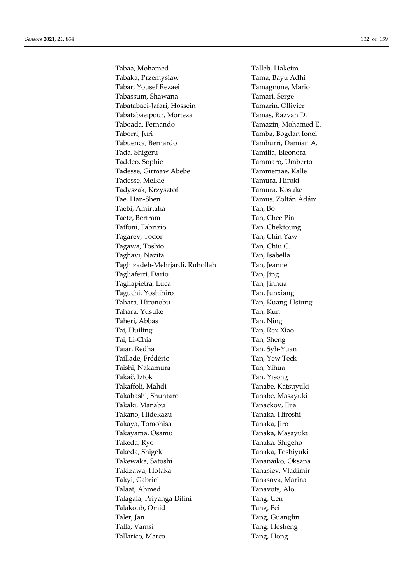Tabaa, Mohamed Talleb, Hakeim Tabaka, Przemyslaw Tama, Bayu Adhi Tabar, Yousef Rezaei Tamagnone, Mario Tabassum, Shawana Tamari, Serge Tabatabaei-Jafari, Hossein Tamarin, Ollivier Tabatabaeipour, Morteza Tamas, Razvan D. Taboada, Fernando Tamazin, Mohamed E. Taborri, Juri Tamba, Bogdan Ionel Tabuenca, Bernardo Tamburri, Damian A. Tada, Shigeru Tamilia, Eleonora Taddeo, Sophie Tammaro, Umberto Tadesse, Girmaw Abebe Tammemae, Kalle Tadesse, Melkie Tamura, Hiroki Tadyszak, Krzysztof Tamura, Kosuke Tae, Han-Shen Tamus, Zoltán Ádám Taebi, Amirtaha Tan, Bo Taetz, Bertram Tan, Chee Pin Taffoni, Fabrizio Tan, Chekfoung Tagarev, Todor Tan, Chin Yaw Tagawa, Toshio Tan, Chiu C. Taghavi, Nazita Tan, Isabella Taghizadeh-Mehrjardi, Ruhollah Tan, Jeanne Tagliaferri, Dario Tan, Jing Tagliapietra, Luca Tan, Jinhua Taguchi, Yoshihiro Tan, Junxiang Tahara, Hironobu Tan, Kuang-Hsiung Tahara, Yusuke Tan, Kun Taheri, Abbas Tan, Ning Tai, Huiling Tan, Rex Xiao Tai, Li-Chia Tan, Sheng Taiar, Redha Tan, Syh-Yuan Taillade, Frédéric **Tan, Yew Teck** Taishi, Nakamura Tan, Yihua Takač, Iztok Tan, Yisong Takaffoli, Mahdi Tanabe, Katsuyuki Takahashi, Shuntaro Tanabe, Masayuki Takaki, Manabu Tanackov, Ilija Takano, Hidekazu Tanaka, Hiroshi Takaya, Tomohisa Tanaka, Jiro Takayama, Osamu Tanaka, Masayuki Takeda, Ryo Tanaka, Shigeho Takeda, Shigeki Tanaka, Toshiyuki Takewaka, Satoshi Tananaiko, Oksana Takizawa, Hotaka Tanasiev, Vladimir Takyi, Gabriel Tanasova, Marina Talaat, Ahmed Tänavots, Alo Talagala, Priyanga Dilini Tang, Cen Talakoub, Omid Tang, Fei Taler, Jan Tang, Guanglin Talla, Vamsi Tang, Hesheng Tallarico, Marco Tang, Hong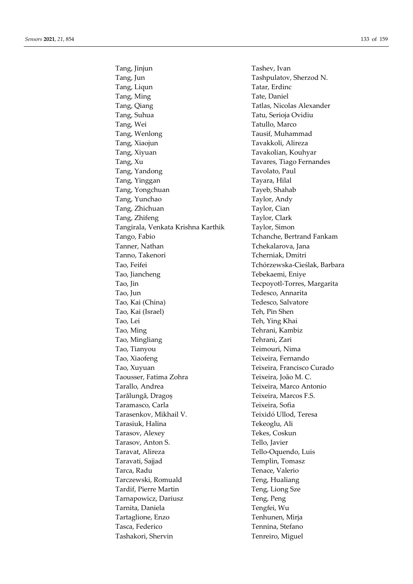Tang, Jinjun Tashev, Ivan Tang, Jun Tashpulatov, Sherzod N. Tang, Liqun Tatar, Erdinc Tang, Ming Tate, Daniel Tang, Qiang Tatlas, Nicolas Alexander Tang, Suhua Tatu, Serioja Ovidiu Tang, Wei Tatullo, Marco Tang, Wenlong Tausif, Muhammad Tang, Xiaojun Tavakkoli, Alireza Tang, Xiyuan Tavakolian, Kouhyar Tang, Xu Tavares, Tiago Fernandes Tang, Yandong Tavolato, Paul Tang, Yinggan Tayara, Hilal Tang, Yongchuan Tayeb, Shahab Tang, Yunchao Taylor, Andy Tang, Zhichuan Taylor, Cian Tang, Zhifeng Taylor, Clark Tangirala, Venkata Krishna Karthik Taylor, Simon Tango, Fabio Tchanche, Bertrand Fankam Tanner, Nathan Tchekalarova, Jana Tanno, Takenori **Tanno, Takenori** Tcherniak, Dmitri Tao, Feifei Tchórzewska-Cieślak, Barbara Tao, Jiancheng Tebekaemi, Eniye Tao, Jin Tecpoyotl-Torres, Margarita Tao, Jun Tedesco, Annarita Tao, Kai (China) Tedesco, Salvatore Tao, Kai (Israel) Teh, Pin Shen Tao, Lei Teh, Ying Khai Tao, Ming Tehrani, Kambiz Tao, Mingliang Tehrani, Zari Tao, Tianyou Teimouri, Nima Tao, Xiaofeng Teixeira, Fernando Tao, Xuyuan Teixeira, Francisco Curado Taousser, Fatima Zohra Teixeira, João M. C. Tarallo, Andrea Teixeira, Marco Antonio Țarălungă, Dragoș Teixeira, Marcos F.S. Taramasco, Carla Teixeira, Sofia Tarasenkov, Mikhail V. Teixidó Ullod, Teresa Tarasiuk, Halina Tekeoglu, Ali Tarasov, Alexey Tekes, Coskun Tarasov, Anton S. Tello, Javier Taravat, Alireza Tello-Oquendo, Luis Taravati, Sajjad Templin, Tomasz Tarca, Radu Tenace, Valerio Tarczewski, Romuald Teng, Hualiang Tardif, Pierre Martin Teng, Liong Sze Tarnapowicz, Dariusz Teng, Peng Tarnita, Daniela Tengfei, Wu Tartaglione, Enzo Tenhunen, Mirja Tasca, Federico Tennina, Stefano Tashakori, Shervin Tenreiro, Miguel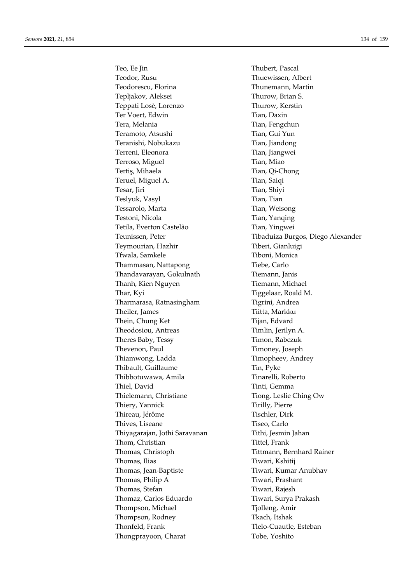Teo, Ee Jin Thubert, Pascal Teodor, Rusu Thuewissen, Albert Teodorescu, Florina Thunemann, Martin Tepljakov, Aleksei Thurow, Brian S. Teppati Losè, Lorenzo Thurow, Kerstin Ter Voert, Edwin Tian, Daxin Tera, Melania Tera, Tian, Fengchun Teramoto, Atsushi Tian, Gui Yun Teranishi, Nobukazu Tian, Jiandong Terreni, Eleonora Tian, Jiangwei Terroso, Miguel Tian, Miao Tertiş, Mihaela Tian, Qi-Chong Teruel, Miguel A. Tian, Saiqi Tesar, Jiri Tian, Shiyi Teslyuk, Vasyl Tian, Tian, Tian, Tian, Tian, Tian, Tian, Tian, Tian, Tian, Tian, Tian, Tian, Tian, Tian, Tian, Tian, Tian, Tian, Tian, Tian, Tian, Tian, Tian, Tian, Tian, Tian, Tian, Tian, Tian, Tian, Tian, Tian, Tian, Tia Tessarolo, Marta Tian, Weisong Testoni, Nicola Tian, Yanqing Tetila, Everton Castelão Tian, Yingwei Teymourian, Hazhir Tiberi, Gianluigi Tfwala, Samkele Tiboni, Monica Thammasan, Nattapong Tiebe, Carlo Thandavarayan, Gokulnath Tiemann, Janis Thanh, Kien Nguyen Tiemann, Michael Thar, Kyi Thar, Kyi Tiggelaar, Roald M. Tharmarasa, Ratnasingham Tigrini, Andrea Theiler, James Tiitta, Markku Thein, Chung Ket Tijan, Edvard Theodosiou, Antreas Timlin, Jerilyn A. Theres Baby, Tessy Timon, Rabczuk Thevenon, Paul Timoney, Joseph Thiamwong, Ladda Timopheev, Andrey Thibault, Guillaume Tin, Pyke Thibbotuwawa, Amila Tinarelli, Roberto Thiel, David Tinti, Gemma Thielemann, Christiane Tiong, Leslie Ching Ow Thiery, Yannick Tirilly, Pierre Thireau, Jérôme Tischler, Dirk Thives, Liseane Tiseo, Carlo Thiyagarajan, Jothi Saravanan Tithi, Jesmin Jahan Thom, Christian Tittel, Frank Thomas, Christoph Tittmann, Bernhard Rainer Thomas, Ilias Tiwari, Kshitii Thomas, Jean-Baptiste Tiwari, Kumar Anubhav Thomas, Philip A Tiwari, Prashant Thomas, Stefan Tiwari, Rajesh Thomaz, Carlos Eduardo Tiwari, Surya Prakash Thompson, Michael Tjolleng, Amir Thompson, Rodney Tkach, Itshak Thonfeld, Frank Tlelo-Cuautle, Esteban Thongprayoon, Charat Tobe, Yoshito

Teunissen, Peter Tibaduiza Burgos, Diego Alexander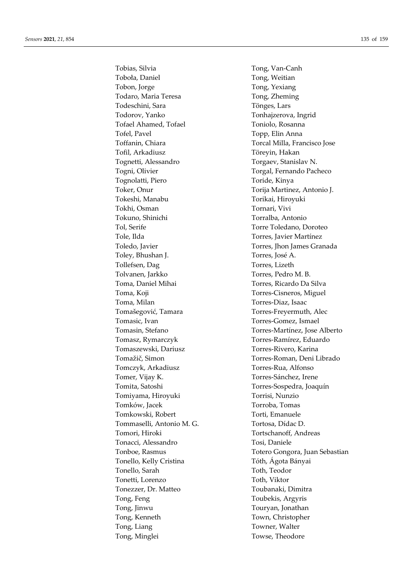Tobias, Silvia Toboła, Daniel Tobon, Jorge Todaro, Maria Teresa Todeschini, Sara Todorov, Yanko Tofael Ahamed, Tofael Tofel, Pavel Toffanin, Chiara Tofil, Arkadiusz Tognetti, Alessandro Togni, Olivier Tognolatti, Piero Toker, Onur Tokeshi, Manabu Tokhi, Osman Tokuno. Shinichi Tol, Serife Tole, Ilda Toledo, Javier Toley, Bhushan J. Tollefsen, Dag Tolvanen, Jarkko Toma, Daniel Mihai Toma, Koji Toma, Milan Tomašegović, Tamara Tomasic, Ivan Tomasin, Stefano Tomasz, Rymarczyk Tomaszewski, Dariusz Tomažič, Simon Tomczyk, Arkadiusz Tomer, Vijay K. Tomita, Satoshi Tomiyama, Hiroyuki Tomków, Jacek Tomkowski, Robert Tommaselli, Antonio M. G. Tomori, Hiroki Tonacci, Alessandro Tonboe, Rasmus Tonello, Kelly Cristina Tonello, Sarah Tonetti. Lorenzo Tonezzer, Dr. Matteo Tong, Feng Tong, Jinwu Tong, Kenneth Tong, Liang Tong, Minglei

Tong, Van-Canh Tong, Weitian Tong, Yexiang Tong, Zheming Tönges, Lars Tonhajzerova, Ingrid Toniolo, Rosanna Topp, Elin Anna Torcal Milla, Francisco Jose Töreyin, Hakan Torgaev, Stanislav N. Torgal, Fernando Pacheco Toride, Kinya Torija Martinez, Antonio J. Torikai, Hiroyuki Tornari, Vivi Torralba, Antonio Torre Toledano, Doroteo Torres, Javier Martínez Torres, Jhon James Granada Torres, José A. Torres. Lizeth Torres, Pedro M. B. Torres, Ricardo Da Silva Torres-Cisneros, Miguel Torres-Diaz, Isaac Torres-Freyermuth, Alec Torres-Gomez, Ismael Torres-Martínez, Jose Alberto Torres-Ramírez, Eduardo Torres-Rivero, Karina Torres-Roman, Deni Librado Torres-Rua, Alfonso Torres-Sánchez, Irene Torres-Sospedra, Joaquín Torrisi, Nunzio Torroba, Tomas Torti, Emanuele Tortosa, Dídac D. Tortschanoff, Andreas Tosi, Daniele Totero Gongora, Juan Sebastian Tóth, Ágota Bányai Toth, Teodor Toth. Viktor Toubanaki, Dimitra Toubekis, Argyris Touryan, Jonathan Town, Christopher Towner. Walter Towse, Theodore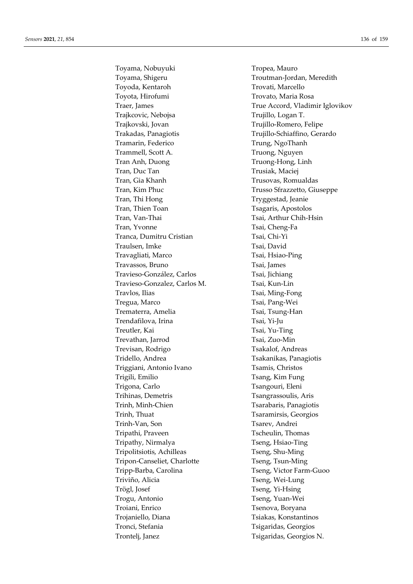Toyama, Nobuyuki Tropea, Mauro Toyama, Shigeru Troutman-Jordan, Meredith Toyoda, Kentaroh Trovati, Marcello Toyota, Hirofumi Trovato, Maria Rosa Trajkcovic, Nebojsa Trujillo, Logan T. Trajkovski, Jovan Trujillo-Romero, Felipe Trakadas, Panagiotis Trujillo-Schiaffino, Gerardo Tramarin, Federico Trung, NgoThanh Trammell, Scott A. Truong, Nguyen Tran Anh, Duong Truong-Hong, Linh Tran, Duc Tan Trusiak, Maciej Tran, Gia Khanh Trusovas, Romualdas Tran, Kim Phuc Trusso Sfrazzetto, Giuseppe Tran, Thi Hong Tryggestad, Jeanie Tran, Thien Toan Tran, Tsagaris, Apostolos Tran, Van-Thai Tsai, Arthur Chih-Hsin Tran, Yvonne Tsai, Cheng-Fa Tranca, Dumitru Cristian Tsai, Chi-Yi Traulsen, Imke Tsai, David Travagliati, Marco Tsai, Hsiao-Ping Travassos, Bruno Tsai, James Travieso-González, Carlos Tsai, Jichiang Travieso-Gonzalez, Carlos M. Tsai, Kun-Lin Travlos, Ilias Tsai, Ming-Fong Tregua, Marco Tsai, Pang-Wei Trematerra, Amelia Tsai, Tsung-Han Trendafilova, Irina Tsai, Yi-Ju Treutler, Kai Tsai, Yu-Ting Trevathan, Jarrod Tsai, Zuo-Min Trevisan, Rodrigo Tsakalof, Andreas Tridello, Andrea Tsakanikas, Panagiotis Triggiani, Antonio Ivano Tsamis, Christos Trigili, Emilio Tsang, Kim Fung Trigona, Carlo Tsangouri, Eleni Trihinas, Demetris Tsangrassoulis, Aris Trinh, Minh-Chien Tsarabaris, Panagiotis Trinh, Thuat Tsaramirsis, Georgios Trinh-Van, Son Tsarev, Andrei Tripathi, Praveen Tscheulin, Thomas Tripathy, Nirmalya Tseng, Hsiao-Ting Tripolitsiotis, Achilleas Tseng, Shu-Ming Tripon-Canseliet, Charlotte Tseng, Tsun-Ming Tripp-Barba, Carolina Tseng, Victor Farm-Guoo Triviño, Alicia Tseng, Wei-Lung Trögl, Josef Tseng, Yi-Hsing Trogu, Antonio Tseng, Yuan-Wei Troiani, Enrico Tsenova, Boryana Trojaniello, Diana Tsiakas, Konstantinos Tronci, Stefania Tsigaridas, Georgios Trontelj, Janez Tsigaridas, Georgios N.

Traer, James True Accord, Vladimir Iglovikov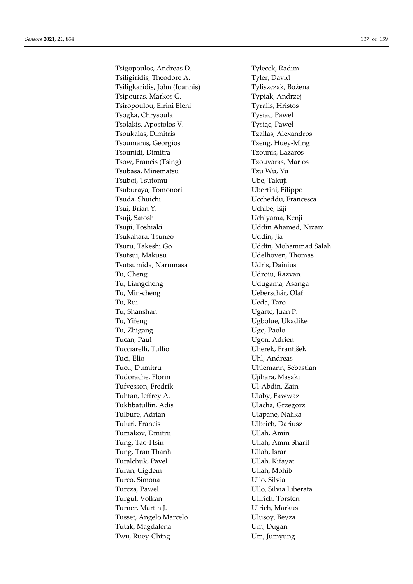Tsigopoulos, Andreas D. Tylecek, Radim Tsiligiridis, Theodore A. Tyler, David Tsiligkaridis, John (Ioannis) Tyliszczak, Bożena Tsipouras, Markos G. Typiak, Andrzej Tsiropoulou, Eirini Eleni Tyralis, Hristos Tsogka, Chrysoula Tysiac, Pawel Tsolakis, Apostolos V. Tysiąc, Paweł Tsoukalas, Dimitris Tzallas, Alexandros Tsoumanis, Georgios Tzeng, Huey-Ming Tsounidi, Dimitra Tzounis, Lazaros Tsow, Francis (Tsing) Tzouvaras, Marios Tsubasa, Minematsu Tzu Wu, Yu Tsuboi, Tsutomu Ube, Takuji Tsuburaya, Tomonori Ubertini, Filippo Tsuda, Shuichi **Vicheddu**, Francesca Tsui, Brian Y. Uchibe, Eiji Tsuji, Satoshi Uchiyama, Kenji Tsujii, Toshiaki Uddin Ahamed, Nizam Tsukahara, Tsuneo Uddin, Jia Tsuru, Takeshi Go Uddin, Mohammad Salah Tsutsui, Makusu Udelhoven, Thomas Tsutsumida, Narumasa Udris, Dainius Tu, Cheng Udroiu, Razvan Tu, Liangcheng Udugama, Asanga Tu, Min-cheng Veberschär, Olaf Tu, Rui **Ueda, Taro** Tu, Shanshan **Ugarte**, Juan P. Tu, Yifeng Tu, Yifeng Tu, Yifeng Tu, Yifeng Tu, Yifeng Tu, Yifeng Tu, Yifeng Tu, Yifeng Tu, Yifeng Tu, Yifeng Tu Tu, Zhigang Ugo, Paolo Tucan, Paul Vgon, Adrien Tucciarelli, Tullio Uherek, František Tuci, Elio Uhl, Andreas Tucu, Dumitru Uhlemann, Sebastian Tudorache, Florin Viihara, Masaki Tufvesson, Fredrik Ul-Abdin, Zain Tuhtan, Jeffrey A. Ulaby, Fawwaz Tukhbatullin, Adis Vlacha, Grzegorz Tulbure, Adrian **Ulapane**, Nalika Tuluri, Francis Ulbrich, Dariusz Tumakov, Dmitrii **Villah, Amin** Tung, Tao-Hsin Ullah, Amm Sharif Tung, Tran Thanh Ullah, Israr Turalchuk, Pavel **Victor** Ullah, Kifayat Turan, Cigdem Ullah, Mohib Turco, Simona Ullo, Silvia Turcza, Pawel **Villo, Silvia Liberata** Turgul, Volkan Ullrich, Torsten Turner, Martin J. Ulrich, Markus Tusset, Angelo Marcelo Ulusoy, Beyza Tutak, Magdalena Um, Dugan Twu, Ruey-Ching Um, Jumyung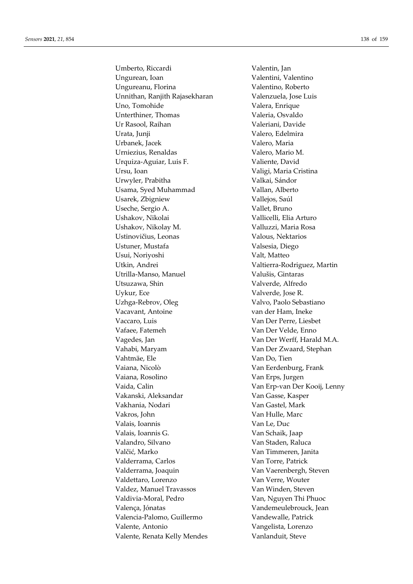Umberto, Riccardi Valentin, Jan Ungurean, Ioan **Valentini**, Valentino Ungureanu, Florina Valentino, Roberto Unnithan, Ranjith Rajasekharan Valenzuela, Jose Luis Uno, Tomohide Valera, Enrique Unterthiner, Thomas Valeria, Osvaldo Ur Rasool, Raihan Valeriani, Davide Urata, Junji **Valero**, Edelmira Urbanek, Jacek Valero, Maria Urniezius, Renaldas Valero, Mario M. Urquiza-Aguiar, Luis F. Valiente, David Ursu, Ioan Valigi, Maria Cristina Urwyler, Prabitha Valkai, Sándor Usama, Syed Muhammad Vallan, Alberto Usarek, Zbigniew Vallejos, Saúl Useche, Sergio A. Vallet, Bruno Ushakov, Nikolai Vallicelli, Elia Arturo Ushakov, Nikolay M. Valluzzi, Maria Rosa Ustinovičius, Leonas Valous, Nektarios Ustuner, Mustafa Valsesia, Diego Usui, Noriyoshi Valt, Matteo Utkin, Andrei Valtierra-Rodriguez, Martin Utrilla-Manso, Manuel Valušis, Gintaras Utsuzawa, Shin Valverde, Alfredo Uykur, Ece Valverde, Jose R. Uzhga-Rebrov, Oleg Valvo, Paolo Sebastiano Vacavant, Antoine van der Ham, Ineke Vaccaro, Luis Van Der Perre, Liesbet Vafaee, Fatemeh Van Der Velde, Enno Vagedes, Jan Van Der Werff, Harald M.A. Vahabi, Maryam Van Der Zwaard, Stephan Vahtmäe, Ele Van Do, Tien Vaiana, Nicolò Van Eerdenburg, Frank Vaiana, Rosolino Van Erps, Jurgen Vaida, Calin Van Erp-van Der Kooij, Lenny Vakanski, Aleksandar Van Gasse, Kasper Vakhania, Nodari **Van Gastel**, Mark Vakros, John Van Hulle, Marc Valais, Ioannis Van Le, Duc Valais, Ioannis G. Van Schaik, Jaap Valandro, Silvano Van Staden, Raluca Valčić, Marko Van Timmeren, Janita Valderrama, Carlos Van Torre, Patrick Valderrama, Joaquin Van Vaerenbergh, Steven Valdettaro, Lorenzo Van Van Verre, Wouter Valdez, Manuel Travassos Van Winden, Steven Valdivia-Moral, Pedro Van, Nguyen Thi Phuoc Valença, Jónatas Vandemeulebrouck, Jean Valencia-Palomo, Guillermo Vandewalle, Patrick Valente, Antonio Vangelista, Lorenzo Valente, Renata Kelly Mendes Vanlanduit, Steve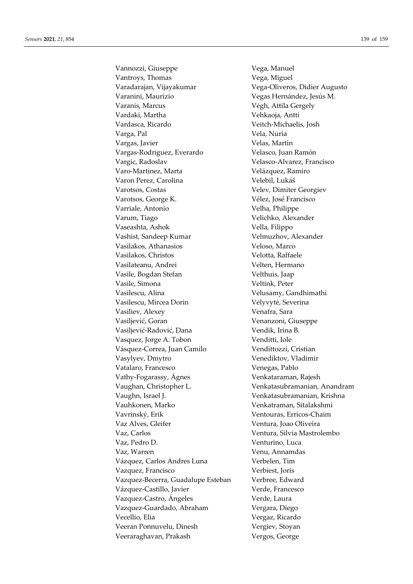Vannozzi, Giuseppe Vega, Manuel Vantroys, Thomas **Vega**, Miguel Varadarajan, Vijayakumar Vega-Oliveros, Didier Augusto Varanini, Maurizio Vegas Hernández, Jesús M. Varanis, Marcus Végh, Attila Gergely Vardaki, Martha Vehkaoja, Antti Vardasca, Ricardo Veitch-Michaelis, Josh Varga, Pal Vela, Nuria Vargas, Javier Velas, Martin Vargas-Rodriguez, Everardo Velasco, Juan Ramón Vargic, Radoslav Velasco-Alvarez, Francisco Varo-Martinez, Marta Velázquez, Ramiro Varon Perez, Carolina Velebil, Lukáš Varotsos, Costas Velev, Dimiter Georgiev Varotsos, George K. Vélez, José Francisco Varriale, Antonio Velha, Philippe Varum, Tiago Velichko, Alexander Vaseashta, Ashok Vella, Filippo Vashist, Sandeep Kumar Velmuzhov, Alexander Vasilakos, Athanasios Veloso, Marco Vasilakos, Christos **Velotta, Raffaele** Vasilateanu, Andrei *Velten, Hermano* Vasile, Bogdan Stefan Velthuis, Jaap Vasile, Simona Veltink, Peter Vasilescu, Alina Velusamy, Gandhimathi Vasilescu, Mircea Dorin Vėlyvytė, Severina Vasiliev, Alexey Venafra, Sara Vasiljević, Goran Venanzoni, Giuseppe Vasiljević-Radović, Dana Vendik, Irina B. Vasquez, Jorge A. Tobon Venditti, Iole Vásquez-Correa, Juan Camilo Vendittozzi, Cristian Vasylyev, Dmytro Venediktov, Vladimir Vatalaro, Francesco Venegas, Pablo Vathy-Fogarassy, Ágnes Venkataraman, Rajesh Vaughan, Christopher L. Venkatasubramanian, Anandram Vaughn, Israel J. Venkatasubramanian, Krishna Vauhkonen, Marko Venkatraman, Sitalakshmi Vavrinský, Erik Ventouras, Erricos-Chaim Vaz Alves, Gleifer Ventura, Joao Oliveira Vaz, Carlos Ventura, Silvia Mastrolembo Vaz, Pedro D. Venturino, Luca Vaz, Warren Venu, Annamdas Vázquez, Carlos Andres Luna Verbelen, Tim Vazquez, Francisco Verbiest, Joris Vazquez-Becerra, Guadalupe Esteban Verbree, Edward Vázquez-Castillo, Javier Verde, Francesco Vazquez-Castro, Ángeles Verde, Laura Vazquez-Guardado, Abraham Vergara, Diego Vecellio, Elia Vergaz, Ricardo Veeran Ponnuvelu, Dinesh Vergiev, Stoyan Veeraraghavan, Prakash Vergos, George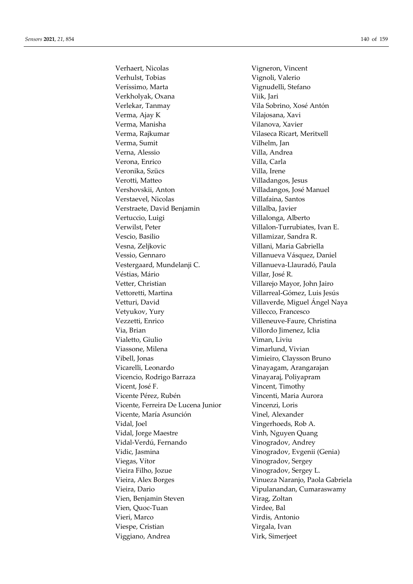Verhaert, Nicolas Vigneron, Vincent Verhulst, Tobias **Vignoli**, Valerio Veríssimo, Marta Vignudelli, Stefano Verkholyak, Oxana Viik, Jari Verlekar, Tanmay Vila Sobrino, Xosé Antón Verma, Ajay K Vilajosana, Xavi Verma, Manisha Vilanova, Xavier Verma, Rajkumar **Vilaseca Ricart, Meritxell** Verma, Sumit Vilhelm, Jan Verna, Alessio Villa, Andrea Verona, Enrico Villa, Carla Veronika, Szücs Villa, Irene Verotti, Matteo Villadangos, Jesus Vershovskii, Anton Villadangos, José Manuel Verstaevel, Nicolas **Villafaina**, Santos Verstraete, David Benjamin Villalba, Javier Vertuccio, Luigi vertuccio, Luigi vertuccio, Luigi vertuccio, Luigi vertuccio, Luigi vertuccio, Luigi vertucci Verwilst, Peter Villalon-Turrubiates, Ivan E. Vescio, Basilio Villamizar, Sandra R. Vesna, Zeljkovic Villani, Maria Gabriella Vessio, Gennaro Villanueva Vásquez, Daniel Vestergaard, Mundelanji C. Villanueva-Llauradó, Paula Véstias, Mário  $V$ illar, José R. Vetter, Christian Villarejo Mayor, John Jairo Vettoretti, Martina Villarreal-Gómez, Luis Jesús Vetturi, David Villaverde, Miguel Ángel Naya Vetyukov, Yury Villecco, Francesco Vezzetti, Enrico Villeneuve-Faure, Christina Via, Brian Villordo Jimenez, Iclia Vialetto, Giulio Viman, Liviu Viassone, Milena **Vimarlund**, Vivian Vibell, Jonas Vimieiro, Claysson Bruno Vicarelli, Leonardo Vinayagam, Arangarajan Vicencio, Rodrigo Barraza Vinayaraj, Poliyapram Vicent, José F. Vincent, Timothy Vicente Pérez, Rubén Vincenti, Maria Aurora Vicente, Ferreira De Lucena Junior Vincenzi, Loris Vicente, María Asunción Vinel, Alexander Vidal, Joel Vingerhoeds, Rob A. Vidal, Jorge Maestre **Vinh, Nguyen Quang** Vidal-Verdú, Fernando Vinogradov, Andrey Vidic, Jasmina Vinogradov, Evgenii (Genia) Viegas, Vítor Vinogradov, Sergey Vieira Filho, Jozue Vinogradov, Sergey L. Vieira, Alex Borges Vinueza Naranjo, Paola Gabriela Vieira, Dario **Vipulanandan**, Cumaraswamy Vien, Benjamin Steven Virag, Zoltan Vien, Ouoc-Tuan Virdee, Bal Vieri, Marco Virdis, Antonio Viespe, Cristian Virgala, Ivan Viggiano, Andrea Virk, Simerjeet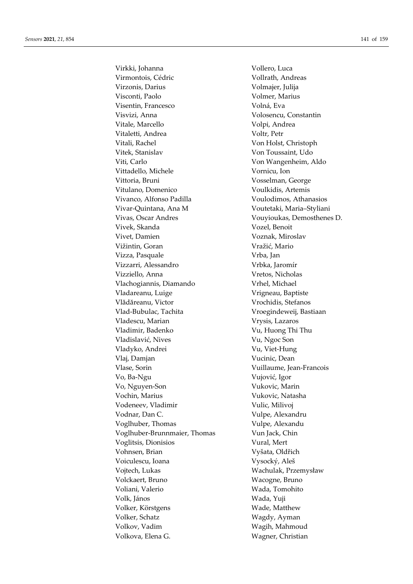Virkki, Johanna Virmontois, Cédric Virzonis, Darius Visconti, Paolo Visentin, Francesco Visvizi, Anna Vitale, Marcello Vitaletti, Andrea Vitali, Rachel Vitek, Stanislav Viti, Carlo Vittadello, Michele Vittoria, Bruni Vitulano, Domenico Vivanco, Alfonso Padilla Vivar-Quintana, Ana M Vivas. Oscar Andres Vivek, Skanda Vivet, Damien Vižintin, Goran Vizza, Pasquale Vizzarri, Alessandro Vizziello, Anna Vlachogiannis, Diamando Vladareanu, Luige Vlădăreanu, Victor Vlad-Bubulac, Tachita Vladescu, Marian Vladimir, Badenko Vladislavić, Nives Vladyko, Andrei Vlaj, Damjan Vlase, Sorin Vo, Ba-Ngu Vo, Nguyen-Son Vochin, Marius Vodeneev, Vladimir Vodnar, Dan C. Voglhuber, Thomas Voglhuber-Brunnmaier, Thomas Voglitsis, Dionisios Vohnsen, Brian Voiculescu. Ioana Vojtech, Lukas Volckaert, Bruno Voliani, Valerio Volk. János Volker, Körstgens Volker, Schatz Volkov, Vadim Volkova, Elena G.

Vollero. Luca Vollrath, Andreas Volmajer, Julija Volmer, Marius Volná, Eva Volosencu, Constantin Volpi, Andrea Voltr, Petr Von Holst, Christoph Von Toussaint, Udo Von Wangenheim, Aldo Vornicu, Ion Vosselman, George Voulkidis, Artemis Voulodimos, Athanasios Voutetaki, Maria-Styliani Vouyioukas, Demosthenes D. Vozel, Benoit Voznak, Miroslav Vražić, Mario Vrba, Jan Vrbka, Jaromír Vretos, Nicholas Vrhel, Michael Vrigneau, Baptiste Vrochidis, Stefanos Vroegindeweij, Bastiaan Vrysis, Lazaros Vu, Huong Thi Thu Vu, Ngoc Son Vu, Viet-Hung Vucinic, Dean Vuillaume, Jean-Francois Vujović, Igor Vukovic. Marin Vukovic, Natasha Vulic, Milivoj Vulpe, Alexandru Vulpe, Alexandu Vun Jack, Chin Vural, Mert Vyšata, Oldřich Vysocký, Aleš Wachulak, Przemysław Wacogne, Bruno Wada, Tomohito Wada, Yuii Wade, Matthew Wagdy, Ayman Wagih, Mahmoud Wagner, Christian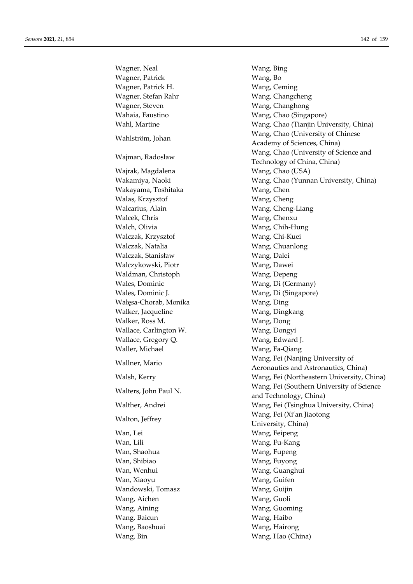Wagner, Neal Wang, Bing Wagner, Patrick Wang, Bo Wagner, Patrick H. Wang, Ceming Wagner, Stefan Rahr Wang, Changcheng Wagner, Steven Wang, Changhong Wahaia, Faustino Wang, Chao (Singapore) Wahl, Martine Wang, Chao (Tianjin University, China) Wang, Chao (University of Chinese Wahlström, Johan Wang, Chao (University of Chinese Wang, Chao (University of Science and Waiman, Radosław  $\sum_{n=1}^{\infty}$ Wajrak, Magdalena Wang, Chao (USA) Wakamiya, Naoki Wang, Chao (Yunnan University, China) Wakayama, Toshitaka Wang, Chen Walas, Krzysztof Wang, Cheng Walcarius, Alain Wang, Cheng-Liang Walcek, Chris Wang, Chenxu Walch, Olivia Wang, Chih-Hung Walczak, Krzysztof Wang, Chi-Kuei Walczak, Natalia Wang, Chuanlong Walczak, Stanisław Wang, Dalei Walczykowski, Piotr Wang, Dawei Waldman, Christoph Wang, Depeng Wales, Dominic Wang, Di (Germany) Wales, Dominic J. Wang, Di (Singapore) Wałęsa-Chorab, Monika Wang, Ding Walker, Jacqueline Wang, Dingkang Walker, Ross M. Wang, Dong Wallace, Carlington W. Wang, Dongyi Wallace, Gregory Q. Wang, Edward J. Waller, Michael Wang, Fa-Qiang Wang, Fei (Nanjing University of Wallner, Mario Walther, Andrei Wang, Fei (Tsinghua University, China) Wang, Fei (Xi'an Jiaotong Wang, Tei (Xi'an Jiaotong Wang, Tei China) Wan, Lei Wang, Feipeng Wan, Lili Wang, Fu-Kang Wan, Shaohua Wang, Fupeng Wan, Shibiao **Wang, Fuyong** Wan, Wenhui Wang, Guanghui Wan, Xiaoyu Wang, Guifen Wandowski, Tomasz Wang, Guijin Wang, Aichen Wang, Guoli Wang, Aining Wang, Guoming Wang, Baicun Wang, Haibo Wang, Baoshuai Wang, Hairong Wang, Bin Wang, Hao (China)

Academy of Sciences, China) Technology of China, China) Aeronautics and Astronautics, China) Walsh, Kerry Wang, Fei (Northeastern University, China) Wang, Fei (Southern University of Science Walters, John Paul N. and Technology, China) University, China)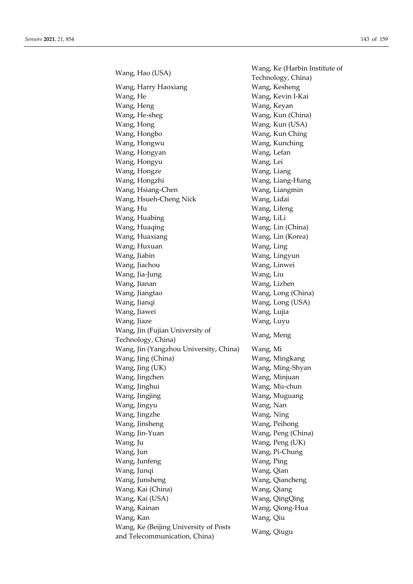Wang, Hao (USA) Wang, Ke (Harbin Institute of Wang, Harry Haoxiang Wang, Kesheng Wang, He Wang, Kevin I-Kai Wang, Heng Wang, Keyan Wang, He-sheg Wang, Kun (China) Wang, Hong Wang, Kun (USA) Wang, Hongbo Wang, Kun Ching Wang, Hongwu Wang, Kunching Wang, Hongyan Wang, Lefan Wang, Hongyu Wang, Lei Wang, Hongze Wang, Liang Wang, Hongzhi Wang, Liang-Hung Wang, Hsiang-Chen Wang, Liangmin Wang, Hsueh-Cheng Nick Wang, Lidai Wang, Hu Wang, Lifeng Wang, Huabing Wang, LiLi Wang, Huaqing Wang, Lin (China) Wang, Huaxiang Wang, Lin (Korea) Wang, Huxuan Wang, Ling Wang, Jiabin Wang, Lingyun Wang, Jiachou Wang, Linwei Wang, Jia-Jung Wang, Liu Wang, Jianan Wang, Lizhen Wang, Jiangtao Wang, Long (China) Wang, Jianqi Wang, Long (USA) Wang, Jiawei Wang, Lujia Wang, Jiaze Wang, Luyu Wang, Jin (Fujian University of Wang, Meng<br>Technology, China) Wang, Meng Wang, Jin (Yangzhou University, China) Wang, Mi Wang, Jing (China) Wang, Mingkang Wang, Jing (UK) Wang, Ming-Shyan Wang, Jingchen Wang, Minjuan Wang, Jinghui Wang, Mu-chun Wang, Jingjing Wang, Muguang Wang, Jingyu Wang, Nan Wang, Jingzhe Wang, Ning Wang, Jinsheng Wang, Peihong Wang, Jin-Yuan Wang, Peng (China) Wang, Ju Wang, Peng (UK) Wang, Jun Wang, Pi-Chung Wang, Junfeng Wang, Ping Wang, Junqi Wang, Qian Wang, Junsheng Wang, Qiancheng Wang, Kai (China) Wang, Qiang Wang, Kai (USA) Wang, QingQing Wang, Kainan Wang, Qiong-Hua Wang, Kan Wang, Qiu Wang, Ke (Beijing University of Posts wang, KC (Beljing Bruversity of 1 0sts<br>and Telecommunication, China)

Technology, China)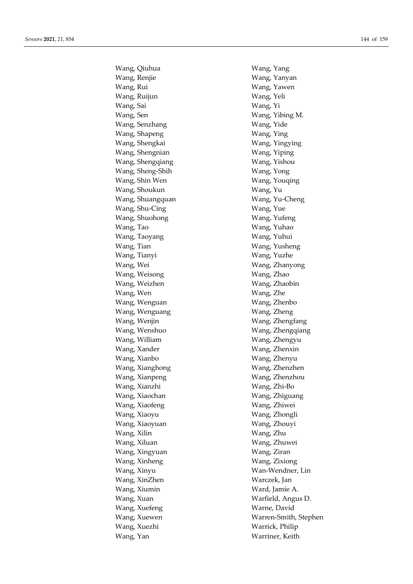Wang, Qiuhua Wang, Yang Wang, Renjie Wang, Yanyan Wang, Rui Wang, Yawen Wang, Ruijun Wang, Yeli Wang, Sai Wang, Yi Wang, Sen Wang, Yibing M. Wang, Senzhang Wang, Yide Wang, Shapeng Wang, Ying Wang, Shengkai Wang, Yingying Wang, Shengnian Wang, Yiping Wang, Shengqiang Wang, Yishou Wang, Sheng-Shih Wang, Yong Wang, Shin Wen Wang, Youqing Wang, Shoukun Wang, Yu Wang, Shuangquan Wang, Yu-Cheng Wang, Shu-Cing Wang, Yue Wang, Shuohong Wang, Yufeng Wang, Tao **Wang, Yuhao** Wang, Taoyang Wang, Yuhui Wang, Tian Wang, Yusheng Wang, Tianyi Wang, Yuzhe Wang, Wei Wang, Zhanyong Wang, Weisong Wang, Zhao Wang, Weizhen Wang, Zhaobin Wang, Wen Wang, Zhe Wang, Wenguan Wang, Zhenbo Wang, Wenguang Wang, Zheng Wang, Wenjin Wang, Zhengfang Wang, Wenshuo Wang, Zhengqiang Wang, William Wang, Zhengyu Wang, Xander Wang, Zhenxin Wang, Xianbo Wang, Zhenyu Wang, Xianghong Wang, Zhenzhen Wang, Xianpeng Wang, Zhenzhou Wang, Xianzhi Wang, Zhi-Bo Wang, Xiaochan Wang, Zhiguang Wang, Xiaofeng Wang, Zhiwei Wang, Xiaoyu Wang, Zhongli Wang, Xiaoyuan Wang, Zhouyi Wang, Xilin Wang, Zhu Wang, Xiluan Wang, Zhuwei Wang, Xingyuan Wang, Ziran Wang, Xinheng Wang, Zixiong Wang, Xinyu Wan-Wendner, Lin Wang, XinZhen Warczek, Jan Wang, Xiumin Ward, Jamie A. Wang, Xuan Warfield, Angus D. Wang, Xuefeng Warne, David Wang, Xuezhi Warrick, Philip Wang, Yan Warriner, Keith

Wang, Xuewen Warren-Smith, Stephen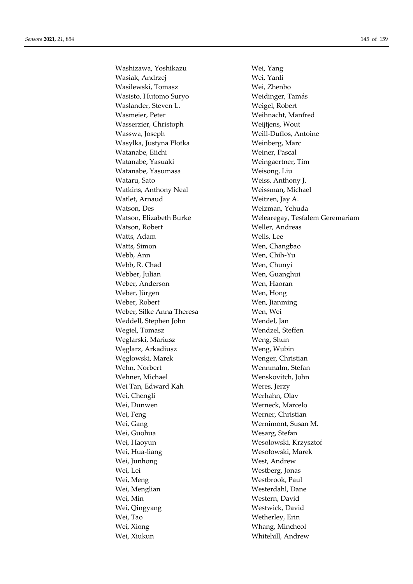Washizawa, Yoshikazu Wei, Yang Wasiak, Andrzej Wei, Yanli Wasilewski, Tomasz Wei, Zhenbo Wasisto, Hutomo Suryo Weidinger, Tamás Waslander, Steven L. Weigel, Robert Wasmeier, Peter Weihnacht, Manfred Wasserzier, Christoph Weijtjens, Wout Wasswa, Joseph Weill-Duflos, Antoine Wasylka, Justyna Płotka Weinberg, Marc Watanabe, Eiichi Weiner, Pascal Watanabe, Yasuaki Weingaertner, Tim Watanabe, Yasumasa Weisong, Liu Wataru, Sato **Weiss, Anthony J.** Watkins, Anthony Neal Weissman, Michael Watlet, Arnaud Weitzen, Jay A. Watson, Des Weizman, Yehuda Watson, Robert Weller, Andreas Watts, Adam Wells, Lee Watts, Simon Wen, Changbao Webb, Ann Wen, Chih-Yu Webb, R. Chad Wen, Chunyi Webber, Julian Wen, Guanghui Weber, Anderson Wen, Haoran Weber, Jürgen Wen, Hong Weber, Robert Wen, Jianming Weber, Silke Anna Theresa Wen, Wei Weddell, Stephen John Wendel, Jan Wegiel, Tomasz Wendzel, Steffen Węglarski, Mariusz Weng, Shun Węglarz, Arkadiusz Weng, Wubin Węglowski, Marek Wenger, Christian Wehn, Norbert Wennmalm, Stefan Wehner, Michael Wenskovitch, John Wei Tan, Edward Kah Weres, Jerzy Wei, Chengli Werhahn, Olav Wei, Dunwen Werneck, Marcelo Wei, Feng Werner, Christian Wei, Gang Wernimont, Susan M. Wei, Guohua Wesarg, Stefan Wei, Haoyun Wesolowski, Krzysztof Wei, Hua-liang Wesołowski, Marek Wei, Junhong West, Andrew Wei, Lei Westberg, Jonas Wei, Meng Westbrook, Paul Wei, Menglian Westerdahl, Dane Wei, Min Western, David Wei, Qingyang Westwick, David Wei, Tao **Wetherley**, Erin Wei, Xiong Whang, Mincheol Wei, Xiukun Whitehill, Andrew

Watson, Elizabeth Burke Welearegay, Tesfalem Geremariam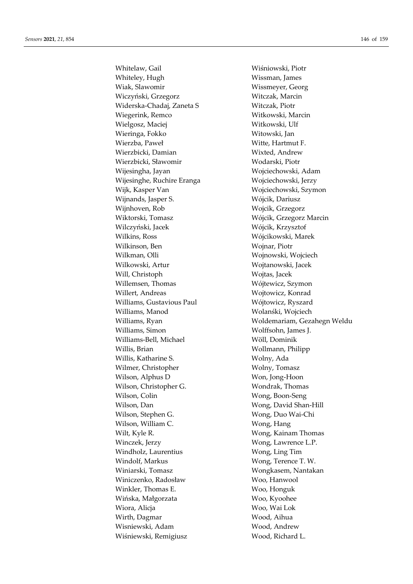Whitelaw, Gail Wiśniowski, Piotr Whiteley, Hugh Wissman, James Wiak, Slawomir Wissmeyer, Georg Wiczyński, Grzegorz Witczak, Marcin Widerska-Chadaj, Zaneta S Witczak, Piotr Wiegerink, Remco Witkowski, Marcin Wielgosz, Maciej Witkowski, Ulf Wieringa, Fokko Witowski, Jan Wierzba, Paweł Witte, Hartmut F. Wierzbicki, Damian Wixted, Andrew Wierzbicki, Sławomir Wodarski, Piotr Wijesingha, Jayan Wojciechowski, Adam Wijesinghe, Ruchire Eranga Wojciechowski, Jerzy Wijk, Kasper Van Wojciechowski, Szymon Wijnands, Jasper S. Wójcik, Dariusz Wijnhoven, Rob Wojcik, Grzegorz Wiktorski, Tomasz Wójcik, Grzegorz Marcin Wilczyński, Jacek Wójcik, Krzysztof Wilkins, Ross Wójcikowski, Marek Wilkinson, Ben Wojnar, Piotr Wilkman, Olli Wojnowski, Wojciech Wilkowski, Artur Wojtanowski, Jacek Will, Christoph Wojtas, Jacek Willemsen, Thomas Wójtewicz, Szymon Willert, Andreas Wojtowicz, Konrad Williams, Gustavious Paul Wójtowicz, Ryszard Williams, Manod Wolanśki, Wojciech Williams, Simon Wolffsohn, James J. Williams-Bell, Michael Wöll, Dominik Willis, Brian Wollmann, Philipp Willis, Katharine S. Wolny, Ada Wilmer, Christopher Wolny, Tomasz Wilson, Alphus D Won, Jong-Hoon Wilson, Christopher G. Wondrak, Thomas Wilson, Colin Wong, Boon-Seng Wilson, Dan Wong, David Shan-Hill Wilson, Stephen G. Wong, Duo Wai-Chi Wilson, William C. Wong, Hang Wilt, Kyle R. Wong, Kainam Thomas Winczek, Jerzy Wong, Lawrence L.P. Windholz, Laurentius Wong, Ling Tim Windolf, Markus Wong, Terence T. W. Winiarski, Tomasz Wongkasem, Nantakan Winiczenko, Radosław Woo, Hanwool Winkler, Thomas E. Woo, Honguk Wińska, Małgorzata Woo, Kyoohee Wiora, Alicja Woo, Wai Lok Wirth, Dagmar Wood, Aihua Wisniewski, Adam Wood, Andrew Wiśniewski, Remigiusz Wood, Richard L.

Williams, Ryan Woldemariam, Gezahegn Weldu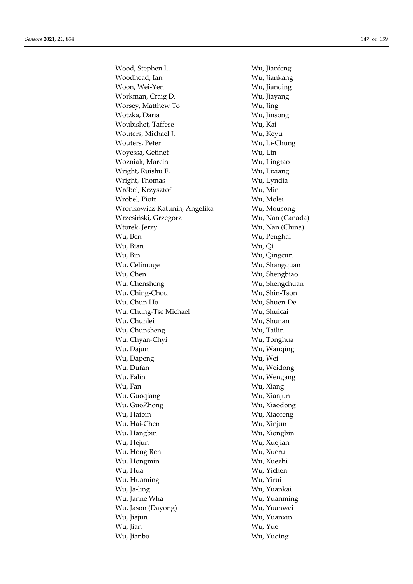Wood, Stephen L. Wu, Jianfeng Woodhead, Ian **Wu**, Jiankang Woon, Wei-Yen Wu, Jianqing Workman, Craig D. Wu, Jiayang Worsey, Matthew To Wu, Jing Wotzka, Daria Wu, Jinsong Woubishet, Taffese Wu, Kai Wouters, Michael J. Wu, Keyu Wouters, Peter Wu, Li-Chung Woyessa, Getinet Wu, Lin Wozniak, Marcin Wu, Lingtao Wright, Ruishu F. Wu, Lixiang Wright, Thomas Wu, Lyndia Wróbel, Krzysztof Wu, Min Wrobel, Piotr Wu, Molei Wronkowicz-Katunin, Angelika Wu, Mousong Wrzesiński, Grzegorz Wu, Nan (Canada) Wtorek, Jerzy Wu, Nan (China) Wu, Ben Wu, Penghai Wu, Bian Wu, Qi Wu, Bin Wu, Qingcun Wu, Celimuge Wu, Shangquan Wu, Chen Wu, Shengbiao Wu, Chensheng Wu, Shengchuan Wu, Ching-Chou Wu, Shin-Tson Wu, Chun Ho Wu, Shuen-De Wu, Chung-Tse Michael Wu, Shuicai Wu, Chunlei Wu, Shunan Wu, Chunsheng Wu, Tailin Wu, Chyan-Chyi Wu, Tonghua Wu, Dajun Wu, Wanqing Wu, Dapeng Wu, Wei Wu, Dufan Wu, Weidong Wu, Falin Wu, Wengang Wu, Fan Wu, Xiang Wu, Guoqiang **Wu, Aliang Wu**, Xianjun Wu, GuoZhong Wu, Xiaodong Wu, Haibin Wu, Xiaofeng Wu, Hai-Chen Wu, Xinjun Wu, Hangbin Wu, Xiongbin Wu, Hejun Wu, Xuejian Wu, Hong Ren Wu, Xuerui Wu, Hongmin Wu, Xuezhi Wu, Hua Wu, Yichen Wu, Huaming Wu, Yirui Wu, Ja-ling Wu, Yuankai Wu, Janne Wha Wu, Yuanming Wu, Jason (Dayong) Wu, Yuanwei Wu, Jiajun Wu, Yuanxin Wu, Jian Wu, Yue Wu, Jianbo Wu, Yuqing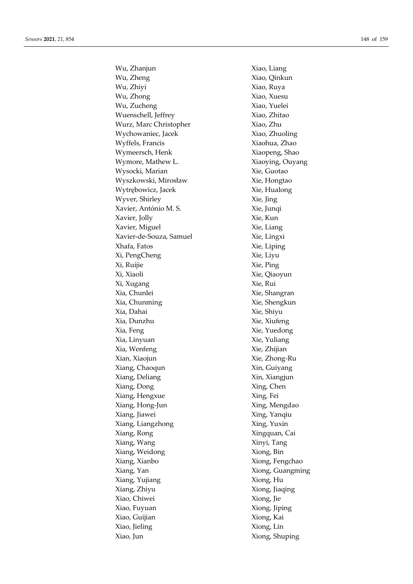Wu, Zhanjun Xiao, Liang Wu, Zheng Xiao, Qinkun Wu, Zhiyi Xiao, Ruya Wu, Zhong Xiao, Xuesu Wu, Zucheng  $Xiao, Yuelei$ Wuenschell, Jeffrey Xiao, Zhitao Wurz, Marc Christopher Xiao, Zhu Wychowaniec, Jacek Xiao, Zhuoling Wyffels, Francis Xiaohua, Zhao Wymeersch, Henk Xiaopeng, Shao Wymore, Mathew L. Xiaoying, Ouyang Wysocki, Marian Xie, Guotao Wyszkowski, Mirosław Xie, Hongtao Wytrębowicz, Jacek Xie, Hualong Wyver, Shirley Xie, Jing Xavier, António M. S. Xie, Junqi Xavier, Jolly Xie, Kun Xavier, Miguel Xie, Liang Xavier-de-Souza, Samuel Xie, Lingxi Xhafa, Fatos Xie, Liping Xi, PengCheng Xie, Liyu Xi, Ruijie Xie, Ping Xi, Xiaoli Xie, Qiaoyun Xi, Xugang Xie, Rui Xia, Chunlei Xie, Shangran Xia, Chunming Xie, Shengkun Xia, Dahai Xie, Shiyu Xia, Dunzhu Xie, Xiufeng Xia, Feng Xie, Yuedong Xia, Linyuan Xie, Yuliang Xia, Wenfeng Xie, Zhijian Xian, Xiaojun Xie, Zhong-Ru Xiang, Chaoqun Xin, Guiyang Xiang, Deliang Xin, Xiangjun Xiang, Dong Xing, Chen Xiang, Hengxue Xing, Fei Xiang, Hong-Jun Xing, Mengdao Xiang, Jiawei Xing, Yanqiu Xiang, Liangzhong Xing, Yuxin Xiang, Rong Xingquan, Cai Xiang, Wang Xinyi, Tang Xiang, Weidong Xiong, Bin Xiang, Xianbo Xiong, Fengchao Xiang, Yan Xiong, Guangming Xiang, Yujiang Xiong, Hu Xiang, Zhiyu Xiong, Jiaqing Xiao, Chiwei Xiong, Jie Xiao, Fuyuan Xiong, Jiping Xiao, Guijian Xiong, Kai Xiao, Jieling Xiong, Lin Xiao, Jun Xiong, Shuping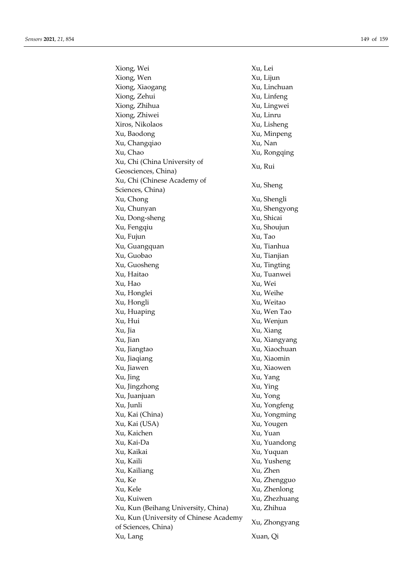Xiong, Wei Xu, Lei Xiong, Wen Xu, Lijun Xiong, Xiaogang Xu, Linchuan Xiong, Zehui Xu, Linfeng Xiong, Zhihua Xu, Lingwei Xiong, Zhiwei Xu, Linru Xiros, Nikolaos Xu, Lisheng Xu, Baodong Xu, Minpeng Xu, Changqiao Xu, Nan Xu, Chao Xu, Rongqing Xu, Chi (China University of Geosciences, China) Xu, Rui Xu, Chi (Chinese Academy of Xu, Sheng<br>Sciences, China) Xu, Sheng Xu, Chong Xu, Shengli Xu, Chunyan Xu, Shengyong Xu, Dong-sheng Xu, Shicai Xu, Fengqiu Xu, Shoujun Xu, Fujun Xu, Tao Xu, Guangquan Xu, Tianhua Xu, Guobao Xu, Tianjian Xu, Guosheng Xu, Tingting Xu, Haitao Xu, Tuanwei Xu, Hao Xu, Wei Xu, Honglei Xu, Weihe Xu, Hongli Xu, Weitao Xu, Huaping Xu, Wen Tao Xu, Hui Xu, Wenjun Xu, Jia Xu, Xiang Xu, Jian Xu, Xiangyang Xu, Jiangtao Xu, Xiaochuan Xu, Jiaqiang Xu, Xiaomin Xu, Jiawen Xu, Xiaowen Xu, Jing Xu, Yang Xu, Jingzhong Xu, Ying Xu, Juanjuan Xu, Yong Xu, Junli Xu, Yongfeng Xu, Kai (China) Xu, Yongming Xu, Kai (USA) Xu, Yougen Xu, Kaichen Xu, Yuan Xu, Kai-Da Xu, Yuandong Xu, Kaikai Xu, Yuquan Xu, Kaili Xu, Yusheng Xu, Kailiang Xu, Zhen Xu, Ke Xu, Zhengguo Xu, Kele Xu, Zhenlong Xu, Kuiwen Xu, Zhezhuang Xu, Kun (Beihang University, China) Xu, Zhihua Xu, Kun (University of Chinese Academy Au, Run (Chiversity of Chinese Academy Xu, Zhongyang<br>of Sciences, China) Xu, Lang Xuan, Qi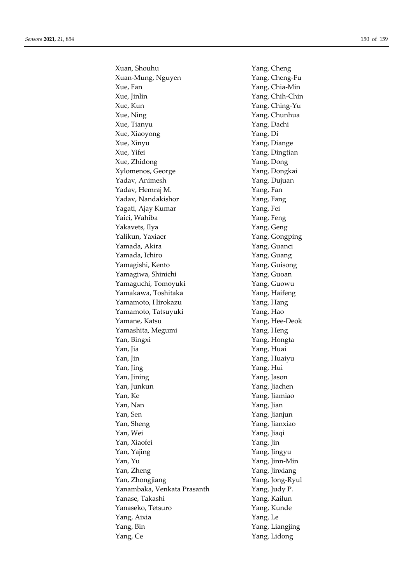Xuan, Shouhu Yang, Cheng Xuan-Mung, Nguyen Yang, Cheng-Fu Xue, Fan Yang, Chia-Min Xue, Jinlin Yang, Chih-Chin Xue, Kun Yang, Ching-Yu Xue, Ning Yang, Chunhua Xue, Tianyu Yang, Dachi Xue, Xiaoyong Yang, Di Xue, Xinyu Yang, Diange Xue, Yifei Yang, Dingtian Xue, Zhidong Yang, Dong Xylomenos, George Yang, Dongkai Yadav, Animesh Yang, Dujuan Yadav, Hemraj M. Yang, Fan Yadav, Nandakishor Yang, Fang Yagati, Ajay Kumar Yang, Fei Yaici, Wahiba Yang, Feng Yakavets, Ilya **Yang**, Geng Yalikun, Yaxiaer Yang, Gongping Yamada, Akira Xang, Guanci Yamada, Ichiro Yang, Guang Yamagishi, Kento Yang, Guisong Yamagiwa, Shinichi Yang, Guoan Yamaguchi, Tomoyuki Yang, Guowu Yamakawa, Toshitaka Yang, Haifeng Yamamoto, Hirokazu Yang, Hang Yamamoto, Tatsuyuki Yang, Hao Yamane, Katsu **Yang**, Hee-Deok Yamashita, Megumi Yang, Heng Yan, Bingxi Yang, Hongta Yan, Jia Yang, Huai Yan, Jin Yang, Huaiyu Yan, Jing Yang, Hui Yan, Jining Yang, Jason Yan, Junkun Yang, Jiachen Yan, Ke Yang, Jiamiao Yan, Nan Yang, Jian Yan, Sen Yang, Jianjun Yan, Sheng Yang, Jianxiao Yan, Wei Yang, Jiaqi Yan, Xiaofei Yang, Jin Yan, Yajing Yang, Jingyu Yan, Yu Yang, Jinn-Min Yan, Zheng Yang, Jinxiang Yan, Zhongjiang Yang, Jong-Ryul Yanambaka, Venkata Prasanth Yang, Judy P. Yanase, Takashi Yang, Kailun Yanaseko, Tetsuro Yang, Kunde Yang, Aixia Yang, Le Yang, Bin Yang, Liangjing Yang, Ce Yang, Lidong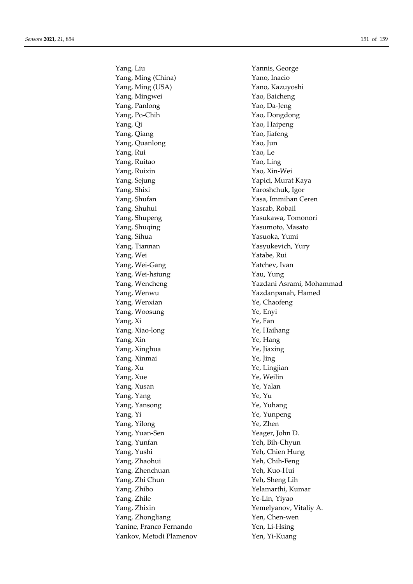Yang, Liu Yannis, George Yang, Ming (China) Yano, Inacio Yang, Ming (USA) Yano, Kazuyoshi Yang, Mingwei Yao, Baicheng Yang, Panlong Yao, Da-Jeng Yang, Po-Chih Yao, Dongdong Yang, Qi Yao, Haipeng Yang, Qiang Yao, Jiafeng Yang, Quanlong Yao, Jun Yang, Rui Yao, Le Yang, Ruitao Yao, Ling Yang, Ruixin Yao, Xin-Wei Yang, Sejung Yapici, Murat Kaya Yang, Shixi Yaroshchuk, Igor Yang, Shufan Yasa, Immihan Ceren Yang, Shuhui Yasrab, Robail Yang, Shupeng Yasukawa, Tomonori Yang, Shuqing Yasumoto, Masato Yang, Sihua Yasuoka, Yumi Yang, Tiannan Yasyukevich, Yury Yang, Wei Yatabe, Rui Yang, Wei-Gang Yatchev, Ivan Yang, Wei-hsiung Yau, Yung Yang, Wenwu Yazdanpanah, Hamed Yang, Wenxian Ye, Chaofeng Yang, Woosung Ye, Enyi Yang, Xi Ye, Fan Yang, Xiao-long Ye, Haihang Yang, Xin Ye, Hang Yang, Xinghua Ye, Jiaxing Yang, Xinmai Ye, Jing Yang, Xu Ye, Lingjian Yang, Xue Ye, Weilin Yang, Xusan Ye, Yalan Yang, Yang Ye, Yu Yang, Yansong Ye, Yuhang Yang, Yi Ye, Yunpeng Yang, Yilong Ye, Zhen Yang, Yuan-Sen Yeager, John D. Yang, Yunfan Yeh, Bih-Chyun Yang, Yushi Yeh, Chien Hung Yang, Zhaohui Yeh, Chih-Feng Yang, Zhenchuan Yeh, Kuo-Hui Yang, Zhi Chun Yeh, Sheng Lih Yang, Zhibo Yelamarthi, Kumar Yang, Zhile Ye-Lin, Yiyao Yang, Zhixin Yemelyanov, Vitaliy A. Yang, Zhongliang Yen, Chen-wen Yanine, Franco Fernando Yen, Li-Hsing Yankov, Metodi Plamenov Yen, Yi-Kuang

Yang, Wencheng Yazdani Asrami, Mohammad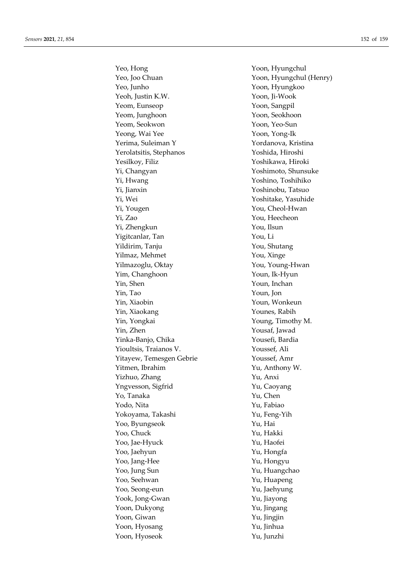Yeo, Hong Yoon, Hyungchul Yeo, Joo Chuan Yoon, Hyungchul (Henry) Yeo, Junho Yoon, Hyungkoo Yeoh, Justin K.W. Yoon, Ji-Wook Yeom, Eunseop Yoon, Sangpil Yeom, Junghoon Yoon, Seokhoon Yeom, Seokwon Yoon, Yeo-Sun Yeong, Wai Yee Yoon, Yong-Ik Yerima, Suleiman Y Yordanova, Kristina Yerolatsitis, Stephanos Yoshida, Hiroshi Yesilkoy, Filiz Yoshikawa, Hiroki Yi, Changyan Yoshimoto, Shunsuke Yi, Hwang Yoshino, Toshihiko Yi, Jianxin Yoshinobu, Tatsuo Yi, Wei Yoshitake, Yasuhide Yi, Yougen You, Cheol-Hwan Yi, Zao You, Heecheon Yi, Zhengkun You, Ilsun Yigitcanlar, Tan You, Li Yildirim, Tanju You, Shutang Yilmaz, Mehmet You, Xinge Yilmazoglu, Oktay You, You, Young-Hwan Yim, Changhoon Youn, Ik-Hyun Yin, Shen Youn, Inchan Yin, Tao Youn, Jon Yin, Xiaobin Youn, Wonkeun Yin, Xiaokang Younes, Rabih Yin, Yongkai Young, Timothy M. Yin, Zhen Yousaf, Jawad Yinka-Banjo, Chika Yousefi, Bardia Yioultsis, Traianos V. Youssef, Ali Yitayew, Temesgen Gebrie Youssef, Amr Yitmen, Ibrahim Yu, Anthony W. Yizhuo, Zhang Yu, Anxi Yngvesson, Sigfrid Yu, Caoyang Yo, Tanaka Yu, Chen Yodo, Nita Yu, Fabiao Yokoyama, Takashi Yu, Feng-Yih Yoo, Byungseok Yu, Hai Yoo, Chuck Yu, Hakki Yoo, Jae-Hyuck Yu, Haofei Yoo, Jaehyun Yu, Hongfa Yoo, Jang-Hee Yu, Hongyu Yoo, Jung Sun Yu, Huangchao Yoo, Seehwan Yu, Huapeng Yoo, Seong-eun Yu, Jaehyung Yook, Jong-Gwan Yu, Jiayong Yoon, Dukyong Yu, Jingang Yoon, Giwan Yu, Jingjin Yoon, Hyosang Yu, Jinhua Yoon, Hyoseok Yu, Junzhi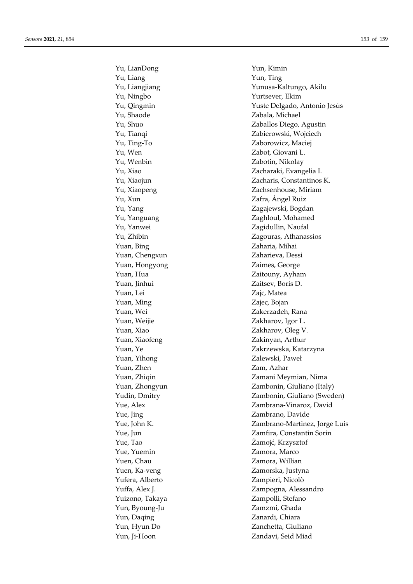Yu, LianDong Yun, Kimin Yu, Liang Yun, Ting Yu, Ningbo Yurtsever, Ekim Yu, Shaode Zabala, Michael Yu, Ting-To Zaborowicz, Maciej Yu, Wen Zabot, Giovani L. Yu, Wenbin Zabotin, Nikolay Yu, Xun Zafra, Ángel Ruiz Yu, Yang  $Za$ gajewski, Bogdan Yu, Yanguang Zaghloul, Mohamed Yu, Yanwei Zagidullin, Naufal Yuan, Bing Zaharia, Mihai Yuan, Chengxun Zaharieva, Dessi Yuan, Hongyong **Zaimes**, George Yuan, Hua **Zaitouny, Ayham** Yuan, Jinhui Zaitsev, Boris D. Yuan, Lei Zajc, Matea Yuan, Ming Zajec, Bojan Yuan, Wei Zakerzadeh, Rana Yuan, Weijie Zakharov, Igor L. Yuan, Xiao Zakharov, Oleg V. Yuan, Xiaofeng **Zakinyan**, Arthur Yuan, Yihong **Zalewski**, Paweł Yuan, Zhen Zam, Azhar Yue, Jing Zambrano, Davide Yue, Tao Żamojć, Krzysztof Yue, Yuemin Zamora, Marco Yuen, Chau Zamora, Willian Yuen, Ka-veng Zamorska, Justyna Yufera, Alberto Zampieri, Nicolò Yuizono, Takaya Zampolli, Stefano Yun, Byoung-Ju Zamzmi, Ghada Yun, Daqing Zanardi, Chiara Yun, Hyun Do Zanchetta, Giuliano Yun, Ji-Hoon Zandavi, Seid Miad

Yu, Liangjiang Yunusa-Kaltungo, Akilu Yu, Qingmin Yuste Delgado, Antonio Jesús Yu, Shuo Zaballos Diego, Agustin Yu, Tianqi Zabierowski, Wojciech Yu, Xiao Zacharaki, Evangelia I. Yu, Xiaojun Zacharis, Constantinos K. Yu, Xiaopeng Zachsenhouse, Miriam Yu, Zhibin Zagouras, Athanassios Yuan, Ye Zakrzewska, Katarzyna Yuan, Zhiqin Zamani Meymian, Nima Yuan, Zhongyun Zambonin, Giuliano (Italy) Yudin, Dmitry Zambonin, Giuliano (Sweden) Yue, Alex Zambrana-Vinaroz, David Yue, John K. Zambrano-Martinez, Jorge Luis Yue, Jun Zamfira, Constantin Sorin Yuffa, Alex J. Zampogna, Alessandro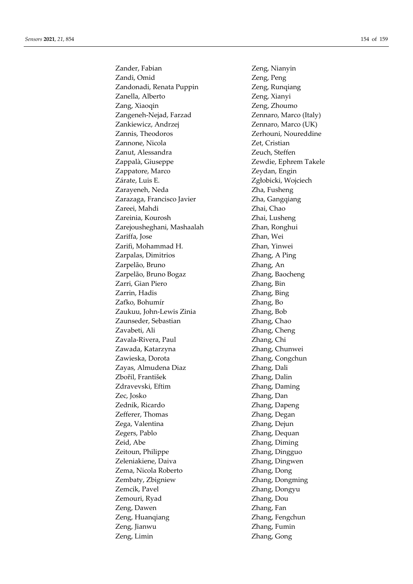Zander, Fabian Zeng, Nianyin Zandi, Omid Zeng, Peng Zandonadi, Renata Puppin Zeng, Runqiang Zanella, Alberto Zeng, Xianyi Zang, Xiaoqin Zeng, Zhoumo Zangeneh-Nejad, Farzad Zennaro, Marco (Italy) Zankiewicz, Andrzej Zennaro, Marco (UK) Zannis, Theodoros Zerhouni, Noureddine Zannone, Nicola **Zet**, Cristian Zanut, Alessandra Zeuch, Steffen Zappalà, Giuseppe Zewdie, Ephrem Takele Zappatore, Marco Zeydan, Engin Zárate, Luis E. Zgłobicki, Wojciech Zarayeneh, Neda **Zha, Fusheng** Zarazaga, Francisco Javier **Zha, Gangqiang** Zareei, Mahdi Zhai, Chao Zareinia, Kourosh Zhai, Lusheng Zarejousheghani, Mashaalah Zhan, Ronghui Zariffa, Jose Zhan, Wei Zarifi, Mohammad H. Zhan, Yinwei Zarpalas, Dimitrios Zhang, A Ping Zarpelão, Bruno Zhang, An Zarpelão, Bruno Bogaz Zhang, Baocheng Zarri, Gian Piero Zhang, Bin Zarrin, Hadis Zhang, Bing Zaťko, Bohumír Zhang, Bo Zaukuu, John-Lewis Zinia Zhang, Bob Zaunseder, Sebastian Zhang, Chao Zavabeti, Ali Zhang, Cheng Zavala-Rivera, Paul Zhang, Chi Zawada, Katarzyna Zhang, Chunwei Zawieska, Dorota **Zhang**, Congchun Zayas, Almudena Diaz **Zhang**, Dali Zbořil, František Zhang, Dalin Zdravevski, Eftim Zhang, Daming Zec, Josko Zhang, Dan Zednik, Ricardo Zhang, Dapeng Zefferer, Thomas **Zhang**, Degan Zega, Valentina Zhang, Dejun Zegers, Pablo Zhang, Dequan Zeid, Abe Zhang, Diming Zeitoun, Philippe **Zhang**, Dingguo Zeleniakiene, Daiva Zhang, Dingwen Zema, Nicola Roberto Zhang, Dong Zembaty, Zbigniew Zhang, Dongming Zemcik, Pavel Zhang, Dongyu Zemouri, Ryad Zhang, Dou Zeng, Dawen Zhang, Fan Zeng, Huanqiang Zhang, Fengchun Zeng, Jianwu Zhang, Fumin Zeng, Limin Zhang, Gong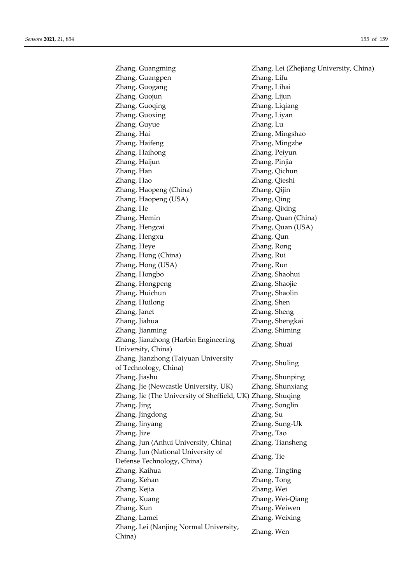Zhang, Guangming Zhang, Lei (Zhejiang University, China) Zhang, Guangpen Zhang, Lifu Zhang, Guogang Zhang, Lihai Zhang, Guojun Zhang, Lijun Zhang, Guoqing Zhang, Liqiang Zhang, Guoxing Zhang, Liyan Zhang, Guyue Zhang, Lu Zhang, Hai Zhang, Mingshao Zhang, Haifeng Zhang, Mingzhe Zhang, Haihong Zhang, Peiyun Zhang, Haijun Zhang, Pinjia Zhang, Han Zhang, Qichun Zhang, Hao Zhang, Qieshi Zhang, Haopeng (China) Zhang, Qijin Zhang, Haopeng (USA) Zhang, Qing Zhang, He Zhang, Qixing Zhang, Hemin Zhang, Quan (China) Zhang, Hengcai Zhang, Quan (USA) Zhang, Hengxu Zhang, Qun Zhang, Heye Zhang, Rong Zhang, Hong (China) Zhang, Rui Zhang, Hong (USA) Zhang, Run Zhang, Hongbo Zhang, Shaohui Zhang, Hongpeng Zhang, Shaojie Zhang, Huichun Zhang, Shaolin Zhang, Huilong Zhang, Shen Zhang, Janet Zhang, Sheng Zhang, Jiahua Zhang, Shengkai Zhang, Jianming Zhang, Shiming Zhang, Jianzhong (Harbin Engineering University, China) Zhang, Shuai Zhang, Jianzhong (Taiyuan University Zhang, Shuling<br>of Technology, China) Zhang, Shuling Zhang, Jiashu Zhang, Shunping Zhang, Jie (Newcastle University, UK) Zhang, Shunxiang Zhang, Jie (The University of Sheffield, UK) Zhang, Shuqing Zhang, Jing Zhang, Songlin Zhang, Jingdong Zhang, Su Zhang, Jinyang Zhang, Sung-Uk Zhang, Jize Zhang, Tao Zhang, Jun (Anhui University, China) Zhang, Tiansheng Zhang, Jun (National University of Defense Technology, China) Zhang, Tie Zhang, Kaihua Zhang, Tingting Zhang, Kehan Zhang, Tong Zhang, Kejia Zhang, Wei Zhang, Kuang Zhang, Wei-Qiang Zhang, Kun Zhang, Weiwen Zhang, Lamei Zhang, Weixing Zhang, Lei (Nanjing Normal University, Zhang, Let (Nanjing Norman Graverold), Zhang, Wen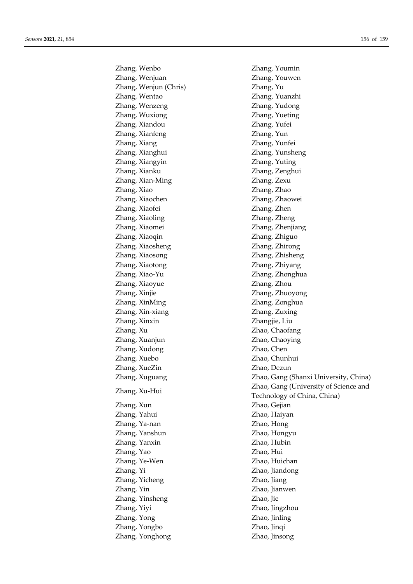Zhang, Wenbo Zhang, Youmin Zhang, Wenjuan Zhang, Youwen Zhang, Wenjun (Chris) Zhang, Yu Zhang, Wentao Zhang, Yuanzhi Zhang, Wenzeng Zhang, Yudong Zhang, Wuxiong Zhang, Yueting Zhang, Xiandou Zhang, Yufei Zhang, Xianfeng Zhang, Yun Zhang, Xiang Zhang, Yunfei Zhang, Xianghui Zhang, Yunsheng Zhang, Xiangyin Zhang, Yuting Zhang, Xianku Zhang, Zenghui Zhang, Xian-Ming Zhang, Zexu Zhang, Xiao Zhang, Zhao Zhang, Xiaochen Zhang, Zhaowei Zhang, Xiaofei Zhang, Zhen Zhang, Xiaoling Zhang, Zheng Zhang, Xiaomei Zhang, Zhenjiang Zhang, Xiaoqin Zhang, Zhiguo Zhang, Xiaosheng Zhang, Zhirong Zhang, Xiaosong Zhang, Zhisheng Zhang, Xiaotong Zhang, Zhiyang Zhang, Xiao-Yu Zhang, Zhonghua Zhang, Xiaoyue Zhang, Zhou Zhang, Xinjie Zhang, Zhuoyong Zhang, XinMing Zhang, Zonghua Zhang, Xin-xiang Zhang, Zuxing Zhang, Xinxin Zhangjie, Liu Zhang, Xu Zhao, Chaofang Zhang, Xuanjun Zhao, Chaoying Zhang, Xudong Zhao, Chen Zhang, Xuebo Zhao, Chunhui Zhang, XueZin Zhao, Dezun Zhang, Xun Zhao, Gejian Zhang, Yahui Zhao, Haiyan Zhang, Ya-nan Zhao, Hong Zhang, Yanshun Zhao, Hongyu Zhang, Yanxin Zhao, Hubin Zhang, Yao Zhao, Hui Zhang, Ye-Wen Zhao, Huichan Zhang, Yi Zhao, Jiandong Zhang, Yicheng Zhao, Jiang Zhang, Yin Zhao, Jianwen Zhang, Yinsheng Zhao, Jie Zhang, Yiyi Zhao, Jingzhou Zhang, Yong Zhao, Jinling Zhang, Yongbo Zhao, Jinqi Zhang, Yonghong Zhao, Jinsong

Zhang, Xuguang Zhao, Gang (Shanxi University, China) Zhang, Xu-Hui Zhao, Gang (University of Science and Technology of China, China)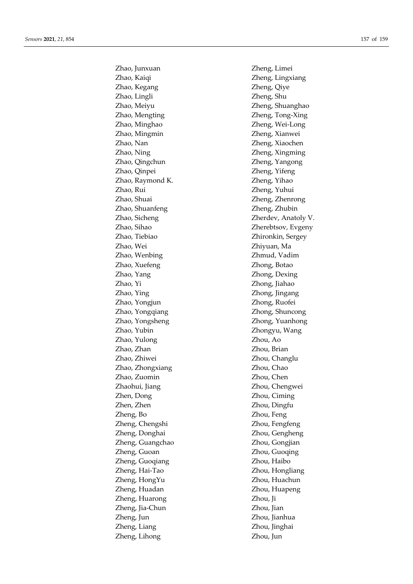Zhao, Kaiqi Zheng, Lingxiang Zhao, Kegang Zheng, Qiye Zhao, Lingli Zheng, Shu Zhao, Meiyu Zheng, Shuanghao Zhao, Mengting Zheng, Tong-Xing Zhao, Minghao Zheng, Wei-Long Zhao, Mingmin Zheng, Xianwei Zhao, Nan Zheng, Xiaochen Zhao, Ning Zheng, Xingming Zhao, Qingchun Zheng, Yangong Zhao, Qinpei Zheng, Yifeng Zhao, Raymond K. Zheng, Yihao Zhao, Rui Zheng, Yuhui Zhao, Shuai Zheng, Zhenrong Zhao, Shuanfeng Zheng, Zhubin Zhao, Sicheng Zherdev, Anatoly V. Zhao, Sihao Zherebtsov, Evgeny Zhao, Tiebiao Zhironkin, Sergey Zhao, Wei Zhiyuan, Ma Zhao, Wenbing Zhmud, Vadim Zhao, Xuefeng Zhong, Botao Zhao, Yang Zhong, Dexing Zhao, Yi Zhong, Jiahao Zhao, Ying Zhong, Jingang Zhao, Yongjun Zhong, Ruofei Zhao, Yongqiang Zhong, Shuncong Zhao, Yongsheng Zhong, Yuanhong Zhao, Yubin Zhongyu, Wang Zhao, Yulong Zhou, Ao Zhao, Zhan Zhou, Brian Zhao, Zhiwei Zhou, Changlu Zhao, Zhongxiang  $Z$ hou, Chao Zhao, Zuomin Zhou, Chen Zhaohui, Jiang Zhou, Chengwei Zhen, Dong Zhou, Ciming Zhen, Zhen Zhou, Dingfu Zheng, Bo Zhou, Feng Zheng, Chengshi Zhou, Fengfeng Zheng, Donghai Zhou, Gengheng Zheng, Guangchao Zhou, Gongjian Zheng, Guoan Zhou, Guoqing Zheng, Guoqiang Zhou, Haibo Zheng, Hai-Tao Zhou, Hongliang Zheng, HongYu Zhou, Huachun Zheng, Huadan Zhou, Huapeng Zheng, Huarong Zhou, Ji Zheng, Jia-Chun Zhou, Jian Zheng, Jun Zhou, Jianhua Zheng, Liang Zhou, Jinghai Zheng, Lihong Zhou, Jun

Zhao, Junxuan Zheng, Limei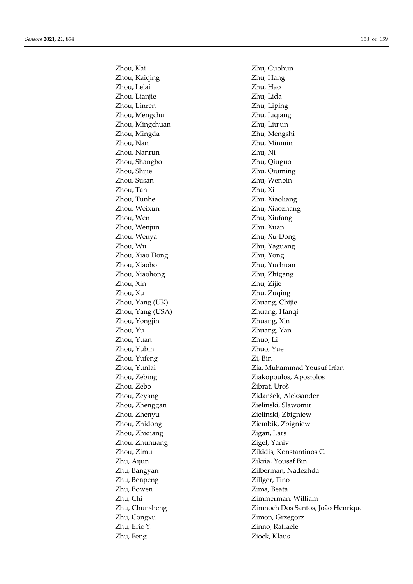Zhou, Kai Zhu, Guohun Zhou, Kaiqing Zhu, Hang Zhou, Lelai Zhu, Hao Zhou, Lianjie Zhu, Lida Zhou, Linren Zhu, Liping Zhou, Mengchu Zhu, Liqiang Zhou, Mingchuan Zhu, Liujun Zhou, Mingda Zhu, Mengshi Zhou, Nan Zhu, Minmin Zhou, Nanrun Zhu, Ni Zhou, Shangbo Zhu, Qiuguo Zhou, Shijie Zhu, Qiuming Zhou, Susan Zhu, Wenbin Zhou, Tan Zhu, Xi Zhou, Tunhe Zhu, Xiaoliang Zhou, Weixun Zhu, Xiaozhang Zhou, Wen Zhu, Xiufang Zhou, Wenjun Zhu, Xuan Zhou, Wenya Zhu, Xu-Dong Zhou, Wu Zhu, Yaguang Zhou, Xiao Dong Zhu, Yong Zhou, Xiaobo Zhu, Yuchuan Zhou, Xiaohong **Zhu, Zhu, Zhigang** Zhou, Xin Zhu, Zijie Zhou, Xu Zhu, Zuqing Zhou, Yang (UK) Zhuang, Chijie Zhou, Yang (USA) Zhuang, Hanqi Zhou, Yongjin Zhuang, Xin Zhou, Yu Zhuang, Yan Zhou, Yuan Zhuo, Li Zhou, Yubin Zhuo, Yue Zhou, Yufeng Zi, Bin Zhou, Zebo Žibrat, Uroš Zhou, Zhenggan Zielinski, Slawomir Zhou, Zhenyu Zielinski, Zbigniew Zhou, Zhidong **Ziembik**, Zbigniew Zhou, Zhiqiang  $Z$ igan, Lars Zhou, Zhuhuang  $Zigel, Yaniv$ Zhu, Aijun Zikria, Yousaf Bin Zhu, Benpeng Zillger, Tino Zhu, Bowen Zima, Beata Zhu, Congxu Zimon, Grzegorz Zhu, Eric Y. Zinno, Raffaele Zhu, Feng Ziock, Klaus

Zhou, Yunlai Zia, Muhammad Yousuf Irfan Zhou, Zebing Ziakopoulos, Apostolos Zhou, Zeyang Zidanšek, Aleksander Zhou, Zimu Zikidis, Konstantinos C. Zhu, Bangyan Zilberman, Nadezhda Zhu, Chi Zimmerman, William Zhu, Chunsheng Zimnoch Dos Santos, João Henrique